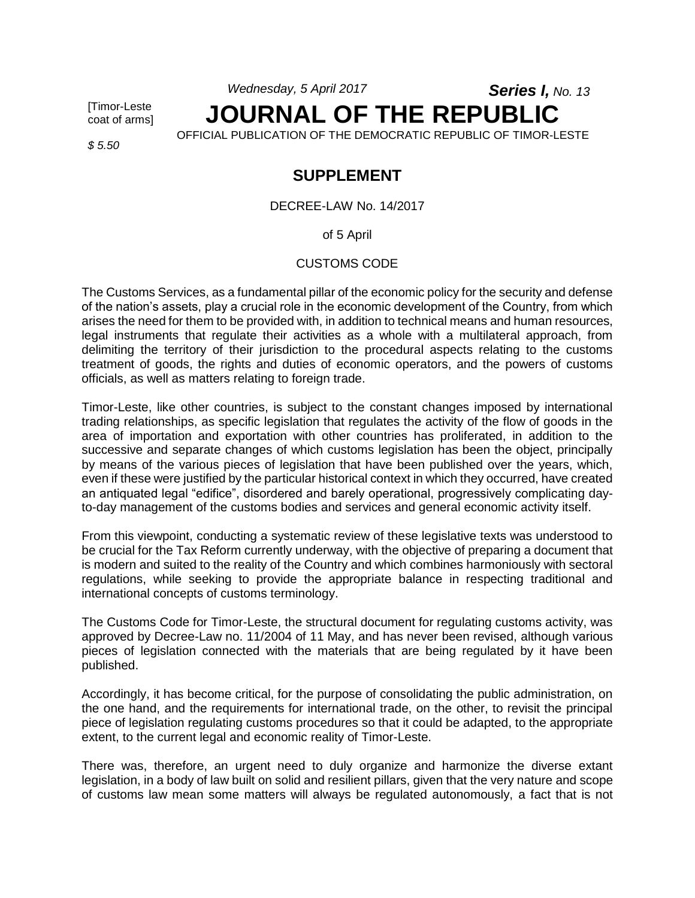*Wednesday, 5 April 2017 Series I, No. 13*

[Timor-Leste coat of arms]

*\$ 5.50*

# **JOURNAL OF THE REPUBLIC** OFFICIAL PUBLICATION OF THE DEMOCRATIC REPUBLIC OF TIMOR-LESTE

# **SUPPLEMENT**

DECREE-LAW No. 14/2017

of 5 April

CUSTOMS CODE

The Customs Services, as a fundamental pillar of the economic policy for the security and defense of the nation's assets, play a crucial role in the economic development of the Country, from which arises the need for them to be provided with, in addition to technical means and human resources, legal instruments that regulate their activities as a whole with a multilateral approach, from delimiting the territory of their jurisdiction to the procedural aspects relating to the customs treatment of goods, the rights and duties of economic operators, and the powers of customs officials, as well as matters relating to foreign trade.

Timor-Leste, like other countries, is subject to the constant changes imposed by international trading relationships, as specific legislation that regulates the activity of the flow of goods in the area of importation and exportation with other countries has proliferated, in addition to the successive and separate changes of which customs legislation has been the object, principally by means of the various pieces of legislation that have been published over the years, which, even if these were justified by the particular historical context in which they occurred, have created an antiquated legal "edifice", disordered and barely operational, progressively complicating dayto-day management of the customs bodies and services and general economic activity itself.

From this viewpoint, conducting a systematic review of these legislative texts was understood to be crucial for the Tax Reform currently underway, with the objective of preparing a document that is modern and suited to the reality of the Country and which combines harmoniously with sectoral regulations, while seeking to provide the appropriate balance in respecting traditional and international concepts of customs terminology.

The Customs Code for Timor-Leste, the structural document for regulating customs activity, was approved by Decree-Law no. 11/2004 of 11 May, and has never been revised, although various pieces of legislation connected with the materials that are being regulated by it have been published.

Accordingly, it has become critical, for the purpose of consolidating the public administration, on the one hand, and the requirements for international trade, on the other, to revisit the principal piece of legislation regulating customs procedures so that it could be adapted, to the appropriate extent, to the current legal and economic reality of Timor-Leste.

There was, therefore, an urgent need to duly organize and harmonize the diverse extant legislation, in a body of law built on solid and resilient pillars, given that the very nature and scope of customs law mean some matters will always be regulated autonomously, a fact that is not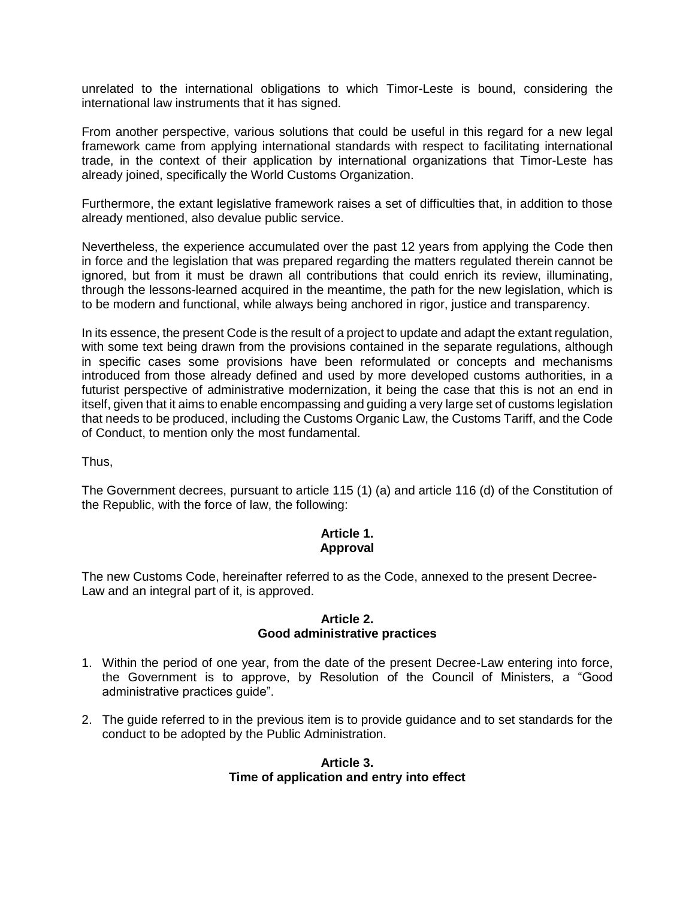unrelated to the international obligations to which Timor-Leste is bound, considering the international law instruments that it has signed.

From another perspective, various solutions that could be useful in this regard for a new legal framework came from applying international standards with respect to facilitating international trade, in the context of their application by international organizations that Timor-Leste has already joined, specifically the World Customs Organization.

Furthermore, the extant legislative framework raises a set of difficulties that, in addition to those already mentioned, also devalue public service.

Nevertheless, the experience accumulated over the past 12 years from applying the Code then in force and the legislation that was prepared regarding the matters regulated therein cannot be ignored, but from it must be drawn all contributions that could enrich its review, illuminating, through the lessons-learned acquired in the meantime, the path for the new legislation, which is to be modern and functional, while always being anchored in rigor, justice and transparency.

In its essence, the present Code is the result of a project to update and adapt the extant regulation, with some text being drawn from the provisions contained in the separate regulations, although in specific cases some provisions have been reformulated or concepts and mechanisms introduced from those already defined and used by more developed customs authorities, in a futurist perspective of administrative modernization, it being the case that this is not an end in itself, given that it aims to enable encompassing and guiding a very large set of customs legislation that needs to be produced, including the Customs Organic Law, the Customs Tariff, and the Code of Conduct, to mention only the most fundamental.

Thus,

The Government decrees, pursuant to article 115 (1) (a) and article 116 (d) of the Constitution of the Republic, with the force of law, the following:

### **Article 1. Approval**

The new Customs Code, hereinafter referred to as the Code, annexed to the present Decree-Law and an integral part of it, is approved.

#### **Article 2. Good administrative practices**

- 1. Within the period of one year, from the date of the present Decree-Law entering into force, the Government is to approve, by Resolution of the Council of Ministers, a "Good administrative practices guide".
- 2. The guide referred to in the previous item is to provide guidance and to set standards for the conduct to be adopted by the Public Administration.

### **Article 3. Time of application and entry into effect**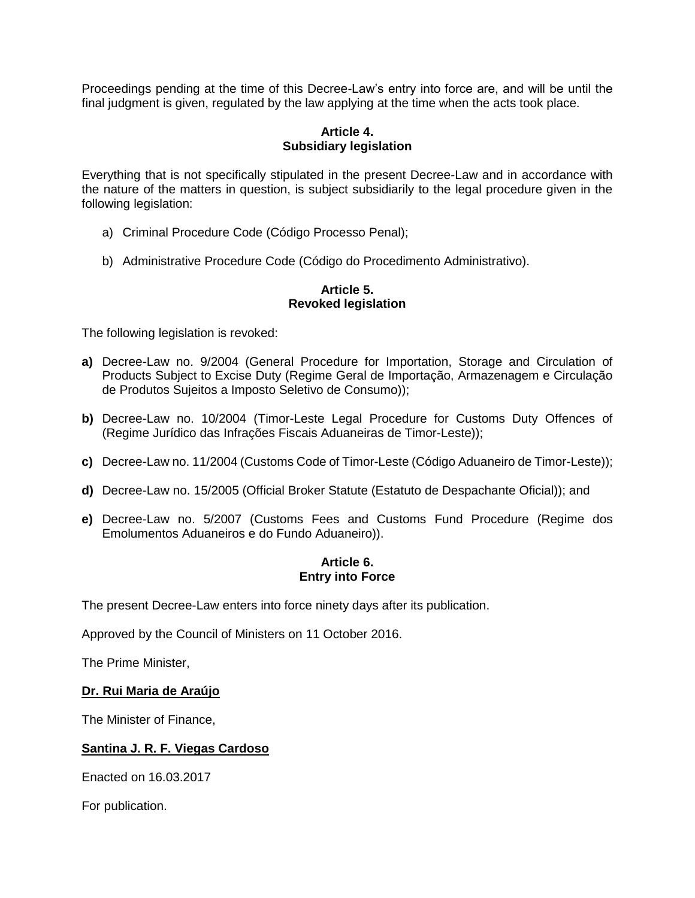Proceedings pending at the time of this Decree-Law's entry into force are, and will be until the final judgment is given, regulated by the law applying at the time when the acts took place.

### **Article 4. Subsidiary legislation**

Everything that is not specifically stipulated in the present Decree-Law and in accordance with the nature of the matters in question, is subject subsidiarily to the legal procedure given in the following legislation:

- a) Criminal Procedure Code (Código Processo Penal);
- b) Administrative Procedure Code (Código do Procedimento Administrativo).

#### **Article 5. Revoked legislation**

The following legislation is revoked:

- **a)** Decree-Law no. 9/2004 (General Procedure for Importation, Storage and Circulation of Products Subject to Excise Duty (Regime Geral de Importação, Armazenagem e Circulação de Produtos Sujeitos a Imposto Seletivo de Consumo));
- **b)** Decree-Law no. 10/2004 (Timor-Leste Legal Procedure for Customs Duty Offences of (Regime Jurídico das Infrações Fiscais Aduaneiras de Timor-Leste));
- **c)** Decree-Law no. 11/2004 (Customs Code of Timor-Leste (Código Aduaneiro de Timor-Leste));
- **d)** Decree-Law no. 15/2005 (Official Broker Statute (Estatuto de Despachante Oficial)); and
- **e)** Decree-Law no. 5/2007 (Customs Fees and Customs Fund Procedure (Regime dos Emolumentos Aduaneiros e do Fundo Aduaneiro)).

# **Article 6. Entry into Force**

The present Decree-Law enters into force ninety days after its publication.

Approved by the Council of Ministers on 11 October 2016.

The Prime Minister,

#### **Dr. Rui Maria de Araújo**

The Minister of Finance,

### **Santina J. R. F. Viegas Cardoso**

Enacted on 16.03.2017

For publication.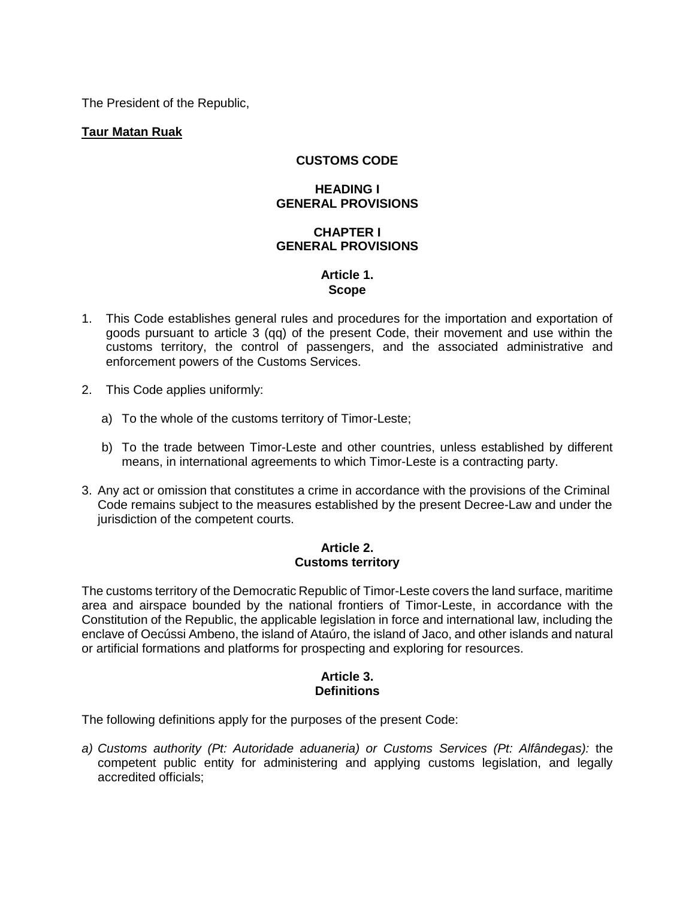The President of the Republic,

### **Taur Matan Ruak**

### **CUSTOMS CODE**

### **HEADING I GENERAL PROVISIONS**

### **CHAPTER I GENERAL PROVISIONS**

### **Article 1. Scope**

- 1. This Code establishes general rules and procedures for the importation and exportation of goods pursuant to article 3 (qq) of the present Code, their movement and use within the customs territory, the control of passengers, and the associated administrative and enforcement powers of the Customs Services.
- 2. This Code applies uniformly:
	- a) To the whole of the customs territory of Timor-Leste;
	- b) To the trade between Timor-Leste and other countries, unless established by different means, in international agreements to which Timor-Leste is a contracting party.
- 3. Any act or omission that constitutes a crime in accordance with the provisions of the Criminal Code remains subject to the measures established by the present Decree-Law and under the jurisdiction of the competent courts.

#### **Article 2. Customs territory**

The customs territory of the Democratic Republic of Timor-Leste covers the land surface, maritime area and airspace bounded by the national frontiers of Timor-Leste, in accordance with the Constitution of the Republic, the applicable legislation in force and international law, including the enclave of Oecússi Ambeno, the island of Ataúro, the island of Jaco, and other islands and natural or artificial formations and platforms for prospecting and exploring for resources.

### **Article 3. Definitions**

The following definitions apply for the purposes of the present Code:

*a) Customs authority (Pt: Autoridade aduaneria) or Customs Services (Pt: Alfândegas):* the competent public entity for administering and applying customs legislation, and legally accredited officials;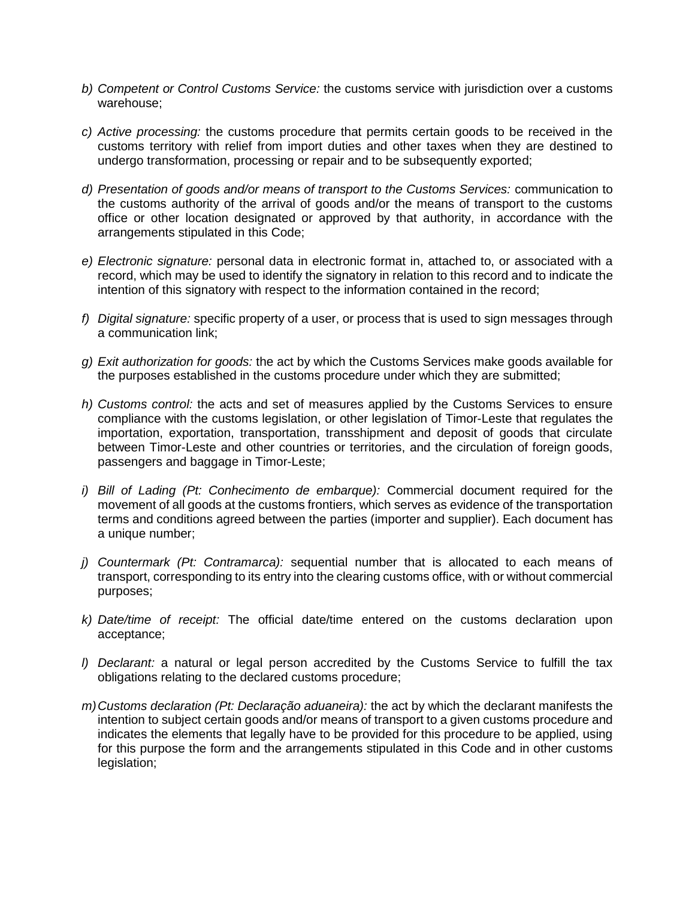- *b) Competent or Control Customs Service:* the customs service with jurisdiction over a customs warehouse;
- *c) Active processing:* the customs procedure that permits certain goods to be received in the customs territory with relief from import duties and other taxes when they are destined to undergo transformation, processing or repair and to be subsequently exported;
- *d) Presentation of goods and/or means of transport to the Customs Services:* communication to the customs authority of the arrival of goods and/or the means of transport to the customs office or other location designated or approved by that authority, in accordance with the arrangements stipulated in this Code;
- *e) Electronic signature:* personal data in electronic format in, attached to, or associated with a record, which may be used to identify the signatory in relation to this record and to indicate the intention of this signatory with respect to the information contained in the record;
- *f) Digital signature:* specific property of a user, or process that is used to sign messages through a communication link;
- *g) Exit authorization for goods:* the act by which the Customs Services make goods available for the purposes established in the customs procedure under which they are submitted;
- *h) Customs control:* the acts and set of measures applied by the Customs Services to ensure compliance with the customs legislation, or other legislation of Timor-Leste that regulates the importation, exportation, transportation, transshipment and deposit of goods that circulate between Timor-Leste and other countries or territories, and the circulation of foreign goods, passengers and baggage in Timor-Leste;
- *i) Bill of Lading (Pt: Conhecimento de embarque):* Commercial document required for the movement of all goods at the customs frontiers, which serves as evidence of the transportation terms and conditions agreed between the parties (importer and supplier). Each document has a unique number;
- *j) Countermark (Pt: Contramarca):* sequential number that is allocated to each means of transport, corresponding to its entry into the clearing customs office, with or without commercial purposes;
- *k) Date/time of receipt:* The official date/time entered on the customs declaration upon acceptance;
- *l) Declarant:* a natural or legal person accredited by the Customs Service to fulfill the tax obligations relating to the declared customs procedure;
- *m)Customs declaration (Pt: Declaração aduaneira):* the act by which the declarant manifests the intention to subject certain goods and/or means of transport to a given customs procedure and indicates the elements that legally have to be provided for this procedure to be applied, using for this purpose the form and the arrangements stipulated in this Code and in other customs legislation;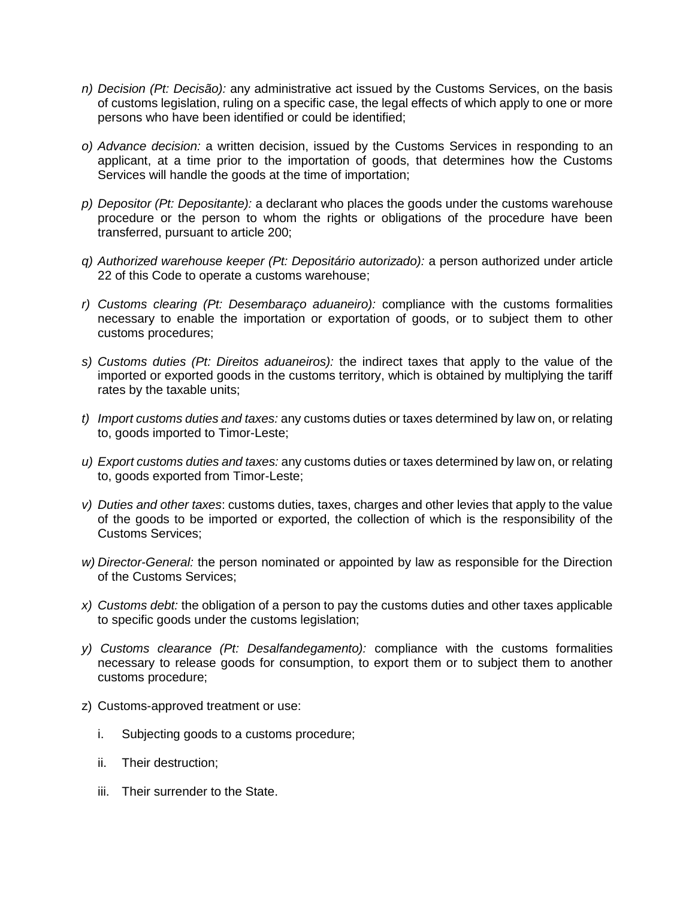- *n) Decision (Pt: Decisão):* any administrative act issued by the Customs Services, on the basis of customs legislation, ruling on a specific case, the legal effects of which apply to one or more persons who have been identified or could be identified;
- *o) Advance decision:* a written decision, issued by the Customs Services in responding to an applicant, at a time prior to the importation of goods, that determines how the Customs Services will handle the goods at the time of importation;
- *p) Depositor (Pt: Depositante):* a declarant who places the goods under the customs warehouse procedure or the person to whom the rights or obligations of the procedure have been transferred, pursuant to article 200;
- *q) Authorized warehouse keeper (Pt: Depositário autorizado):* a person authorized under article 22 of this Code to operate a customs warehouse;
- *r) Customs clearing (Pt: Desembaraço aduaneiro):* compliance with the customs formalities necessary to enable the importation or exportation of goods, or to subject them to other customs procedures;
- *s) Customs duties (Pt: Direitos aduaneiros):* the indirect taxes that apply to the value of the imported or exported goods in the customs territory, which is obtained by multiplying the tariff rates by the taxable units;
- *t) Import customs duties and taxes:* any customs duties or taxes determined by law on, or relating to, goods imported to Timor-Leste;
- *u) Export customs duties and taxes:* any customs duties or taxes determined by law on, or relating to, goods exported from Timor-Leste;
- *v) Duties and other taxes*: customs duties, taxes, charges and other levies that apply to the value of the goods to be imported or exported, the collection of which is the responsibility of the Customs Services;
- *w) Director-General:* the person nominated or appointed by law as responsible for the Direction of the Customs Services;
- *x) Customs debt:* the obligation of a person to pay the customs duties and other taxes applicable to specific goods under the customs legislation;
- *y) Customs clearance (Pt: Desalfandegamento):* compliance with the customs formalities necessary to release goods for consumption, to export them or to subject them to another customs procedure;
- z) Customs-approved treatment or use:
	- i. Subjecting goods to a customs procedure;
	- ii. Their destruction;
	- iii. Their surrender to the State.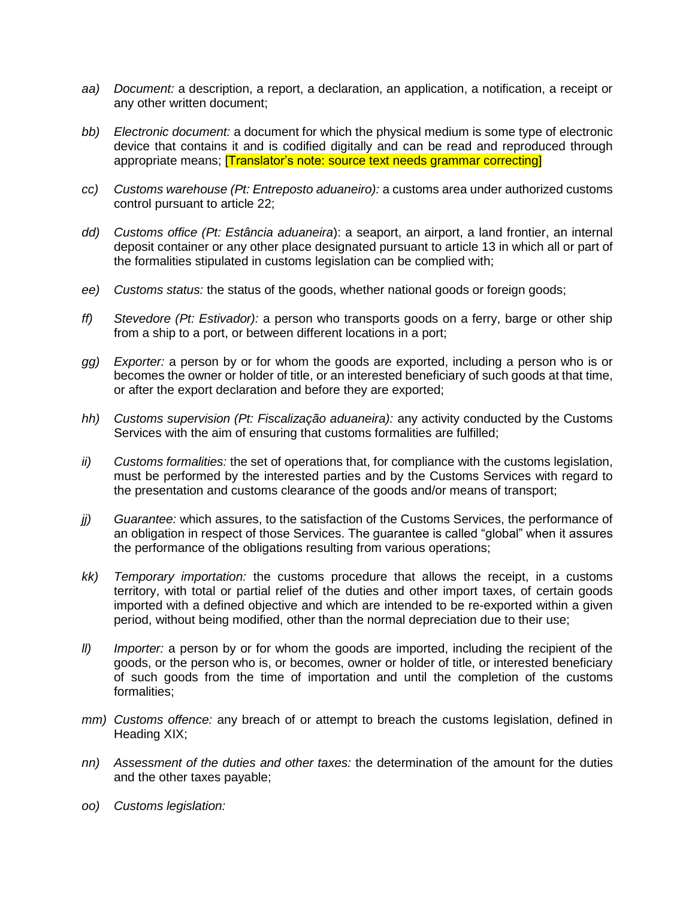- *aa) Document:* a description, a report, a declaration, an application, a notification, a receipt or any other written document;
- *bb) Electronic document:* a document for which the physical medium is some type of electronic device that contains it and is codified digitally and can be read and reproduced through appropriate means; **[Translator's note: source text needs grammar correcting]**
- *cc) Customs warehouse (Pt: Entreposto aduaneiro):* a customs area under authorized customs control pursuant to article 22;
- *dd) Customs office (Pt: Estância aduaneira*): a seaport, an airport, a land frontier, an internal deposit container or any other place designated pursuant to article 13 in which all or part of the formalities stipulated in customs legislation can be complied with;
- *ee) Customs status:* the status of the goods, whether national goods or foreign goods;
- *ff) Stevedore (Pt: Estivador):* a person who transports goods on a ferry, barge or other ship from a ship to a port, or between different locations in a port;
- *gg) Exporter:* a person by or for whom the goods are exported, including a person who is or becomes the owner or holder of title, or an interested beneficiary of such goods at that time, or after the export declaration and before they are exported;
- *hh) Customs supervision (Pt: Fiscalização aduaneira):* any activity conducted by the Customs Services with the aim of ensuring that customs formalities are fulfilled;
- *ii) Customs formalities:* the set of operations that, for compliance with the customs legislation, must be performed by the interested parties and by the Customs Services with regard to the presentation and customs clearance of the goods and/or means of transport;
- *jj) Guarantee:* which assures, to the satisfaction of the Customs Services, the performance of an obligation in respect of those Services. The guarantee is called "global" when it assures the performance of the obligations resulting from various operations;
- *kk) Temporary importation:* the customs procedure that allows the receipt, in a customs territory, with total or partial relief of the duties and other import taxes, of certain goods imported with a defined objective and which are intended to be re-exported within a given period, without being modified, other than the normal depreciation due to their use;
- *ll) Importer:* a person by or for whom the goods are imported, including the recipient of the goods, or the person who is, or becomes, owner or holder of title, or interested beneficiary of such goods from the time of importation and until the completion of the customs formalities;
- *mm) Customs offence:* any breach of or attempt to breach the customs legislation, defined in Heading XIX;
- *nn) Assessment of the duties and other taxes:* the determination of the amount for the duties and the other taxes payable;
- *oo) Customs legislation:*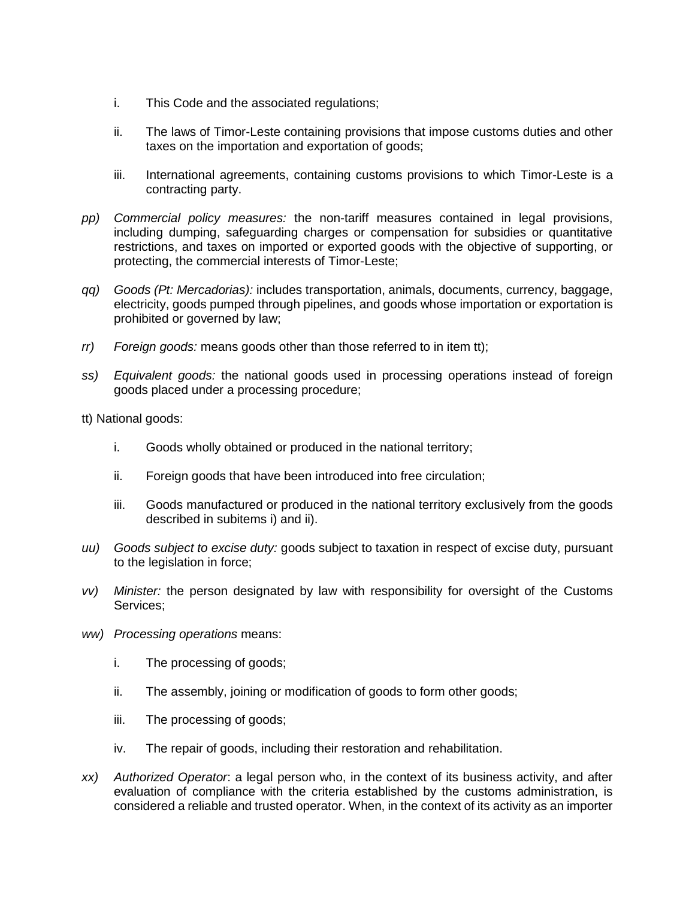- i. This Code and the associated regulations;
- ii. The laws of Timor-Leste containing provisions that impose customs duties and other taxes on the importation and exportation of goods;
- iii. International agreements, containing customs provisions to which Timor-Leste is a contracting party.
- *pp) Commercial policy measures:* the non-tariff measures contained in legal provisions, including dumping, safeguarding charges or compensation for subsidies or quantitative restrictions, and taxes on imported or exported goods with the objective of supporting, or protecting, the commercial interests of Timor-Leste;
- *qq) Goods (Pt: Mercadorias):* includes transportation, animals, documents, currency, baggage, electricity, goods pumped through pipelines, and goods whose importation or exportation is prohibited or governed by law;
- *rr) Foreign goods:* means goods other than those referred to in item tt);
- *ss) Equivalent goods:* the national goods used in processing operations instead of foreign goods placed under a processing procedure;

tt) National goods:

- i. Goods wholly obtained or produced in the national territory;
- ii. Foreign goods that have been introduced into free circulation;
- iii. Goods manufactured or produced in the national territory exclusively from the goods described in subitems i) and ii).
- *uu) Goods subject to excise duty:* goods subject to taxation in respect of excise duty, pursuant to the legislation in force;
- *vv) Minister:* the person designated by law with responsibility for oversight of the Customs Services;
- *ww) Processing operations* means:
	- i. The processing of goods;
	- ii. The assembly, joining or modification of goods to form other goods;
	- iii. The processing of goods;
	- iv. The repair of goods, including their restoration and rehabilitation.
- *xx) Authorized Operator*: a legal person who, in the context of its business activity, and after evaluation of compliance with the criteria established by the customs administration, is considered a reliable and trusted operator. When, in the context of its activity as an importer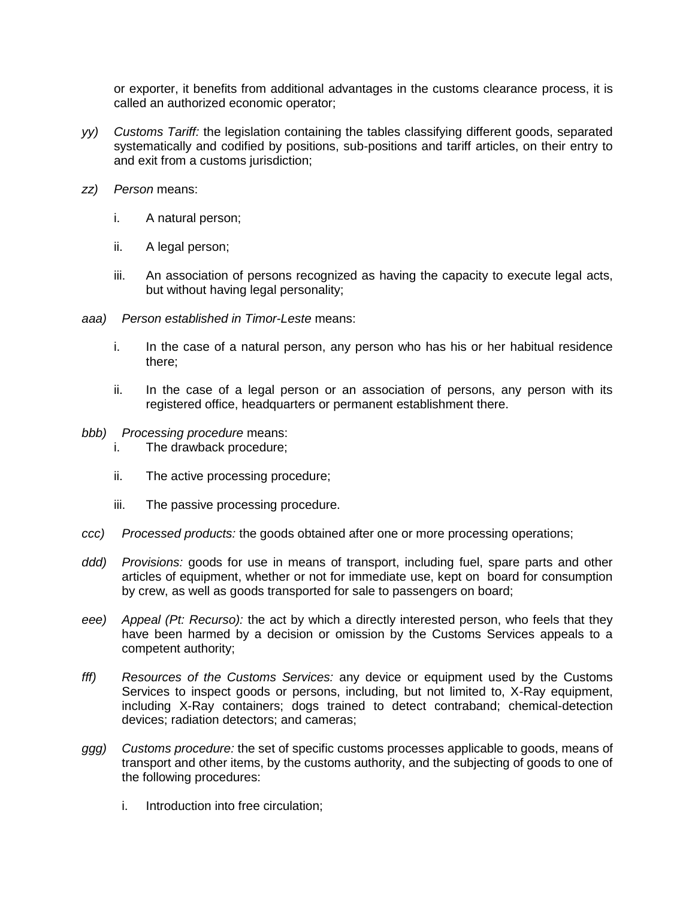or exporter, it benefits from additional advantages in the customs clearance process, it is called an authorized economic operator;

- *yy) Customs Tariff:* the legislation containing the tables classifying different goods, separated systematically and codified by positions, sub-positions and tariff articles, on their entry to and exit from a customs jurisdiction;
- *zz) Person* means:
	- i. A natural person;
	- ii. A legal person;
	- iii. An association of persons recognized as having the capacity to execute legal acts, but without having legal personality;
- *aaa) Person established in Timor-Leste* means:
	- i. In the case of a natural person, any person who has his or her habitual residence there;
	- ii. In the case of a legal person or an association of persons, any person with its registered office, headquarters or permanent establishment there.
- *bbb) Processing procedure* means:
	- i. The drawback procedure;
	- ii. The active processing procedure;
	- iii. The passive processing procedure.
- *ccc) Processed products:* the goods obtained after one or more processing operations;
- *ddd) Provisions:* goods for use in means of transport, including fuel, spare parts and other articles of equipment, whether or not for immediate use, kept on board for consumption by crew, as well as goods transported for sale to passengers on board;
- *eee) Appeal (Pt: Recurso):* the act by which a directly interested person, who feels that they have been harmed by a decision or omission by the Customs Services appeals to a competent authority;
- *fff) Resources of the Customs Services:* any device or equipment used by the Customs Services to inspect goods or persons, including, but not limited to, X-Ray equipment, including X-Ray containers; dogs trained to detect contraband; chemical-detection devices; radiation detectors; and cameras;
- *ggg) Customs procedure:* the set of specific customs processes applicable to goods, means of transport and other items, by the customs authority, and the subjecting of goods to one of the following procedures:
	- i. Introduction into free circulation;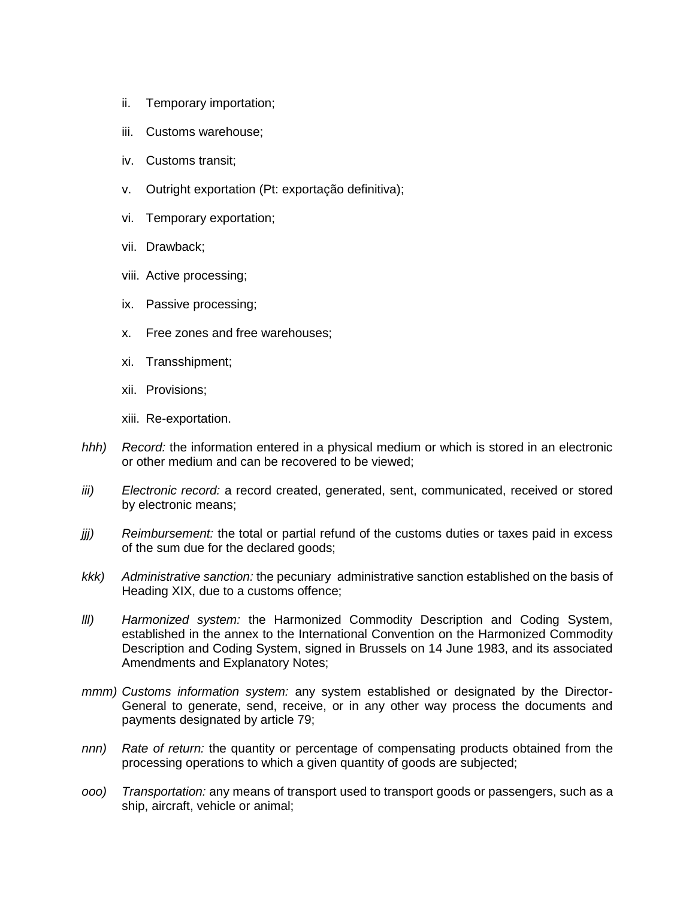- ii. Temporary importation;
- iii. Customs warehouse;
- iv. Customs transit;
- v. Outright exportation (Pt: exportação definitiva);
- vi. Temporary exportation;
- vii. Drawback;
- viii. Active processing;
- ix. Passive processing;
- x. Free zones and free warehouses;
- xi. Transshipment;
- xii. Provisions;
- xiii. Re-exportation.
- *hhh) Record:* the information entered in a physical medium or which is stored in an electronic or other medium and can be recovered to be viewed;
- *iii) Electronic record:* a record created, generated, sent, communicated, received or stored by electronic means;
- *jjj) Reimbursement:* the total or partial refund of the customs duties or taxes paid in excess of the sum due for the declared goods;
- *kkk) Administrative sanction:* the pecuniary administrative sanction established on the basis of Heading XIX, due to a customs offence;
- *lll) Harmonized system:* the Harmonized Commodity Description and Coding System, established in the annex to the International Convention on the Harmonized Commodity Description and Coding System, signed in Brussels on 14 June 1983, and its associated Amendments and Explanatory Notes;
- *mmm) Customs information system:* any system established or designated by the Director-General to generate, send, receive, or in any other way process the documents and payments designated by article 79;
- *nnn) Rate of return:* the quantity or percentage of compensating products obtained from the processing operations to which a given quantity of goods are subjected;
- *ooo) Transportation:* any means of transport used to transport goods or passengers, such as a ship, aircraft, vehicle or animal;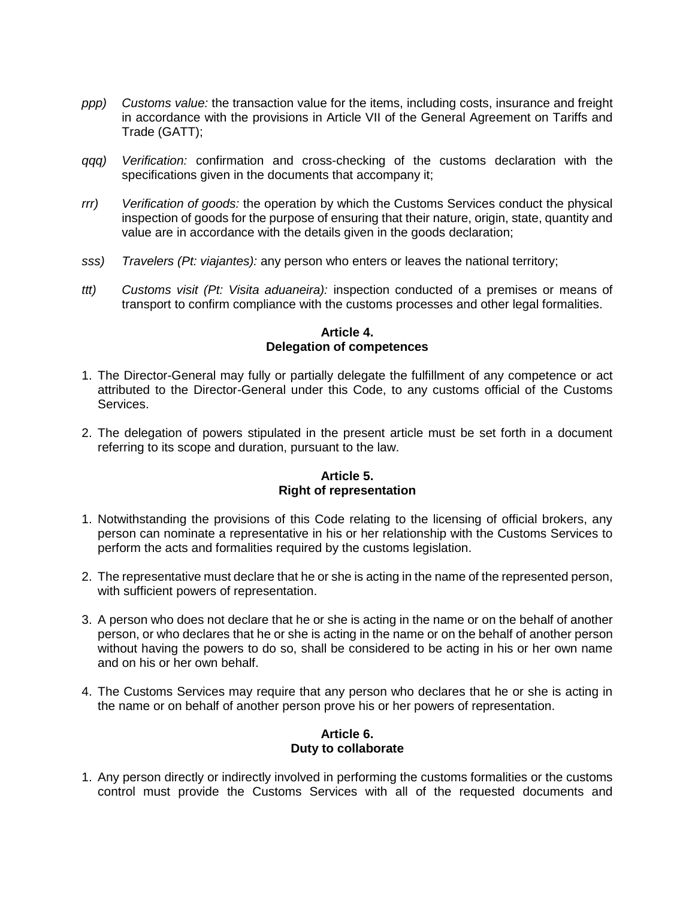- *ppp) Customs value:* the transaction value for the items, including costs, insurance and freight in accordance with the provisions in Article VII of the General Agreement on Tariffs and Trade (GATT);
- *qqq) Verification:* confirmation and cross-checking of the customs declaration with the specifications given in the documents that accompany it;
- *rrr) Verification of goods:* the operation by which the Customs Services conduct the physical inspection of goods for the purpose of ensuring that their nature, origin, state, quantity and value are in accordance with the details given in the goods declaration;
- *sss) Travelers (Pt: viajantes):* any person who enters or leaves the national territory;
- *ttt) Customs visit (Pt: Visita aduaneira):* inspection conducted of a premises or means of transport to confirm compliance with the customs processes and other legal formalities.

#### **Article 4. Delegation of competences**

- 1. The Director-General may fully or partially delegate the fulfillment of any competence or act attributed to the Director-General under this Code, to any customs official of the Customs Services.
- 2. The delegation of powers stipulated in the present article must be set forth in a document referring to its scope and duration, pursuant to the law.

### **Article 5. Right of representation**

- 1. Notwithstanding the provisions of this Code relating to the licensing of official brokers, any person can nominate a representative in his or her relationship with the Customs Services to perform the acts and formalities required by the customs legislation.
- 2. The representative must declare that he or she is acting in the name of the represented person, with sufficient powers of representation.
- 3. A person who does not declare that he or she is acting in the name or on the behalf of another person, or who declares that he or she is acting in the name or on the behalf of another person without having the powers to do so, shall be considered to be acting in his or her own name and on his or her own behalf.
- 4. The Customs Services may require that any person who declares that he or she is acting in the name or on behalf of another person prove his or her powers of representation.

#### **Article 6. Duty to collaborate**

1. Any person directly or indirectly involved in performing the customs formalities or the customs control must provide the Customs Services with all of the requested documents and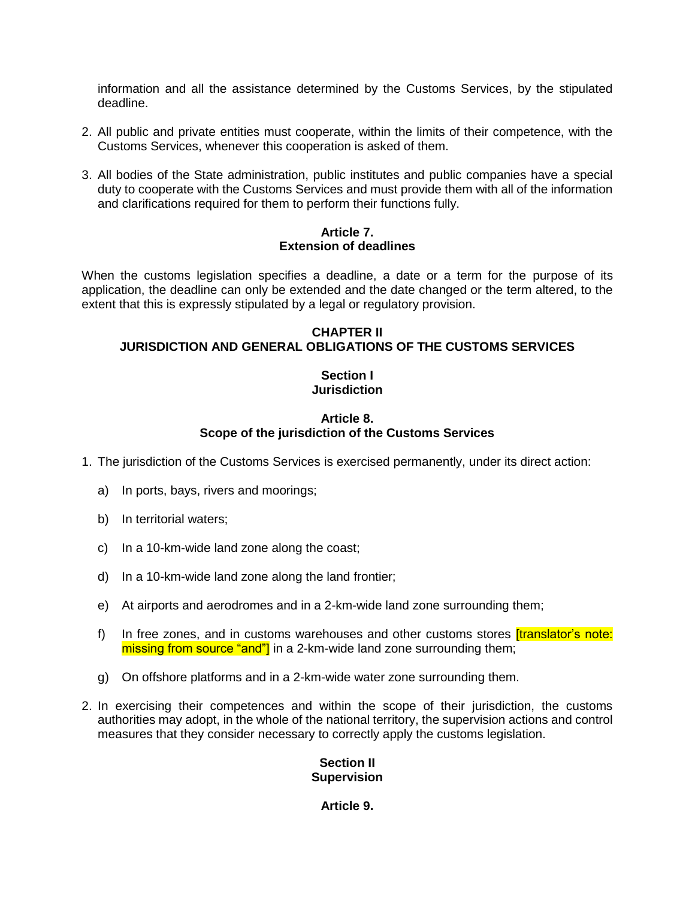information and all the assistance determined by the Customs Services, by the stipulated deadline.

- 2. All public and private entities must cooperate, within the limits of their competence, with the Customs Services, whenever this cooperation is asked of them.
- 3. All bodies of the State administration, public institutes and public companies have a special duty to cooperate with the Customs Services and must provide them with all of the information and clarifications required for them to perform their functions fully.

### **Article 7. Extension of deadlines**

When the customs legislation specifies a deadline, a date or a term for the purpose of its application, the deadline can only be extended and the date changed or the term altered, to the extent that this is expressly stipulated by a legal or regulatory provision.

### **CHAPTER II JURISDICTION AND GENERAL OBLIGATIONS OF THE CUSTOMS SERVICES**

# **Section I Jurisdiction**

### **Article 8. Scope of the jurisdiction of the Customs Services**

- 1. The jurisdiction of the Customs Services is exercised permanently, under its direct action:
	- a) In ports, bays, rivers and moorings;
	- b) In territorial waters;
	- c) In a 10-km-wide land zone along the coast;
	- d) In a 10-km-wide land zone along the land frontier;
	- e) At airports and aerodromes and in a 2-km-wide land zone surrounding them;
	- f) In free zones, and in customs warehouses and other customs stores *[translator's note:* missing from source "and"] in a 2-km-wide land zone surrounding them;
	- g) On offshore platforms and in a 2-km-wide water zone surrounding them.
- 2. In exercising their competences and within the scope of their jurisdiction, the customs authorities may adopt, in the whole of the national territory, the supervision actions and control measures that they consider necessary to correctly apply the customs legislation.

### **Section II Supervision**

### **Article 9.**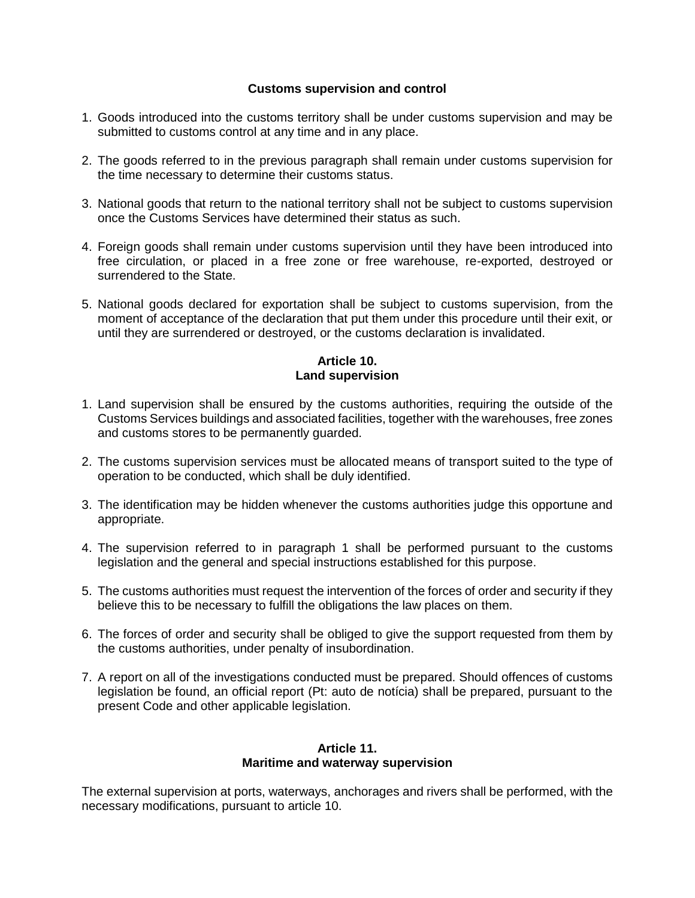### **Customs supervision and control**

- 1. Goods introduced into the customs territory shall be under customs supervision and may be submitted to customs control at any time and in any place.
- 2. The goods referred to in the previous paragraph shall remain under customs supervision for the time necessary to determine their customs status.
- 3. National goods that return to the national territory shall not be subject to customs supervision once the Customs Services have determined their status as such.
- 4. Foreign goods shall remain under customs supervision until they have been introduced into free circulation, or placed in a free zone or free warehouse, re-exported, destroyed or surrendered to the State.
- 5. National goods declared for exportation shall be subject to customs supervision, from the moment of acceptance of the declaration that put them under this procedure until their exit, or until they are surrendered or destroyed, or the customs declaration is invalidated.

### **Article 10. Land supervision**

- 1. Land supervision shall be ensured by the customs authorities, requiring the outside of the Customs Services buildings and associated facilities, together with the warehouses, free zones and customs stores to be permanently guarded.
- 2. The customs supervision services must be allocated means of transport suited to the type of operation to be conducted, which shall be duly identified.
- 3. The identification may be hidden whenever the customs authorities judge this opportune and appropriate.
- 4. The supervision referred to in paragraph 1 shall be performed pursuant to the customs legislation and the general and special instructions established for this purpose.
- 5. The customs authorities must request the intervention of the forces of order and security if they believe this to be necessary to fulfill the obligations the law places on them.
- 6. The forces of order and security shall be obliged to give the support requested from them by the customs authorities, under penalty of insubordination.
- 7. A report on all of the investigations conducted must be prepared. Should offences of customs legislation be found, an official report (Pt: auto de notícia) shall be prepared, pursuant to the present Code and other applicable legislation.

#### **Article 11. Maritime and waterway supervision**

The external supervision at ports, waterways, anchorages and rivers shall be performed, with the necessary modifications, pursuant to article 10.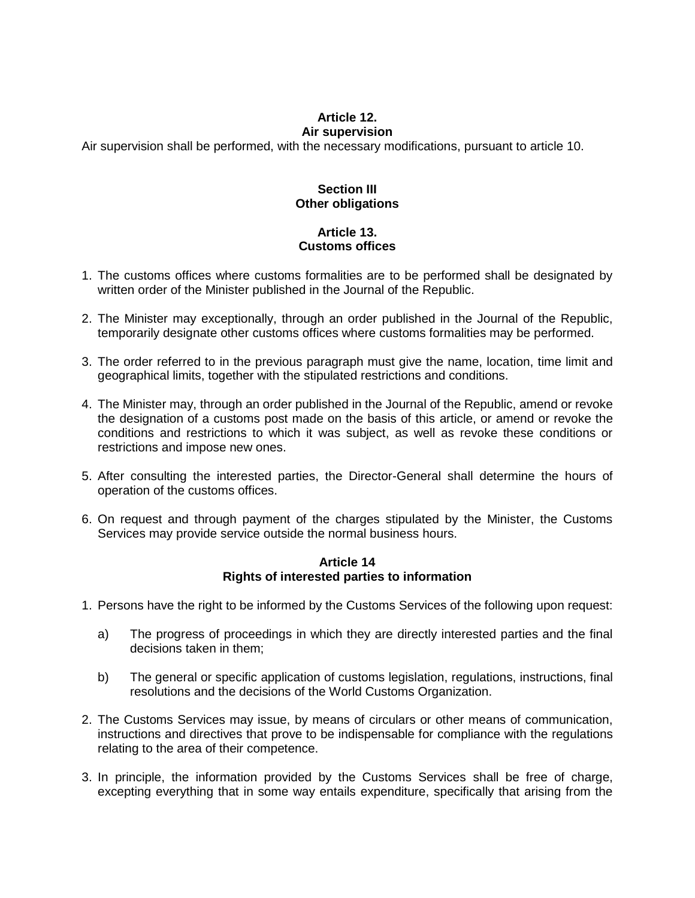#### **Article 12. Air supervision**

Air supervision shall be performed, with the necessary modifications, pursuant to article 10.

### **Section III Other obligations**

# **Article 13. Customs offices**

- 1. The customs offices where customs formalities are to be performed shall be designated by written order of the Minister published in the Journal of the Republic.
- 2. The Minister may exceptionally, through an order published in the Journal of the Republic, temporarily designate other customs offices where customs formalities may be performed.
- 3. The order referred to in the previous paragraph must give the name, location, time limit and geographical limits, together with the stipulated restrictions and conditions.
- 4. The Minister may, through an order published in the Journal of the Republic, amend or revoke the designation of a customs post made on the basis of this article, or amend or revoke the conditions and restrictions to which it was subject, as well as revoke these conditions or restrictions and impose new ones.
- 5. After consulting the interested parties, the Director-General shall determine the hours of operation of the customs offices.
- 6. On request and through payment of the charges stipulated by the Minister, the Customs Services may provide service outside the normal business hours.

#### **Article 14 Rights of interested parties to information**

- 1. Persons have the right to be informed by the Customs Services of the following upon request:
	- a) The progress of proceedings in which they are directly interested parties and the final decisions taken in them;
	- b) The general or specific application of customs legislation, regulations, instructions, final resolutions and the decisions of the World Customs Organization.
- 2. The Customs Services may issue, by means of circulars or other means of communication, instructions and directives that prove to be indispensable for compliance with the regulations relating to the area of their competence.
- 3. In principle, the information provided by the Customs Services shall be free of charge, excepting everything that in some way entails expenditure, specifically that arising from the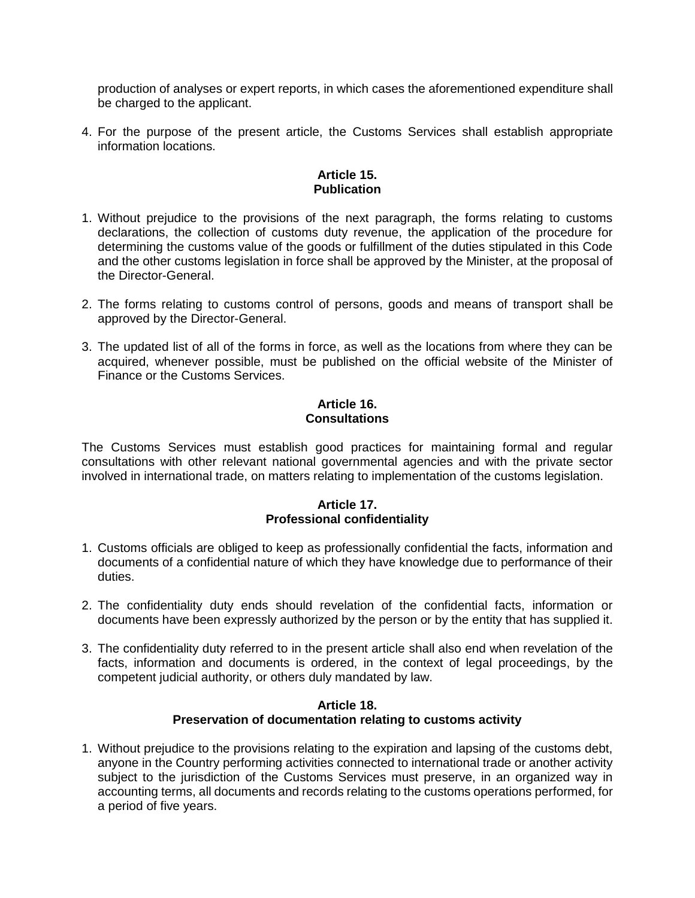production of analyses or expert reports, in which cases the aforementioned expenditure shall be charged to the applicant.

4. For the purpose of the present article, the Customs Services shall establish appropriate information locations.

### **Article 15. Publication**

- 1. Without prejudice to the provisions of the next paragraph, the forms relating to customs declarations, the collection of customs duty revenue, the application of the procedure for determining the customs value of the goods or fulfillment of the duties stipulated in this Code and the other customs legislation in force shall be approved by the Minister, at the proposal of the Director-General.
- 2. The forms relating to customs control of persons, goods and means of transport shall be approved by the Director-General.
- 3. The updated list of all of the forms in force, as well as the locations from where they can be acquired, whenever possible, must be published on the official website of the Minister of Finance or the Customs Services.

#### **Article 16. Consultations**

The Customs Services must establish good practices for maintaining formal and regular consultations with other relevant national governmental agencies and with the private sector involved in international trade, on matters relating to implementation of the customs legislation.

### **Article 17. Professional confidentiality**

- 1. Customs officials are obliged to keep as professionally confidential the facts, information and documents of a confidential nature of which they have knowledge due to performance of their duties.
- 2. The confidentiality duty ends should revelation of the confidential facts, information or documents have been expressly authorized by the person or by the entity that has supplied it.
- 3. The confidentiality duty referred to in the present article shall also end when revelation of the facts, information and documents is ordered, in the context of legal proceedings, by the competent judicial authority, or others duly mandated by law.

#### **Article 18. Preservation of documentation relating to customs activity**

1. Without prejudice to the provisions relating to the expiration and lapsing of the customs debt, anyone in the Country performing activities connected to international trade or another activity subject to the jurisdiction of the Customs Services must preserve, in an organized way in accounting terms, all documents and records relating to the customs operations performed, for a period of five years.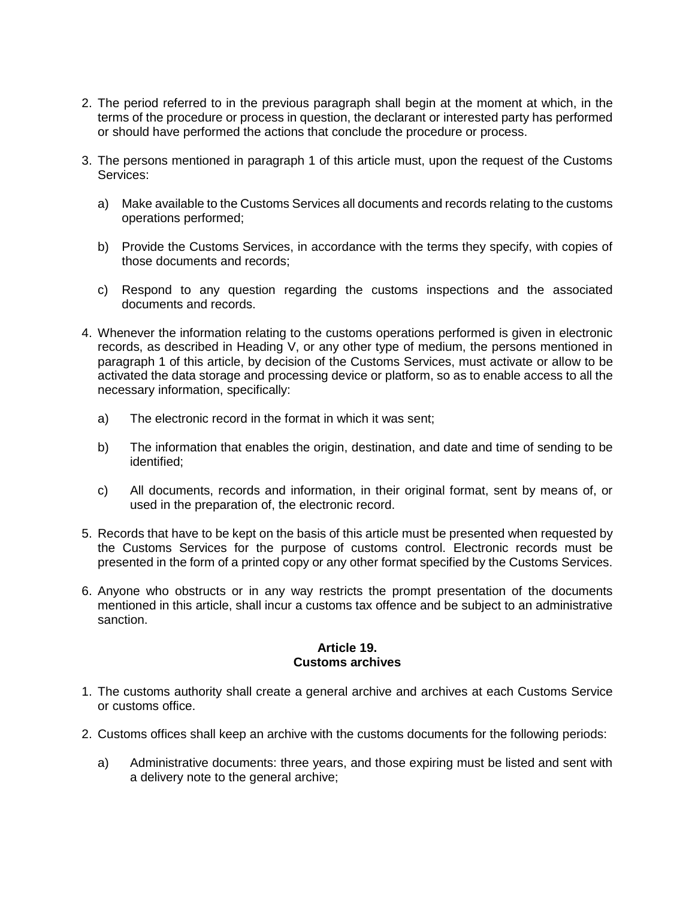- 2. The period referred to in the previous paragraph shall begin at the moment at which, in the terms of the procedure or process in question, the declarant or interested party has performed or should have performed the actions that conclude the procedure or process.
- 3. The persons mentioned in paragraph 1 of this article must, upon the request of the Customs Services:
	- a) Make available to the Customs Services all documents and records relating to the customs operations performed;
	- b) Provide the Customs Services, in accordance with the terms they specify, with copies of those documents and records;
	- c) Respond to any question regarding the customs inspections and the associated documents and records.
- 4. Whenever the information relating to the customs operations performed is given in electronic records, as described in Heading V, or any other type of medium, the persons mentioned in paragraph 1 of this article, by decision of the Customs Services, must activate or allow to be activated the data storage and processing device or platform, so as to enable access to all the necessary information, specifically:
	- a) The electronic record in the format in which it was sent;
	- b) The information that enables the origin, destination, and date and time of sending to be identified;
	- c) All documents, records and information, in their original format, sent by means of, or used in the preparation of, the electronic record.
- 5. Records that have to be kept on the basis of this article must be presented when requested by the Customs Services for the purpose of customs control. Electronic records must be presented in the form of a printed copy or any other format specified by the Customs Services.
- 6. Anyone who obstructs or in any way restricts the prompt presentation of the documents mentioned in this article, shall incur a customs tax offence and be subject to an administrative sanction.

#### **Article 19. Customs archives**

- 1. The customs authority shall create a general archive and archives at each Customs Service or customs office.
- 2. Customs offices shall keep an archive with the customs documents for the following periods:
	- a) Administrative documents: three years, and those expiring must be listed and sent with a delivery note to the general archive;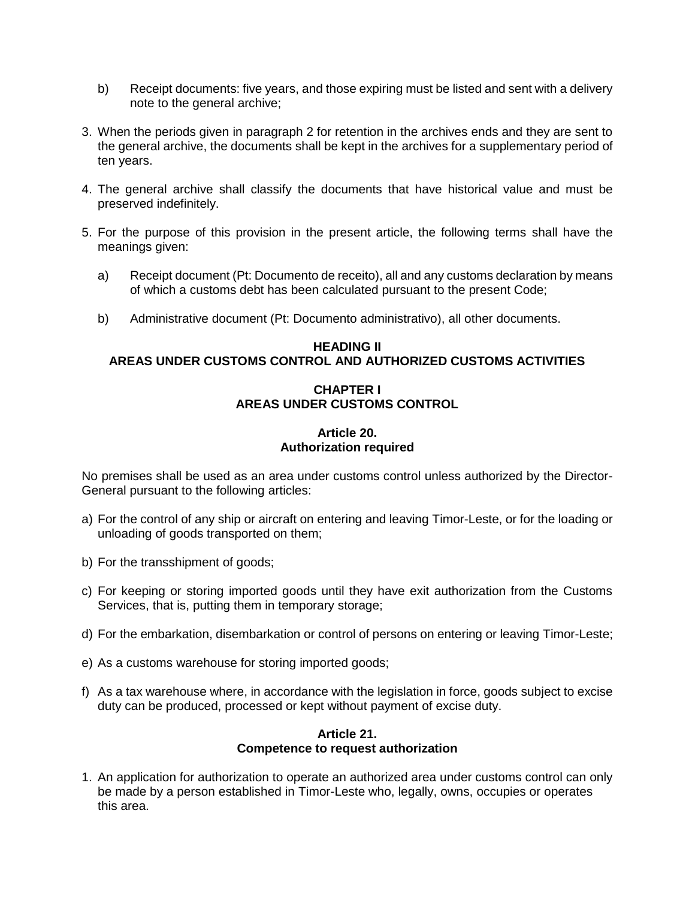- b) Receipt documents: five years, and those expiring must be listed and sent with a delivery note to the general archive;
- 3. When the periods given in paragraph 2 for retention in the archives ends and they are sent to the general archive, the documents shall be kept in the archives for a supplementary period of ten years.
- 4. The general archive shall classify the documents that have historical value and must be preserved indefinitely.
- 5. For the purpose of this provision in the present article, the following terms shall have the meanings given:
	- a) Receipt document (Pt: Documento de receito), all and any customs declaration by means of which a customs debt has been calculated pursuant to the present Code;
	- b) Administrative document (Pt: Documento administrativo), all other documents.

### **HEADING II AREAS UNDER CUSTOMS CONTROL AND AUTHORIZED CUSTOMS ACTIVITIES**

### **CHAPTER I AREAS UNDER CUSTOMS CONTROL**

### **Article 20. Authorization required**

No premises shall be used as an area under customs control unless authorized by the Director-General pursuant to the following articles:

- a) For the control of any ship or aircraft on entering and leaving Timor-Leste, or for the loading or unloading of goods transported on them;
- b) For the transshipment of goods;
- c) For keeping or storing imported goods until they have exit authorization from the Customs Services, that is, putting them in temporary storage;
- d) For the embarkation, disembarkation or control of persons on entering or leaving Timor-Leste;
- e) As a customs warehouse for storing imported goods;
- f) As a tax warehouse where, in accordance with the legislation in force, goods subject to excise duty can be produced, processed or kept without payment of excise duty.

#### **Article 21. Competence to request authorization**

1. An application for authorization to operate an authorized area under customs control can only be made by a person established in Timor-Leste who, legally, owns, occupies or operates this area.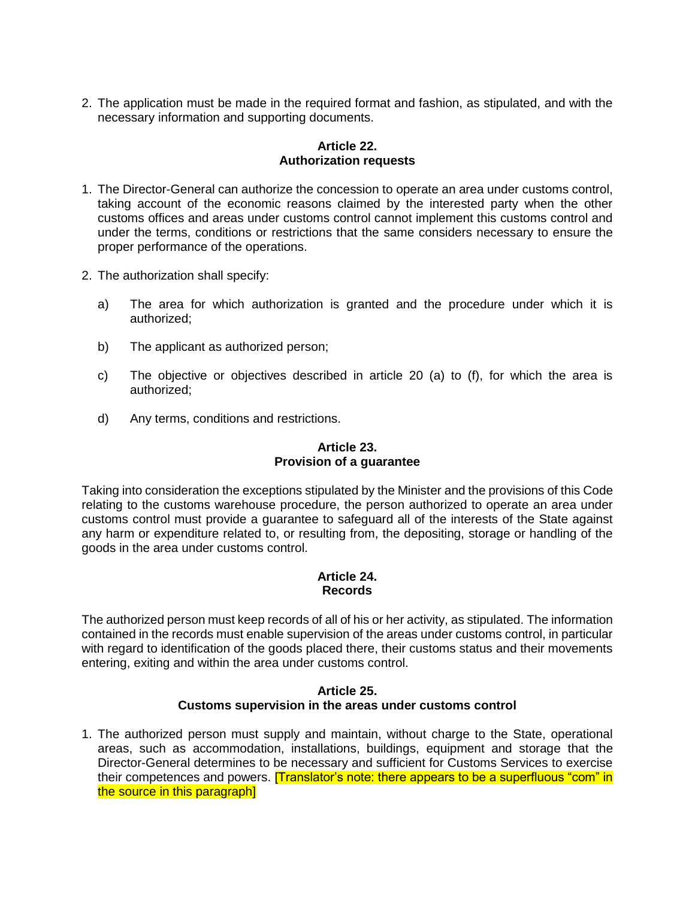2. The application must be made in the required format and fashion, as stipulated, and with the necessary information and supporting documents.

### **Article 22. Authorization requests**

- 1. The Director-General can authorize the concession to operate an area under customs control, taking account of the economic reasons claimed by the interested party when the other customs offices and areas under customs control cannot implement this customs control and under the terms, conditions or restrictions that the same considers necessary to ensure the proper performance of the operations.
- 2. The authorization shall specify:
	- a) The area for which authorization is granted and the procedure under which it is authorized;
	- b) The applicant as authorized person;
	- c) The objective or objectives described in article 20 (a) to (f), for which the area is authorized;
	- d) Any terms, conditions and restrictions.

# **Article 23. Provision of a guarantee**

Taking into consideration the exceptions stipulated by the Minister and the provisions of this Code relating to the customs warehouse procedure, the person authorized to operate an area under customs control must provide a guarantee to safeguard all of the interests of the State against any harm or expenditure related to, or resulting from, the depositing, storage or handling of the goods in the area under customs control.

### **Article 24. Records**

The authorized person must keep records of all of his or her activity, as stipulated. The information contained in the records must enable supervision of the areas under customs control, in particular with regard to identification of the goods placed there, their customs status and their movements entering, exiting and within the area under customs control.

### **Article 25. Customs supervision in the areas under customs control**

1. The authorized person must supply and maintain, without charge to the State, operational areas, such as accommodation, installations, buildings, equipment and storage that the Director-General determines to be necessary and sufficient for Customs Services to exercise their competences and powers. **[Translator's note: there appears to be a superfluous "com" in** the source in this paragraph]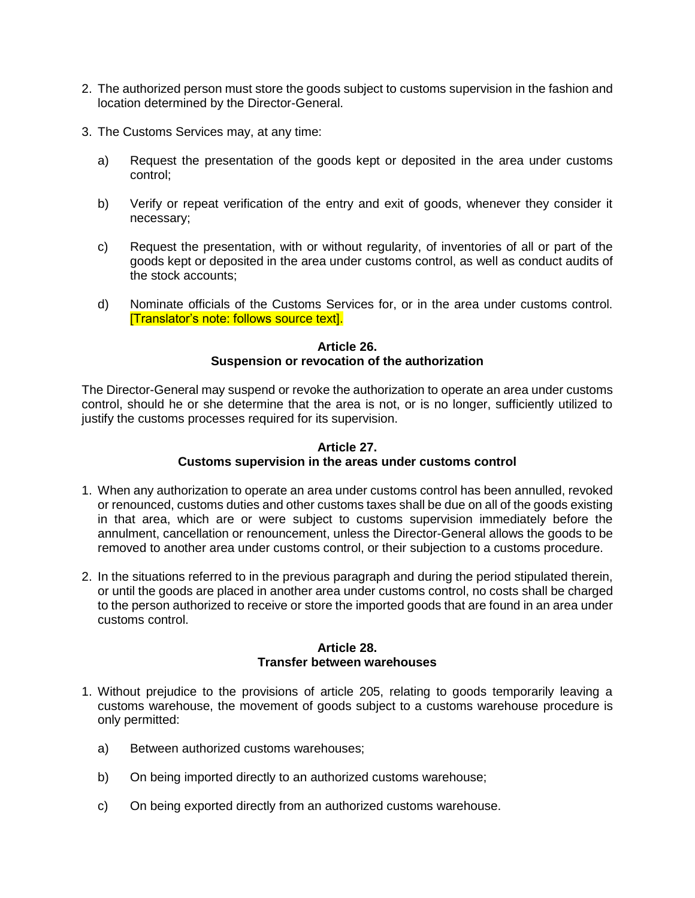- 2. The authorized person must store the goods subject to customs supervision in the fashion and location determined by the Director-General.
- 3. The Customs Services may, at any time:
	- a) Request the presentation of the goods kept or deposited in the area under customs control;
	- b) Verify or repeat verification of the entry and exit of goods, whenever they consider it necessary;
	- c) Request the presentation, with or without regularity, of inventories of all or part of the goods kept or deposited in the area under customs control, as well as conduct audits of the stock accounts;
	- d) Nominate officials of the Customs Services for, or in the area under customs control. [Translator's note: follows source text].

### **Article 26. Suspension or revocation of the authorization**

The Director-General may suspend or revoke the authorization to operate an area under customs control, should he or she determine that the area is not, or is no longer, sufficiently utilized to justify the customs processes required for its supervision.

### **Article 27. Customs supervision in the areas under customs control**

- 1. When any authorization to operate an area under customs control has been annulled, revoked or renounced, customs duties and other customs taxes shall be due on all of the goods existing in that area, which are or were subject to customs supervision immediately before the annulment, cancellation or renouncement, unless the Director-General allows the goods to be removed to another area under customs control, or their subjection to a customs procedure.
- 2. In the situations referred to in the previous paragraph and during the period stipulated therein, or until the goods are placed in another area under customs control, no costs shall be charged to the person authorized to receive or store the imported goods that are found in an area under customs control.

#### **Article 28. Transfer between warehouses**

- 1. Without prejudice to the provisions of article 205, relating to goods temporarily leaving a customs warehouse, the movement of goods subject to a customs warehouse procedure is only permitted:
	- a) Between authorized customs warehouses;
	- b) On being imported directly to an authorized customs warehouse;
	- c) On being exported directly from an authorized customs warehouse.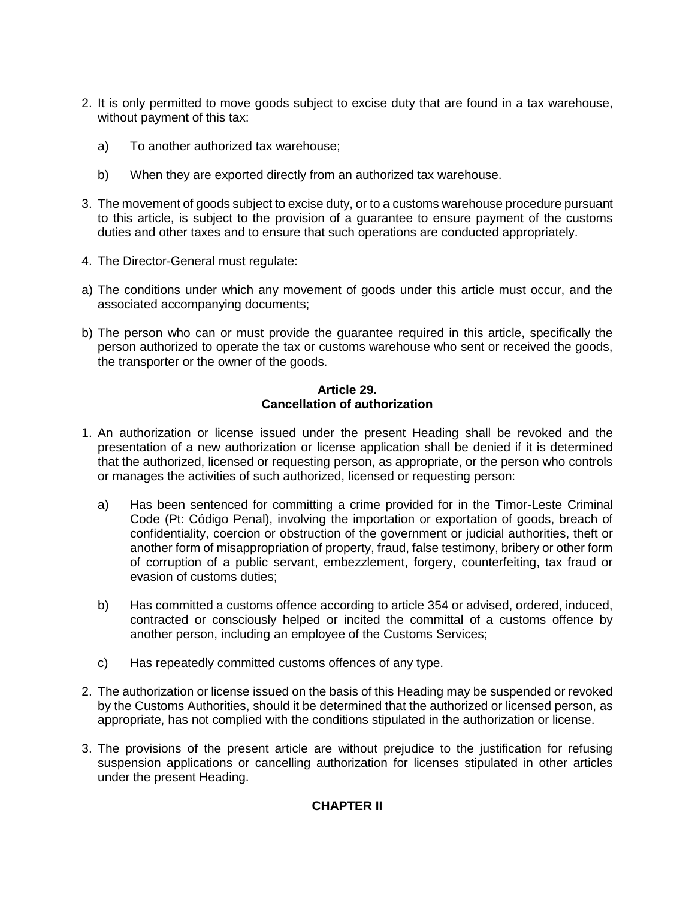- 2. It is only permitted to move goods subject to excise duty that are found in a tax warehouse, without payment of this tax:
	- a) To another authorized tax warehouse;
	- b) When they are exported directly from an authorized tax warehouse.
- 3. The movement of goods subject to excise duty, or to a customs warehouse procedure pursuant to this article, is subject to the provision of a guarantee to ensure payment of the customs duties and other taxes and to ensure that such operations are conducted appropriately.
- 4. The Director-General must regulate:
- a) The conditions under which any movement of goods under this article must occur, and the associated accompanying documents;
- b) The person who can or must provide the guarantee required in this article, specifically the person authorized to operate the tax or customs warehouse who sent or received the goods, the transporter or the owner of the goods.

### **Article 29. Cancellation of authorization**

- 1. An authorization or license issued under the present Heading shall be revoked and the presentation of a new authorization or license application shall be denied if it is determined that the authorized, licensed or requesting person, as appropriate, or the person who controls or manages the activities of such authorized, licensed or requesting person:
	- a) Has been sentenced for committing a crime provided for in the Timor-Leste Criminal Code (Pt: Código Penal), involving the importation or exportation of goods, breach of confidentiality, coercion or obstruction of the government or judicial authorities, theft or another form of misappropriation of property, fraud, false testimony, bribery or other form of corruption of a public servant, embezzlement, forgery, counterfeiting, tax fraud or evasion of customs duties;
	- b) Has committed a customs offence according to article 354 or advised, ordered, induced, contracted or consciously helped or incited the committal of a customs offence by another person, including an employee of the Customs Services;
	- c) Has repeatedly committed customs offences of any type.
- 2. The authorization or license issued on the basis of this Heading may be suspended or revoked by the Customs Authorities, should it be determined that the authorized or licensed person, as appropriate, has not complied with the conditions stipulated in the authorization or license.
- 3. The provisions of the present article are without prejudice to the justification for refusing suspension applications or cancelling authorization for licenses stipulated in other articles under the present Heading.

### **CHAPTER II**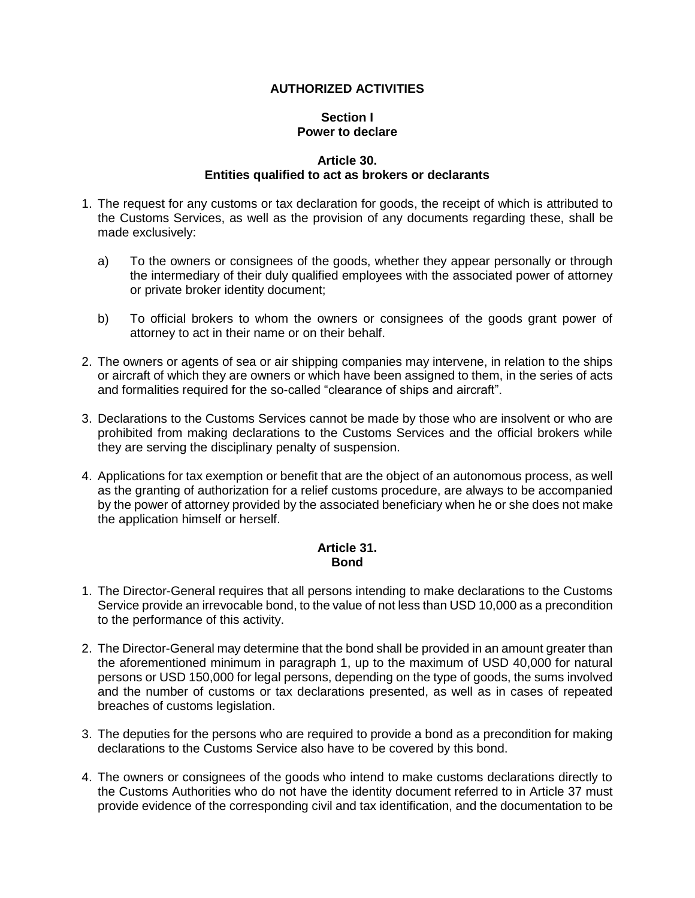### **AUTHORIZED ACTIVITIES**

### **Section I Power to declare**

#### **Article 30. Entities qualified to act as brokers or declarants**

- 1. The request for any customs or tax declaration for goods, the receipt of which is attributed to the Customs Services, as well as the provision of any documents regarding these, shall be made exclusively:
	- a) To the owners or consignees of the goods, whether they appear personally or through the intermediary of their duly qualified employees with the associated power of attorney or private broker identity document;
	- b) To official brokers to whom the owners or consignees of the goods grant power of attorney to act in their name or on their behalf.
- 2. The owners or agents of sea or air shipping companies may intervene, in relation to the ships or aircraft of which they are owners or which have been assigned to them, in the series of acts and formalities required for the so-called "clearance of ships and aircraft".
- 3. Declarations to the Customs Services cannot be made by those who are insolvent or who are prohibited from making declarations to the Customs Services and the official brokers while they are serving the disciplinary penalty of suspension.
- 4. Applications for tax exemption or benefit that are the object of an autonomous process, as well as the granting of authorization for a relief customs procedure, are always to be accompanied by the power of attorney provided by the associated beneficiary when he or she does not make the application himself or herself.

### **Article 31. Bond**

- 1. The Director-General requires that all persons intending to make declarations to the Customs Service provide an irrevocable bond, to the value of not less than USD 10,000 as a precondition to the performance of this activity.
- 2. The Director-General may determine that the bond shall be provided in an amount greater than the aforementioned minimum in paragraph 1, up to the maximum of USD 40,000 for natural persons or USD 150,000 for legal persons, depending on the type of goods, the sums involved and the number of customs or tax declarations presented, as well as in cases of repeated breaches of customs legislation.
- 3. The deputies for the persons who are required to provide a bond as a precondition for making declarations to the Customs Service also have to be covered by this bond.
- 4. The owners or consignees of the goods who intend to make customs declarations directly to the Customs Authorities who do not have the identity document referred to in Article 37 must provide evidence of the corresponding civil and tax identification, and the documentation to be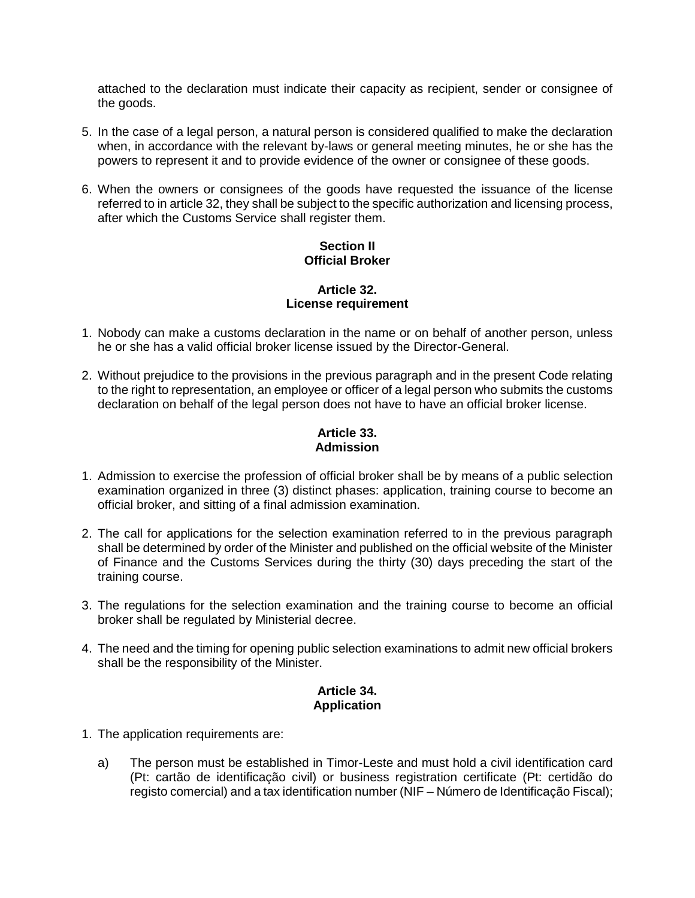attached to the declaration must indicate their capacity as recipient, sender or consignee of the goods.

- 5. In the case of a legal person, a natural person is considered qualified to make the declaration when, in accordance with the relevant by-laws or general meeting minutes, he or she has the powers to represent it and to provide evidence of the owner or consignee of these goods.
- 6. When the owners or consignees of the goods have requested the issuance of the license referred to in article 32, they shall be subject to the specific authorization and licensing process, after which the Customs Service shall register them.

### **Section II Official Broker**

#### **Article 32. License requirement**

- 1. Nobody can make a customs declaration in the name or on behalf of another person, unless he or she has a valid official broker license issued by the Director-General.
- 2. Without prejudice to the provisions in the previous paragraph and in the present Code relating to the right to representation, an employee or officer of a legal person who submits the customs declaration on behalf of the legal person does not have to have an official broker license.

# **Article 33. Admission**

- 1. Admission to exercise the profession of official broker shall be by means of a public selection examination organized in three (3) distinct phases: application, training course to become an official broker, and sitting of a final admission examination.
- 2. The call for applications for the selection examination referred to in the previous paragraph shall be determined by order of the Minister and published on the official website of the Minister of Finance and the Customs Services during the thirty (30) days preceding the start of the training course.
- 3. The regulations for the selection examination and the training course to become an official broker shall be regulated by Ministerial decree.
- 4. The need and the timing for opening public selection examinations to admit new official brokers shall be the responsibility of the Minister.

# **Article 34. Application**

- 1. The application requirements are:
	- a) The person must be established in Timor-Leste and must hold a civil identification card (Pt: cartão de identificação civil) or business registration certificate (Pt: certidão do registo comercial) and a tax identification number (NIF – Número de Identificação Fiscal);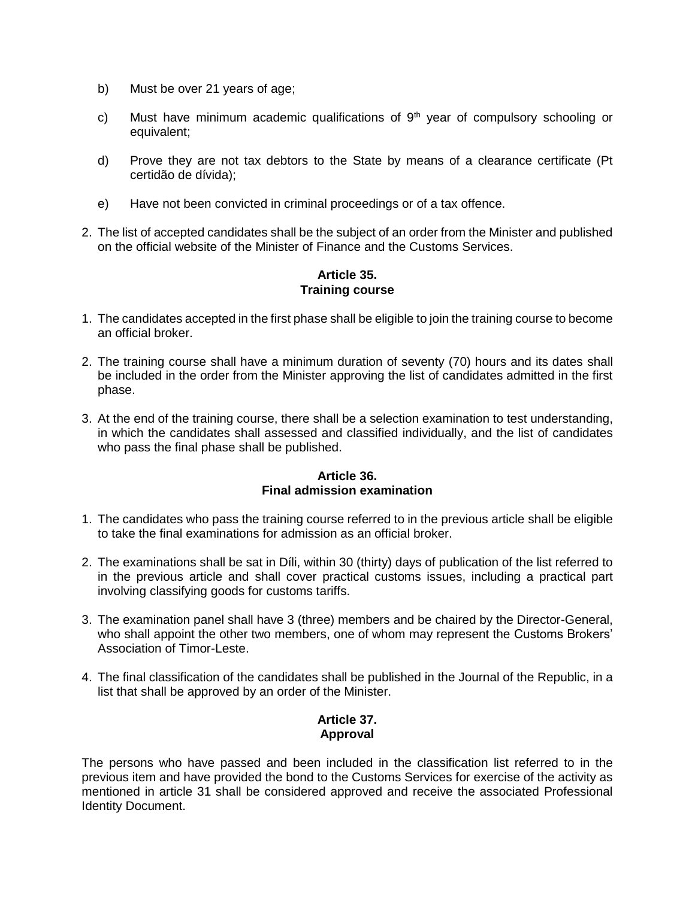- b) Must be over 21 years of age;
- c) Must have minimum academic qualifications of  $9<sup>th</sup>$  year of compulsory schooling or equivalent;
- d) Prove they are not tax debtors to the State by means of a clearance certificate (Pt certidão de dívida);
- e) Have not been convicted in criminal proceedings or of a tax offence.
- 2. The list of accepted candidates shall be the subject of an order from the Minister and published on the official website of the Minister of Finance and the Customs Services.

### **Article 35. Training course**

- 1. The candidates accepted in the first phase shall be eligible to join the training course to become an official broker.
- 2. The training course shall have a minimum duration of seventy (70) hours and its dates shall be included in the order from the Minister approving the list of candidates admitted in the first phase.
- 3. At the end of the training course, there shall be a selection examination to test understanding, in which the candidates shall assessed and classified individually, and the list of candidates who pass the final phase shall be published.

#### **Article 36. Final admission examination**

- 1. The candidates who pass the training course referred to in the previous article shall be eligible to take the final examinations for admission as an official broker.
- 2. The examinations shall be sat in Díli, within 30 (thirty) days of publication of the list referred to in the previous article and shall cover practical customs issues, including a practical part involving classifying goods for customs tariffs.
- 3. The examination panel shall have 3 (three) members and be chaired by the Director-General, who shall appoint the other two members, one of whom may represent the Customs Brokers' Association of Timor-Leste.
- 4. The final classification of the candidates shall be published in the Journal of the Republic, in a list that shall be approved by an order of the Minister.

### **Article 37. Approval**

The persons who have passed and been included in the classification list referred to in the previous item and have provided the bond to the Customs Services for exercise of the activity as mentioned in article 31 shall be considered approved and receive the associated Professional Identity Document.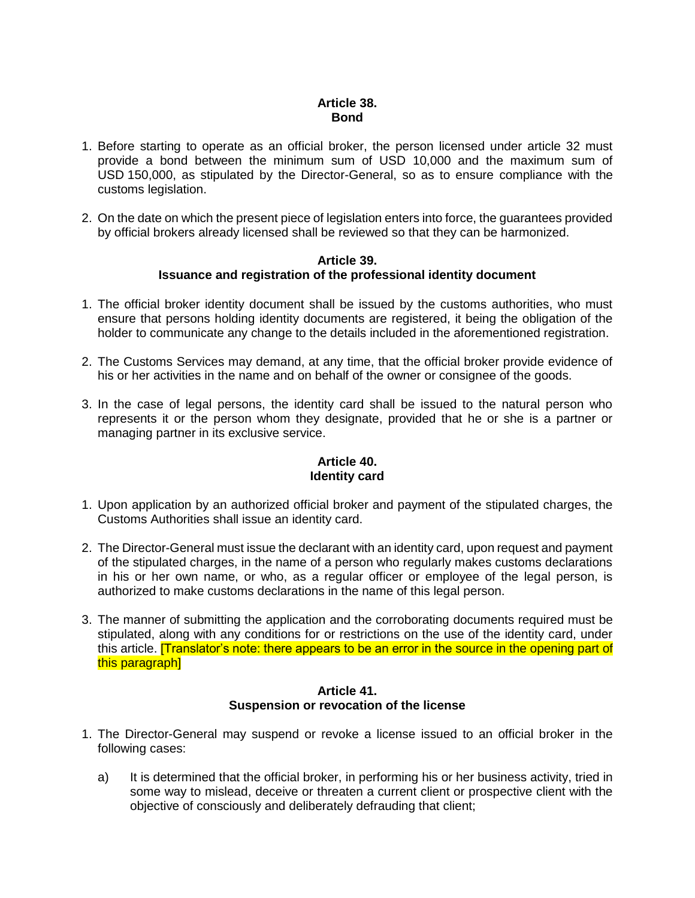### **Article 38. Bond**

- 1. Before starting to operate as an official broker, the person licensed under article 32 must provide a bond between the minimum sum of USD 10,000 and the maximum sum of USD 150,000, as stipulated by the Director-General, so as to ensure compliance with the customs legislation.
- 2. On the date on which the present piece of legislation enters into force, the guarantees provided by official brokers already licensed shall be reviewed so that they can be harmonized.

#### **Article 39. Issuance and registration of the professional identity document**

- 1. The official broker identity document shall be issued by the customs authorities, who must ensure that persons holding identity documents are registered, it being the obligation of the holder to communicate any change to the details included in the aforementioned registration.
- 2. The Customs Services may demand, at any time, that the official broker provide evidence of his or her activities in the name and on behalf of the owner or consignee of the goods.
- 3. In the case of legal persons, the identity card shall be issued to the natural person who represents it or the person whom they designate, provided that he or she is a partner or managing partner in its exclusive service.

### **Article 40. Identity card**

- 1. Upon application by an authorized official broker and payment of the stipulated charges, the Customs Authorities shall issue an identity card.
- 2. The Director-General must issue the declarant with an identity card, upon request and payment of the stipulated charges, in the name of a person who regularly makes customs declarations in his or her own name, or who, as a regular officer or employee of the legal person, is authorized to make customs declarations in the name of this legal person.
- 3. The manner of submitting the application and the corroborating documents required must be stipulated, along with any conditions for or restrictions on the use of the identity card, under this article. **[Translator's note: there appears to be an error in the source in the opening part of** this paragraph]

### **Article 41. Suspension or revocation of the license**

- 1. The Director-General may suspend or revoke a license issued to an official broker in the following cases:
	- a) It is determined that the official broker, in performing his or her business activity, tried in some way to mislead, deceive or threaten a current client or prospective client with the objective of consciously and deliberately defrauding that client;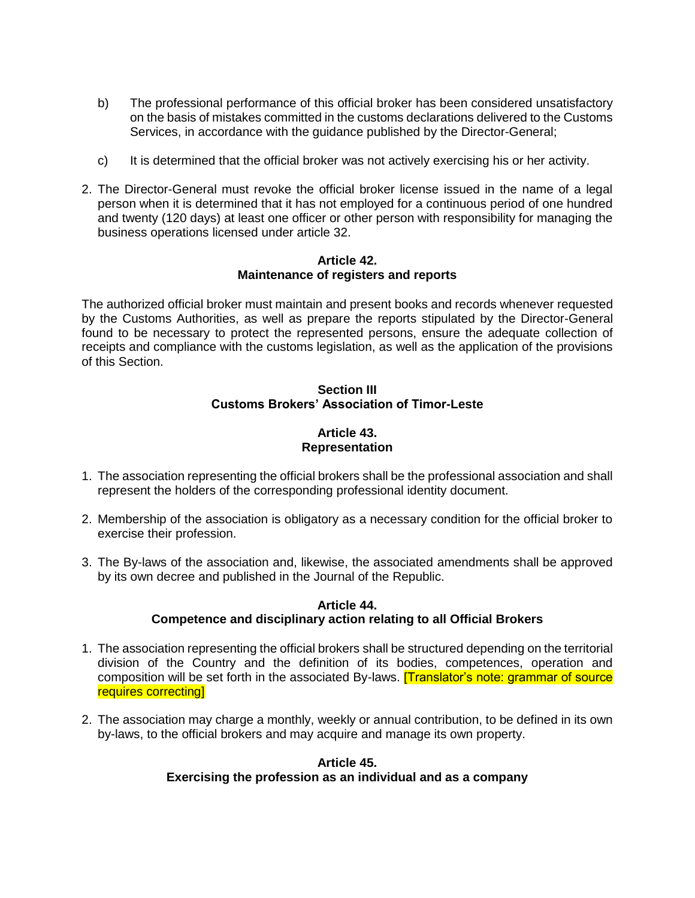- b) The professional performance of this official broker has been considered unsatisfactory on the basis of mistakes committed in the customs declarations delivered to the Customs Services, in accordance with the guidance published by the Director-General;
- c) It is determined that the official broker was not actively exercising his or her activity.
- 2. The Director-General must revoke the official broker license issued in the name of a legal person when it is determined that it has not employed for a continuous period of one hundred and twenty (120 days) at least one officer or other person with responsibility for managing the business operations licensed under article 32.

#### **Article 42. Maintenance of registers and reports**

The authorized official broker must maintain and present books and records whenever requested by the Customs Authorities, as well as prepare the reports stipulated by the Director-General found to be necessary to protect the represented persons, ensure the adequate collection of receipts and compliance with the customs legislation, as well as the application of the provisions of this Section.

### **Section III Customs Brokers' Association of Timor-Leste**

### **Article 43. Representation**

- 1. The association representing the official brokers shall be the professional association and shall represent the holders of the corresponding professional identity document.
- 2. Membership of the association is obligatory as a necessary condition for the official broker to exercise their profession.
- 3. The By-laws of the association and, likewise, the associated amendments shall be approved by its own decree and published in the Journal of the Republic.

### **Article 44. Competence and disciplinary action relating to all Official Brokers**

- 1. The association representing the official brokers shall be structured depending on the territorial division of the Country and the definition of its bodies, competences, operation and composition will be set forth in the associated By-laws. **[Translator's note: grammar of source** requires correcting]
- 2. The association may charge a monthly, weekly or annual contribution, to be defined in its own by-laws, to the official brokers and may acquire and manage its own property.

### **Article 45. Exercising the profession as an individual and as a company**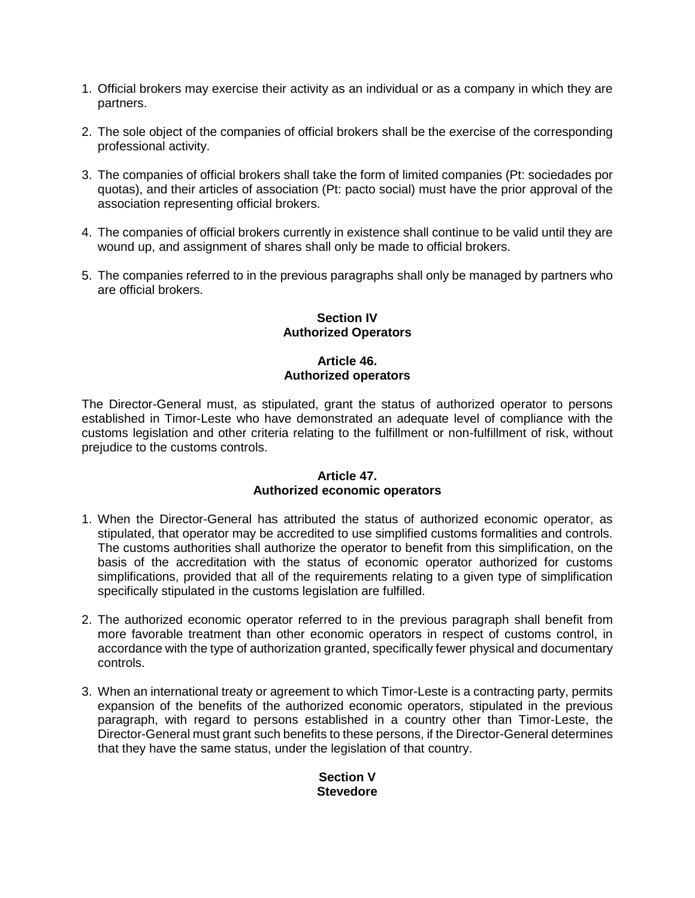- 1. Official brokers may exercise their activity as an individual or as a company in which they are partners.
- 2. The sole object of the companies of official brokers shall be the exercise of the corresponding professional activity.
- 3. The companies of official brokers shall take the form of limited companies (Pt: sociedades por quotas), and their articles of association (Pt: pacto social) must have the prior approval of the association representing official brokers.
- 4. The companies of official brokers currently in existence shall continue to be valid until they are wound up, and assignment of shares shall only be made to official brokers.
- 5. The companies referred to in the previous paragraphs shall only be managed by partners who are official brokers.

### **Section IV Authorized Operators**

### **Article 46. Authorized operators**

The Director-General must, as stipulated, grant the status of authorized operator to persons established in Timor-Leste who have demonstrated an adequate level of compliance with the customs legislation and other criteria relating to the fulfillment or non-fulfillment of risk, without prejudice to the customs controls.

#### **Article 47. Authorized economic operators**

- 1. When the Director-General has attributed the status of authorized economic operator, as stipulated, that operator may be accredited to use simplified customs formalities and controls. The customs authorities shall authorize the operator to benefit from this simplification, on the basis of the accreditation with the status of economic operator authorized for customs simplifications, provided that all of the requirements relating to a given type of simplification specifically stipulated in the customs legislation are fulfilled.
- 2. The authorized economic operator referred to in the previous paragraph shall benefit from more favorable treatment than other economic operators in respect of customs control, in accordance with the type of authorization granted, specifically fewer physical and documentary controls.
- 3. When an international treaty or agreement to which Timor-Leste is a contracting party, permits expansion of the benefits of the authorized economic operators, stipulated in the previous paragraph, with regard to persons established in a country other than Timor-Leste, the Director-General must grant such benefits to these persons, if the Director-General determines that they have the same status, under the legislation of that country.

### **Section V Stevedore**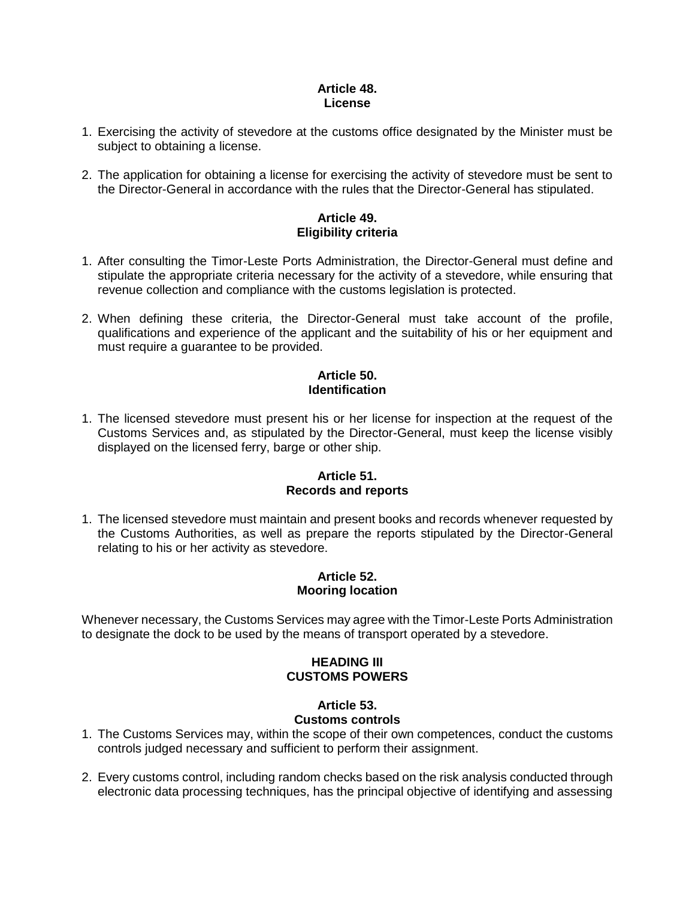### **Article 48. License**

- 1. Exercising the activity of stevedore at the customs office designated by the Minister must be subject to obtaining a license.
- 2. The application for obtaining a license for exercising the activity of stevedore must be sent to the Director-General in accordance with the rules that the Director-General has stipulated.

### **Article 49. Eligibility criteria**

- 1. After consulting the Timor-Leste Ports Administration, the Director-General must define and stipulate the appropriate criteria necessary for the activity of a stevedore, while ensuring that revenue collection and compliance with the customs legislation is protected.
- 2. When defining these criteria, the Director-General must take account of the profile, qualifications and experience of the applicant and the suitability of his or her equipment and must require a guarantee to be provided.

### **Article 50. Identification**

1. The licensed stevedore must present his or her license for inspection at the request of the Customs Services and, as stipulated by the Director-General, must keep the license visibly displayed on the licensed ferry, barge or other ship.

### **Article 51. Records and reports**

1. The licensed stevedore must maintain and present books and records whenever requested by the Customs Authorities, as well as prepare the reports stipulated by the Director-General relating to his or her activity as stevedore.

### **Article 52. Mooring location**

Whenever necessary, the Customs Services may agree with the Timor-Leste Ports Administration to designate the dock to be used by the means of transport operated by a stevedore.

### **HEADING III CUSTOMS POWERS**

#### **Article 53. Customs controls**

- 1. The Customs Services may, within the scope of their own competences, conduct the customs controls judged necessary and sufficient to perform their assignment.
- 2. Every customs control, including random checks based on the risk analysis conducted through electronic data processing techniques, has the principal objective of identifying and assessing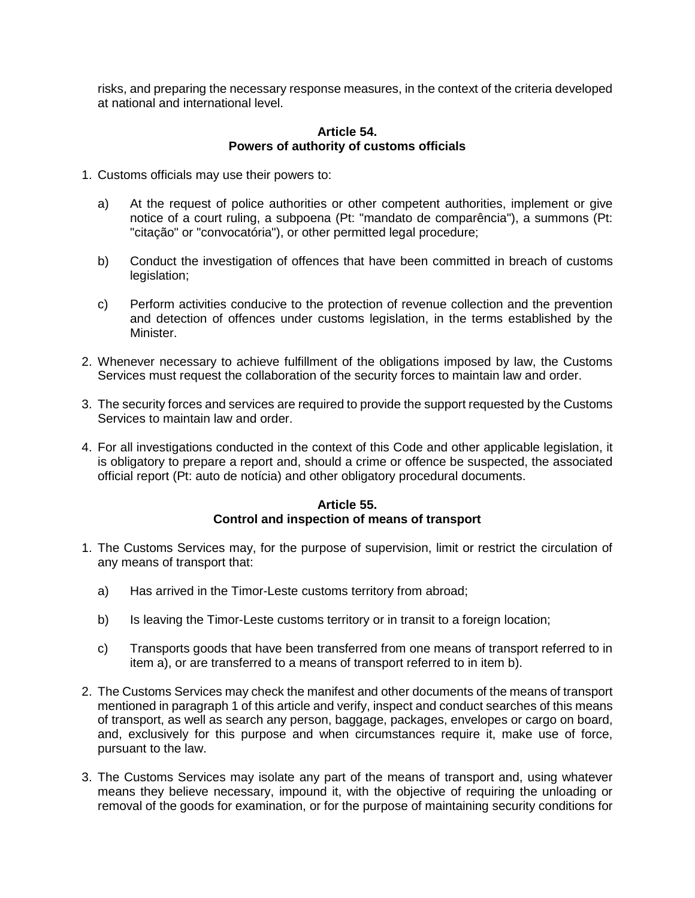risks, and preparing the necessary response measures, in the context of the criteria developed at national and international level.

#### **Article 54. Powers of authority of customs officials**

- 1. Customs officials may use their powers to:
	- a) At the request of police authorities or other competent authorities, implement or give notice of a court ruling, a subpoena (Pt: "mandato de comparência"), a summons (Pt: "citação" or "convocatória"), or other permitted legal procedure;
	- b) Conduct the investigation of offences that have been committed in breach of customs legislation;
	- c) Perform activities conducive to the protection of revenue collection and the prevention and detection of offences under customs legislation, in the terms established by the Minister.
- 2. Whenever necessary to achieve fulfillment of the obligations imposed by law, the Customs Services must request the collaboration of the security forces to maintain law and order.
- 3. The security forces and services are required to provide the support requested by the Customs Services to maintain law and order.
- 4. For all investigations conducted in the context of this Code and other applicable legislation, it is obligatory to prepare a report and, should a crime or offence be suspected, the associated official report (Pt: auto de notícia) and other obligatory procedural documents.

### **Article 55. Control and inspection of means of transport**

- 1. The Customs Services may, for the purpose of supervision, limit or restrict the circulation of any means of transport that:
	- a) Has arrived in the Timor-Leste customs territory from abroad;
	- b) Is leaving the Timor-Leste customs territory or in transit to a foreign location;
	- c) Transports goods that have been transferred from one means of transport referred to in item a), or are transferred to a means of transport referred to in item b).
- 2. The Customs Services may check the manifest and other documents of the means of transport mentioned in paragraph 1 of this article and verify, inspect and conduct searches of this means of transport, as well as search any person, baggage, packages, envelopes or cargo on board, and, exclusively for this purpose and when circumstances require it, make use of force, pursuant to the law.
- 3. The Customs Services may isolate any part of the means of transport and, using whatever means they believe necessary, impound it, with the objective of requiring the unloading or removal of the goods for examination, or for the purpose of maintaining security conditions for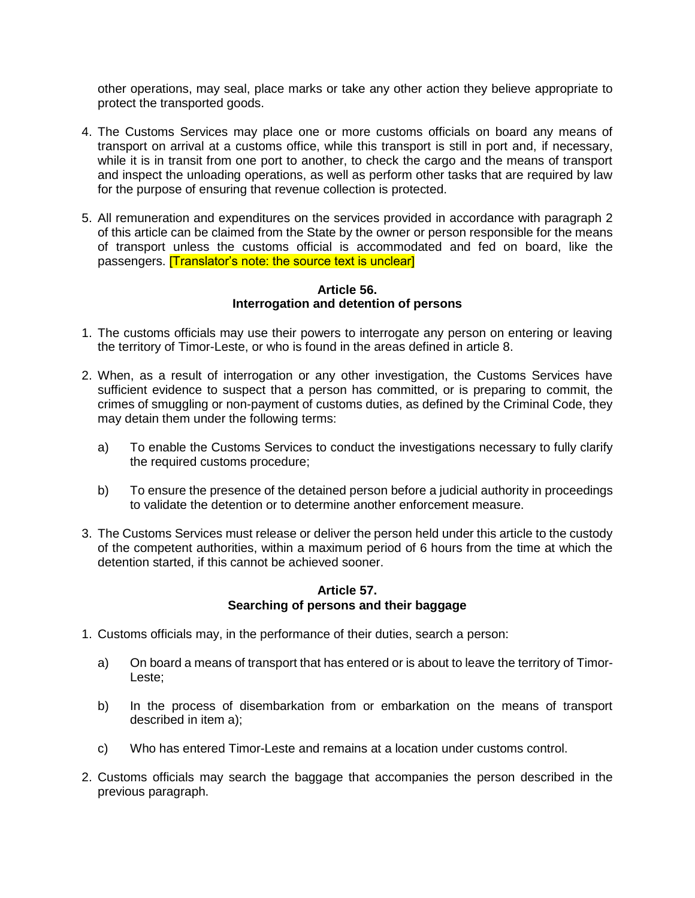other operations, may seal, place marks or take any other action they believe appropriate to protect the transported goods.

- 4. The Customs Services may place one or more customs officials on board any means of transport on arrival at a customs office, while this transport is still in port and, if necessary, while it is in transit from one port to another, to check the cargo and the means of transport and inspect the unloading operations, as well as perform other tasks that are required by law for the purpose of ensuring that revenue collection is protected.
- 5. All remuneration and expenditures on the services provided in accordance with paragraph 2 of this article can be claimed from the State by the owner or person responsible for the means of transport unless the customs official is accommodated and fed on board, like the passengers. **[Translator's note: the source text is unclear]**

#### **Article 56. Interrogation and detention of persons**

- 1. The customs officials may use their powers to interrogate any person on entering or leaving the territory of Timor-Leste, or who is found in the areas defined in article 8.
- 2. When, as a result of interrogation or any other investigation, the Customs Services have sufficient evidence to suspect that a person has committed, or is preparing to commit, the crimes of smuggling or non-payment of customs duties, as defined by the Criminal Code, they may detain them under the following terms:
	- a) To enable the Customs Services to conduct the investigations necessary to fully clarify the required customs procedure;
	- b) To ensure the presence of the detained person before a judicial authority in proceedings to validate the detention or to determine another enforcement measure.
- 3. The Customs Services must release or deliver the person held under this article to the custody of the competent authorities, within a maximum period of 6 hours from the time at which the detention started, if this cannot be achieved sooner.

### **Article 57. Searching of persons and their baggage**

- 1. Customs officials may, in the performance of their duties, search a person:
	- a) On board a means of transport that has entered or is about to leave the territory of Timor-Leste;
	- b) In the process of disembarkation from or embarkation on the means of transport described in item a);
	- c) Who has entered Timor-Leste and remains at a location under customs control.
- 2. Customs officials may search the baggage that accompanies the person described in the previous paragraph.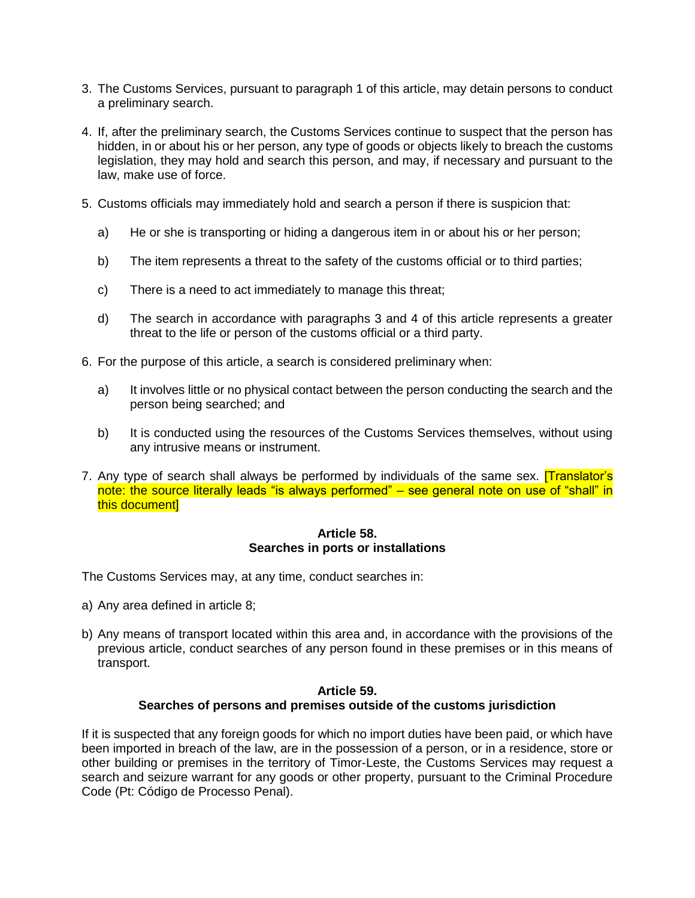- 3. The Customs Services, pursuant to paragraph 1 of this article, may detain persons to conduct a preliminary search.
- 4. If, after the preliminary search, the Customs Services continue to suspect that the person has hidden, in or about his or her person, any type of goods or objects likely to breach the customs legislation, they may hold and search this person, and may, if necessary and pursuant to the law, make use of force.
- 5. Customs officials may immediately hold and search a person if there is suspicion that:
	- a) He or she is transporting or hiding a dangerous item in or about his or her person;
	- b) The item represents a threat to the safety of the customs official or to third parties;
	- c) There is a need to act immediately to manage this threat;
	- d) The search in accordance with paragraphs 3 and 4 of this article represents a greater threat to the life or person of the customs official or a third party.
- 6. For the purpose of this article, a search is considered preliminary when:
	- a) It involves little or no physical contact between the person conducting the search and the person being searched; and
	- b) It is conducted using the resources of the Customs Services themselves, without using any intrusive means or instrument.
- 7. Any type of search shall always be performed by individuals of the same sex. **[Translator's**] note: the source literally leads "is always performed" – see general note on use of "shall" in this document]

#### **Article 58. Searches in ports or installations**

The Customs Services may, at any time, conduct searches in:

- a) Any area defined in article 8;
- b) Any means of transport located within this area and, in accordance with the provisions of the previous article, conduct searches of any person found in these premises or in this means of transport.

### **Article 59. Searches of persons and premises outside of the customs jurisdiction**

If it is suspected that any foreign goods for which no import duties have been paid, or which have been imported in breach of the law, are in the possession of a person, or in a residence, store or other building or premises in the territory of Timor-Leste, the Customs Services may request a search and seizure warrant for any goods or other property, pursuant to the Criminal Procedure Code (Pt: Código de Processo Penal).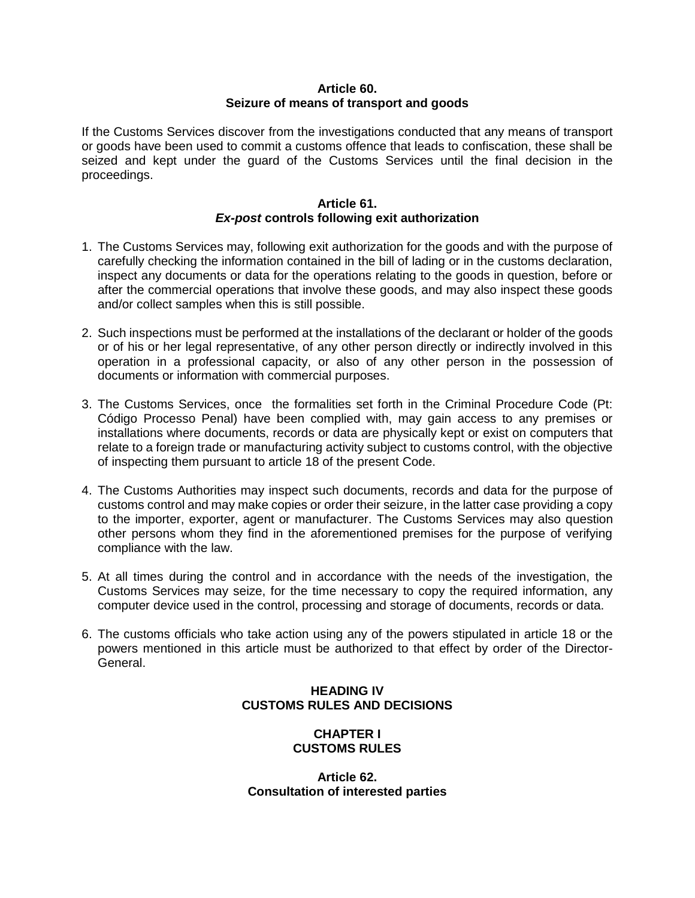### **Article 60. Seizure of means of transport and goods**

If the Customs Services discover from the investigations conducted that any means of transport or goods have been used to commit a customs offence that leads to confiscation, these shall be seized and kept under the guard of the Customs Services until the final decision in the proceedings.

### **Article 61.** *Ex-post* **controls following exit authorization**

- 1. The Customs Services may, following exit authorization for the goods and with the purpose of carefully checking the information contained in the bill of lading or in the customs declaration, inspect any documents or data for the operations relating to the goods in question, before or after the commercial operations that involve these goods, and may also inspect these goods and/or collect samples when this is still possible.
- 2. Such inspections must be performed at the installations of the declarant or holder of the goods or of his or her legal representative, of any other person directly or indirectly involved in this operation in a professional capacity, or also of any other person in the possession of documents or information with commercial purposes.
- 3. The Customs Services, once the formalities set forth in the Criminal Procedure Code (Pt: Código Processo Penal) have been complied with, may gain access to any premises or installations where documents, records or data are physically kept or exist on computers that relate to a foreign trade or manufacturing activity subject to customs control, with the objective of inspecting them pursuant to article 18 of the present Code.
- 4. The Customs Authorities may inspect such documents, records and data for the purpose of customs control and may make copies or order their seizure, in the latter case providing a copy to the importer, exporter, agent or manufacturer. The Customs Services may also question other persons whom they find in the aforementioned premises for the purpose of verifying compliance with the law.
- 5. At all times during the control and in accordance with the needs of the investigation, the Customs Services may seize, for the time necessary to copy the required information, any computer device used in the control, processing and storage of documents, records or data.
- 6. The customs officials who take action using any of the powers stipulated in article 18 or the powers mentioned in this article must be authorized to that effect by order of the Director-General.

# **HEADING IV CUSTOMS RULES AND DECISIONS**

### **CHAPTER I CUSTOMS RULES**

**Article 62. Consultation of interested parties**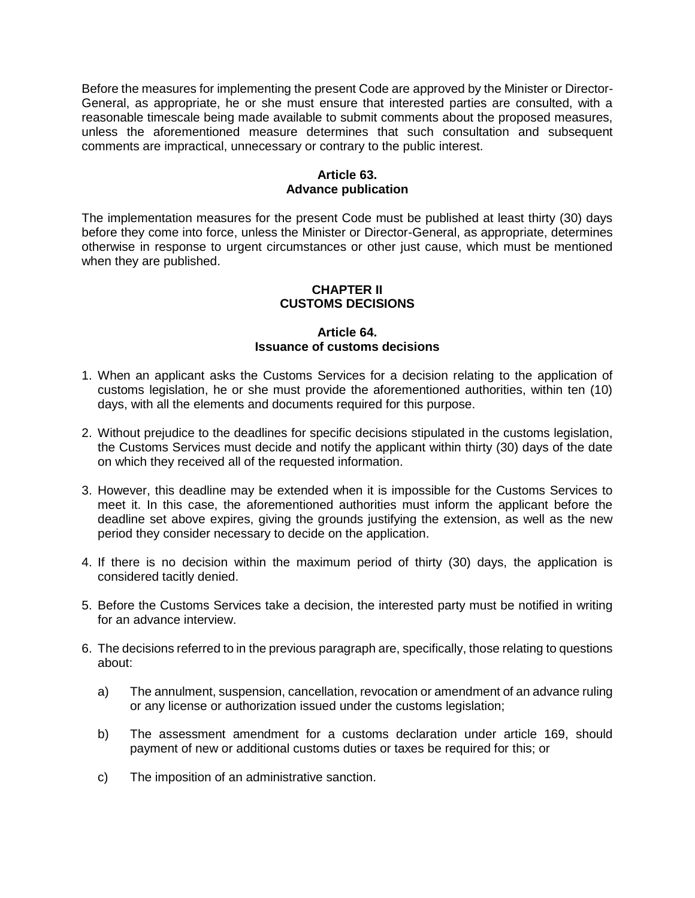Before the measures for implementing the present Code are approved by the Minister or Director-General, as appropriate, he or she must ensure that interested parties are consulted, with a reasonable timescale being made available to submit comments about the proposed measures, unless the aforementioned measure determines that such consultation and subsequent comments are impractical, unnecessary or contrary to the public interest.

### **Article 63. Advance publication**

The implementation measures for the present Code must be published at least thirty (30) days before they come into force, unless the Minister or Director-General, as appropriate, determines otherwise in response to urgent circumstances or other just cause, which must be mentioned when they are published.

#### **CHAPTER II CUSTOMS DECISIONS**

#### **Article 64. Issuance of customs decisions**

- 1. When an applicant asks the Customs Services for a decision relating to the application of customs legislation, he or she must provide the aforementioned authorities, within ten (10) days, with all the elements and documents required for this purpose.
- 2. Without prejudice to the deadlines for specific decisions stipulated in the customs legislation, the Customs Services must decide and notify the applicant within thirty (30) days of the date on which they received all of the requested information.
- 3. However, this deadline may be extended when it is impossible for the Customs Services to meet it. In this case, the aforementioned authorities must inform the applicant before the deadline set above expires, giving the grounds justifying the extension, as well as the new period they consider necessary to decide on the application.
- 4. If there is no decision within the maximum period of thirty (30) days, the application is considered tacitly denied.
- 5. Before the Customs Services take a decision, the interested party must be notified in writing for an advance interview.
- 6. The decisions referred to in the previous paragraph are, specifically, those relating to questions about:
	- a) The annulment, suspension, cancellation, revocation or amendment of an advance ruling or any license or authorization issued under the customs legislation;
	- b) The assessment amendment for a customs declaration under article 169, should payment of new or additional customs duties or taxes be required for this; or
	- c) The imposition of an administrative sanction.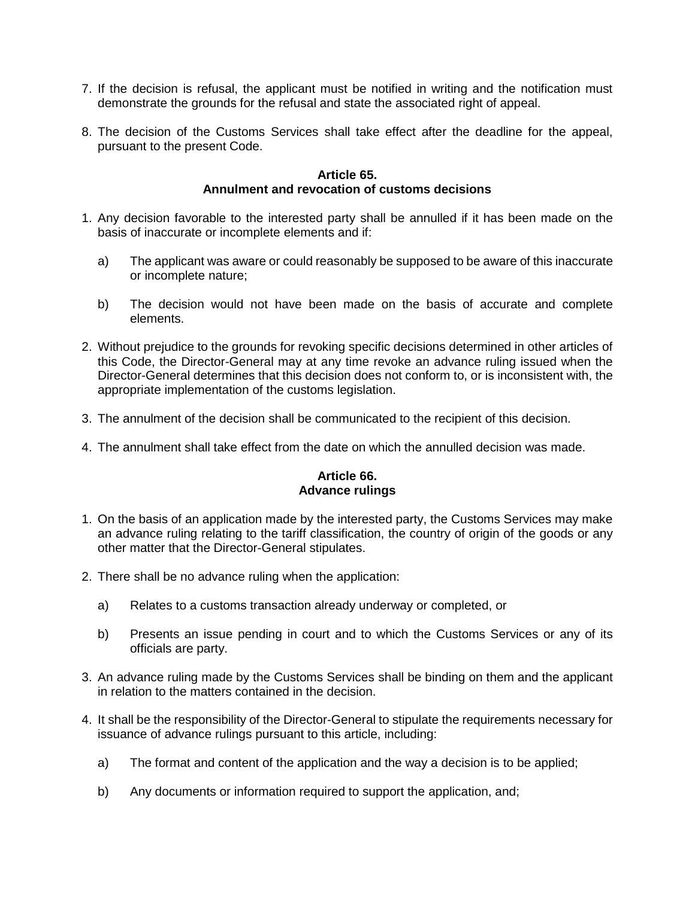- 7. If the decision is refusal, the applicant must be notified in writing and the notification must demonstrate the grounds for the refusal and state the associated right of appeal.
- 8. The decision of the Customs Services shall take effect after the deadline for the appeal, pursuant to the present Code.

#### **Article 65. Annulment and revocation of customs decisions**

- 1. Any decision favorable to the interested party shall be annulled if it has been made on the basis of inaccurate or incomplete elements and if:
	- a) The applicant was aware or could reasonably be supposed to be aware of this inaccurate or incomplete nature;
	- b) The decision would not have been made on the basis of accurate and complete elements.
- 2. Without prejudice to the grounds for revoking specific decisions determined in other articles of this Code, the Director-General may at any time revoke an advance ruling issued when the Director-General determines that this decision does not conform to, or is inconsistent with, the appropriate implementation of the customs legislation.
- 3. The annulment of the decision shall be communicated to the recipient of this decision.
- 4. The annulment shall take effect from the date on which the annulled decision was made.

#### **Article 66. Advance rulings**

- 1. On the basis of an application made by the interested party, the Customs Services may make an advance ruling relating to the tariff classification, the country of origin of the goods or any other matter that the Director-General stipulates.
- 2. There shall be no advance ruling when the application:
	- a) Relates to a customs transaction already underway or completed, or
	- b) Presents an issue pending in court and to which the Customs Services or any of its officials are party.
- 3. An advance ruling made by the Customs Services shall be binding on them and the applicant in relation to the matters contained in the decision.
- 4. It shall be the responsibility of the Director-General to stipulate the requirements necessary for issuance of advance rulings pursuant to this article, including:
	- a) The format and content of the application and the way a decision is to be applied;
	- b) Any documents or information required to support the application, and;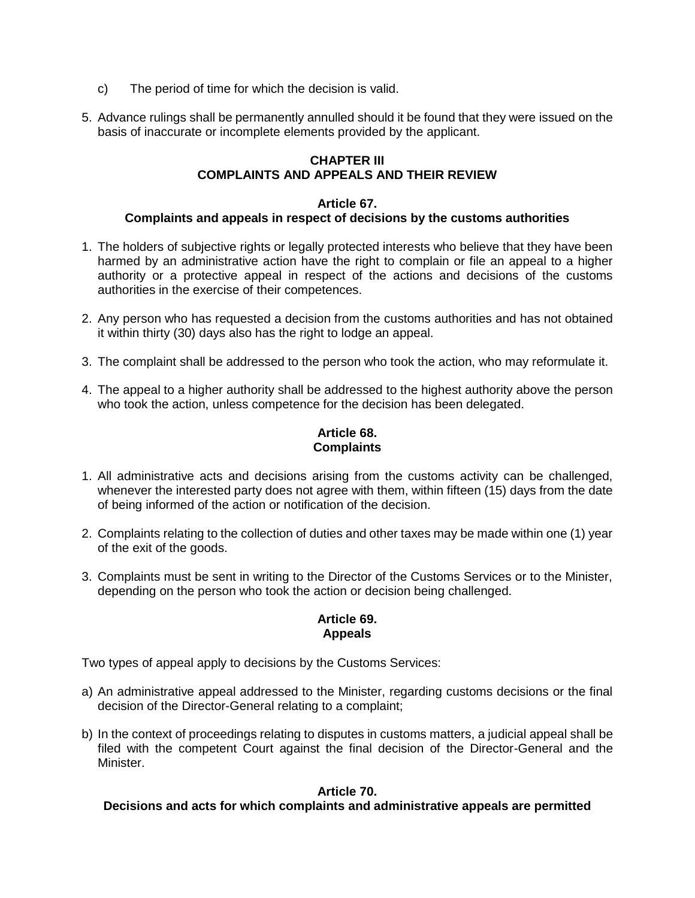- c) The period of time for which the decision is valid.
- 5. Advance rulings shall be permanently annulled should it be found that they were issued on the basis of inaccurate or incomplete elements provided by the applicant.

### **CHAPTER III COMPLAINTS AND APPEALS AND THEIR REVIEW**

### **Article 67. Complaints and appeals in respect of decisions by the customs authorities**

- 1. The holders of subjective rights or legally protected interests who believe that they have been harmed by an administrative action have the right to complain or file an appeal to a higher authority or a protective appeal in respect of the actions and decisions of the customs authorities in the exercise of their competences.
- 2. Any person who has requested a decision from the customs authorities and has not obtained it within thirty (30) days also has the right to lodge an appeal.
- 3. The complaint shall be addressed to the person who took the action, who may reformulate it.
- 4. The appeal to a higher authority shall be addressed to the highest authority above the person who took the action, unless competence for the decision has been delegated.

# **Article 68. Complaints**

- 1. All administrative acts and decisions arising from the customs activity can be challenged, whenever the interested party does not agree with them, within fifteen (15) days from the date of being informed of the action or notification of the decision.
- 2. Complaints relating to the collection of duties and other taxes may be made within one (1) year of the exit of the goods.
- 3. Complaints must be sent in writing to the Director of the Customs Services or to the Minister, depending on the person who took the action or decision being challenged.

### **Article 69. Appeals**

Two types of appeal apply to decisions by the Customs Services:

- a) An administrative appeal addressed to the Minister, regarding customs decisions or the final decision of the Director-General relating to a complaint;
- b) In the context of proceedings relating to disputes in customs matters, a judicial appeal shall be filed with the competent Court against the final decision of the Director-General and the Minister.

### **Article 70.**

#### **Decisions and acts for which complaints and administrative appeals are permitted**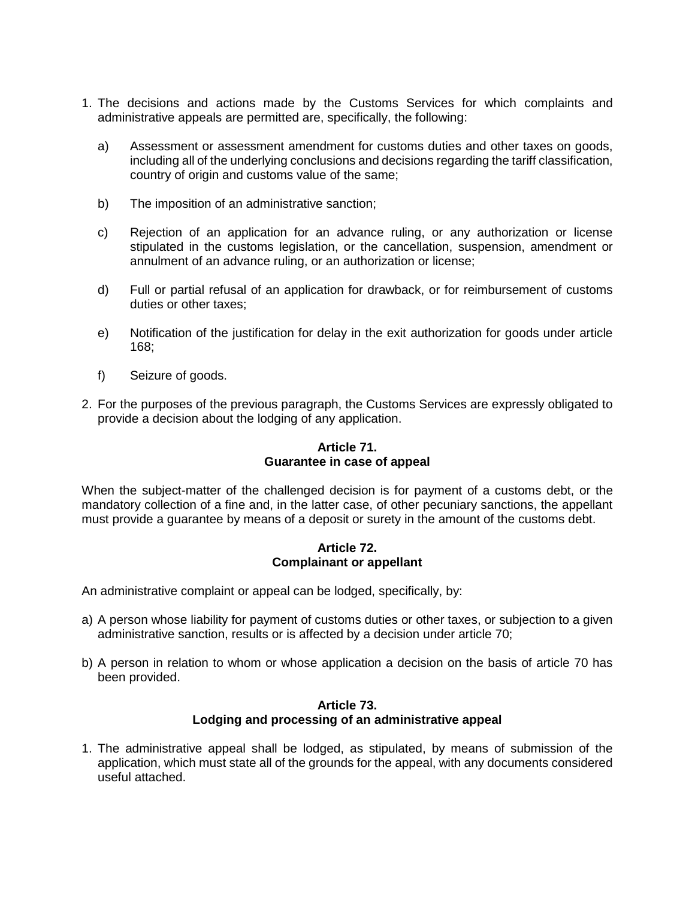- 1. The decisions and actions made by the Customs Services for which complaints and administrative appeals are permitted are, specifically, the following:
	- a) Assessment or assessment amendment for customs duties and other taxes on goods, including all of the underlying conclusions and decisions regarding the tariff classification, country of origin and customs value of the same;
	- b) The imposition of an administrative sanction;
	- c) Rejection of an application for an advance ruling, or any authorization or license stipulated in the customs legislation, or the cancellation, suspension, amendment or annulment of an advance ruling, or an authorization or license;
	- d) Full or partial refusal of an application for drawback, or for reimbursement of customs duties or other taxes;
	- e) Notification of the justification for delay in the exit authorization for goods under article 168;
	- f) Seizure of goods.
- 2. For the purposes of the previous paragraph, the Customs Services are expressly obligated to provide a decision about the lodging of any application.

# **Article 71. Guarantee in case of appeal**

When the subject-matter of the challenged decision is for payment of a customs debt, or the mandatory collection of a fine and, in the latter case, of other pecuniary sanctions, the appellant must provide a guarantee by means of a deposit or surety in the amount of the customs debt.

#### **Article 72. Complainant or appellant**

An administrative complaint or appeal can be lodged, specifically, by:

- a) A person whose liability for payment of customs duties or other taxes, or subjection to a given administrative sanction, results or is affected by a decision under article 70;
- b) A person in relation to whom or whose application a decision on the basis of article 70 has been provided.

#### **Article 73. Lodging and processing of an administrative appeal**

1. The administrative appeal shall be lodged, as stipulated, by means of submission of the application, which must state all of the grounds for the appeal, with any documents considered useful attached.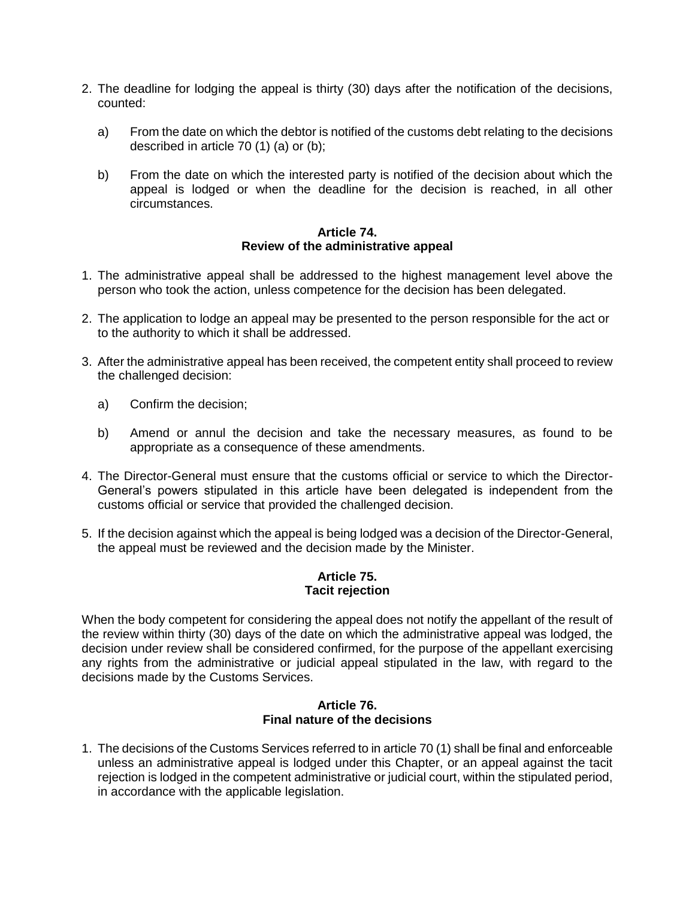- 2. The deadline for lodging the appeal is thirty (30) days after the notification of the decisions, counted:
	- a) From the date on which the debtor is notified of the customs debt relating to the decisions described in article 70 (1) (a) or (b);
	- b) From the date on which the interested party is notified of the decision about which the appeal is lodged or when the deadline for the decision is reached, in all other circumstances.

#### **Article 74. Review of the administrative appeal**

- 1. The administrative appeal shall be addressed to the highest management level above the person who took the action, unless competence for the decision has been delegated.
- 2. The application to lodge an appeal may be presented to the person responsible for the act or to the authority to which it shall be addressed.
- 3. After the administrative appeal has been received, the competent entity shall proceed to review the challenged decision:
	- a) Confirm the decision;
	- b) Amend or annul the decision and take the necessary measures, as found to be appropriate as a consequence of these amendments.
- 4. The Director-General must ensure that the customs official or service to which the Director-General's powers stipulated in this article have been delegated is independent from the customs official or service that provided the challenged decision.
- 5. If the decision against which the appeal is being lodged was a decision of the Director-General, the appeal must be reviewed and the decision made by the Minister.

### **Article 75. Tacit rejection**

When the body competent for considering the appeal does not notify the appellant of the result of the review within thirty (30) days of the date on which the administrative appeal was lodged, the decision under review shall be considered confirmed, for the purpose of the appellant exercising any rights from the administrative or judicial appeal stipulated in the law, with regard to the decisions made by the Customs Services.

#### **Article 76. Final nature of the decisions**

1. The decisions of the Customs Services referred to in article 70 (1) shall be final and enforceable unless an administrative appeal is lodged under this Chapter, or an appeal against the tacit rejection is lodged in the competent administrative or judicial court, within the stipulated period, in accordance with the applicable legislation.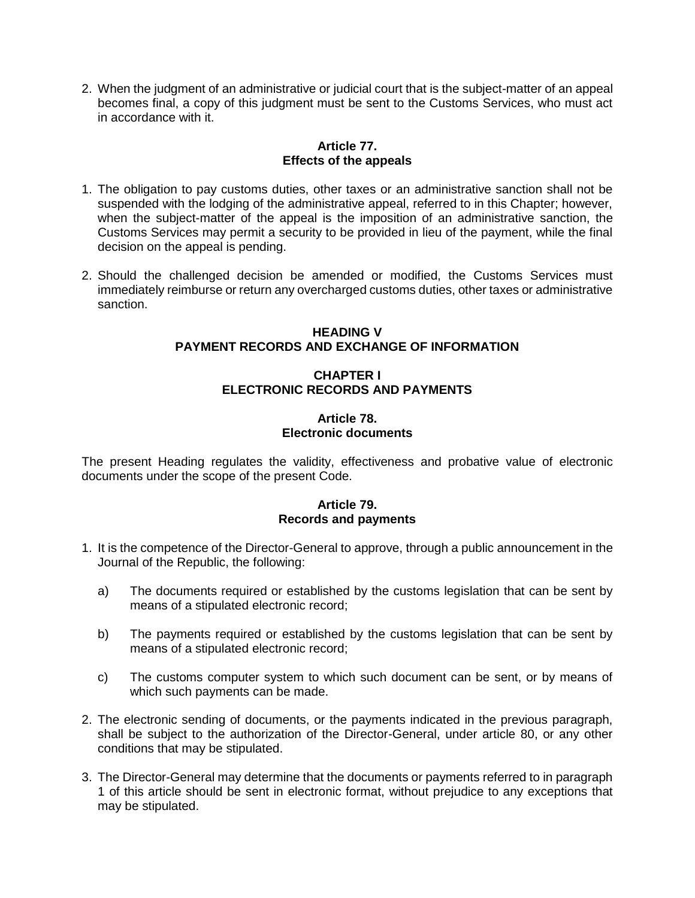2. When the judgment of an administrative or judicial court that is the subject-matter of an appeal becomes final, a copy of this judgment must be sent to the Customs Services, who must act in accordance with it.

## **Article 77. Effects of the appeals**

- 1. The obligation to pay customs duties, other taxes or an administrative sanction shall not be suspended with the lodging of the administrative appeal, referred to in this Chapter; however, when the subject-matter of the appeal is the imposition of an administrative sanction, the Customs Services may permit a security to be provided in lieu of the payment, while the final decision on the appeal is pending.
- 2. Should the challenged decision be amended or modified, the Customs Services must immediately reimburse or return any overcharged customs duties, other taxes or administrative sanction.

## **HEADING V PAYMENT RECORDS AND EXCHANGE OF INFORMATION**

# **CHAPTER I ELECTRONIC RECORDS AND PAYMENTS**

# **Article 78. Electronic documents**

The present Heading regulates the validity, effectiveness and probative value of electronic documents under the scope of the present Code.

# **Article 79. Records and payments**

- 1. It is the competence of the Director-General to approve, through a public announcement in the Journal of the Republic, the following:
	- a) The documents required or established by the customs legislation that can be sent by means of a stipulated electronic record;
	- b) The payments required or established by the customs legislation that can be sent by means of a stipulated electronic record;
	- c) The customs computer system to which such document can be sent, or by means of which such payments can be made.
- 2. The electronic sending of documents, or the payments indicated in the previous paragraph, shall be subject to the authorization of the Director-General, under article 80, or any other conditions that may be stipulated.
- 3. The Director-General may determine that the documents or payments referred to in paragraph 1 of this article should be sent in electronic format, without prejudice to any exceptions that may be stipulated.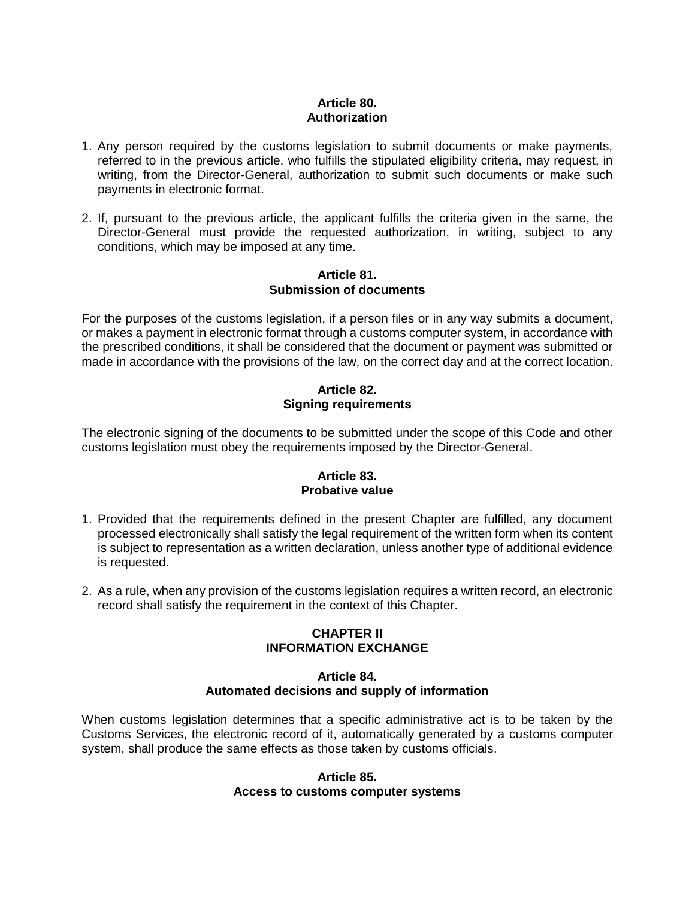## **Article 80. Authorization**

- 1. Any person required by the customs legislation to submit documents or make payments, referred to in the previous article, who fulfills the stipulated eligibility criteria, may request, in writing, from the Director-General, authorization to submit such documents or make such payments in electronic format.
- 2. If, pursuant to the previous article, the applicant fulfills the criteria given in the same, the Director-General must provide the requested authorization, in writing, subject to any conditions, which may be imposed at any time.

#### **Article 81. Submission of documents**

For the purposes of the customs legislation, if a person files or in any way submits a document, or makes a payment in electronic format through a customs computer system, in accordance with the prescribed conditions, it shall be considered that the document or payment was submitted or made in accordance with the provisions of the law, on the correct day and at the correct location.

# **Article 82. Signing requirements**

The electronic signing of the documents to be submitted under the scope of this Code and other customs legislation must obey the requirements imposed by the Director-General.

## **Article 83. Probative value**

- 1. Provided that the requirements defined in the present Chapter are fulfilled, any document processed electronically shall satisfy the legal requirement of the written form when its content is subject to representation as a written declaration, unless another type of additional evidence is requested.
- 2. As a rule, when any provision of the customs legislation requires a written record, an electronic record shall satisfy the requirement in the context of this Chapter.

# **CHAPTER II INFORMATION EXCHANGE**

# **Article 84. Automated decisions and supply of information**

When customs legislation determines that a specific administrative act is to be taken by the Customs Services, the electronic record of it, automatically generated by a customs computer system, shall produce the same effects as those taken by customs officials.

#### **Article 85. Access to customs computer systems**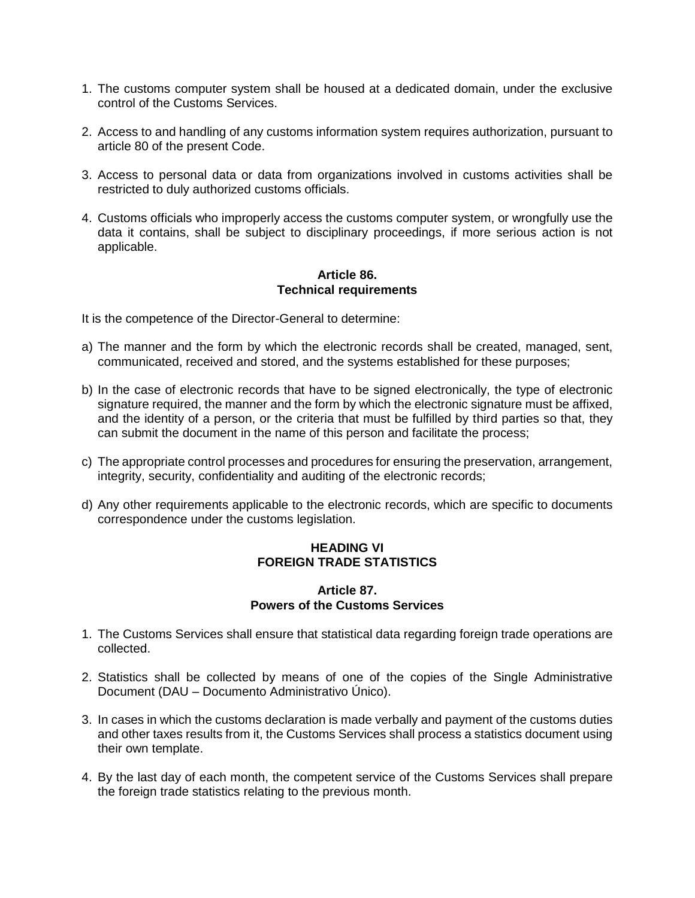- 1. The customs computer system shall be housed at a dedicated domain, under the exclusive control of the Customs Services.
- 2. Access to and handling of any customs information system requires authorization, pursuant to article 80 of the present Code.
- 3. Access to personal data or data from organizations involved in customs activities shall be restricted to duly authorized customs officials.
- 4. Customs officials who improperly access the customs computer system, or wrongfully use the data it contains, shall be subject to disciplinary proceedings, if more serious action is not applicable.

#### **Article 86. Technical requirements**

It is the competence of the Director-General to determine:

- a) The manner and the form by which the electronic records shall be created, managed, sent, communicated, received and stored, and the systems established for these purposes;
- b) In the case of electronic records that have to be signed electronically, the type of electronic signature required, the manner and the form by which the electronic signature must be affixed, and the identity of a person, or the criteria that must be fulfilled by third parties so that, they can submit the document in the name of this person and facilitate the process;
- c) The appropriate control processes and procedures for ensuring the preservation, arrangement, integrity, security, confidentiality and auditing of the electronic records;
- d) Any other requirements applicable to the electronic records, which are specific to documents correspondence under the customs legislation.

# **HEADING VI FOREIGN TRADE STATISTICS**

#### **Article 87. Powers of the Customs Services**

- 1. The Customs Services shall ensure that statistical data regarding foreign trade operations are collected.
- 2. Statistics shall be collected by means of one of the copies of the Single Administrative Document (DAU – Documento Administrativo Único).
- 3. In cases in which the customs declaration is made verbally and payment of the customs duties and other taxes results from it, the Customs Services shall process a statistics document using their own template.
- 4. By the last day of each month, the competent service of the Customs Services shall prepare the foreign trade statistics relating to the previous month.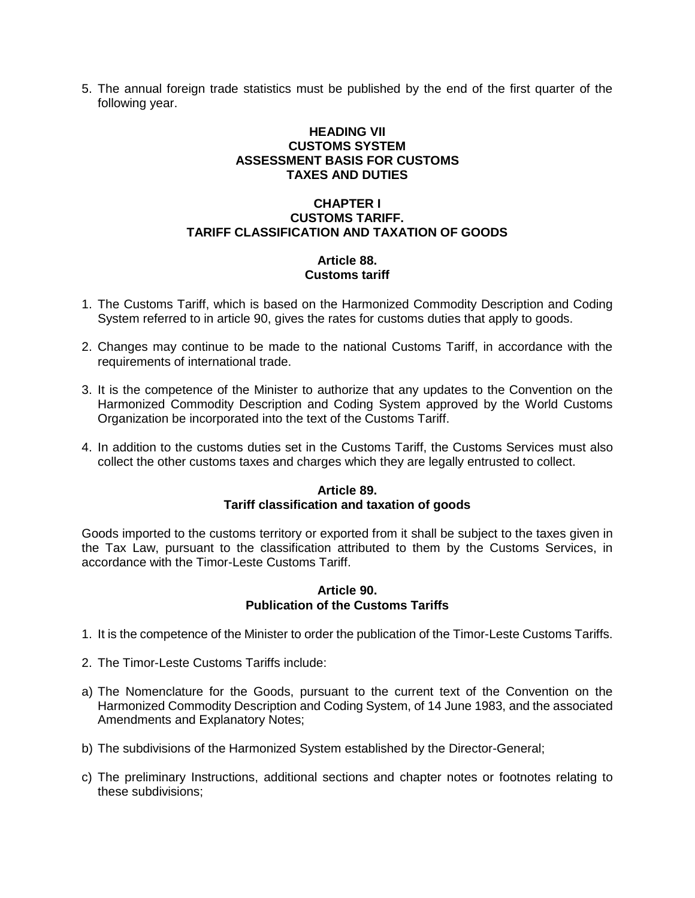5. The annual foreign trade statistics must be published by the end of the first quarter of the following year.

# **HEADING VII CUSTOMS SYSTEM ASSESSMENT BASIS FOR CUSTOMS TAXES AND DUTIES**

## **CHAPTER I CUSTOMS TARIFF. TARIFF CLASSIFICATION AND TAXATION OF GOODS**

## **Article 88. Customs tariff**

- 1. The Customs Tariff, which is based on the Harmonized Commodity Description and Coding System referred to in article 90, gives the rates for customs duties that apply to goods.
- 2. Changes may continue to be made to the national Customs Tariff, in accordance with the requirements of international trade.
- 3. It is the competence of the Minister to authorize that any updates to the Convention on the Harmonized Commodity Description and Coding System approved by the World Customs Organization be incorporated into the text of the Customs Tariff.
- 4. In addition to the customs duties set in the Customs Tariff, the Customs Services must also collect the other customs taxes and charges which they are legally entrusted to collect.

## **Article 89. Tariff classification and taxation of goods**

Goods imported to the customs territory or exported from it shall be subject to the taxes given in the Tax Law, pursuant to the classification attributed to them by the Customs Services, in accordance with the Timor-Leste Customs Tariff.

#### **Article 90. Publication of the Customs Tariffs**

- 1. It is the competence of the Minister to order the publication of the Timor-Leste Customs Tariffs.
- 2. The Timor-Leste Customs Tariffs include:
- a) The Nomenclature for the Goods, pursuant to the current text of the Convention on the Harmonized Commodity Description and Coding System, of 14 June 1983, and the associated Amendments and Explanatory Notes;
- b) The subdivisions of the Harmonized System established by the Director-General;
- c) The preliminary Instructions, additional sections and chapter notes or footnotes relating to these subdivisions;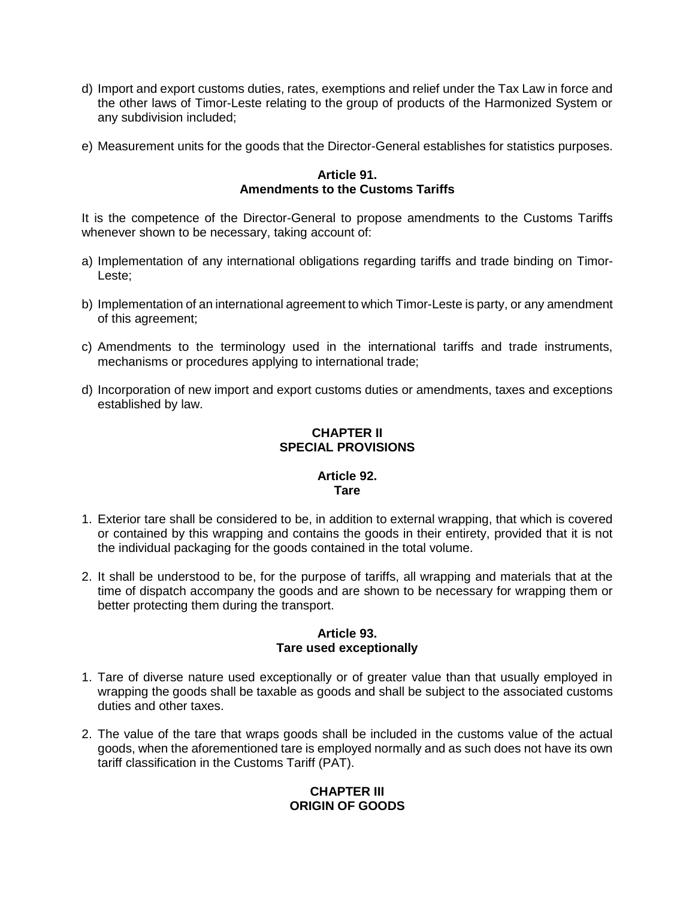- d) Import and export customs duties, rates, exemptions and relief under the Tax Law in force and the other laws of Timor-Leste relating to the group of products of the Harmonized System or any subdivision included;
- e) Measurement units for the goods that the Director-General establishes for statistics purposes.

## **Article 91. Amendments to the Customs Tariffs**

It is the competence of the Director-General to propose amendments to the Customs Tariffs whenever shown to be necessary, taking account of:

- a) Implementation of any international obligations regarding tariffs and trade binding on Timor-Leste;
- b) Implementation of an international agreement to which Timor-Leste is party, or any amendment of this agreement;
- c) Amendments to the terminology used in the international tariffs and trade instruments, mechanisms or procedures applying to international trade;
- d) Incorporation of new import and export customs duties or amendments, taxes and exceptions established by law.

# **CHAPTER II SPECIAL PROVISIONS**

# **Article 92. Tare**

- 1. Exterior tare shall be considered to be, in addition to external wrapping, that which is covered or contained by this wrapping and contains the goods in their entirety, provided that it is not the individual packaging for the goods contained in the total volume.
- 2. It shall be understood to be, for the purpose of tariffs, all wrapping and materials that at the time of dispatch accompany the goods and are shown to be necessary for wrapping them or better protecting them during the transport.

## **Article 93. Tare used exceptionally**

- 1. Tare of diverse nature used exceptionally or of greater value than that usually employed in wrapping the goods shall be taxable as goods and shall be subject to the associated customs duties and other taxes.
- 2. The value of the tare that wraps goods shall be included in the customs value of the actual goods, when the aforementioned tare is employed normally and as such does not have its own tariff classification in the Customs Tariff (PAT).

# **CHAPTER III ORIGIN OF GOODS**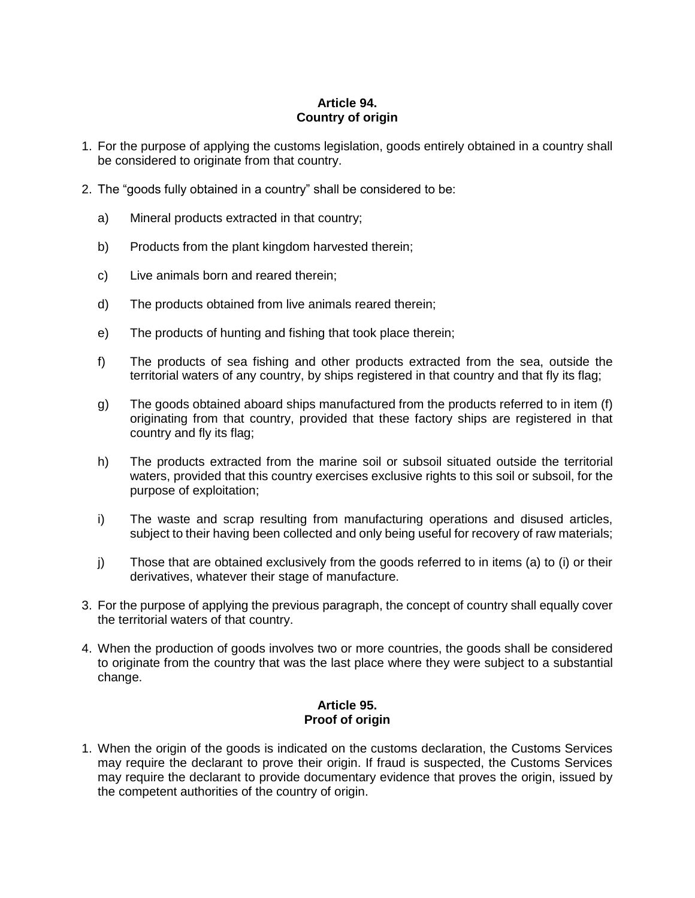# **Article 94. Country of origin**

- 1. For the purpose of applying the customs legislation, goods entirely obtained in a country shall be considered to originate from that country.
- 2. The "goods fully obtained in a country" shall be considered to be:
	- a) Mineral products extracted in that country;
	- b) Products from the plant kingdom harvested therein;
	- c) Live animals born and reared therein;
	- d) The products obtained from live animals reared therein;
	- e) The products of hunting and fishing that took place therein;
	- f) The products of sea fishing and other products extracted from the sea, outside the territorial waters of any country, by ships registered in that country and that fly its flag;
	- g) The goods obtained aboard ships manufactured from the products referred to in item (f) originating from that country, provided that these factory ships are registered in that country and fly its flag;
	- h) The products extracted from the marine soil or subsoil situated outside the territorial waters, provided that this country exercises exclusive rights to this soil or subsoil, for the purpose of exploitation;
	- i) The waste and scrap resulting from manufacturing operations and disused articles, subject to their having been collected and only being useful for recovery of raw materials;
	- j) Those that are obtained exclusively from the goods referred to in items (a) to (i) or their derivatives, whatever their stage of manufacture.
- 3. For the purpose of applying the previous paragraph, the concept of country shall equally cover the territorial waters of that country.
- 4. When the production of goods involves two or more countries, the goods shall be considered to originate from the country that was the last place where they were subject to a substantial change.

#### **Article 95. Proof of origin**

1. When the origin of the goods is indicated on the customs declaration, the Customs Services may require the declarant to prove their origin. If fraud is suspected, the Customs Services may require the declarant to provide documentary evidence that proves the origin, issued by the competent authorities of the country of origin.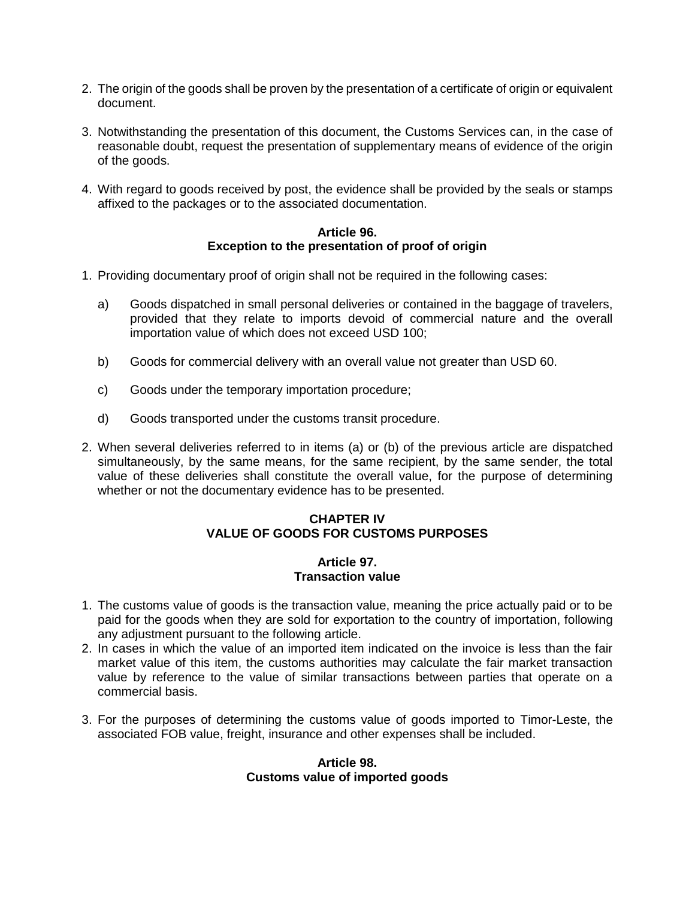- 2. The origin of the goods shall be proven by the presentation of a certificate of origin or equivalent document.
- 3. Notwithstanding the presentation of this document, the Customs Services can, in the case of reasonable doubt, request the presentation of supplementary means of evidence of the origin of the goods.
- 4. With regard to goods received by post, the evidence shall be provided by the seals or stamps affixed to the packages or to the associated documentation.

## **Article 96. Exception to the presentation of proof of origin**

- 1. Providing documentary proof of origin shall not be required in the following cases:
	- a) Goods dispatched in small personal deliveries or contained in the baggage of travelers, provided that they relate to imports devoid of commercial nature and the overall importation value of which does not exceed USD 100;
	- b) Goods for commercial delivery with an overall value not greater than USD 60.
	- c) Goods under the temporary importation procedure;
	- d) Goods transported under the customs transit procedure.
- 2. When several deliveries referred to in items (a) or (b) of the previous article are dispatched simultaneously, by the same means, for the same recipient, by the same sender, the total value of these deliveries shall constitute the overall value, for the purpose of determining whether or not the documentary evidence has to be presented.

# **CHAPTER IV VALUE OF GOODS FOR CUSTOMS PURPOSES**

## **Article 97. Transaction value**

- 1. The customs value of goods is the transaction value, meaning the price actually paid or to be paid for the goods when they are sold for exportation to the country of importation, following any adjustment pursuant to the following article.
- 2. In cases in which the value of an imported item indicated on the invoice is less than the fair market value of this item, the customs authorities may calculate the fair market transaction value by reference to the value of similar transactions between parties that operate on a commercial basis.
- 3. For the purposes of determining the customs value of goods imported to Timor-Leste, the associated FOB value, freight, insurance and other expenses shall be included.

#### **Article 98. Customs value of imported goods**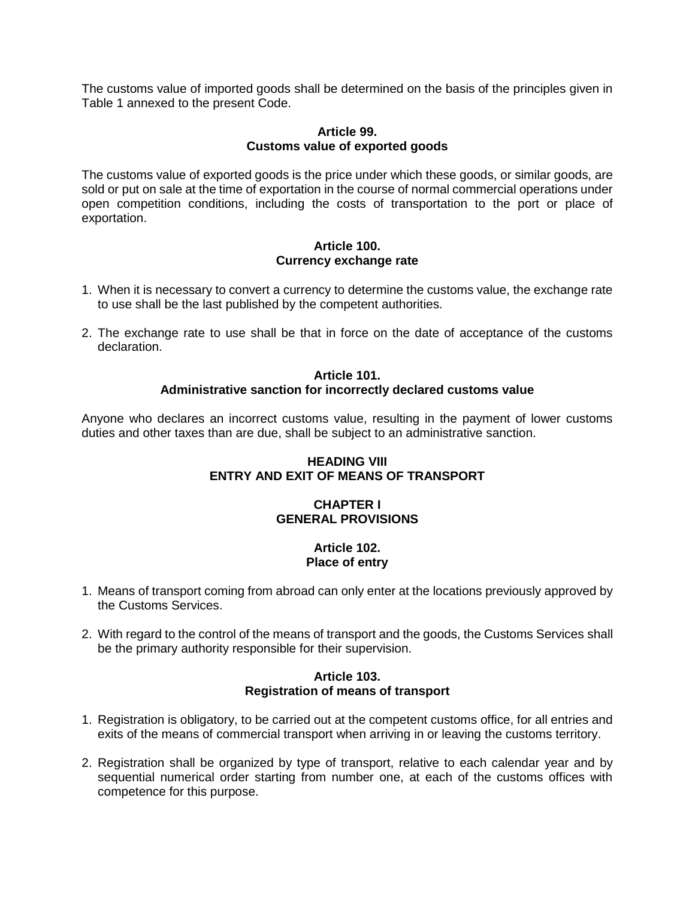The customs value of imported goods shall be determined on the basis of the principles given in Table 1 annexed to the present Code.

#### **Article 99. Customs value of exported goods**

The customs value of exported goods is the price under which these goods, or similar goods, are sold or put on sale at the time of exportation in the course of normal commercial operations under open competition conditions, including the costs of transportation to the port or place of exportation.

#### **Article 100. Currency exchange rate**

- 1. When it is necessary to convert a currency to determine the customs value, the exchange rate to use shall be the last published by the competent authorities.
- 2. The exchange rate to use shall be that in force on the date of acceptance of the customs declaration.

#### **Article 101. Administrative sanction for incorrectly declared customs value**

Anyone who declares an incorrect customs value, resulting in the payment of lower customs duties and other taxes than are due, shall be subject to an administrative sanction.

# **HEADING VIII ENTRY AND EXIT OF MEANS OF TRANSPORT**

# **CHAPTER I GENERAL PROVISIONS**

## **Article 102. Place of entry**

- 1. Means of transport coming from abroad can only enter at the locations previously approved by the Customs Services.
- 2. With regard to the control of the means of transport and the goods, the Customs Services shall be the primary authority responsible for their supervision.

## **Article 103. Registration of means of transport**

- 1. Registration is obligatory, to be carried out at the competent customs office, for all entries and exits of the means of commercial transport when arriving in or leaving the customs territory.
- 2. Registration shall be organized by type of transport, relative to each calendar year and by sequential numerical order starting from number one, at each of the customs offices with competence for this purpose.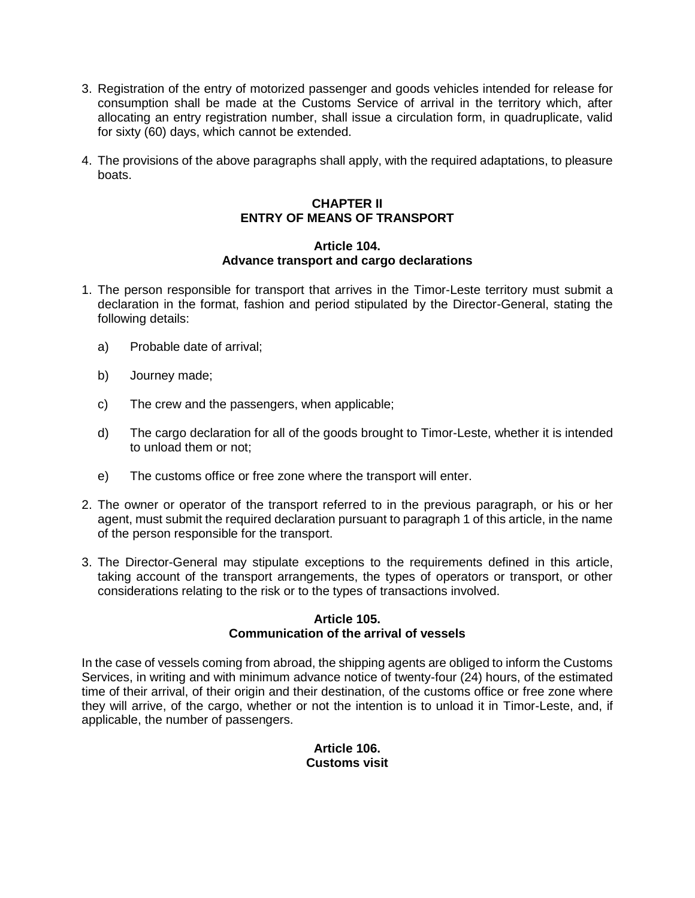- 3. Registration of the entry of motorized passenger and goods vehicles intended for release for consumption shall be made at the Customs Service of arrival in the territory which, after allocating an entry registration number, shall issue a circulation form, in quadruplicate, valid for sixty (60) days, which cannot be extended.
- 4. The provisions of the above paragraphs shall apply, with the required adaptations, to pleasure boats.

# **CHAPTER II ENTRY OF MEANS OF TRANSPORT**

## **Article 104. Advance transport and cargo declarations**

- 1. The person responsible for transport that arrives in the Timor-Leste territory must submit a declaration in the format, fashion and period stipulated by the Director-General, stating the following details:
	- a) Probable date of arrival;
	- b) Journey made;
	- c) The crew and the passengers, when applicable;
	- d) The cargo declaration for all of the goods brought to Timor-Leste, whether it is intended to unload them or not;
	- e) The customs office or free zone where the transport will enter.
- 2. The owner or operator of the transport referred to in the previous paragraph, or his or her agent, must submit the required declaration pursuant to paragraph 1 of this article, in the name of the person responsible for the transport.
- 3. The Director-General may stipulate exceptions to the requirements defined in this article, taking account of the transport arrangements, the types of operators or transport, or other considerations relating to the risk or to the types of transactions involved.

## **Article 105. Communication of the arrival of vessels**

In the case of vessels coming from abroad, the shipping agents are obliged to inform the Customs Services, in writing and with minimum advance notice of twenty-four (24) hours, of the estimated time of their arrival, of their origin and their destination, of the customs office or free zone where they will arrive, of the cargo, whether or not the intention is to unload it in Timor-Leste, and, if applicable, the number of passengers.

# **Article 106. Customs visit**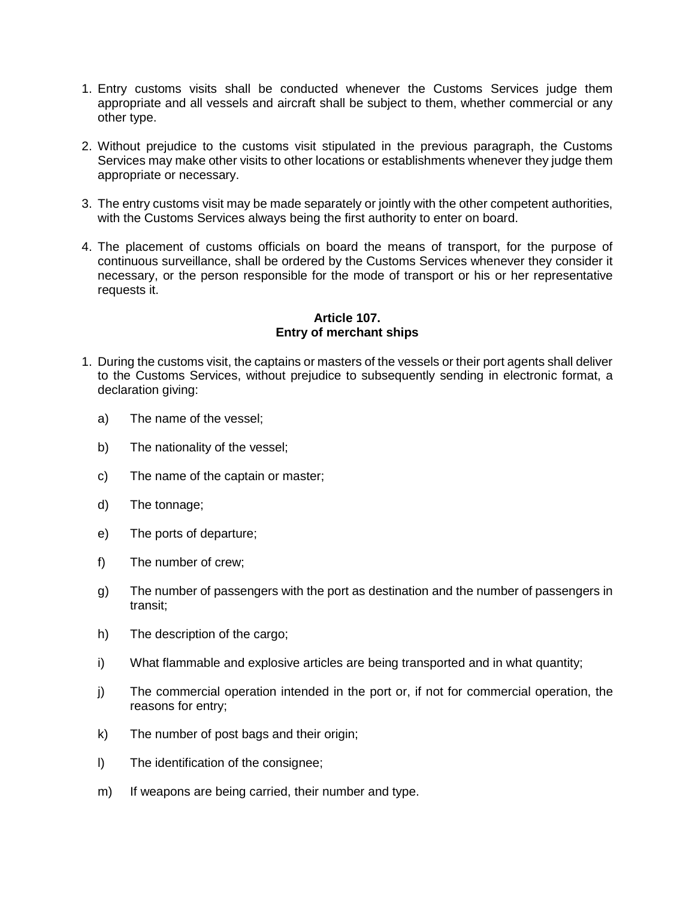- 1. Entry customs visits shall be conducted whenever the Customs Services judge them appropriate and all vessels and aircraft shall be subject to them, whether commercial or any other type.
- 2. Without prejudice to the customs visit stipulated in the previous paragraph, the Customs Services may make other visits to other locations or establishments whenever they judge them appropriate or necessary.
- 3. The entry customs visit may be made separately or jointly with the other competent authorities, with the Customs Services always being the first authority to enter on board.
- 4. The placement of customs officials on board the means of transport, for the purpose of continuous surveillance, shall be ordered by the Customs Services whenever they consider it necessary, or the person responsible for the mode of transport or his or her representative requests it.

## **Article 107. Entry of merchant ships**

- 1. During the customs visit, the captains or masters of the vessels or their port agents shall deliver to the Customs Services, without prejudice to subsequently sending in electronic format, a declaration giving:
	- a) The name of the vessel;
	- b) The nationality of the vessel;
	- c) The name of the captain or master;
	- d) The tonnage;
	- e) The ports of departure;
	- f) The number of crew;
	- g) The number of passengers with the port as destination and the number of passengers in transit;
	- h) The description of the cargo;
	- i) What flammable and explosive articles are being transported and in what quantity;
	- j) The commercial operation intended in the port or, if not for commercial operation, the reasons for entry;
	- k) The number of post bags and their origin;
	- l) The identification of the consignee;
	- m) If weapons are being carried, their number and type.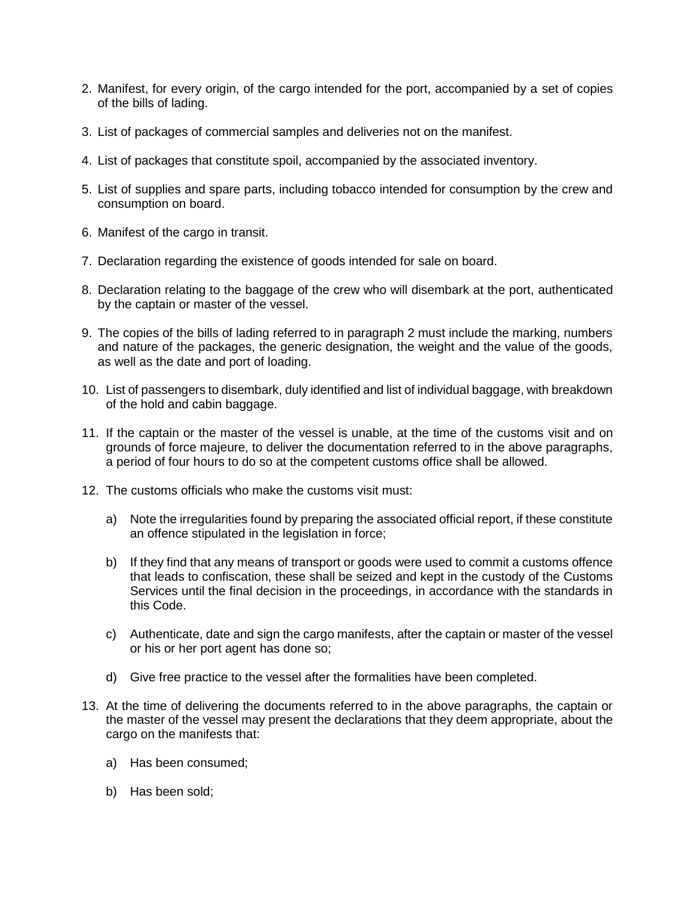- 2. Manifest, for every origin, of the cargo intended for the port, accompanied by a set of copies of the bills of lading.
- 3. List of packages of commercial samples and deliveries not on the manifest.
- 4. List of packages that constitute spoil, accompanied by the associated inventory.
- 5. List of supplies and spare parts, including tobacco intended for consumption by the crew and consumption on board.
- 6. Manifest of the cargo in transit.
- 7. Declaration regarding the existence of goods intended for sale on board.
- 8. Declaration relating to the baggage of the crew who will disembark at the port, authenticated by the captain or master of the vessel.
- 9. The copies of the bills of lading referred to in paragraph 2 must include the marking, numbers and nature of the packages, the generic designation, the weight and the value of the goods, as well as the date and port of loading.
- 10. List of passengers to disembark, duly identified and list of individual baggage, with breakdown of the hold and cabin baggage.
- 11. If the captain or the master of the vessel is unable, at the time of the customs visit and on grounds of force majeure, to deliver the documentation referred to in the above paragraphs, a period of four hours to do so at the competent customs office shall be allowed.
- 12. The customs officials who make the customs visit must:
	- a) Note the irregularities found by preparing the associated official report, if these constitute an offence stipulated in the legislation in force;
	- b) If they find that any means of transport or goods were used to commit a customs offence that leads to confiscation, these shall be seized and kept in the custody of the Customs Services until the final decision in the proceedings, in accordance with the standards in this Code.
	- c) Authenticate, date and sign the cargo manifests, after the captain or master of the vessel or his or her port agent has done so;
	- d) Give free practice to the vessel after the formalities have been completed.
- 13. At the time of delivering the documents referred to in the above paragraphs, the captain or the master of the vessel may present the declarations that they deem appropriate, about the cargo on the manifests that:
	- a) Has been consumed;
	- b) Has been sold;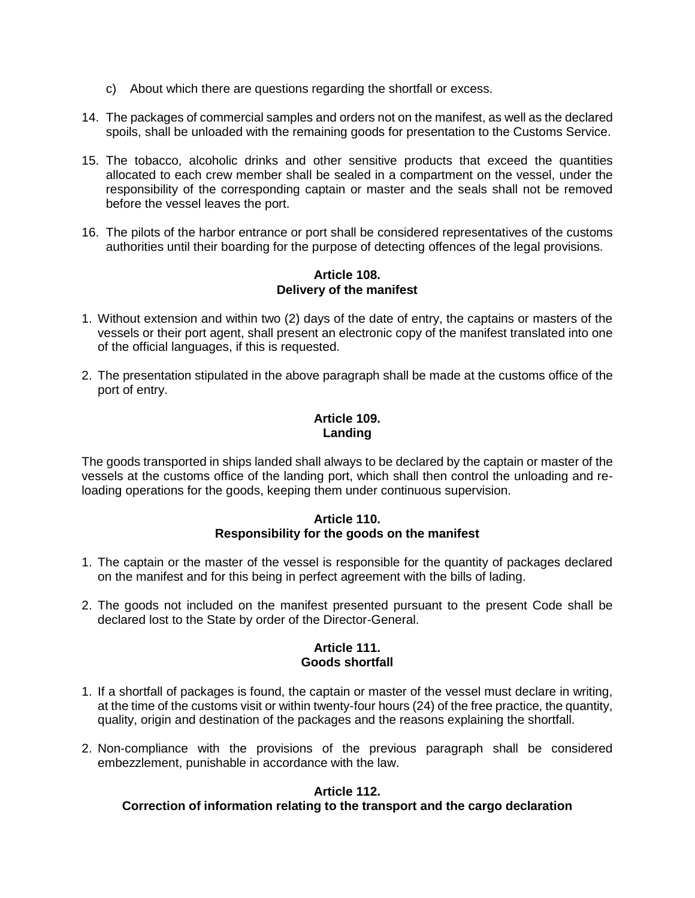- c) About which there are questions regarding the shortfall or excess.
- 14. The packages of commercial samples and orders not on the manifest, as well as the declared spoils, shall be unloaded with the remaining goods for presentation to the Customs Service.
- 15. The tobacco, alcoholic drinks and other sensitive products that exceed the quantities allocated to each crew member shall be sealed in a compartment on the vessel, under the responsibility of the corresponding captain or master and the seals shall not be removed before the vessel leaves the port.
- 16. The pilots of the harbor entrance or port shall be considered representatives of the customs authorities until their boarding for the purpose of detecting offences of the legal provisions.

#### **Article 108. Delivery of the manifest**

- 1. Without extension and within two (2) days of the date of entry, the captains or masters of the vessels or their port agent, shall present an electronic copy of the manifest translated into one of the official languages, if this is requested.
- 2. The presentation stipulated in the above paragraph shall be made at the customs office of the port of entry.

# **Article 109. Landing**

The goods transported in ships landed shall always to be declared by the captain or master of the vessels at the customs office of the landing port, which shall then control the unloading and reloading operations for the goods, keeping them under continuous supervision.

#### **Article 110. Responsibility for the goods on the manifest**

- 1. The captain or the master of the vessel is responsible for the quantity of packages declared on the manifest and for this being in perfect agreement with the bills of lading.
- 2. The goods not included on the manifest presented pursuant to the present Code shall be declared lost to the State by order of the Director-General.

## **Article 111. Goods shortfall**

- 1. If a shortfall of packages is found, the captain or master of the vessel must declare in writing, at the time of the customs visit or within twenty-four hours (24) of the free practice, the quantity, quality, origin and destination of the packages and the reasons explaining the shortfall.
- 2. Non-compliance with the provisions of the previous paragraph shall be considered embezzlement, punishable in accordance with the law.

# **Article 112.**

# **Correction of information relating to the transport and the cargo declaration**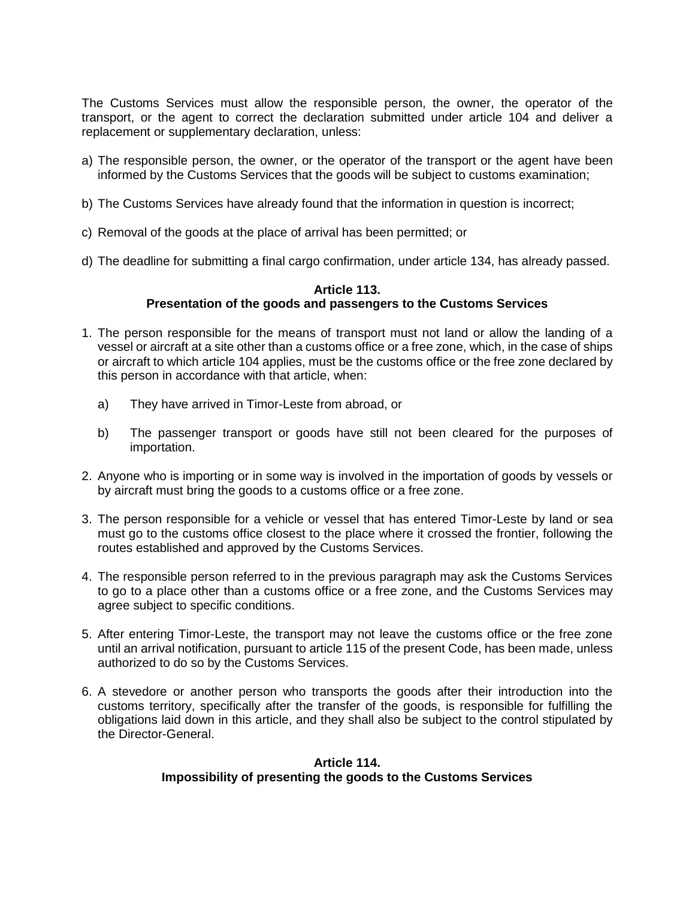The Customs Services must allow the responsible person, the owner, the operator of the transport, or the agent to correct the declaration submitted under article 104 and deliver a replacement or supplementary declaration, unless:

- a) The responsible person, the owner, or the operator of the transport or the agent have been informed by the Customs Services that the goods will be subject to customs examination;
- b) The Customs Services have already found that the information in question is incorrect;
- c) Removal of the goods at the place of arrival has been permitted; or
- d) The deadline for submitting a final cargo confirmation, under article 134, has already passed.

#### **Article 113. Presentation of the goods and passengers to the Customs Services**

- 1. The person responsible for the means of transport must not land or allow the landing of a vessel or aircraft at a site other than a customs office or a free zone, which, in the case of ships or aircraft to which article 104 applies, must be the customs office or the free zone declared by this person in accordance with that article, when:
	- a) They have arrived in Timor-Leste from abroad, or
	- b) The passenger transport or goods have still not been cleared for the purposes of importation.
- 2. Anyone who is importing or in some way is involved in the importation of goods by vessels or by aircraft must bring the goods to a customs office or a free zone.
- 3. The person responsible for a vehicle or vessel that has entered Timor-Leste by land or sea must go to the customs office closest to the place where it crossed the frontier, following the routes established and approved by the Customs Services.
- 4. The responsible person referred to in the previous paragraph may ask the Customs Services to go to a place other than a customs office or a free zone, and the Customs Services may agree subject to specific conditions.
- 5. After entering Timor-Leste, the transport may not leave the customs office or the free zone until an arrival notification, pursuant to article 115 of the present Code, has been made, unless authorized to do so by the Customs Services.
- 6. A stevedore or another person who transports the goods after their introduction into the customs territory, specifically after the transfer of the goods, is responsible for fulfilling the obligations laid down in this article, and they shall also be subject to the control stipulated by the Director-General.

# **Article 114. Impossibility of presenting the goods to the Customs Services**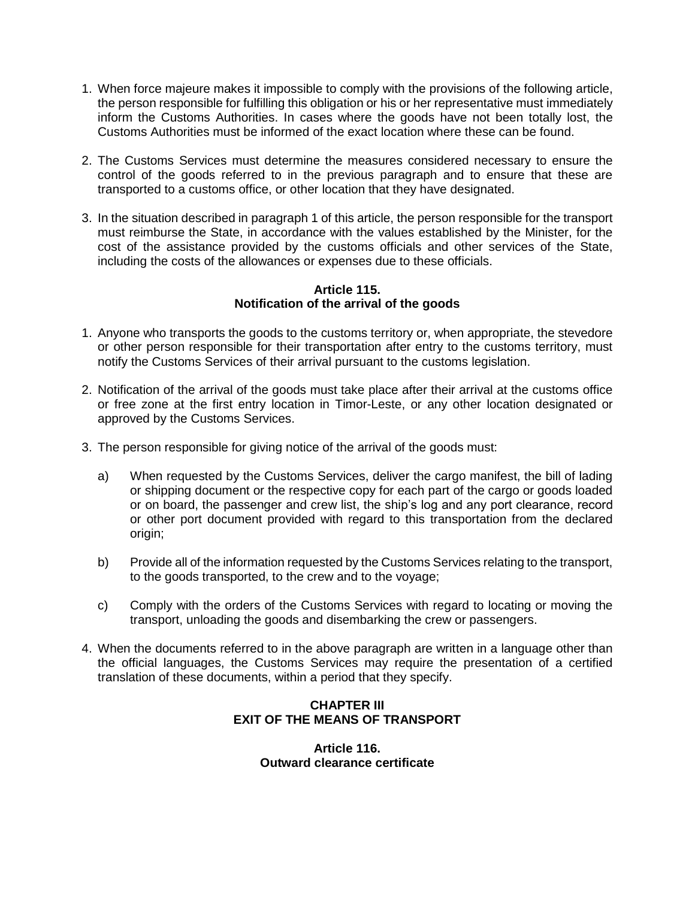- 1. When force majeure makes it impossible to comply with the provisions of the following article, the person responsible for fulfilling this obligation or his or her representative must immediately inform the Customs Authorities. In cases where the goods have not been totally lost, the Customs Authorities must be informed of the exact location where these can be found.
- 2. The Customs Services must determine the measures considered necessary to ensure the control of the goods referred to in the previous paragraph and to ensure that these are transported to a customs office, or other location that they have designated.
- 3. In the situation described in paragraph 1 of this article, the person responsible for the transport must reimburse the State, in accordance with the values established by the Minister, for the cost of the assistance provided by the customs officials and other services of the State, including the costs of the allowances or expenses due to these officials.

#### **Article 115. Notification of the arrival of the goods**

- 1. Anyone who transports the goods to the customs territory or, when appropriate, the stevedore or other person responsible for their transportation after entry to the customs territory, must notify the Customs Services of their arrival pursuant to the customs legislation.
- 2. Notification of the arrival of the goods must take place after their arrival at the customs office or free zone at the first entry location in Timor-Leste, or any other location designated or approved by the Customs Services.
- 3. The person responsible for giving notice of the arrival of the goods must:
	- a) When requested by the Customs Services, deliver the cargo manifest, the bill of lading or shipping document or the respective copy for each part of the cargo or goods loaded or on board, the passenger and crew list, the ship's log and any port clearance, record or other port document provided with regard to this transportation from the declared origin;
	- b) Provide all of the information requested by the Customs Services relating to the transport, to the goods transported, to the crew and to the voyage;
	- c) Comply with the orders of the Customs Services with regard to locating or moving the transport, unloading the goods and disembarking the crew or passengers.
- 4. When the documents referred to in the above paragraph are written in a language other than the official languages, the Customs Services may require the presentation of a certified translation of these documents, within a period that they specify.

# **CHAPTER III EXIT OF THE MEANS OF TRANSPORT**

**Article 116. Outward clearance certificate**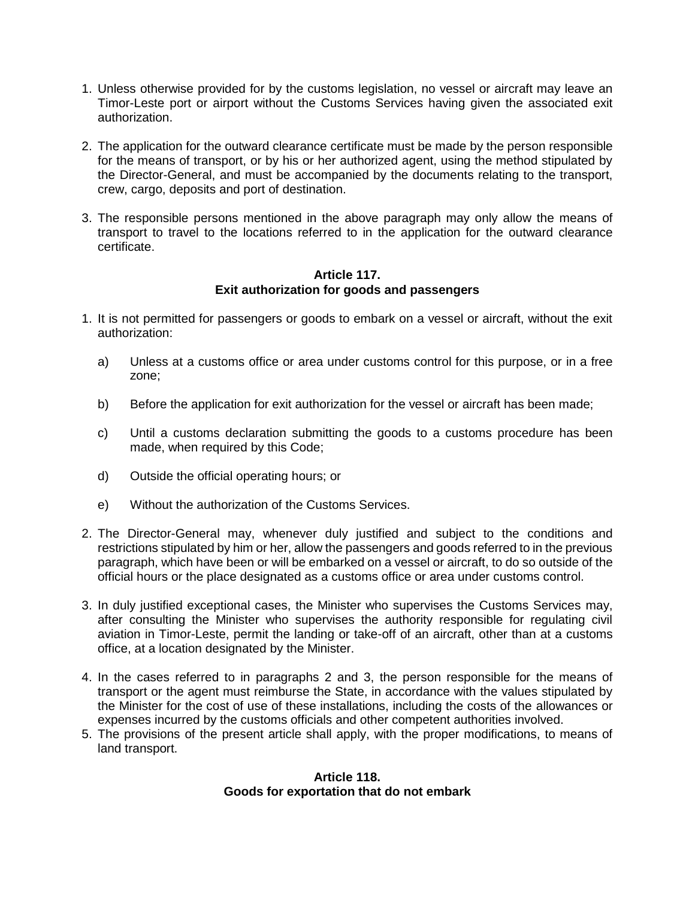- 1. Unless otherwise provided for by the customs legislation, no vessel or aircraft may leave an Timor-Leste port or airport without the Customs Services having given the associated exit authorization.
- 2. The application for the outward clearance certificate must be made by the person responsible for the means of transport, or by his or her authorized agent, using the method stipulated by the Director-General, and must be accompanied by the documents relating to the transport, crew, cargo, deposits and port of destination.
- 3. The responsible persons mentioned in the above paragraph may only allow the means of transport to travel to the locations referred to in the application for the outward clearance certificate.

# **Article 117. Exit authorization for goods and passengers**

- 1. It is not permitted for passengers or goods to embark on a vessel or aircraft, without the exit authorization:
	- a) Unless at a customs office or area under customs control for this purpose, or in a free zone;
	- b) Before the application for exit authorization for the vessel or aircraft has been made;
	- c) Until a customs declaration submitting the goods to a customs procedure has been made, when required by this Code;
	- d) Outside the official operating hours; or
	- e) Without the authorization of the Customs Services.
- 2. The Director-General may, whenever duly justified and subject to the conditions and restrictions stipulated by him or her, allow the passengers and goods referred to in the previous paragraph, which have been or will be embarked on a vessel or aircraft, to do so outside of the official hours or the place designated as a customs office or area under customs control.
- 3. In duly justified exceptional cases, the Minister who supervises the Customs Services may, after consulting the Minister who supervises the authority responsible for regulating civil aviation in Timor-Leste, permit the landing or take-off of an aircraft, other than at a customs office, at a location designated by the Minister.
- 4. In the cases referred to in paragraphs 2 and 3, the person responsible for the means of transport or the agent must reimburse the State, in accordance with the values stipulated by the Minister for the cost of use of these installations, including the costs of the allowances or expenses incurred by the customs officials and other competent authorities involved.
- 5. The provisions of the present article shall apply, with the proper modifications, to means of land transport.

## **Article 118. Goods for exportation that do not embark**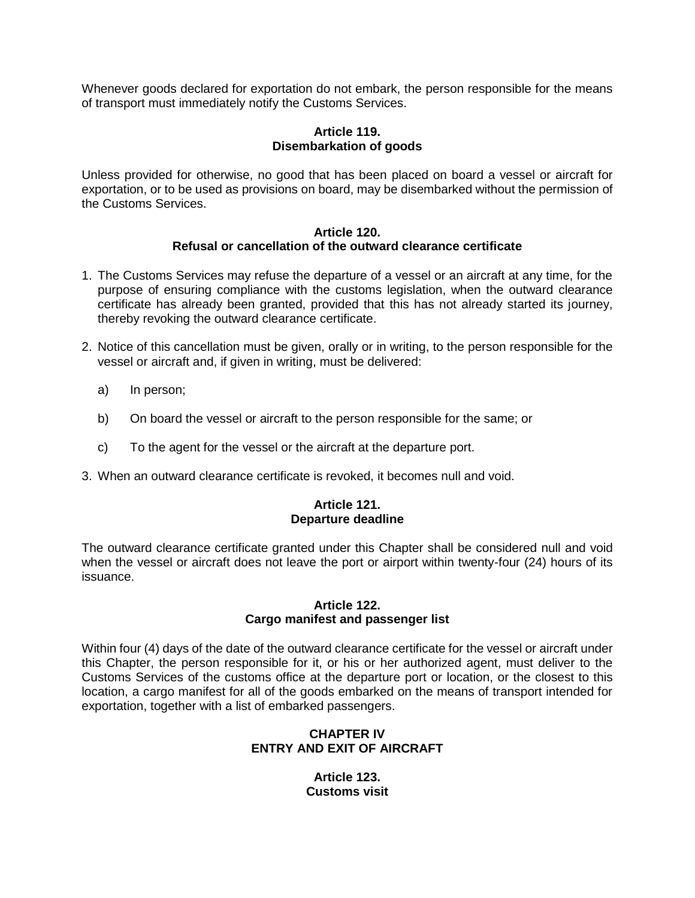Whenever goods declared for exportation do not embark, the person responsible for the means of transport must immediately notify the Customs Services.

# **Article 119. Disembarkation of goods**

Unless provided for otherwise, no good that has been placed on board a vessel or aircraft for exportation, or to be used as provisions on board, may be disembarked without the permission of the Customs Services.

#### **Article 120. Refusal or cancellation of the outward clearance certificate**

- 1. The Customs Services may refuse the departure of a vessel or an aircraft at any time, for the purpose of ensuring compliance with the customs legislation, when the outward clearance certificate has already been granted, provided that this has not already started its journey, thereby revoking the outward clearance certificate.
- 2. Notice of this cancellation must be given, orally or in writing, to the person responsible for the vessel or aircraft and, if given in writing, must be delivered:
	- a) In person;
	- b) On board the vessel or aircraft to the person responsible for the same; or
	- c) To the agent for the vessel or the aircraft at the departure port.
- 3. When an outward clearance certificate is revoked, it becomes null and void.

## **Article 121. Departure deadline**

The outward clearance certificate granted under this Chapter shall be considered null and void when the vessel or aircraft does not leave the port or airport within twenty-four (24) hours of its issuance.

#### **Article 122. Cargo manifest and passenger list**

Within four (4) days of the date of the outward clearance certificate for the vessel or aircraft under this Chapter, the person responsible for it, or his or her authorized agent, must deliver to the Customs Services of the customs office at the departure port or location, or the closest to this location, a cargo manifest for all of the goods embarked on the means of transport intended for exportation, together with a list of embarked passengers.

# **CHAPTER IV ENTRY AND EXIT OF AIRCRAFT**

**Article 123. Customs visit**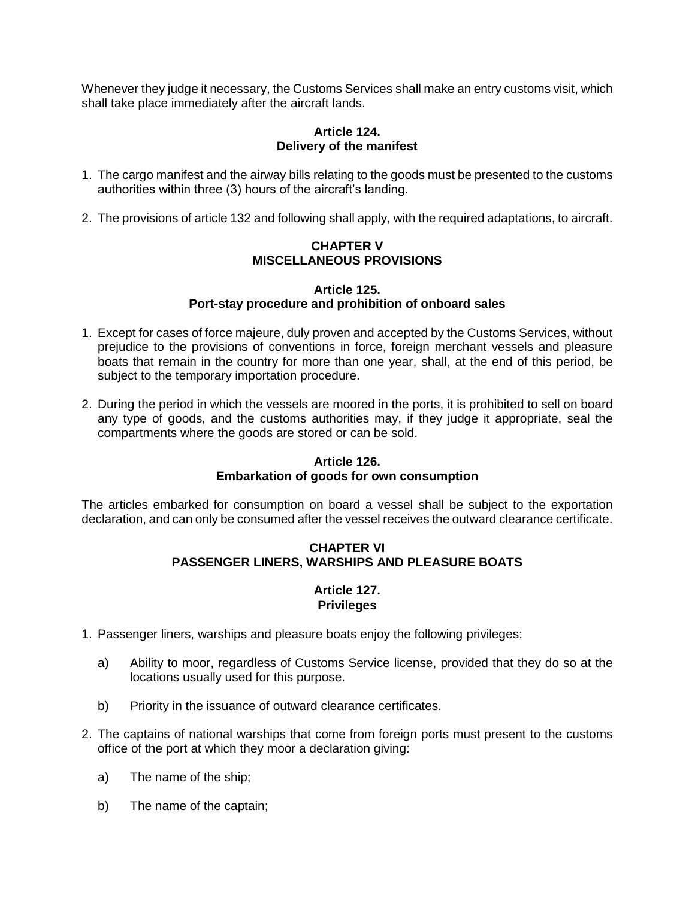Whenever they judge it necessary, the Customs Services shall make an entry customs visit, which shall take place immediately after the aircraft lands.

# **Article 124. Delivery of the manifest**

- 1. The cargo manifest and the airway bills relating to the goods must be presented to the customs authorities within three (3) hours of the aircraft's landing.
- 2. The provisions of article 132 and following shall apply, with the required adaptations, to aircraft.

## **CHAPTER V MISCELLANEOUS PROVISIONS**

#### **Article 125. Port-stay procedure and prohibition of onboard sales**

- 1. Except for cases of force majeure, duly proven and accepted by the Customs Services, without prejudice to the provisions of conventions in force, foreign merchant vessels and pleasure boats that remain in the country for more than one year, shall, at the end of this period, be subject to the temporary importation procedure.
- 2. During the period in which the vessels are moored in the ports, it is prohibited to sell on board any type of goods, and the customs authorities may, if they judge it appropriate, seal the compartments where the goods are stored or can be sold.

# **Article 126.**

# **Embarkation of goods for own consumption**

The articles embarked for consumption on board a vessel shall be subject to the exportation declaration, and can only be consumed after the vessel receives the outward clearance certificate.

# **CHAPTER VI PASSENGER LINERS, WARSHIPS AND PLEASURE BOATS**

#### **Article 127. Privileges**

- 1. Passenger liners, warships and pleasure boats enjoy the following privileges:
	- a) Ability to moor, regardless of Customs Service license, provided that they do so at the locations usually used for this purpose.
	- b) Priority in the issuance of outward clearance certificates.
- 2. The captains of national warships that come from foreign ports must present to the customs office of the port at which they moor a declaration giving:
	- a) The name of the ship;
	- b) The name of the captain;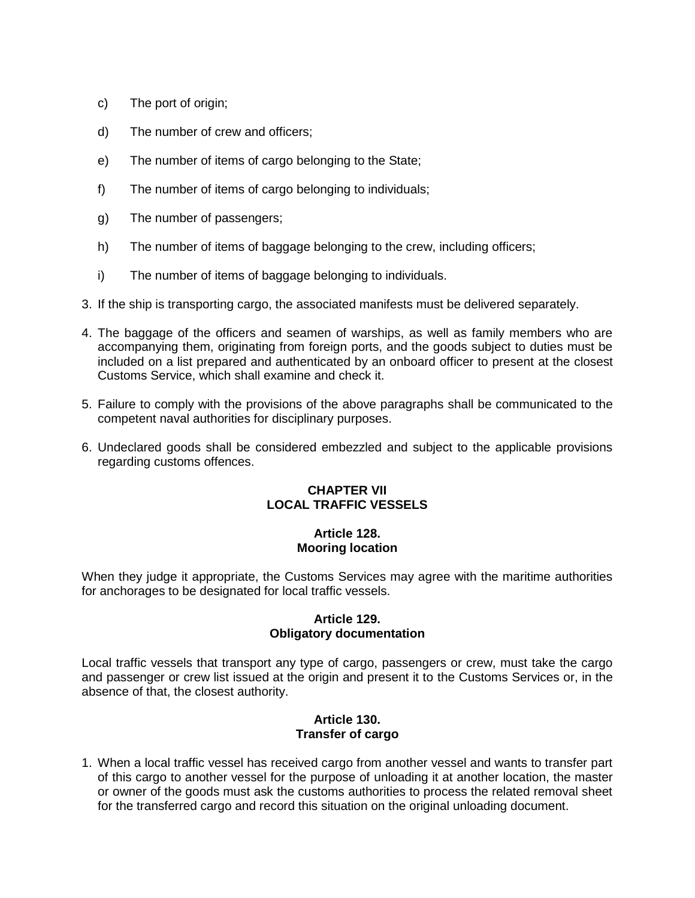- c) The port of origin;
- d) The number of crew and officers;
- e) The number of items of cargo belonging to the State;
- f) The number of items of cargo belonging to individuals;
- g) The number of passengers;
- h) The number of items of baggage belonging to the crew, including officers;
- i) The number of items of baggage belonging to individuals.
- 3. If the ship is transporting cargo, the associated manifests must be delivered separately.
- 4. The baggage of the officers and seamen of warships, as well as family members who are accompanying them, originating from foreign ports, and the goods subject to duties must be included on a list prepared and authenticated by an onboard officer to present at the closest Customs Service, which shall examine and check it.
- 5. Failure to comply with the provisions of the above paragraphs shall be communicated to the competent naval authorities for disciplinary purposes.
- 6. Undeclared goods shall be considered embezzled and subject to the applicable provisions regarding customs offences.

# **CHAPTER VII LOCAL TRAFFIC VESSELS**

# **Article 128. Mooring location**

When they judge it appropriate, the Customs Services may agree with the maritime authorities for anchorages to be designated for local traffic vessels.

## **Article 129. Obligatory documentation**

Local traffic vessels that transport any type of cargo, passengers or crew, must take the cargo and passenger or crew list issued at the origin and present it to the Customs Services or, in the absence of that, the closest authority.

#### **Article 130. Transfer of cargo**

1. When a local traffic vessel has received cargo from another vessel and wants to transfer part of this cargo to another vessel for the purpose of unloading it at another location, the master or owner of the goods must ask the customs authorities to process the related removal sheet for the transferred cargo and record this situation on the original unloading document.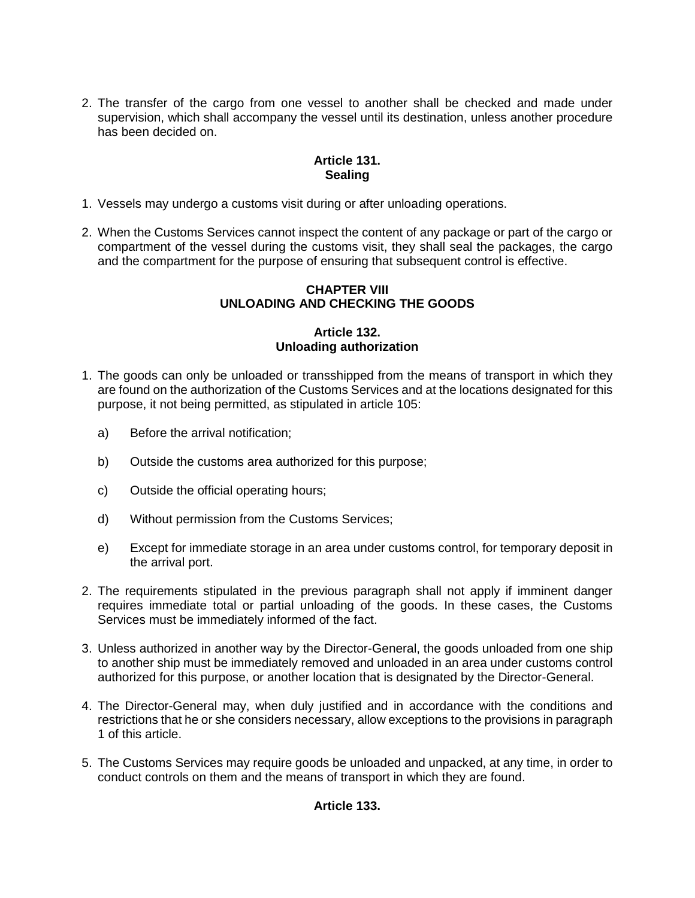2. The transfer of the cargo from one vessel to another shall be checked and made under supervision, which shall accompany the vessel until its destination, unless another procedure has been decided on.

# **Article 131. Sealing**

- 1. Vessels may undergo a customs visit during or after unloading operations.
- 2. When the Customs Services cannot inspect the content of any package or part of the cargo or compartment of the vessel during the customs visit, they shall seal the packages, the cargo and the compartment for the purpose of ensuring that subsequent control is effective.

# **CHAPTER VIII UNLOADING AND CHECKING THE GOODS**

## **Article 132. Unloading authorization**

- 1. The goods can only be unloaded or transshipped from the means of transport in which they are found on the authorization of the Customs Services and at the locations designated for this purpose, it not being permitted, as stipulated in article 105:
	- a) Before the arrival notification;
	- b) Outside the customs area authorized for this purpose;
	- c) Outside the official operating hours;
	- d) Without permission from the Customs Services;
	- e) Except for immediate storage in an area under customs control, for temporary deposit in the arrival port.
- 2. The requirements stipulated in the previous paragraph shall not apply if imminent danger requires immediate total or partial unloading of the goods. In these cases, the Customs Services must be immediately informed of the fact.
- 3. Unless authorized in another way by the Director-General, the goods unloaded from one ship to another ship must be immediately removed and unloaded in an area under customs control authorized for this purpose, or another location that is designated by the Director-General.
- 4. The Director-General may, when duly justified and in accordance with the conditions and restrictions that he or she considers necessary, allow exceptions to the provisions in paragraph 1 of this article.
- 5. The Customs Services may require goods be unloaded and unpacked, at any time, in order to conduct controls on them and the means of transport in which they are found.

# **Article 133.**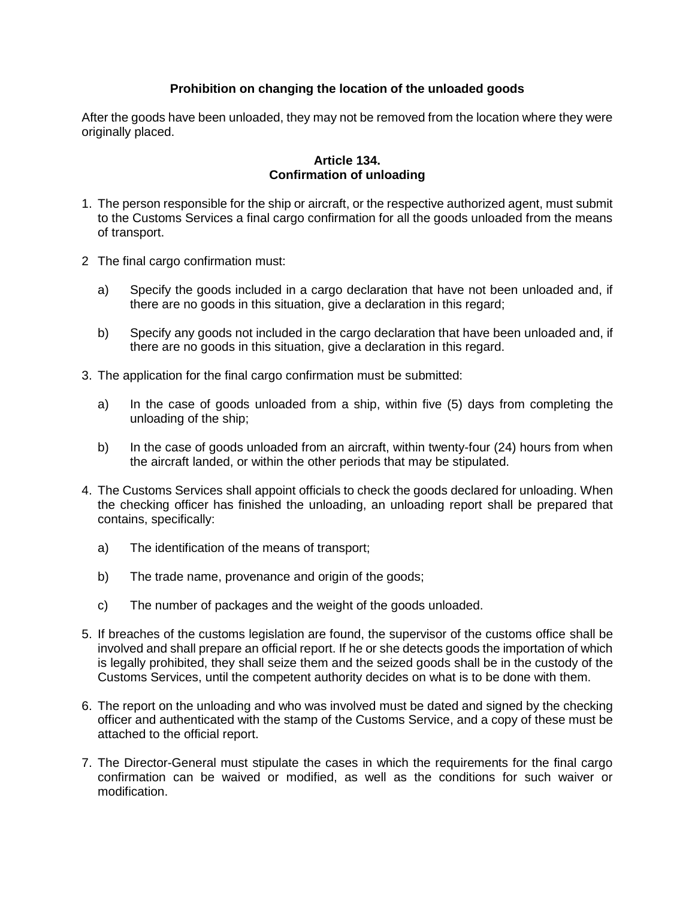# **Prohibition on changing the location of the unloaded goods**

After the goods have been unloaded, they may not be removed from the location where they were originally placed.

## **Article 134. Confirmation of unloading**

- 1. The person responsible for the ship or aircraft, or the respective authorized agent, must submit to the Customs Services a final cargo confirmation for all the goods unloaded from the means of transport.
- 2 The final cargo confirmation must:
	- a) Specify the goods included in a cargo declaration that have not been unloaded and, if there are no goods in this situation, give a declaration in this regard;
	- b) Specify any goods not included in the cargo declaration that have been unloaded and, if there are no goods in this situation, give a declaration in this regard.
- 3. The application for the final cargo confirmation must be submitted:
	- a) In the case of goods unloaded from a ship, within five (5) days from completing the unloading of the ship;
	- b) In the case of goods unloaded from an aircraft, within twenty-four (24) hours from when the aircraft landed, or within the other periods that may be stipulated.
- 4. The Customs Services shall appoint officials to check the goods declared for unloading. When the checking officer has finished the unloading, an unloading report shall be prepared that contains, specifically:
	- a) The identification of the means of transport;
	- b) The trade name, provenance and origin of the goods;
	- c) The number of packages and the weight of the goods unloaded.
- 5. If breaches of the customs legislation are found, the supervisor of the customs office shall be involved and shall prepare an official report. If he or she detects goods the importation of which is legally prohibited, they shall seize them and the seized goods shall be in the custody of the Customs Services, until the competent authority decides on what is to be done with them.
- 6. The report on the unloading and who was involved must be dated and signed by the checking officer and authenticated with the stamp of the Customs Service, and a copy of these must be attached to the official report.
- 7. The Director-General must stipulate the cases in which the requirements for the final cargo confirmation can be waived or modified, as well as the conditions for such waiver or modification.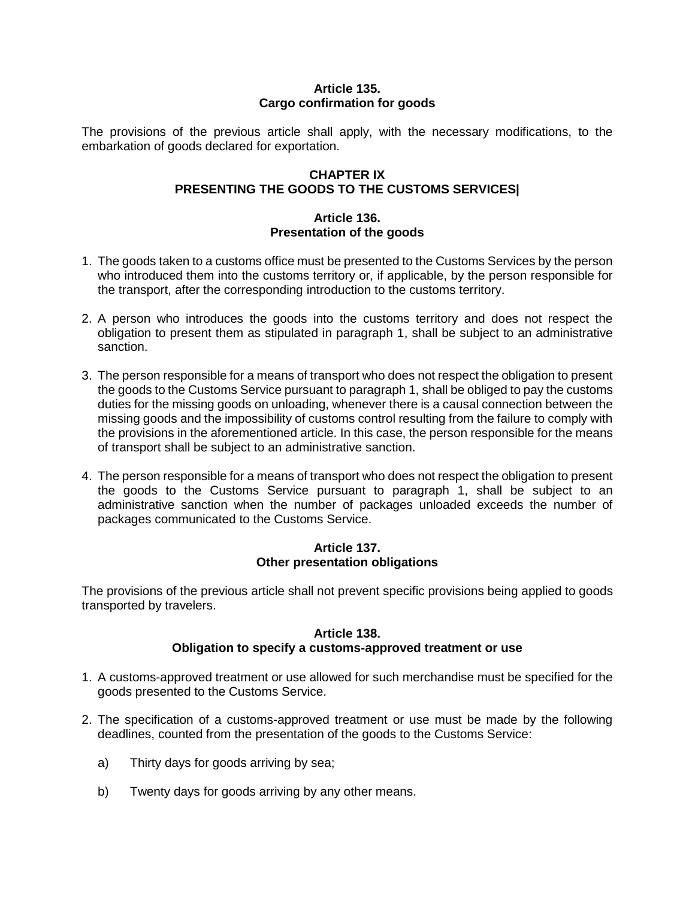## **Article 135. Cargo confirmation for goods**

The provisions of the previous article shall apply, with the necessary modifications, to the embarkation of goods declared for exportation.

# **CHAPTER IX PRESENTING THE GOODS TO THE CUSTOMS SERVICES|**

## **Article 136. Presentation of the goods**

- 1. The goods taken to a customs office must be presented to the Customs Services by the person who introduced them into the customs territory or, if applicable, by the person responsible for the transport, after the corresponding introduction to the customs territory.
- 2. A person who introduces the goods into the customs territory and does not respect the obligation to present them as stipulated in paragraph 1, shall be subject to an administrative sanction.
- 3. The person responsible for a means of transport who does not respect the obligation to present the goods to the Customs Service pursuant to paragraph 1, shall be obliged to pay the customs duties for the missing goods on unloading, whenever there is a causal connection between the missing goods and the impossibility of customs control resulting from the failure to comply with the provisions in the aforementioned article. In this case, the person responsible for the means of transport shall be subject to an administrative sanction.
- 4. The person responsible for a means of transport who does not respect the obligation to present the goods to the Customs Service pursuant to paragraph 1, shall be subject to an administrative sanction when the number of packages unloaded exceeds the number of packages communicated to the Customs Service.

## **Article 137. Other presentation obligations**

The provisions of the previous article shall not prevent specific provisions being applied to goods transported by travelers.

# **Article 138. Obligation to specify a customs-approved treatment or use**

- 1. A customs-approved treatment or use allowed for such merchandise must be specified for the goods presented to the Customs Service.
- 2. The specification of a customs-approved treatment or use must be made by the following deadlines, counted from the presentation of the goods to the Customs Service:
	- a) Thirty days for goods arriving by sea;
	- b) Twenty days for goods arriving by any other means.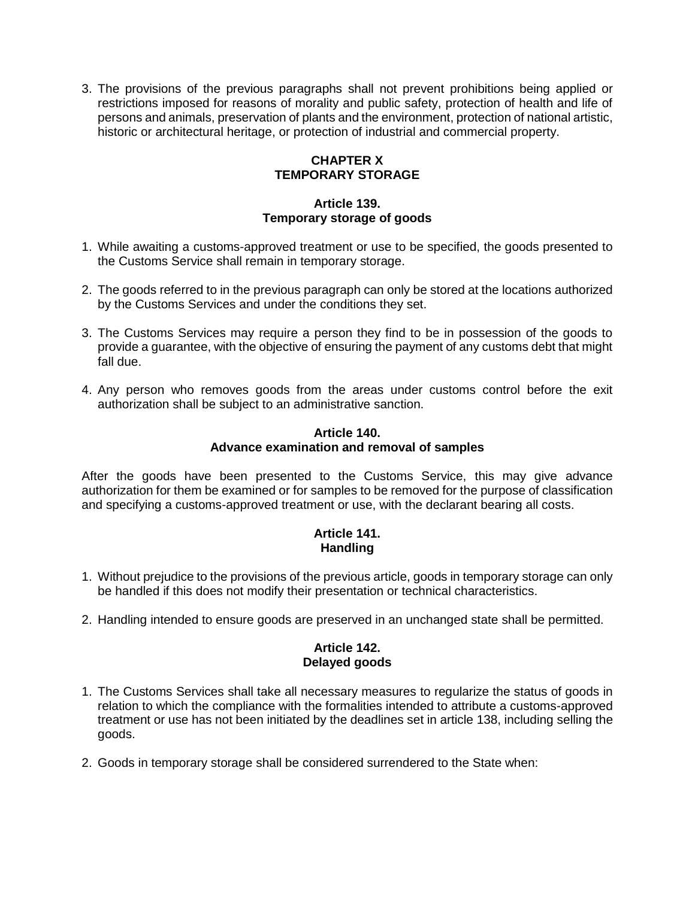3. The provisions of the previous paragraphs shall not prevent prohibitions being applied or restrictions imposed for reasons of morality and public safety, protection of health and life of persons and animals, preservation of plants and the environment, protection of national artistic, historic or architectural heritage, or protection of industrial and commercial property.

# **CHAPTER X TEMPORARY STORAGE**

# **Article 139. Temporary storage of goods**

- 1. While awaiting a customs-approved treatment or use to be specified, the goods presented to the Customs Service shall remain in temporary storage.
- 2. The goods referred to in the previous paragraph can only be stored at the locations authorized by the Customs Services and under the conditions they set.
- 3. The Customs Services may require a person they find to be in possession of the goods to provide a guarantee, with the objective of ensuring the payment of any customs debt that might fall due.
- 4. Any person who removes goods from the areas under customs control before the exit authorization shall be subject to an administrative sanction.

#### **Article 140. Advance examination and removal of samples**

After the goods have been presented to the Customs Service, this may give advance authorization for them be examined or for samples to be removed for the purpose of classification and specifying a customs-approved treatment or use, with the declarant bearing all costs.

# **Article 141. Handling**

- 1. Without prejudice to the provisions of the previous article, goods in temporary storage can only be handled if this does not modify their presentation or technical characteristics.
- 2. Handling intended to ensure goods are preserved in an unchanged state shall be permitted.

## **Article 142. Delayed goods**

- 1. The Customs Services shall take all necessary measures to regularize the status of goods in relation to which the compliance with the formalities intended to attribute a customs-approved treatment or use has not been initiated by the deadlines set in article 138, including selling the goods.
- 2. Goods in temporary storage shall be considered surrendered to the State when: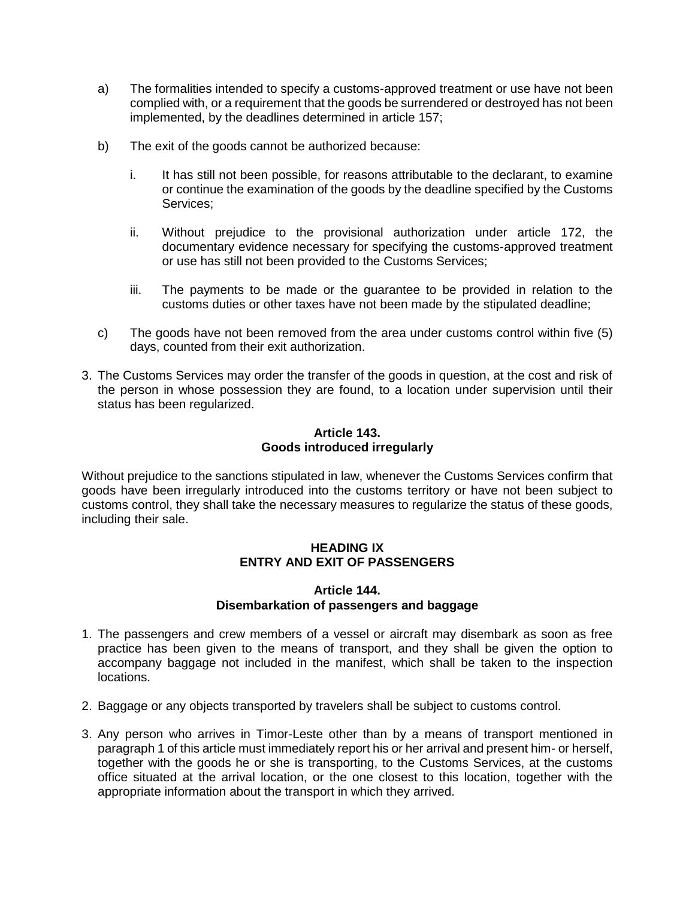- a) The formalities intended to specify a customs-approved treatment or use have not been complied with, or a requirement that the goods be surrendered or destroyed has not been implemented, by the deadlines determined in article 157;
- b) The exit of the goods cannot be authorized because:
	- i. It has still not been possible, for reasons attributable to the declarant, to examine or continue the examination of the goods by the deadline specified by the Customs Services;
	- ii. Without prejudice to the provisional authorization under article 172, the documentary evidence necessary for specifying the customs-approved treatment or use has still not been provided to the Customs Services;
	- iii. The payments to be made or the guarantee to be provided in relation to the customs duties or other taxes have not been made by the stipulated deadline;
- c) The goods have not been removed from the area under customs control within five (5) days, counted from their exit authorization.
- 3. The Customs Services may order the transfer of the goods in question, at the cost and risk of the person in whose possession they are found, to a location under supervision until their status has been regularized.

## **Article 143. Goods introduced irregularly**

Without prejudice to the sanctions stipulated in law, whenever the Customs Services confirm that goods have been irregularly introduced into the customs territory or have not been subject to customs control, they shall take the necessary measures to regularize the status of these goods, including their sale.

## **HEADING IX ENTRY AND EXIT OF PASSENGERS**

#### **Article 144. Disembarkation of passengers and baggage**

- 1. The passengers and crew members of a vessel or aircraft may disembark as soon as free practice has been given to the means of transport, and they shall be given the option to accompany baggage not included in the manifest, which shall be taken to the inspection locations.
- 2. Baggage or any objects transported by travelers shall be subject to customs control.
- 3. Any person who arrives in Timor-Leste other than by a means of transport mentioned in paragraph 1 of this article must immediately report his or her arrival and present him- or herself, together with the goods he or she is transporting, to the Customs Services, at the customs office situated at the arrival location, or the one closest to this location, together with the appropriate information about the transport in which they arrived.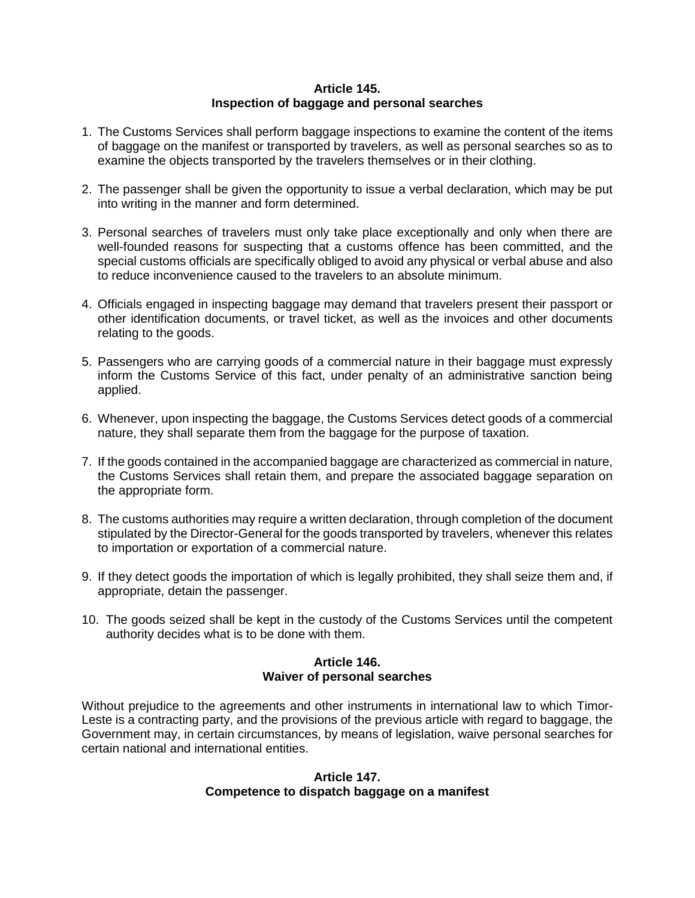## **Article 145. Inspection of baggage and personal searches**

- 1. The Customs Services shall perform baggage inspections to examine the content of the items of baggage on the manifest or transported by travelers, as well as personal searches so as to examine the objects transported by the travelers themselves or in their clothing.
- 2. The passenger shall be given the opportunity to issue a verbal declaration, which may be put into writing in the manner and form determined.
- 3. Personal searches of travelers must only take place exceptionally and only when there are well-founded reasons for suspecting that a customs offence has been committed, and the special customs officials are specifically obliged to avoid any physical or verbal abuse and also to reduce inconvenience caused to the travelers to an absolute minimum.
- 4. Officials engaged in inspecting baggage may demand that travelers present their passport or other identification documents, or travel ticket, as well as the invoices and other documents relating to the goods.
- 5. Passengers who are carrying goods of a commercial nature in their baggage must expressly inform the Customs Service of this fact, under penalty of an administrative sanction being applied.
- 6. Whenever, upon inspecting the baggage, the Customs Services detect goods of a commercial nature, they shall separate them from the baggage for the purpose of taxation.
- 7. If the goods contained in the accompanied baggage are characterized as commercial in nature, the Customs Services shall retain them, and prepare the associated baggage separation on the appropriate form.
- 8. The customs authorities may require a written declaration, through completion of the document stipulated by the Director-General for the goods transported by travelers, whenever this relates to importation or exportation of a commercial nature.
- 9. If they detect goods the importation of which is legally prohibited, they shall seize them and, if appropriate, detain the passenger.
- 10. The goods seized shall be kept in the custody of the Customs Services until the competent authority decides what is to be done with them.

#### **Article 146. Waiver of personal searches**

Without prejudice to the agreements and other instruments in international law to which Timor-Leste is a contracting party, and the provisions of the previous article with regard to baggage, the Government may, in certain circumstances, by means of legislation, waive personal searches for certain national and international entities.

## **Article 147. Competence to dispatch baggage on a manifest**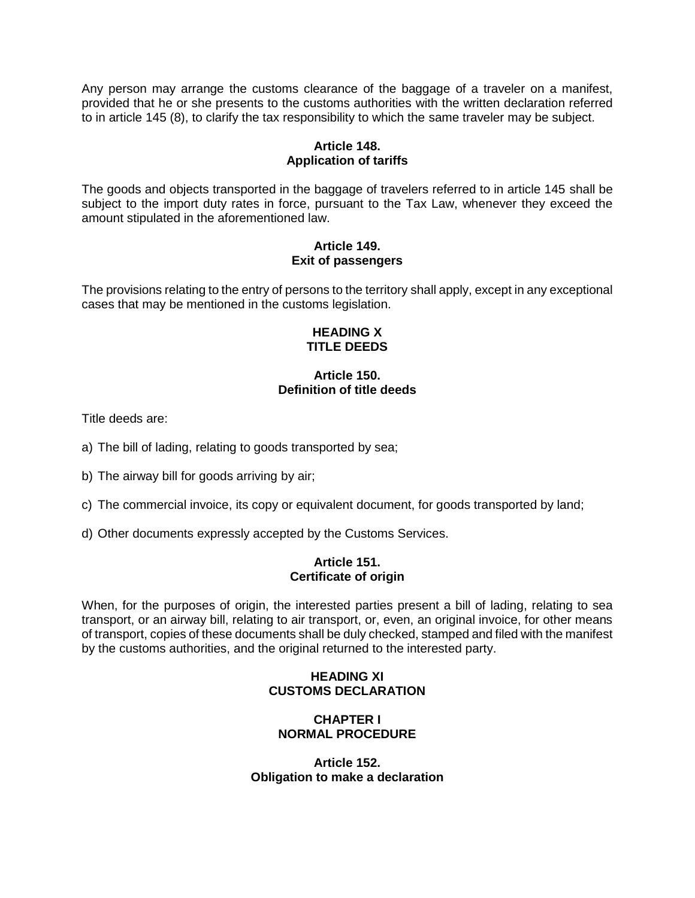Any person may arrange the customs clearance of the baggage of a traveler on a manifest, provided that he or she presents to the customs authorities with the written declaration referred to in article 145 (8), to clarify the tax responsibility to which the same traveler may be subject.

# **Article 148. Application of tariffs**

The goods and objects transported in the baggage of travelers referred to in article 145 shall be subject to the import duty rates in force, pursuant to the Tax Law, whenever they exceed the amount stipulated in the aforementioned law.

## **Article 149. Exit of passengers**

The provisions relating to the entry of persons to the territory shall apply, except in any exceptional cases that may be mentioned in the customs legislation.

#### **HEADING X TITLE DEEDS**

# **Article 150. Definition of title deeds**

Title deeds are:

a) The bill of lading, relating to goods transported by sea;

b) The airway bill for goods arriving by air;

- c) The commercial invoice, its copy or equivalent document, for goods transported by land;
- d) Other documents expressly accepted by the Customs Services.

## **Article 151. Certificate of origin**

When, for the purposes of origin, the interested parties present a bill of lading, relating to sea transport, or an airway bill, relating to air transport, or, even, an original invoice, for other means of transport, copies of these documents shall be duly checked, stamped and filed with the manifest by the customs authorities, and the original returned to the interested party.

# **HEADING XI CUSTOMS DECLARATION**

## **CHAPTER I NORMAL PROCEDURE**

**Article 152. Obligation to make a declaration**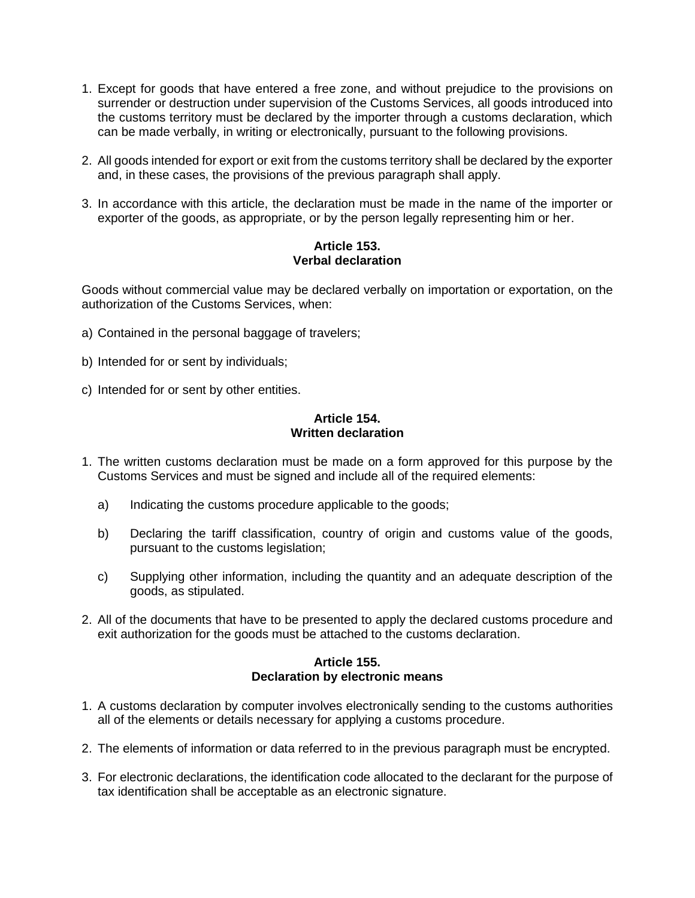- 1. Except for goods that have entered a free zone, and without prejudice to the provisions on surrender or destruction under supervision of the Customs Services, all goods introduced into the customs territory must be declared by the importer through a customs declaration, which can be made verbally, in writing or electronically, pursuant to the following provisions.
- 2. All goods intended for export or exit from the customs territory shall be declared by the exporter and, in these cases, the provisions of the previous paragraph shall apply.
- 3. In accordance with this article, the declaration must be made in the name of the importer or exporter of the goods, as appropriate, or by the person legally representing him or her.

## **Article 153. Verbal declaration**

Goods without commercial value may be declared verbally on importation or exportation, on the authorization of the Customs Services, when:

- a) Contained in the personal baggage of travelers;
- b) Intended for or sent by individuals;
- c) Intended for or sent by other entities.

## **Article 154. Written declaration**

- 1. The written customs declaration must be made on a form approved for this purpose by the Customs Services and must be signed and include all of the required elements:
	- a) Indicating the customs procedure applicable to the goods;
	- b) Declaring the tariff classification, country of origin and customs value of the goods, pursuant to the customs legislation;
	- c) Supplying other information, including the quantity and an adequate description of the goods, as stipulated.
- 2. All of the documents that have to be presented to apply the declared customs procedure and exit authorization for the goods must be attached to the customs declaration.

#### **Article 155. Declaration by electronic means**

- 1. A customs declaration by computer involves electronically sending to the customs authorities all of the elements or details necessary for applying a customs procedure.
- 2. The elements of information or data referred to in the previous paragraph must be encrypted.
- 3. For electronic declarations, the identification code allocated to the declarant for the purpose of tax identification shall be acceptable as an electronic signature.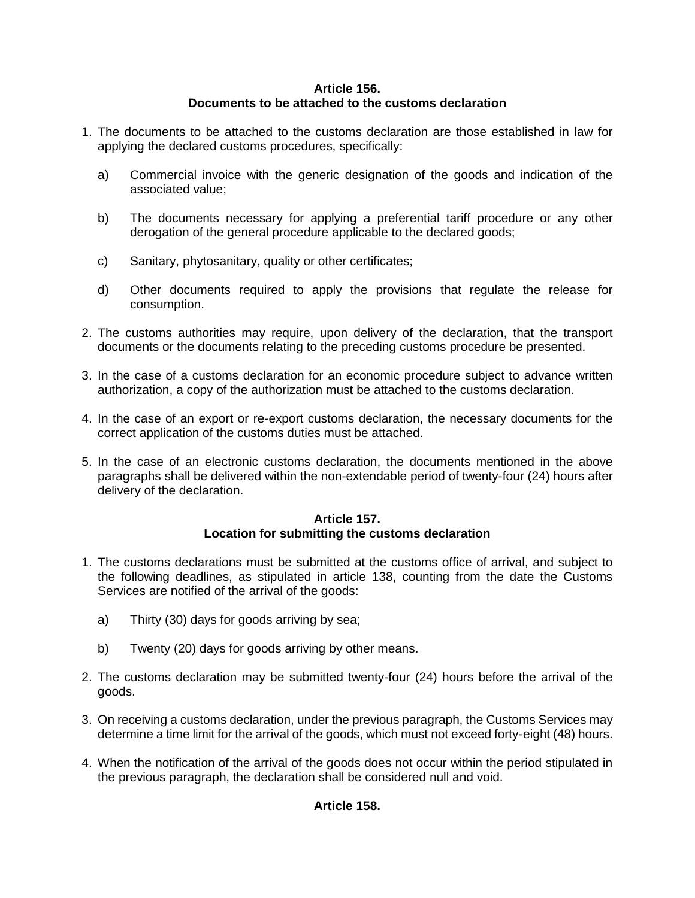# **Article 156. Documents to be attached to the customs declaration**

- 1. The documents to be attached to the customs declaration are those established in law for applying the declared customs procedures, specifically:
	- a) Commercial invoice with the generic designation of the goods and indication of the associated value;
	- b) The documents necessary for applying a preferential tariff procedure or any other derogation of the general procedure applicable to the declared goods;
	- c) Sanitary, phytosanitary, quality or other certificates;
	- d) Other documents required to apply the provisions that regulate the release for consumption.
- 2. The customs authorities may require, upon delivery of the declaration, that the transport documents or the documents relating to the preceding customs procedure be presented.
- 3. In the case of a customs declaration for an economic procedure subject to advance written authorization, a copy of the authorization must be attached to the customs declaration.
- 4. In the case of an export or re-export customs declaration, the necessary documents for the correct application of the customs duties must be attached.
- 5. In the case of an electronic customs declaration, the documents mentioned in the above paragraphs shall be delivered within the non-extendable period of twenty-four (24) hours after delivery of the declaration.

#### **Article 157. Location for submitting the customs declaration**

- 1. The customs declarations must be submitted at the customs office of arrival, and subject to the following deadlines, as stipulated in article 138, counting from the date the Customs Services are notified of the arrival of the goods:
	- a) Thirty (30) days for goods arriving by sea;
	- b) Twenty (20) days for goods arriving by other means.
- 2. The customs declaration may be submitted twenty-four (24) hours before the arrival of the goods.
- 3. On receiving a customs declaration, under the previous paragraph, the Customs Services may determine a time limit for the arrival of the goods, which must not exceed forty-eight (48) hours.
- 4. When the notification of the arrival of the goods does not occur within the period stipulated in the previous paragraph, the declaration shall be considered null and void.

# **Article 158.**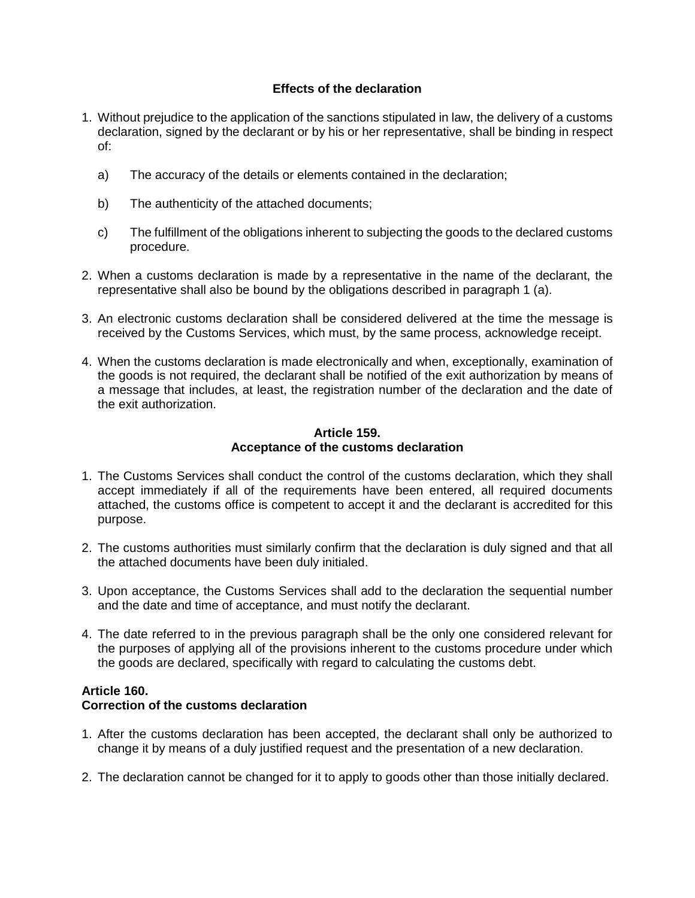# **Effects of the declaration**

- 1. Without prejudice to the application of the sanctions stipulated in law, the delivery of a customs declaration, signed by the declarant or by his or her representative, shall be binding in respect of:
	- a) The accuracy of the details or elements contained in the declaration;
	- b) The authenticity of the attached documents;
	- c) The fulfillment of the obligations inherent to subjecting the goods to the declared customs procedure.
- 2. When a customs declaration is made by a representative in the name of the declarant, the representative shall also be bound by the obligations described in paragraph 1 (a).
- 3. An electronic customs declaration shall be considered delivered at the time the message is received by the Customs Services, which must, by the same process, acknowledge receipt.
- 4. When the customs declaration is made electronically and when, exceptionally, examination of the goods is not required, the declarant shall be notified of the exit authorization by means of a message that includes, at least, the registration number of the declaration and the date of the exit authorization.

## **Article 159. Acceptance of the customs declaration**

- 1. The Customs Services shall conduct the control of the customs declaration, which they shall accept immediately if all of the requirements have been entered, all required documents attached, the customs office is competent to accept it and the declarant is accredited for this purpose.
- 2. The customs authorities must similarly confirm that the declaration is duly signed and that all the attached documents have been duly initialed.
- 3. Upon acceptance, the Customs Services shall add to the declaration the sequential number and the date and time of acceptance, and must notify the declarant.
- 4. The date referred to in the previous paragraph shall be the only one considered relevant for the purposes of applying all of the provisions inherent to the customs procedure under which the goods are declared, specifically with regard to calculating the customs debt.

# **Article 160.**

# **Correction of the customs declaration**

- 1. After the customs declaration has been accepted, the declarant shall only be authorized to change it by means of a duly justified request and the presentation of a new declaration.
- 2. The declaration cannot be changed for it to apply to goods other than those initially declared.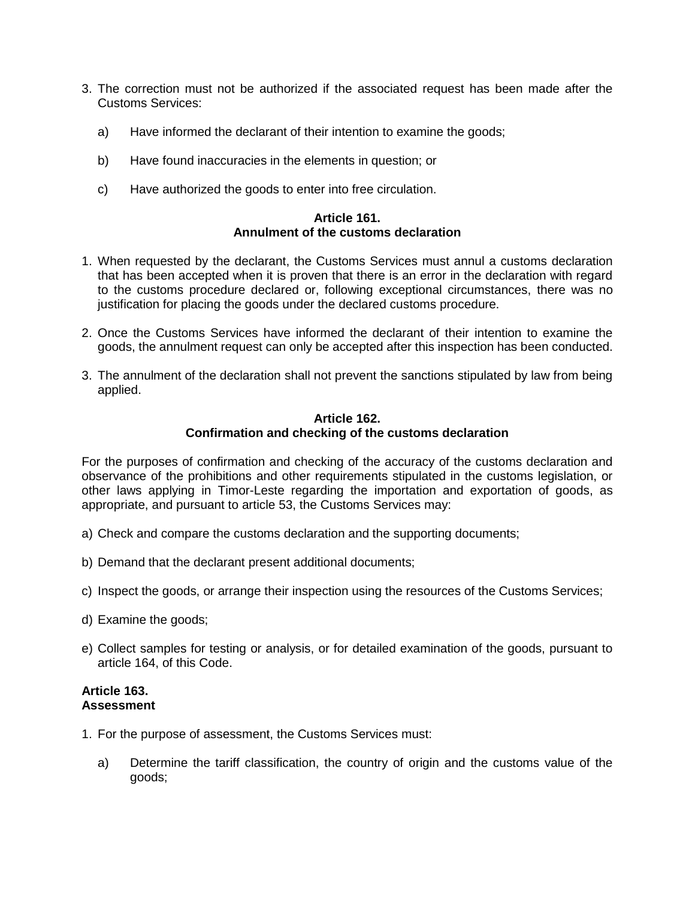- 3. The correction must not be authorized if the associated request has been made after the Customs Services:
	- a) Have informed the declarant of their intention to examine the goods;
	- b) Have found inaccuracies in the elements in question; or
	- c) Have authorized the goods to enter into free circulation.

#### **Article 161. Annulment of the customs declaration**

- 1. When requested by the declarant, the Customs Services must annul a customs declaration that has been accepted when it is proven that there is an error in the declaration with regard to the customs procedure declared or, following exceptional circumstances, there was no justification for placing the goods under the declared customs procedure.
- 2. Once the Customs Services have informed the declarant of their intention to examine the goods, the annulment request can only be accepted after this inspection has been conducted.
- 3. The annulment of the declaration shall not prevent the sanctions stipulated by law from being applied.

## **Article 162. Confirmation and checking of the customs declaration**

For the purposes of confirmation and checking of the accuracy of the customs declaration and observance of the prohibitions and other requirements stipulated in the customs legislation, or other laws applying in Timor-Leste regarding the importation and exportation of goods, as appropriate, and pursuant to article 53, the Customs Services may:

- a) Check and compare the customs declaration and the supporting documents;
- b) Demand that the declarant present additional documents;
- c) Inspect the goods, or arrange their inspection using the resources of the Customs Services;
- d) Examine the goods;
- e) Collect samples for testing or analysis, or for detailed examination of the goods, pursuant to article 164, of this Code.

#### **Article 163. Assessment**

- 1. For the purpose of assessment, the Customs Services must:
	- a) Determine the tariff classification, the country of origin and the customs value of the goods;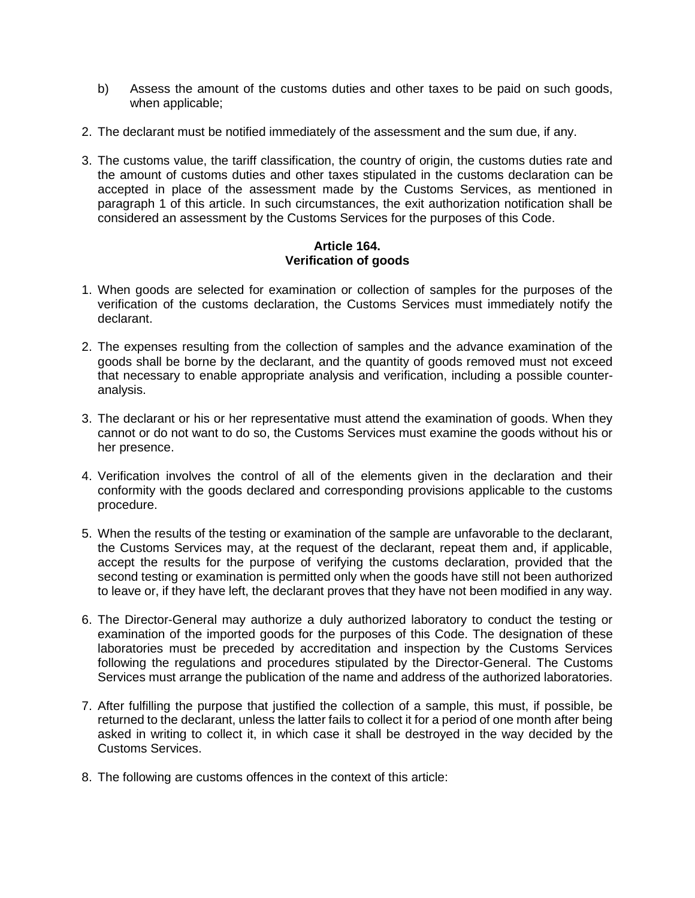- b) Assess the amount of the customs duties and other taxes to be paid on such goods, when applicable;
- 2. The declarant must be notified immediately of the assessment and the sum due, if any.
- 3. The customs value, the tariff classification, the country of origin, the customs duties rate and the amount of customs duties and other taxes stipulated in the customs declaration can be accepted in place of the assessment made by the Customs Services, as mentioned in paragraph 1 of this article. In such circumstances, the exit authorization notification shall be considered an assessment by the Customs Services for the purposes of this Code.

#### **Article 164. Verification of goods**

- 1. When goods are selected for examination or collection of samples for the purposes of the verification of the customs declaration, the Customs Services must immediately notify the declarant.
- 2. The expenses resulting from the collection of samples and the advance examination of the goods shall be borne by the declarant, and the quantity of goods removed must not exceed that necessary to enable appropriate analysis and verification, including a possible counteranalysis.
- 3. The declarant or his or her representative must attend the examination of goods. When they cannot or do not want to do so, the Customs Services must examine the goods without his or her presence.
- 4. Verification involves the control of all of the elements given in the declaration and their conformity with the goods declared and corresponding provisions applicable to the customs procedure.
- 5. When the results of the testing or examination of the sample are unfavorable to the declarant, the Customs Services may, at the request of the declarant, repeat them and, if applicable, accept the results for the purpose of verifying the customs declaration, provided that the second testing or examination is permitted only when the goods have still not been authorized to leave or, if they have left, the declarant proves that they have not been modified in any way.
- 6. The Director-General may authorize a duly authorized laboratory to conduct the testing or examination of the imported goods for the purposes of this Code. The designation of these laboratories must be preceded by accreditation and inspection by the Customs Services following the regulations and procedures stipulated by the Director-General. The Customs Services must arrange the publication of the name and address of the authorized laboratories.
- 7. After fulfilling the purpose that justified the collection of a sample, this must, if possible, be returned to the declarant, unless the latter fails to collect it for a period of one month after being asked in writing to collect it, in which case it shall be destroyed in the way decided by the Customs Services.
- 8. The following are customs offences in the context of this article: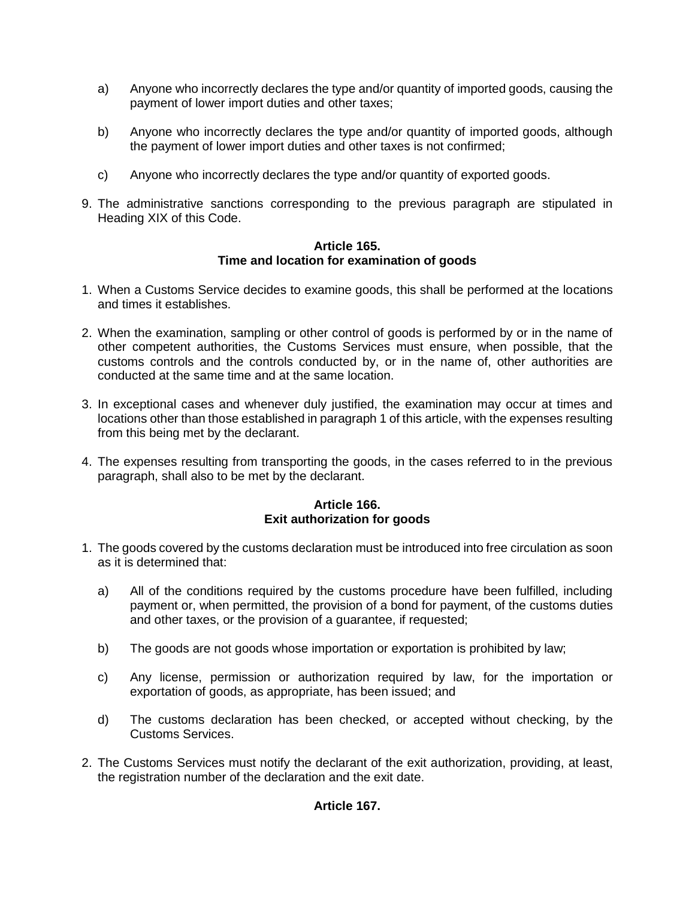- a) Anyone who incorrectly declares the type and/or quantity of imported goods, causing the payment of lower import duties and other taxes;
- b) Anyone who incorrectly declares the type and/or quantity of imported goods, although the payment of lower import duties and other taxes is not confirmed;
- c) Anyone who incorrectly declares the type and/or quantity of exported goods.
- 9. The administrative sanctions corresponding to the previous paragraph are stipulated in Heading XIX of this Code.

## **Article 165. Time and location for examination of goods**

- 1. When a Customs Service decides to examine goods, this shall be performed at the locations and times it establishes.
- 2. When the examination, sampling or other control of goods is performed by or in the name of other competent authorities, the Customs Services must ensure, when possible, that the customs controls and the controls conducted by, or in the name of, other authorities are conducted at the same time and at the same location.
- 3. In exceptional cases and whenever duly justified, the examination may occur at times and locations other than those established in paragraph 1 of this article, with the expenses resulting from this being met by the declarant.
- 4. The expenses resulting from transporting the goods, in the cases referred to in the previous paragraph, shall also to be met by the declarant.

# **Article 166. Exit authorization for goods**

- 1. The goods covered by the customs declaration must be introduced into free circulation as soon as it is determined that:
	- a) All of the conditions required by the customs procedure have been fulfilled, including payment or, when permitted, the provision of a bond for payment, of the customs duties and other taxes, or the provision of a guarantee, if requested;
	- b) The goods are not goods whose importation or exportation is prohibited by law;
	- c) Any license, permission or authorization required by law, for the importation or exportation of goods, as appropriate, has been issued; and
	- d) The customs declaration has been checked, or accepted without checking, by the Customs Services.
- 2. The Customs Services must notify the declarant of the exit authorization, providing, at least, the registration number of the declaration and the exit date.

# **Article 167.**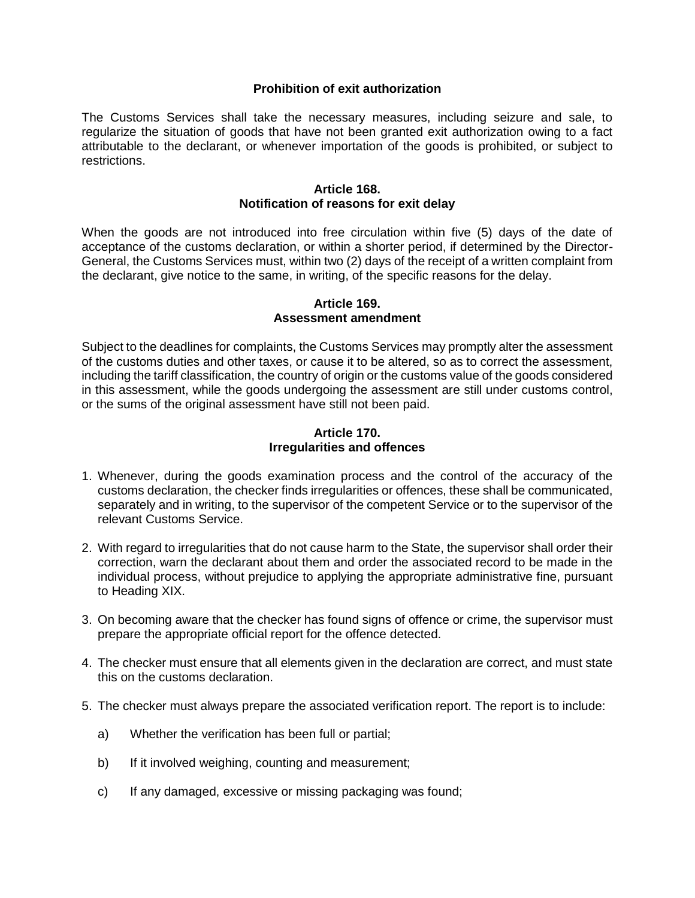## **Prohibition of exit authorization**

The Customs Services shall take the necessary measures, including seizure and sale, to regularize the situation of goods that have not been granted exit authorization owing to a fact attributable to the declarant, or whenever importation of the goods is prohibited, or subject to restrictions.

#### **Article 168. Notification of reasons for exit delay**

When the goods are not introduced into free circulation within five (5) days of the date of acceptance of the customs declaration, or within a shorter period, if determined by the Director-General, the Customs Services must, within two (2) days of the receipt of a written complaint from the declarant, give notice to the same, in writing, of the specific reasons for the delay.

#### **Article 169. Assessment amendment**

Subject to the deadlines for complaints, the Customs Services may promptly alter the assessment of the customs duties and other taxes, or cause it to be altered, so as to correct the assessment, including the tariff classification, the country of origin or the customs value of the goods considered in this assessment, while the goods undergoing the assessment are still under customs control, or the sums of the original assessment have still not been paid.

#### **Article 170. Irregularities and offences**

- 1. Whenever, during the goods examination process and the control of the accuracy of the customs declaration, the checker finds irregularities or offences, these shall be communicated, separately and in writing, to the supervisor of the competent Service or to the supervisor of the relevant Customs Service.
- 2. With regard to irregularities that do not cause harm to the State, the supervisor shall order their correction, warn the declarant about them and order the associated record to be made in the individual process, without prejudice to applying the appropriate administrative fine, pursuant to Heading XIX.
- 3. On becoming aware that the checker has found signs of offence or crime, the supervisor must prepare the appropriate official report for the offence detected.
- 4. The checker must ensure that all elements given in the declaration are correct, and must state this on the customs declaration.
- 5. The checker must always prepare the associated verification report. The report is to include:
	- a) Whether the verification has been full or partial;
	- b) If it involved weighing, counting and measurement;
	- c) If any damaged, excessive or missing packaging was found;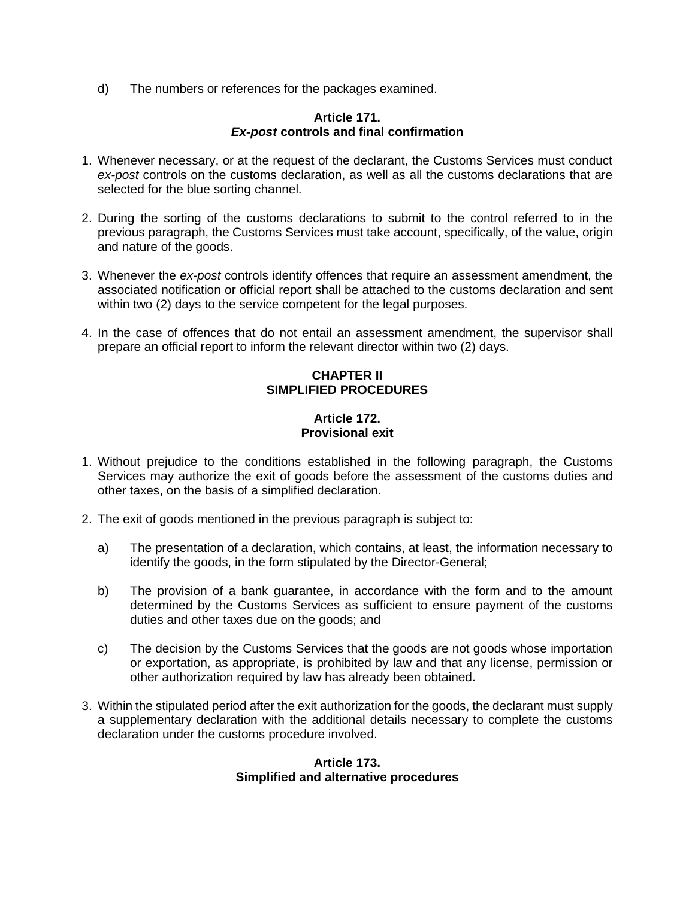d) The numbers or references for the packages examined.

#### **Article 171.** *Ex-post* **controls and final confirmation**

- 1. Whenever necessary, or at the request of the declarant, the Customs Services must conduct *ex-post* controls on the customs declaration, as well as all the customs declarations that are selected for the blue sorting channel.
- 2. During the sorting of the customs declarations to submit to the control referred to in the previous paragraph, the Customs Services must take account, specifically, of the value, origin and nature of the goods.
- 3. Whenever the *ex-post* controls identify offences that require an assessment amendment, the associated notification or official report shall be attached to the customs declaration and sent within two (2) days to the service competent for the legal purposes.
- 4. In the case of offences that do not entail an assessment amendment, the supervisor shall prepare an official report to inform the relevant director within two (2) days.

# **CHAPTER II SIMPLIFIED PROCEDURES**

# **Article 172. Provisional exit**

- 1. Without prejudice to the conditions established in the following paragraph, the Customs Services may authorize the exit of goods before the assessment of the customs duties and other taxes, on the basis of a simplified declaration.
- 2. The exit of goods mentioned in the previous paragraph is subject to:
	- a) The presentation of a declaration, which contains, at least, the information necessary to identify the goods, in the form stipulated by the Director-General;
	- b) The provision of a bank guarantee, in accordance with the form and to the amount determined by the Customs Services as sufficient to ensure payment of the customs duties and other taxes due on the goods; and
	- c) The decision by the Customs Services that the goods are not goods whose importation or exportation, as appropriate, is prohibited by law and that any license, permission or other authorization required by law has already been obtained.
- 3. Within the stipulated period after the exit authorization for the goods, the declarant must supply a supplementary declaration with the additional details necessary to complete the customs declaration under the customs procedure involved.

#### **Article 173. Simplified and alternative procedures**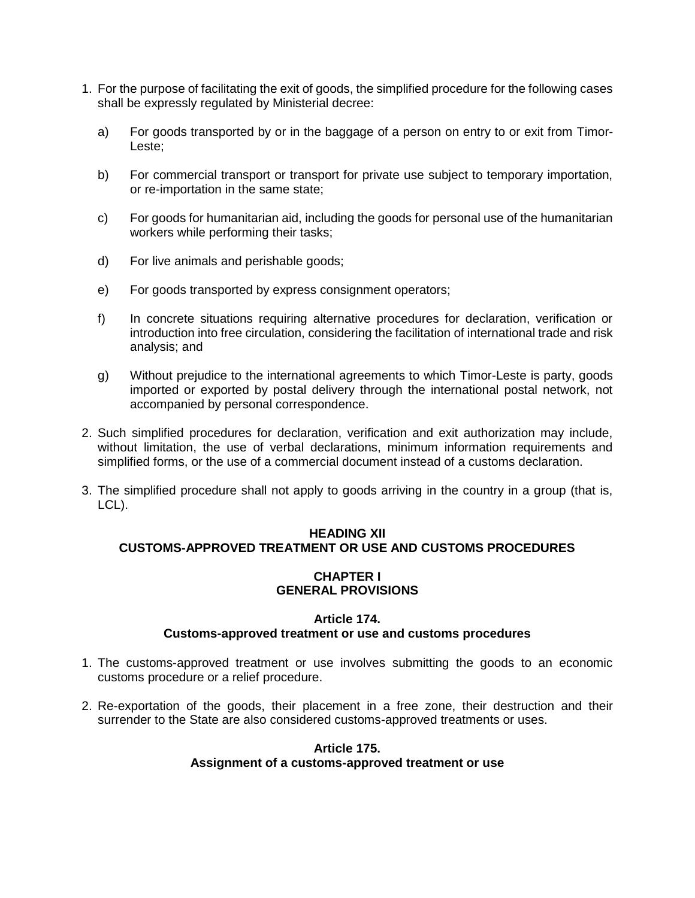- 1. For the purpose of facilitating the exit of goods, the simplified procedure for the following cases shall be expressly regulated by Ministerial decree:
	- a) For goods transported by or in the baggage of a person on entry to or exit from Timor-Leste;
	- b) For commercial transport or transport for private use subject to temporary importation, or re-importation in the same state;
	- c) For goods for humanitarian aid, including the goods for personal use of the humanitarian workers while performing their tasks;
	- d) For live animals and perishable goods;
	- e) For goods transported by express consignment operators;
	- f) In concrete situations requiring alternative procedures for declaration, verification or introduction into free circulation, considering the facilitation of international trade and risk analysis; and
	- g) Without prejudice to the international agreements to which Timor-Leste is party, goods imported or exported by postal delivery through the international postal network, not accompanied by personal correspondence.
- 2. Such simplified procedures for declaration, verification and exit authorization may include, without limitation, the use of verbal declarations, minimum information requirements and simplified forms, or the use of a commercial document instead of a customs declaration.
- 3. The simplified procedure shall not apply to goods arriving in the country in a group (that is, LCL).

# **HEADING XII CUSTOMS-APPROVED TREATMENT OR USE AND CUSTOMS PROCEDURES**

## **CHAPTER I GENERAL PROVISIONS**

#### **Article 174. Customs-approved treatment or use and customs procedures**

- 1. The customs-approved treatment or use involves submitting the goods to an economic customs procedure or a relief procedure.
- 2. Re-exportation of the goods, their placement in a free zone, their destruction and their surrender to the State are also considered customs-approved treatments or uses.

#### **Article 175. Assignment of a customs-approved treatment or use**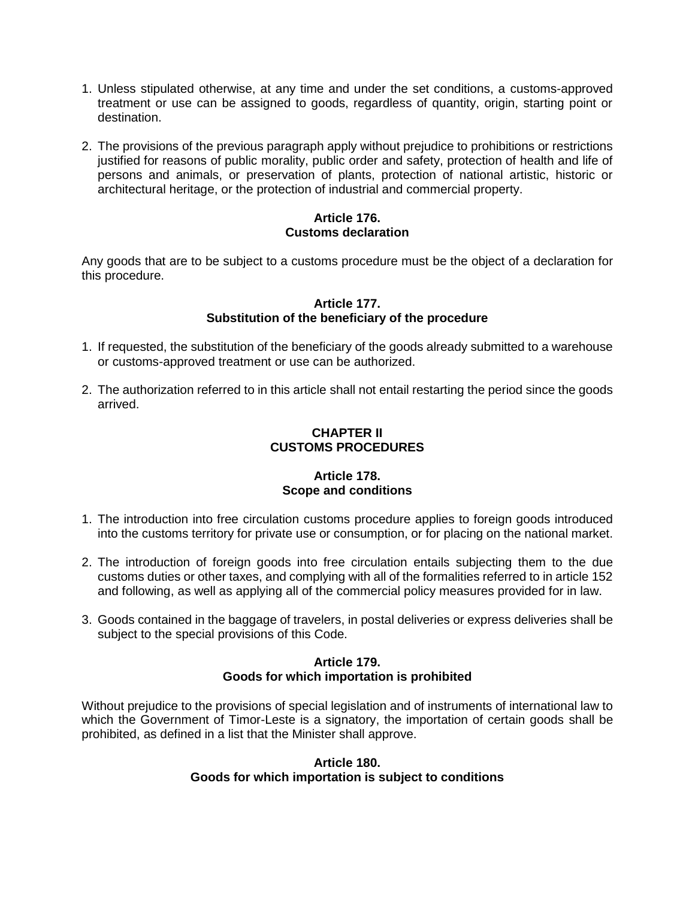- 1. Unless stipulated otherwise, at any time and under the set conditions, a customs-approved treatment or use can be assigned to goods, regardless of quantity, origin, starting point or destination.
- 2. The provisions of the previous paragraph apply without prejudice to prohibitions or restrictions justified for reasons of public morality, public order and safety, protection of health and life of persons and animals, or preservation of plants, protection of national artistic, historic or architectural heritage, or the protection of industrial and commercial property.

## **Article 176. Customs declaration**

Any goods that are to be subject to a customs procedure must be the object of a declaration for this procedure.

#### **Article 177. Substitution of the beneficiary of the procedure**

- 1. If requested, the substitution of the beneficiary of the goods already submitted to a warehouse or customs-approved treatment or use can be authorized.
- 2. The authorization referred to in this article shall not entail restarting the period since the goods arrived.

# **CHAPTER II CUSTOMS PROCEDURES**

## **Article 178. Scope and conditions**

- 1. The introduction into free circulation customs procedure applies to foreign goods introduced into the customs territory for private use or consumption, or for placing on the national market.
- 2. The introduction of foreign goods into free circulation entails subjecting them to the due customs duties or other taxes, and complying with all of the formalities referred to in article 152 and following, as well as applying all of the commercial policy measures provided for in law.
- 3. Goods contained in the baggage of travelers, in postal deliveries or express deliveries shall be subject to the special provisions of this Code.

#### **Article 179. Goods for which importation is prohibited**

Without prejudice to the provisions of special legislation and of instruments of international law to which the Government of Timor-Leste is a signatory, the importation of certain goods shall be prohibited, as defined in a list that the Minister shall approve.

## **Article 180. Goods for which importation is subject to conditions**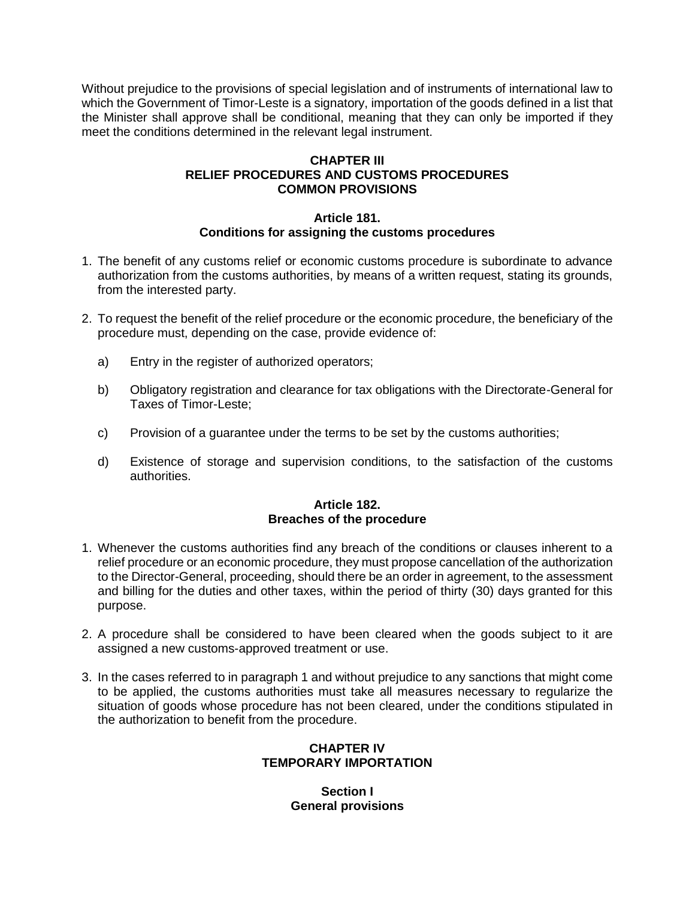Without prejudice to the provisions of special legislation and of instruments of international law to which the Government of Timor-Leste is a signatory, importation of the goods defined in a list that the Minister shall approve shall be conditional, meaning that they can only be imported if they meet the conditions determined in the relevant legal instrument.

# **CHAPTER III RELIEF PROCEDURES AND CUSTOMS PROCEDURES COMMON PROVISIONS**

#### **Article 181. Conditions for assigning the customs procedures**

- 1. The benefit of any customs relief or economic customs procedure is subordinate to advance authorization from the customs authorities, by means of a written request, stating its grounds, from the interested party.
- 2. To request the benefit of the relief procedure or the economic procedure, the beneficiary of the procedure must, depending on the case, provide evidence of:
	- a) Entry in the register of authorized operators;
	- b) Obligatory registration and clearance for tax obligations with the Directorate-General for Taxes of Timor-Leste;
	- c) Provision of a guarantee under the terms to be set by the customs authorities;
	- d) Existence of storage and supervision conditions, to the satisfaction of the customs authorities.

# **Article 182. Breaches of the procedure**

- 1. Whenever the customs authorities find any breach of the conditions or clauses inherent to a relief procedure or an economic procedure, they must propose cancellation of the authorization to the Director-General, proceeding, should there be an order in agreement, to the assessment and billing for the duties and other taxes, within the period of thirty (30) days granted for this purpose.
- 2. A procedure shall be considered to have been cleared when the goods subject to it are assigned a new customs-approved treatment or use.
- 3. In the cases referred to in paragraph 1 and without prejudice to any sanctions that might come to be applied, the customs authorities must take all measures necessary to regularize the situation of goods whose procedure has not been cleared, under the conditions stipulated in the authorization to benefit from the procedure.

# **CHAPTER IV TEMPORARY IMPORTATION**

**Section I General provisions**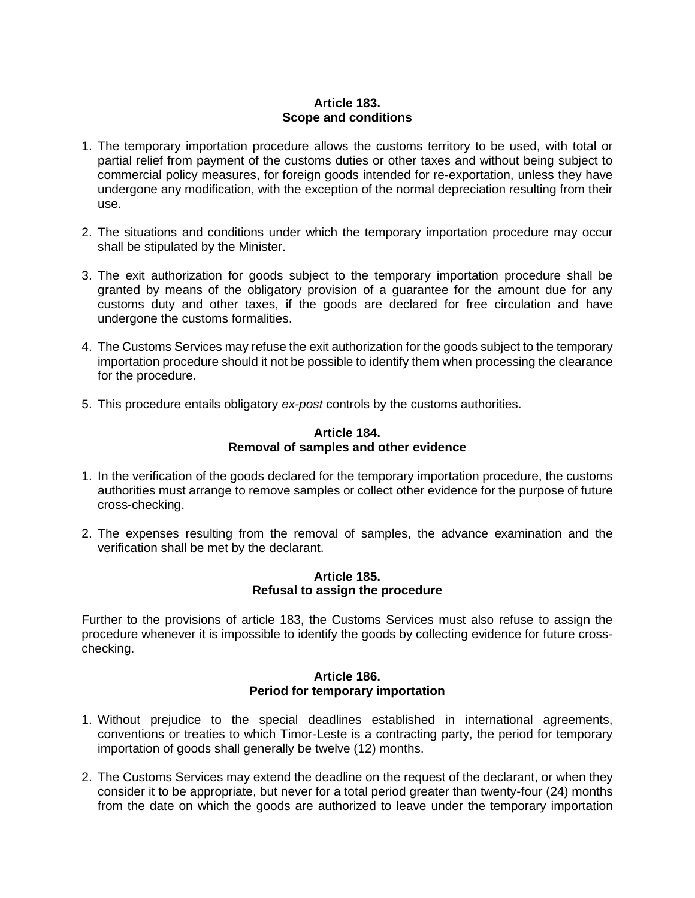# **Article 183. Scope and conditions**

- 1. The temporary importation procedure allows the customs territory to be used, with total or partial relief from payment of the customs duties or other taxes and without being subject to commercial policy measures, for foreign goods intended for re-exportation, unless they have undergone any modification, with the exception of the normal depreciation resulting from their use.
- 2. The situations and conditions under which the temporary importation procedure may occur shall be stipulated by the Minister.
- 3. The exit authorization for goods subject to the temporary importation procedure shall be granted by means of the obligatory provision of a guarantee for the amount due for any customs duty and other taxes, if the goods are declared for free circulation and have undergone the customs formalities.
- 4. The Customs Services may refuse the exit authorization for the goods subject to the temporary importation procedure should it not be possible to identify them when processing the clearance for the procedure.
- 5. This procedure entails obligatory *ex-post* controls by the customs authorities.

### **Article 184. Removal of samples and other evidence**

- 1. In the verification of the goods declared for the temporary importation procedure, the customs authorities must arrange to remove samples or collect other evidence for the purpose of future cross-checking.
- 2. The expenses resulting from the removal of samples, the advance examination and the verification shall be met by the declarant.

### **Article 185. Refusal to assign the procedure**

Further to the provisions of article 183, the Customs Services must also refuse to assign the procedure whenever it is impossible to identify the goods by collecting evidence for future crosschecking.

### **Article 186. Period for temporary importation**

- 1. Without prejudice to the special deadlines established in international agreements, conventions or treaties to which Timor-Leste is a contracting party, the period for temporary importation of goods shall generally be twelve (12) months.
- 2. The Customs Services may extend the deadline on the request of the declarant, or when they consider it to be appropriate, but never for a total period greater than twenty-four (24) months from the date on which the goods are authorized to leave under the temporary importation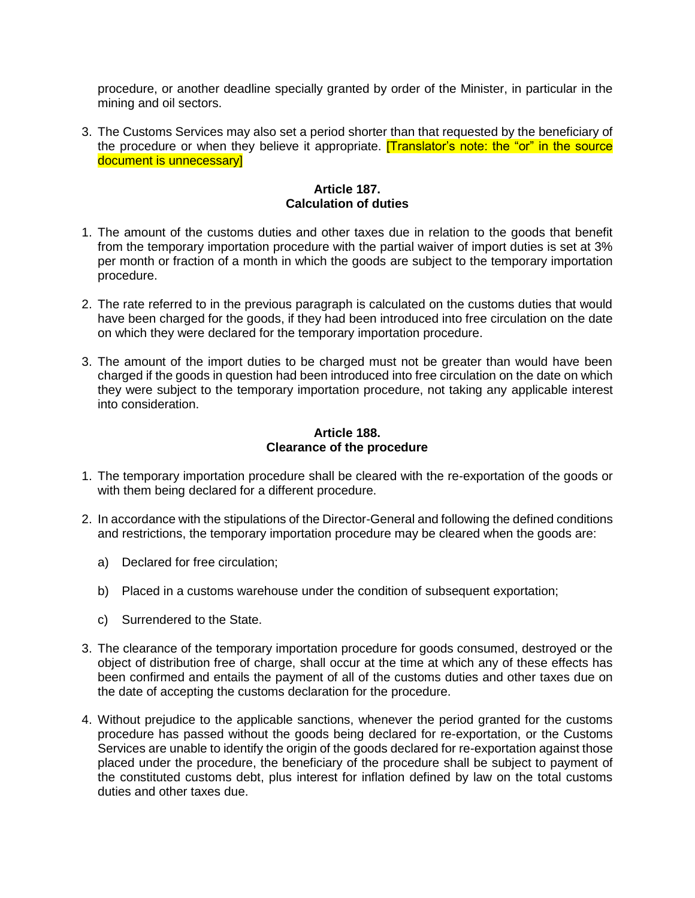procedure, or another deadline specially granted by order of the Minister, in particular in the mining and oil sectors.

3. The Customs Services may also set a period shorter than that requested by the beneficiary of the procedure or when they believe it appropriate. **[Translator's note: the "or" in the source** document is unnecessary]

# **Article 187. Calculation of duties**

- 1. The amount of the customs duties and other taxes due in relation to the goods that benefit from the temporary importation procedure with the partial waiver of import duties is set at 3% per month or fraction of a month in which the goods are subject to the temporary importation procedure.
- 2. The rate referred to in the previous paragraph is calculated on the customs duties that would have been charged for the goods, if they had been introduced into free circulation on the date on which they were declared for the temporary importation procedure.
- 3. The amount of the import duties to be charged must not be greater than would have been charged if the goods in question had been introduced into free circulation on the date on which they were subject to the temporary importation procedure, not taking any applicable interest into consideration.

# **Article 188. Clearance of the procedure**

- 1. The temporary importation procedure shall be cleared with the re-exportation of the goods or with them being declared for a different procedure.
- 2. In accordance with the stipulations of the Director-General and following the defined conditions and restrictions, the temporary importation procedure may be cleared when the goods are:
	- a) Declared for free circulation;
	- b) Placed in a customs warehouse under the condition of subsequent exportation;
	- c) Surrendered to the State.
- 3. The clearance of the temporary importation procedure for goods consumed, destroyed or the object of distribution free of charge, shall occur at the time at which any of these effects has been confirmed and entails the payment of all of the customs duties and other taxes due on the date of accepting the customs declaration for the procedure.
- 4. Without prejudice to the applicable sanctions, whenever the period granted for the customs procedure has passed without the goods being declared for re-exportation, or the Customs Services are unable to identify the origin of the goods declared for re-exportation against those placed under the procedure, the beneficiary of the procedure shall be subject to payment of the constituted customs debt, plus interest for inflation defined by law on the total customs duties and other taxes due.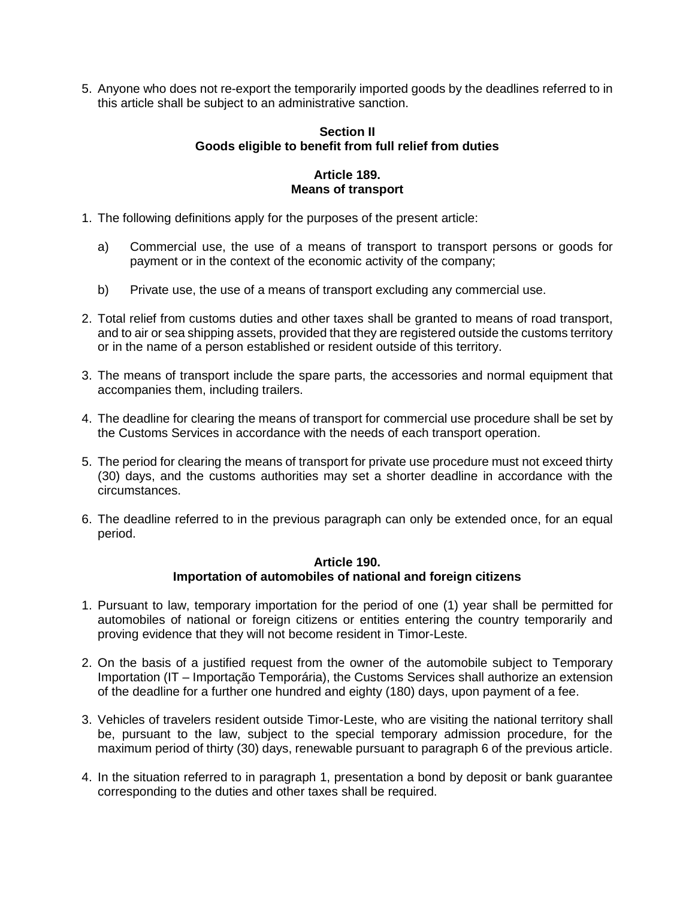5. Anyone who does not re-export the temporarily imported goods by the deadlines referred to in this article shall be subject to an administrative sanction.

#### **Section II Goods eligible to benefit from full relief from duties**

# **Article 189. Means of transport**

- 1. The following definitions apply for the purposes of the present article:
	- a) Commercial use, the use of a means of transport to transport persons or goods for payment or in the context of the economic activity of the company;
	- b) Private use, the use of a means of transport excluding any commercial use.
- 2. Total relief from customs duties and other taxes shall be granted to means of road transport, and to air or sea shipping assets, provided that they are registered outside the customs territory or in the name of a person established or resident outside of this territory.
- 3. The means of transport include the spare parts, the accessories and normal equipment that accompanies them, including trailers.
- 4. The deadline for clearing the means of transport for commercial use procedure shall be set by the Customs Services in accordance with the needs of each transport operation.
- 5. The period for clearing the means of transport for private use procedure must not exceed thirty (30) days, and the customs authorities may set a shorter deadline in accordance with the circumstances.
- 6. The deadline referred to in the previous paragraph can only be extended once, for an equal period.

# **Article 190. Importation of automobiles of national and foreign citizens**

- 1. Pursuant to law, temporary importation for the period of one (1) year shall be permitted for automobiles of national or foreign citizens or entities entering the country temporarily and proving evidence that they will not become resident in Timor-Leste.
- 2. On the basis of a justified request from the owner of the automobile subject to Temporary Importation (IT – Importação Temporária), the Customs Services shall authorize an extension of the deadline for a further one hundred and eighty (180) days, upon payment of a fee.
- 3. Vehicles of travelers resident outside Timor-Leste, who are visiting the national territory shall be, pursuant to the law, subject to the special temporary admission procedure, for the maximum period of thirty (30) days, renewable pursuant to paragraph 6 of the previous article.
- 4. In the situation referred to in paragraph 1, presentation a bond by deposit or bank guarantee corresponding to the duties and other taxes shall be required.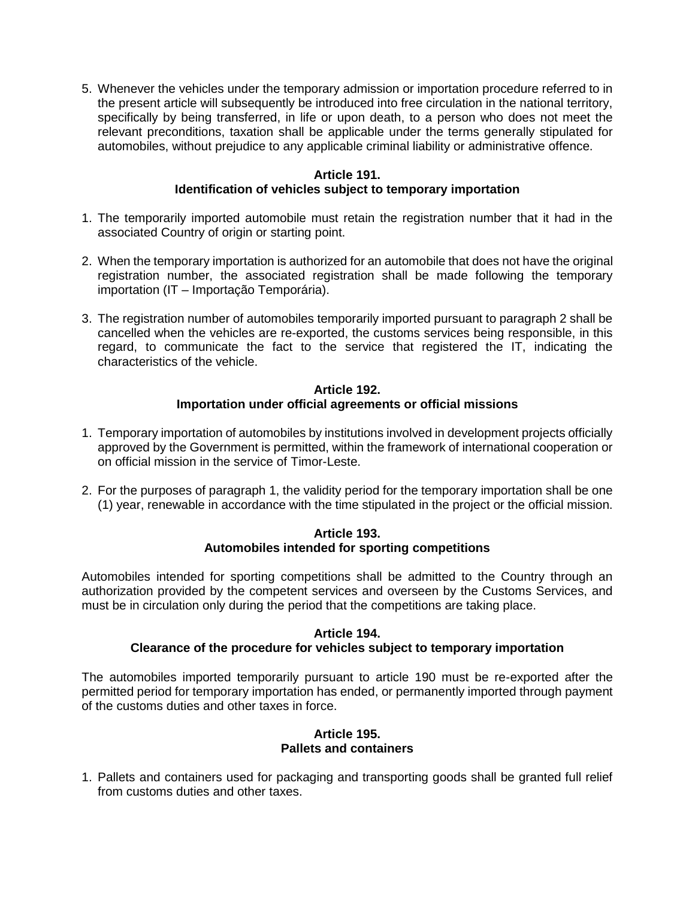5. Whenever the vehicles under the temporary admission or importation procedure referred to in the present article will subsequently be introduced into free circulation in the national territory, specifically by being transferred, in life or upon death, to a person who does not meet the relevant preconditions, taxation shall be applicable under the terms generally stipulated for automobiles, without prejudice to any applicable criminal liability or administrative offence.

# **Article 191.**

# **Identification of vehicles subject to temporary importation**

- 1. The temporarily imported automobile must retain the registration number that it had in the associated Country of origin or starting point.
- 2. When the temporary importation is authorized for an automobile that does not have the original registration number, the associated registration shall be made following the temporary importation (IT – Importação Temporária).
- 3. The registration number of automobiles temporarily imported pursuant to paragraph 2 shall be cancelled when the vehicles are re-exported, the customs services being responsible, in this regard, to communicate the fact to the service that registered the IT, indicating the characteristics of the vehicle.

# **Article 192. Importation under official agreements or official missions**

- 1. Temporary importation of automobiles by institutions involved in development projects officially approved by the Government is permitted, within the framework of international cooperation or on official mission in the service of Timor-Leste.
- 2. For the purposes of paragraph 1, the validity period for the temporary importation shall be one (1) year, renewable in accordance with the time stipulated in the project or the official mission.

# **Article 193. Automobiles intended for sporting competitions**

Automobiles intended for sporting competitions shall be admitted to the Country through an authorization provided by the competent services and overseen by the Customs Services, and must be in circulation only during the period that the competitions are taking place.

### **Article 194. Clearance of the procedure for vehicles subject to temporary importation**

The automobiles imported temporarily pursuant to article 190 must be re-exported after the permitted period for temporary importation has ended, or permanently imported through payment of the customs duties and other taxes in force.

### **Article 195. Pallets and containers**

1. Pallets and containers used for packaging and transporting goods shall be granted full relief from customs duties and other taxes.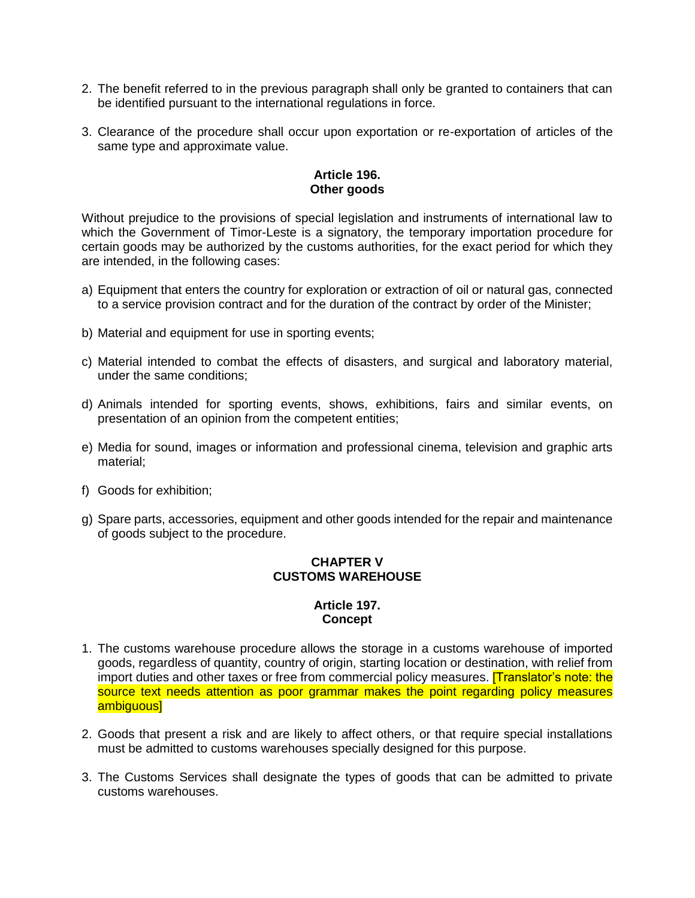- 2. The benefit referred to in the previous paragraph shall only be granted to containers that can be identified pursuant to the international regulations in force.
- 3. Clearance of the procedure shall occur upon exportation or re-exportation of articles of the same type and approximate value.

# **Article 196. Other goods**

Without prejudice to the provisions of special legislation and instruments of international law to which the Government of Timor-Leste is a signatory, the temporary importation procedure for certain goods may be authorized by the customs authorities, for the exact period for which they are intended, in the following cases:

- a) Equipment that enters the country for exploration or extraction of oil or natural gas, connected to a service provision contract and for the duration of the contract by order of the Minister;
- b) Material and equipment for use in sporting events;
- c) Material intended to combat the effects of disasters, and surgical and laboratory material, under the same conditions;
- d) Animals intended for sporting events, shows, exhibitions, fairs and similar events, on presentation of an opinion from the competent entities;
- e) Media for sound, images or information and professional cinema, television and graphic arts material;
- f) Goods for exhibition;
- g) Spare parts, accessories, equipment and other goods intended for the repair and maintenance of goods subject to the procedure.

# **CHAPTER V CUSTOMS WAREHOUSE**

# **Article 197. Concept**

- 1. The customs warehouse procedure allows the storage in a customs warehouse of imported goods, regardless of quantity, country of origin, starting location or destination, with relief from import duties and other taxes or free from commercial policy measures. [Translator's note: the source text needs attention as poor grammar makes the point regarding policy measures ambiguous]
- 2. Goods that present a risk and are likely to affect others, or that require special installations must be admitted to customs warehouses specially designed for this purpose.
- 3. The Customs Services shall designate the types of goods that can be admitted to private customs warehouses.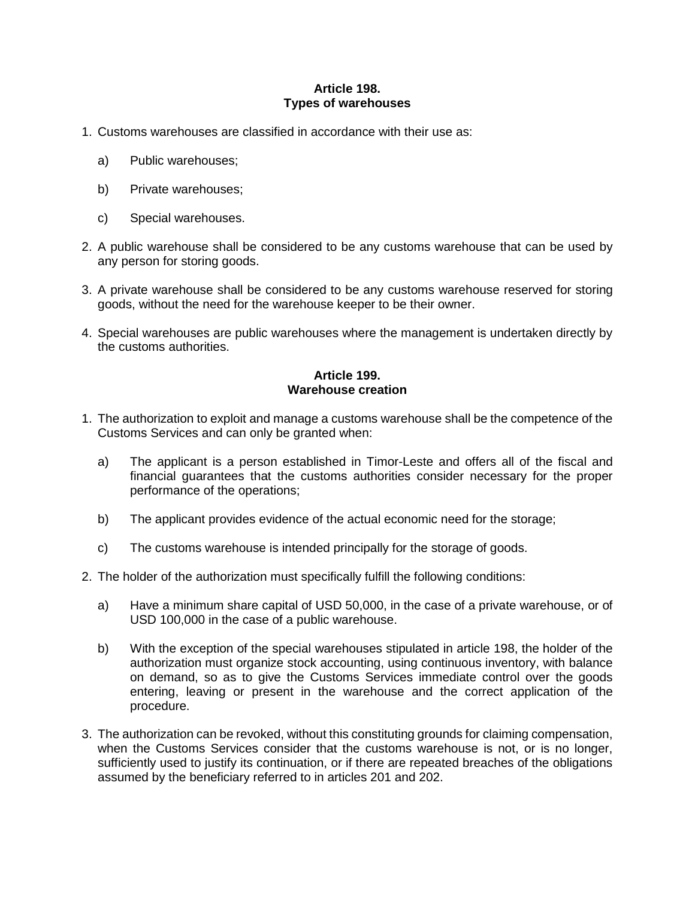# **Article 198. Types of warehouses**

- 1. Customs warehouses are classified in accordance with their use as:
	- a) Public warehouses;
	- b) Private warehouses;
	- c) Special warehouses.
- 2. A public warehouse shall be considered to be any customs warehouse that can be used by any person for storing goods.
- 3. A private warehouse shall be considered to be any customs warehouse reserved for storing goods, without the need for the warehouse keeper to be their owner.
- 4. Special warehouses are public warehouses where the management is undertaken directly by the customs authorities.

# **Article 199. Warehouse creation**

- 1. The authorization to exploit and manage a customs warehouse shall be the competence of the Customs Services and can only be granted when:
	- a) The applicant is a person established in Timor-Leste and offers all of the fiscal and financial guarantees that the customs authorities consider necessary for the proper performance of the operations;
	- b) The applicant provides evidence of the actual economic need for the storage;
	- c) The customs warehouse is intended principally for the storage of goods.
- 2. The holder of the authorization must specifically fulfill the following conditions:
	- a) Have a minimum share capital of USD 50,000, in the case of a private warehouse, or of USD 100,000 in the case of a public warehouse.
	- b) With the exception of the special warehouses stipulated in article 198, the holder of the authorization must organize stock accounting, using continuous inventory, with balance on demand, so as to give the Customs Services immediate control over the goods entering, leaving or present in the warehouse and the correct application of the procedure.
- 3. The authorization can be revoked, without this constituting grounds for claiming compensation, when the Customs Services consider that the customs warehouse is not, or is no longer, sufficiently used to justify its continuation, or if there are repeated breaches of the obligations assumed by the beneficiary referred to in articles 201 and 202.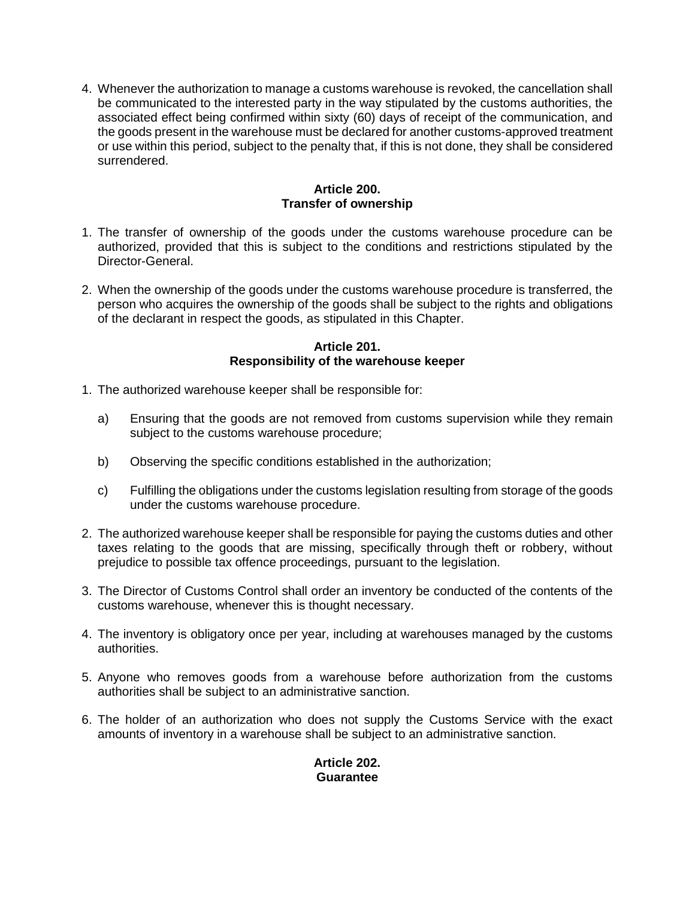4. Whenever the authorization to manage a customs warehouse is revoked, the cancellation shall be communicated to the interested party in the way stipulated by the customs authorities, the associated effect being confirmed within sixty (60) days of receipt of the communication, and the goods present in the warehouse must be declared for another customs-approved treatment or use within this period, subject to the penalty that, if this is not done, they shall be considered surrendered.

# **Article 200. Transfer of ownership**

- 1. The transfer of ownership of the goods under the customs warehouse procedure can be authorized, provided that this is subject to the conditions and restrictions stipulated by the Director-General.
- 2. When the ownership of the goods under the customs warehouse procedure is transferred, the person who acquires the ownership of the goods shall be subject to the rights and obligations of the declarant in respect the goods, as stipulated in this Chapter.

# **Article 201. Responsibility of the warehouse keeper**

- 1. The authorized warehouse keeper shall be responsible for:
	- a) Ensuring that the goods are not removed from customs supervision while they remain subject to the customs warehouse procedure;
	- b) Observing the specific conditions established in the authorization;
	- c) Fulfilling the obligations under the customs legislation resulting from storage of the goods under the customs warehouse procedure.
- 2. The authorized warehouse keeper shall be responsible for paying the customs duties and other taxes relating to the goods that are missing, specifically through theft or robbery, without prejudice to possible tax offence proceedings, pursuant to the legislation.
- 3. The Director of Customs Control shall order an inventory be conducted of the contents of the customs warehouse, whenever this is thought necessary.
- 4. The inventory is obligatory once per year, including at warehouses managed by the customs authorities.
- 5. Anyone who removes goods from a warehouse before authorization from the customs authorities shall be subject to an administrative sanction.
- 6. The holder of an authorization who does not supply the Customs Service with the exact amounts of inventory in a warehouse shall be subject to an administrative sanction.

# **Article 202. Guarantee**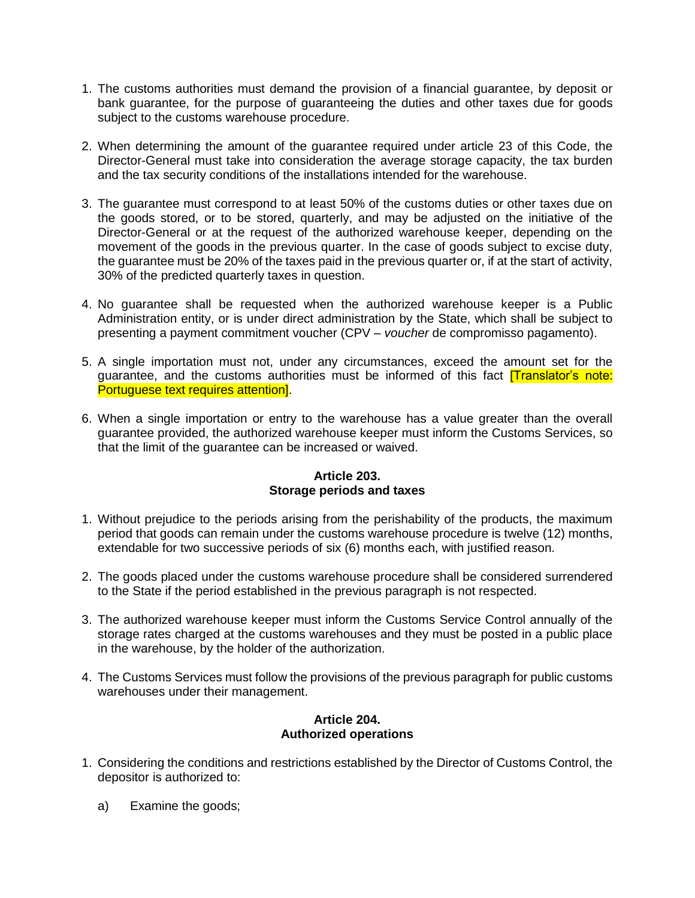- 1. The customs authorities must demand the provision of a financial guarantee, by deposit or bank guarantee, for the purpose of guaranteeing the duties and other taxes due for goods subject to the customs warehouse procedure.
- 2. When determining the amount of the guarantee required under article 23 of this Code, the Director-General must take into consideration the average storage capacity, the tax burden and the tax security conditions of the installations intended for the warehouse.
- 3. The guarantee must correspond to at least 50% of the customs duties or other taxes due on the goods stored, or to be stored, quarterly, and may be adjusted on the initiative of the Director-General or at the request of the authorized warehouse keeper, depending on the movement of the goods in the previous quarter. In the case of goods subject to excise duty, the guarantee must be 20% of the taxes paid in the previous quarter or, if at the start of activity, 30% of the predicted quarterly taxes in question.
- 4. No guarantee shall be requested when the authorized warehouse keeper is a Public Administration entity, or is under direct administration by the State, which shall be subject to presenting a payment commitment voucher (CPV – *voucher* de compromisso pagamento).
- 5. A single importation must not, under any circumstances, exceed the amount set for the guarantee, and the customs authorities must be informed of this fact **[Translator's note:** Portuguese text requires attention].
- 6. When a single importation or entry to the warehouse has a value greater than the overall guarantee provided, the authorized warehouse keeper must inform the Customs Services, so that the limit of the guarantee can be increased or waived.

# **Article 203. Storage periods and taxes**

- 1. Without prejudice to the periods arising from the perishability of the products, the maximum period that goods can remain under the customs warehouse procedure is twelve (12) months, extendable for two successive periods of six (6) months each, with justified reason.
- 2. The goods placed under the customs warehouse procedure shall be considered surrendered to the State if the period established in the previous paragraph is not respected.
- 3. The authorized warehouse keeper must inform the Customs Service Control annually of the storage rates charged at the customs warehouses and they must be posted in a public place in the warehouse, by the holder of the authorization.
- 4. The Customs Services must follow the provisions of the previous paragraph for public customs warehouses under their management.

### **Article 204. Authorized operations**

- 1. Considering the conditions and restrictions established by the Director of Customs Control, the depositor is authorized to:
	- a) Examine the goods;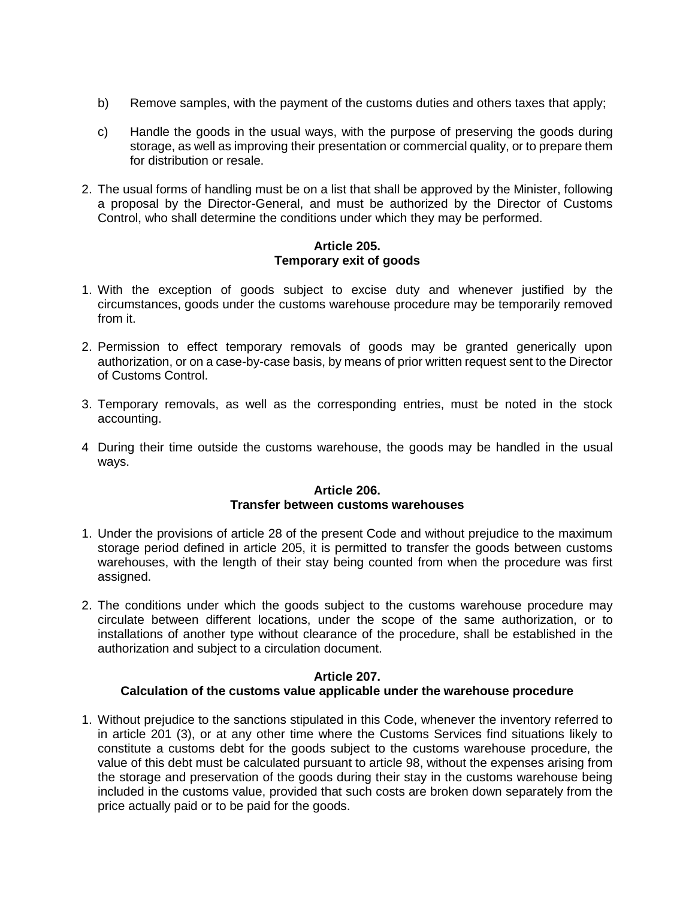- b) Remove samples, with the payment of the customs duties and others taxes that apply;
- c) Handle the goods in the usual ways, with the purpose of preserving the goods during storage, as well as improving their presentation or commercial quality, or to prepare them for distribution or resale.
- 2. The usual forms of handling must be on a list that shall be approved by the Minister, following a proposal by the Director-General, and must be authorized by the Director of Customs Control, who shall determine the conditions under which they may be performed.

# **Article 205. Temporary exit of goods**

- 1. With the exception of goods subject to excise duty and whenever justified by the circumstances, goods under the customs warehouse procedure may be temporarily removed from it.
- 2. Permission to effect temporary removals of goods may be granted generically upon authorization, or on a case-by-case basis, by means of prior written request sent to the Director of Customs Control.
- 3. Temporary removals, as well as the corresponding entries, must be noted in the stock accounting.
- 4 During their time outside the customs warehouse, the goods may be handled in the usual ways.

# **Article 206. Transfer between customs warehouses**

- 1. Under the provisions of article 28 of the present Code and without prejudice to the maximum storage period defined in article 205, it is permitted to transfer the goods between customs warehouses, with the length of their stay being counted from when the procedure was first assigned.
- 2. The conditions under which the goods subject to the customs warehouse procedure may circulate between different locations, under the scope of the same authorization, or to installations of another type without clearance of the procedure, shall be established in the authorization and subject to a circulation document.

#### **Article 207. Calculation of the customs value applicable under the warehouse procedure**

1. Without prejudice to the sanctions stipulated in this Code, whenever the inventory referred to in article 201 (3), or at any other time where the Customs Services find situations likely to constitute a customs debt for the goods subject to the customs warehouse procedure, the value of this debt must be calculated pursuant to article 98, without the expenses arising from the storage and preservation of the goods during their stay in the customs warehouse being included in the customs value, provided that such costs are broken down separately from the price actually paid or to be paid for the goods.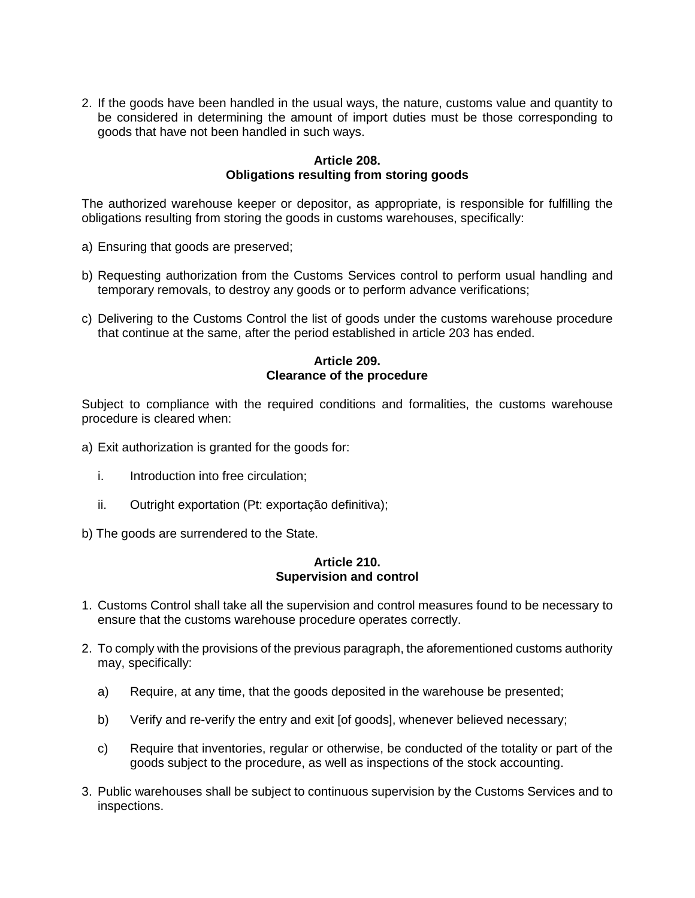2. If the goods have been handled in the usual ways, the nature, customs value and quantity to be considered in determining the amount of import duties must be those corresponding to goods that have not been handled in such ways.

# **Article 208. Obligations resulting from storing goods**

The authorized warehouse keeper or depositor, as appropriate, is responsible for fulfilling the obligations resulting from storing the goods in customs warehouses, specifically:

- a) Ensuring that goods are preserved;
- b) Requesting authorization from the Customs Services control to perform usual handling and temporary removals, to destroy any goods or to perform advance verifications;
- c) Delivering to the Customs Control the list of goods under the customs warehouse procedure that continue at the same, after the period established in article 203 has ended.

### **Article 209. Clearance of the procedure**

Subject to compliance with the required conditions and formalities, the customs warehouse procedure is cleared when:

- a) Exit authorization is granted for the goods for:
	- i. Introduction into free circulation;
	- ii. Outright exportation (Pt: exportação definitiva);
- b) The goods are surrendered to the State.

# **Article 210. Supervision and control**

- 1. Customs Control shall take all the supervision and control measures found to be necessary to ensure that the customs warehouse procedure operates correctly.
- 2. To comply with the provisions of the previous paragraph, the aforementioned customs authority may, specifically:
	- a) Require, at any time, that the goods deposited in the warehouse be presented;
	- b) Verify and re-verify the entry and exit [of goods], whenever believed necessary;
	- c) Require that inventories, regular or otherwise, be conducted of the totality or part of the goods subject to the procedure, as well as inspections of the stock accounting.
- 3. Public warehouses shall be subject to continuous supervision by the Customs Services and to inspections.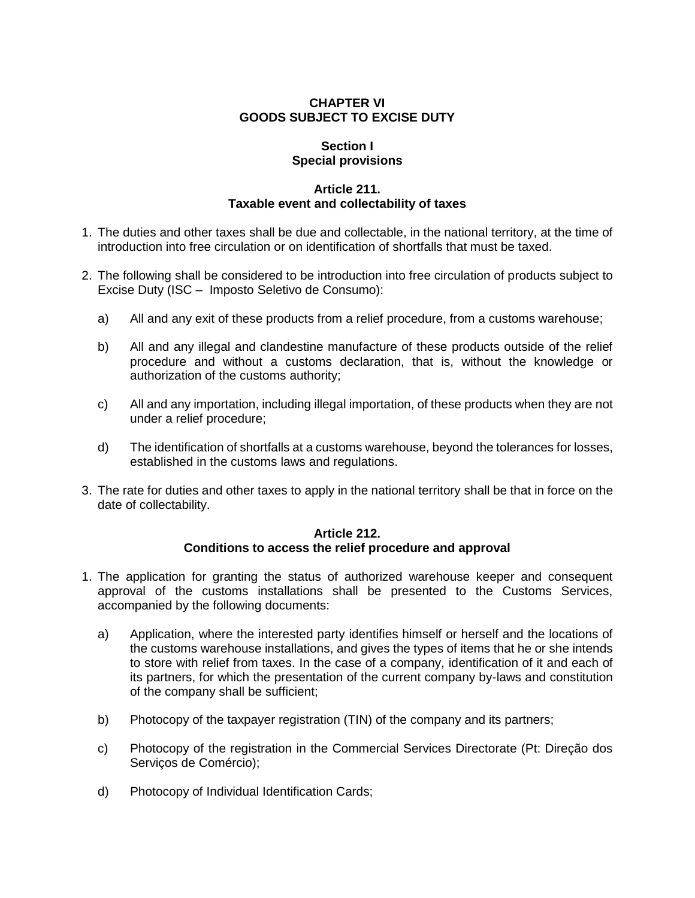# **CHAPTER VI GOODS SUBJECT TO EXCISE DUTY**

# **Section I Special provisions**

# **Article 211. Taxable event and collectability of taxes**

- 1. The duties and other taxes shall be due and collectable, in the national territory, at the time of introduction into free circulation or on identification of shortfalls that must be taxed.
- 2. The following shall be considered to be introduction into free circulation of products subject to Excise Duty (ISC – Imposto Seletivo de Consumo):
	- a) All and any exit of these products from a relief procedure, from a customs warehouse;
	- b) All and any illegal and clandestine manufacture of these products outside of the relief procedure and without a customs declaration, that is, without the knowledge or authorization of the customs authority;
	- c) All and any importation, including illegal importation, of these products when they are not under a relief procedure;
	- d) The identification of shortfalls at a customs warehouse, beyond the tolerances for losses, established in the customs laws and regulations.
- 3. The rate for duties and other taxes to apply in the national territory shall be that in force on the date of collectability.

# **Article 212. Conditions to access the relief procedure and approval**

- 1. The application for granting the status of authorized warehouse keeper and consequent approval of the customs installations shall be presented to the Customs Services, accompanied by the following documents:
	- a) Application, where the interested party identifies himself or herself and the locations of the customs warehouse installations, and gives the types of items that he or she intends to store with relief from taxes. In the case of a company, identification of it and each of its partners, for which the presentation of the current company by-laws and constitution of the company shall be sufficient;
	- b) Photocopy of the taxpayer registration (TIN) of the company and its partners;
	- c) Photocopy of the registration in the Commercial Services Directorate (Pt: Direção dos Servicos de Comércio);
	- d) Photocopy of Individual Identification Cards;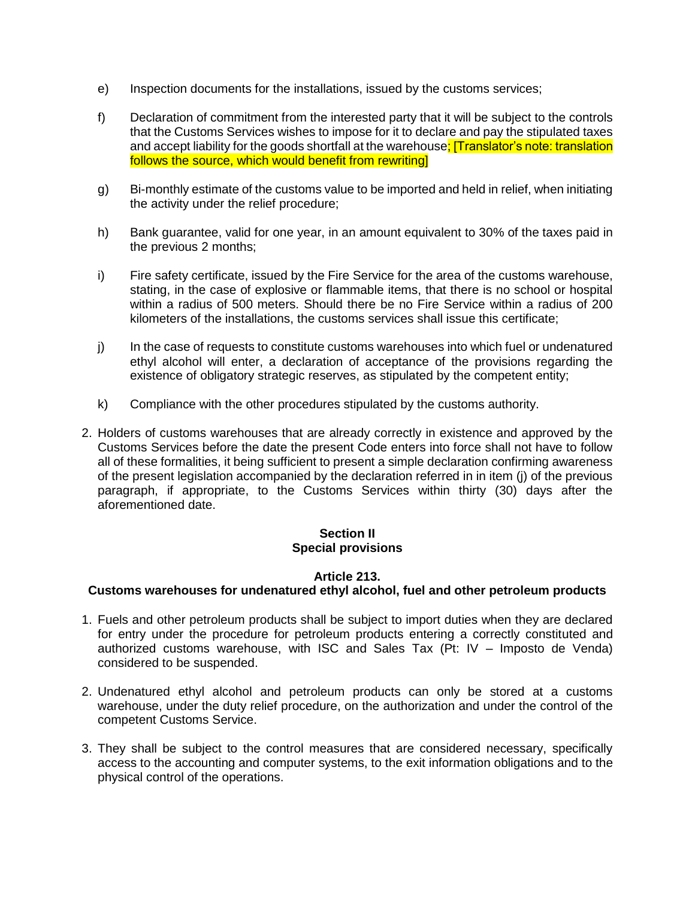- e) Inspection documents for the installations, issued by the customs services;
- f) Declaration of commitment from the interested party that it will be subject to the controls that the Customs Services wishes to impose for it to declare and pay the stipulated taxes and accept liability for the goods shortfall at the warehouse; [Translator's note: translation follows the source, which would benefit from rewriting]
- g) Bi-monthly estimate of the customs value to be imported and held in relief, when initiating the activity under the relief procedure;
- h) Bank guarantee, valid for one year, in an amount equivalent to 30% of the taxes paid in the previous 2 months;
- i) Fire safety certificate, issued by the Fire Service for the area of the customs warehouse, stating, in the case of explosive or flammable items, that there is no school or hospital within a radius of 500 meters. Should there be no Fire Service within a radius of 200 kilometers of the installations, the customs services shall issue this certificate;
- j) In the case of requests to constitute customs warehouses into which fuel or undenatured ethyl alcohol will enter, a declaration of acceptance of the provisions regarding the existence of obligatory strategic reserves, as stipulated by the competent entity;
- k) Compliance with the other procedures stipulated by the customs authority.
- 2. Holders of customs warehouses that are already correctly in existence and approved by the Customs Services before the date the present Code enters into force shall not have to follow all of these formalities, it being sufficient to present a simple declaration confirming awareness of the present legislation accompanied by the declaration referred in in item (j) of the previous paragraph, if appropriate, to the Customs Services within thirty (30) days after the aforementioned date.

# **Section II Special provisions**

# **Article 213.**

# **Customs warehouses for undenatured ethyl alcohol, fuel and other petroleum products**

- 1. Fuels and other petroleum products shall be subject to import duties when they are declared for entry under the procedure for petroleum products entering a correctly constituted and authorized customs warehouse, with ISC and Sales Tax (Pt: IV – Imposto de Venda) considered to be suspended.
- 2. Undenatured ethyl alcohol and petroleum products can only be stored at a customs warehouse, under the duty relief procedure, on the authorization and under the control of the competent Customs Service.
- 3. They shall be subject to the control measures that are considered necessary, specifically access to the accounting and computer systems, to the exit information obligations and to the physical control of the operations.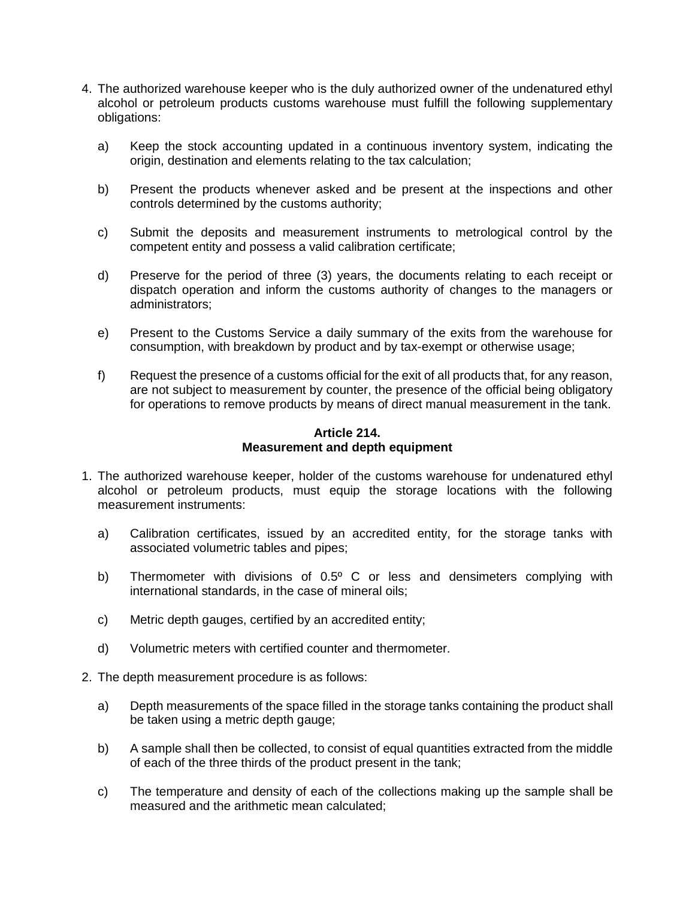- 4. The authorized warehouse keeper who is the duly authorized owner of the undenatured ethyl alcohol or petroleum products customs warehouse must fulfill the following supplementary obligations:
	- a) Keep the stock accounting updated in a continuous inventory system, indicating the origin, destination and elements relating to the tax calculation;
	- b) Present the products whenever asked and be present at the inspections and other controls determined by the customs authority;
	- c) Submit the deposits and measurement instruments to metrological control by the competent entity and possess a valid calibration certificate;
	- d) Preserve for the period of three (3) years, the documents relating to each receipt or dispatch operation and inform the customs authority of changes to the managers or administrators;
	- e) Present to the Customs Service a daily summary of the exits from the warehouse for consumption, with breakdown by product and by tax-exempt or otherwise usage;
	- f) Request the presence of a customs official for the exit of all products that, for any reason, are not subject to measurement by counter, the presence of the official being obligatory for operations to remove products by means of direct manual measurement in the tank.

### **Article 214. Measurement and depth equipment**

- 1. The authorized warehouse keeper, holder of the customs warehouse for undenatured ethyl alcohol or petroleum products, must equip the storage locations with the following measurement instruments:
	- a) Calibration certificates, issued by an accredited entity, for the storage tanks with associated volumetric tables and pipes;
	- b) Thermometer with divisions of 0.5° C or less and densimeters complying with international standards, in the case of mineral oils;
	- c) Metric depth gauges, certified by an accredited entity;
	- d) Volumetric meters with certified counter and thermometer.
- 2. The depth measurement procedure is as follows:
	- a) Depth measurements of the space filled in the storage tanks containing the product shall be taken using a metric depth gauge;
	- b) A sample shall then be collected, to consist of equal quantities extracted from the middle of each of the three thirds of the product present in the tank;
	- c) The temperature and density of each of the collections making up the sample shall be measured and the arithmetic mean calculated;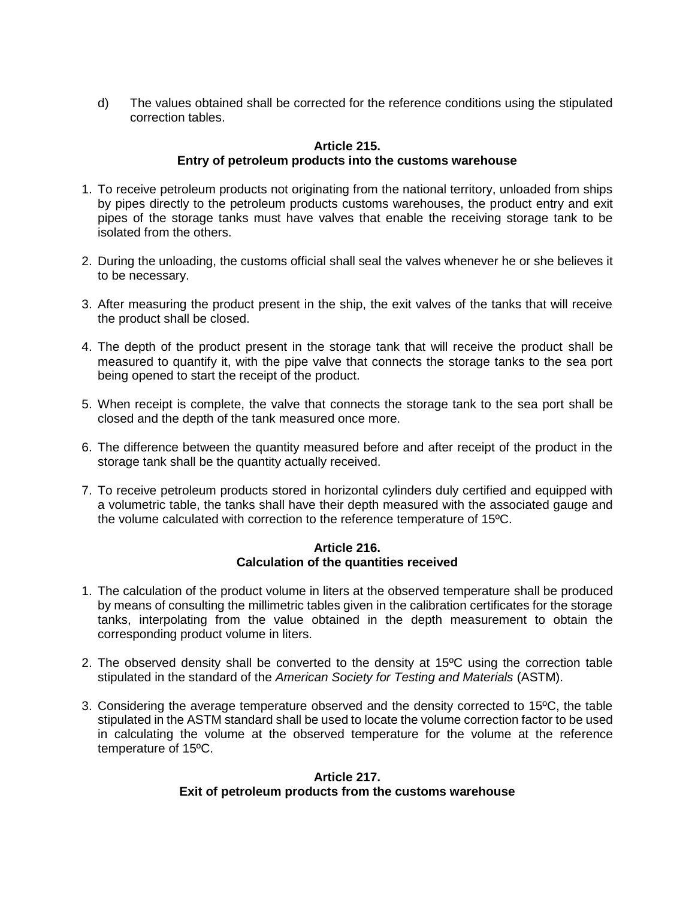d) The values obtained shall be corrected for the reference conditions using the stipulated correction tables.

### **Article 215. Entry of petroleum products into the customs warehouse**

- 1. To receive petroleum products not originating from the national territory, unloaded from ships by pipes directly to the petroleum products customs warehouses, the product entry and exit pipes of the storage tanks must have valves that enable the receiving storage tank to be isolated from the others.
- 2. During the unloading, the customs official shall seal the valves whenever he or she believes it to be necessary.
- 3. After measuring the product present in the ship, the exit valves of the tanks that will receive the product shall be closed.
- 4. The depth of the product present in the storage tank that will receive the product shall be measured to quantify it, with the pipe valve that connects the storage tanks to the sea port being opened to start the receipt of the product.
- 5. When receipt is complete, the valve that connects the storage tank to the sea port shall be closed and the depth of the tank measured once more.
- 6. The difference between the quantity measured before and after receipt of the product in the storage tank shall be the quantity actually received.
- 7. To receive petroleum products stored in horizontal cylinders duly certified and equipped with a volumetric table, the tanks shall have their depth measured with the associated gauge and the volume calculated with correction to the reference temperature of 15ºC.

### **Article 216. Calculation of the quantities received**

- 1. The calculation of the product volume in liters at the observed temperature shall be produced by means of consulting the millimetric tables given in the calibration certificates for the storage tanks, interpolating from the value obtained in the depth measurement to obtain the corresponding product volume in liters.
- 2. The observed density shall be converted to the density at 15ºC using the correction table stipulated in the standard of the *American Society for Testing and Materials* (ASTM).
- 3. Considering the average temperature observed and the density corrected to 15ºC, the table stipulated in the ASTM standard shall be used to locate the volume correction factor to be used in calculating the volume at the observed temperature for the volume at the reference temperature of 15ºC.

# **Article 217. Exit of petroleum products from the customs warehouse**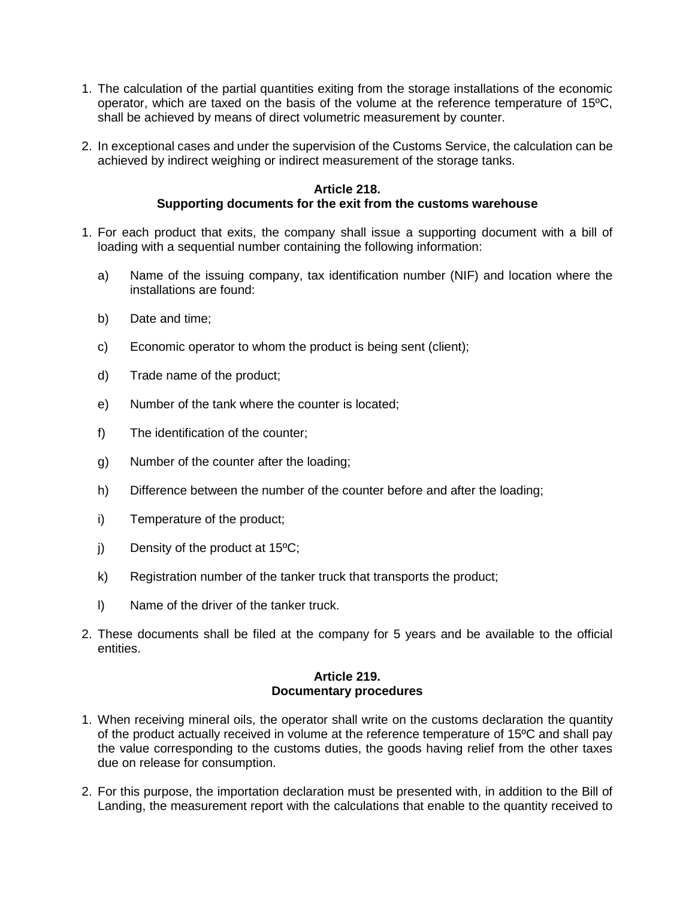- 1. The calculation of the partial quantities exiting from the storage installations of the economic operator, which are taxed on the basis of the volume at the reference temperature of 15ºC, shall be achieved by means of direct volumetric measurement by counter.
- 2. In exceptional cases and under the supervision of the Customs Service, the calculation can be achieved by indirect weighing or indirect measurement of the storage tanks.

#### **Article 218. Supporting documents for the exit from the customs warehouse**

- 1. For each product that exits, the company shall issue a supporting document with a bill of loading with a sequential number containing the following information:
	- a) Name of the issuing company, tax identification number (NIF) and location where the installations are found:
	- b) Date and time;
	- c) Economic operator to whom the product is being sent (client);
	- d) Trade name of the product;
	- e) Number of the tank where the counter is located;
	- f) The identification of the counter;
	- g) Number of the counter after the loading;
	- h) Difference between the number of the counter before and after the loading;
	- i) Temperature of the product;
	- j) Density of the product at 15ºC;
	- k) Registration number of the tanker truck that transports the product;
	- l) Name of the driver of the tanker truck.
- 2. These documents shall be filed at the company for 5 years and be available to the official entities.

# **Article 219. Documentary procedures**

- 1. When receiving mineral oils, the operator shall write on the customs declaration the quantity of the product actually received in volume at the reference temperature of 15ºC and shall pay the value corresponding to the customs duties, the goods having relief from the other taxes due on release for consumption.
- 2. For this purpose, the importation declaration must be presented with, in addition to the Bill of Landing, the measurement report with the calculations that enable to the quantity received to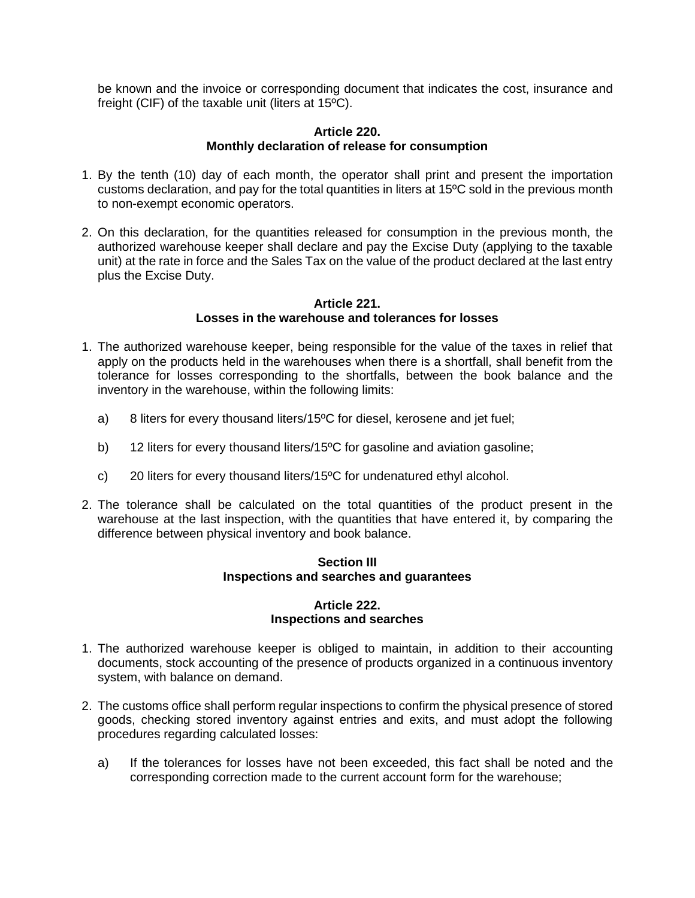be known and the invoice or corresponding document that indicates the cost, insurance and freight (CIF) of the taxable unit (liters at 15ºC).

### **Article 220. Monthly declaration of release for consumption**

- 1. By the tenth (10) day of each month, the operator shall print and present the importation customs declaration, and pay for the total quantities in liters at 15ºC sold in the previous month to non-exempt economic operators.
- 2. On this declaration, for the quantities released for consumption in the previous month, the authorized warehouse keeper shall declare and pay the Excise Duty (applying to the taxable unit) at the rate in force and the Sales Tax on the value of the product declared at the last entry plus the Excise Duty.

#### **Article 221. Losses in the warehouse and tolerances for losses**

- 1. The authorized warehouse keeper, being responsible for the value of the taxes in relief that apply on the products held in the warehouses when there is a shortfall, shall benefit from the tolerance for losses corresponding to the shortfalls, between the book balance and the inventory in the warehouse, within the following limits:
	- a) 8 liters for every thousand liters/15ºC for diesel, kerosene and jet fuel;
	- b) 12 liters for every thousand liters/15<sup>o</sup>C for gasoline and aviation gasoline;
	- c) 20 liters for every thousand liters/15ºC for undenatured ethyl alcohol.
- 2. The tolerance shall be calculated on the total quantities of the product present in the warehouse at the last inspection, with the quantities that have entered it, by comparing the difference between physical inventory and book balance.

# **Section III Inspections and searches and guarantees**

### **Article 222. Inspections and searches**

- 1. The authorized warehouse keeper is obliged to maintain, in addition to their accounting documents, stock accounting of the presence of products organized in a continuous inventory system, with balance on demand.
- 2. The customs office shall perform regular inspections to confirm the physical presence of stored goods, checking stored inventory against entries and exits, and must adopt the following procedures regarding calculated losses:
	- a) If the tolerances for losses have not been exceeded, this fact shall be noted and the corresponding correction made to the current account form for the warehouse;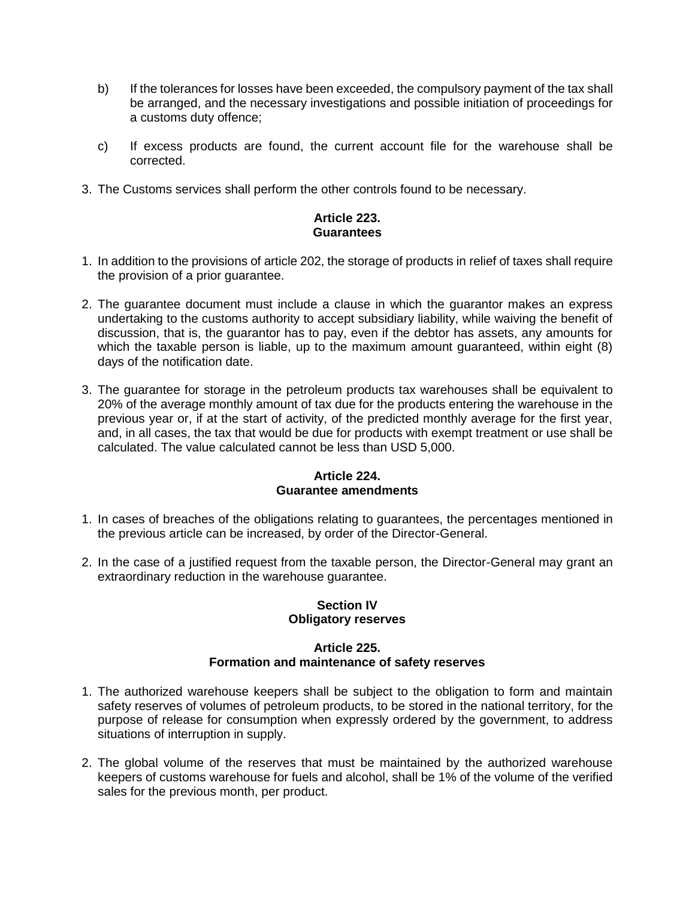- b) If the tolerances for losses have been exceeded, the compulsory payment of the tax shall be arranged, and the necessary investigations and possible initiation of proceedings for a customs duty offence;
- c) If excess products are found, the current account file for the warehouse shall be corrected.
- 3. The Customs services shall perform the other controls found to be necessary.

# **Article 223. Guarantees**

- 1. In addition to the provisions of article 202, the storage of products in relief of taxes shall require the provision of a prior guarantee.
- 2. The guarantee document must include a clause in which the guarantor makes an express undertaking to the customs authority to accept subsidiary liability, while waiving the benefit of discussion, that is, the guarantor has to pay, even if the debtor has assets, any amounts for which the taxable person is liable, up to the maximum amount guaranteed, within eight (8) days of the notification date.
- 3. The guarantee for storage in the petroleum products tax warehouses shall be equivalent to 20% of the average monthly amount of tax due for the products entering the warehouse in the previous year or, if at the start of activity, of the predicted monthly average for the first year, and, in all cases, the tax that would be due for products with exempt treatment or use shall be calculated. The value calculated cannot be less than USD 5,000.

### **Article 224. Guarantee amendments**

- 1. In cases of breaches of the obligations relating to guarantees, the percentages mentioned in the previous article can be increased, by order of the Director-General.
- 2. In the case of a justified request from the taxable person, the Director-General may grant an extraordinary reduction in the warehouse guarantee.

# **Section IV Obligatory reserves**

# **Article 225. Formation and maintenance of safety reserves**

- 1. The authorized warehouse keepers shall be subject to the obligation to form and maintain safety reserves of volumes of petroleum products, to be stored in the national territory, for the purpose of release for consumption when expressly ordered by the government, to address situations of interruption in supply.
- 2. The global volume of the reserves that must be maintained by the authorized warehouse keepers of customs warehouse for fuels and alcohol, shall be 1% of the volume of the verified sales for the previous month, per product.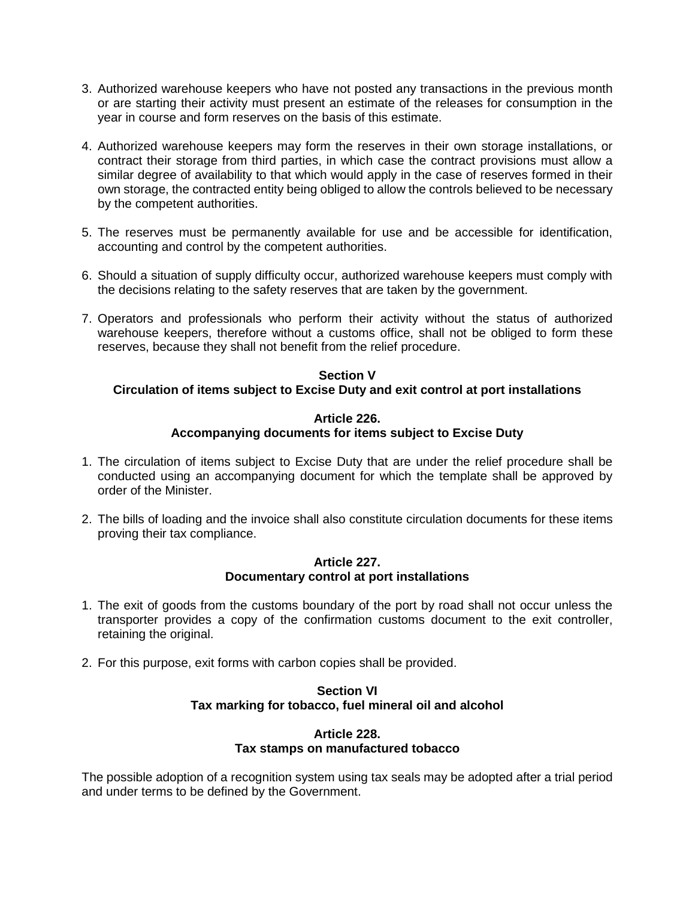- 3. Authorized warehouse keepers who have not posted any transactions in the previous month or are starting their activity must present an estimate of the releases for consumption in the year in course and form reserves on the basis of this estimate.
- 4. Authorized warehouse keepers may form the reserves in their own storage installations, or contract their storage from third parties, in which case the contract provisions must allow a similar degree of availability to that which would apply in the case of reserves formed in their own storage, the contracted entity being obliged to allow the controls believed to be necessary by the competent authorities.
- 5. The reserves must be permanently available for use and be accessible for identification, accounting and control by the competent authorities.
- 6. Should a situation of supply difficulty occur, authorized warehouse keepers must comply with the decisions relating to the safety reserves that are taken by the government.
- 7. Operators and professionals who perform their activity without the status of authorized warehouse keepers, therefore without a customs office, shall not be obliged to form these reserves, because they shall not benefit from the relief procedure.

# **Section V Circulation of items subject to Excise Duty and exit control at port installations**

# **Article 226. Accompanying documents for items subject to Excise Duty**

- 1. The circulation of items subject to Excise Duty that are under the relief procedure shall be conducted using an accompanying document for which the template shall be approved by order of the Minister.
- 2. The bills of loading and the invoice shall also constitute circulation documents for these items proving their tax compliance.

# **Article 227. Documentary control at port installations**

- 1. The exit of goods from the customs boundary of the port by road shall not occur unless the transporter provides a copy of the confirmation customs document to the exit controller, retaining the original.
- 2. For this purpose, exit forms with carbon copies shall be provided.

# **Section VI Tax marking for tobacco, fuel mineral oil and alcohol**

### **Article 228. Tax stamps on manufactured tobacco**

The possible adoption of a recognition system using tax seals may be adopted after a trial period and under terms to be defined by the Government.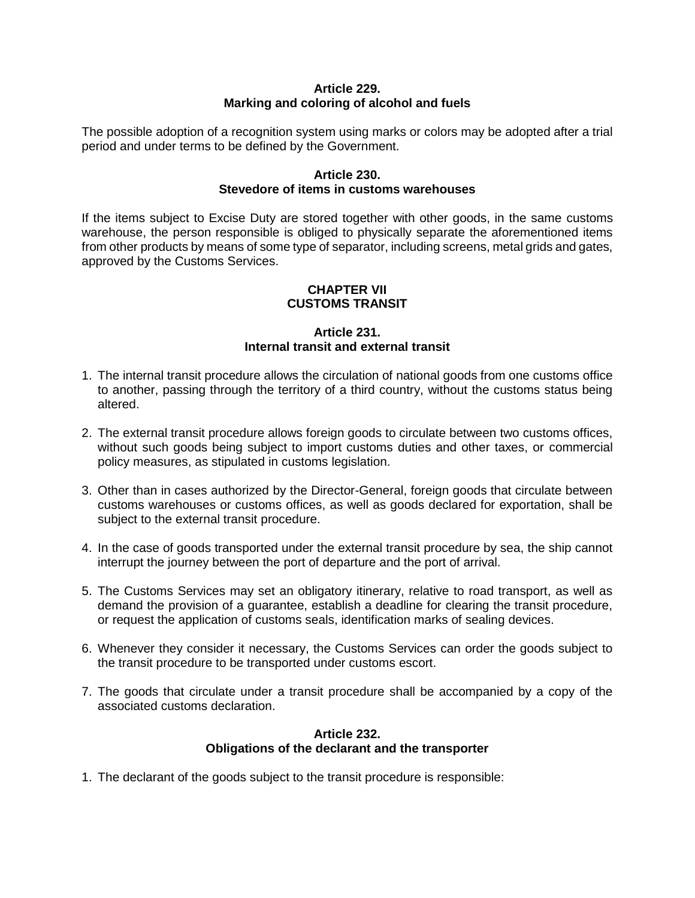# **Article 229. Marking and coloring of alcohol and fuels**

The possible adoption of a recognition system using marks or colors may be adopted after a trial period and under terms to be defined by the Government.

# **Article 230. Stevedore of items in customs warehouses**

If the items subject to Excise Duty are stored together with other goods, in the same customs warehouse, the person responsible is obliged to physically separate the aforementioned items from other products by means of some type of separator, including screens, metal grids and gates, approved by the Customs Services.

# **CHAPTER VII CUSTOMS TRANSIT**

# **Article 231. Internal transit and external transit**

- 1. The internal transit procedure allows the circulation of national goods from one customs office to another, passing through the territory of a third country, without the customs status being altered.
- 2. The external transit procedure allows foreign goods to circulate between two customs offices, without such goods being subject to import customs duties and other taxes, or commercial policy measures, as stipulated in customs legislation.
- 3. Other than in cases authorized by the Director-General, foreign goods that circulate between customs warehouses or customs offices, as well as goods declared for exportation, shall be subject to the external transit procedure.
- 4. In the case of goods transported under the external transit procedure by sea, the ship cannot interrupt the journey between the port of departure and the port of arrival.
- 5. The Customs Services may set an obligatory itinerary, relative to road transport, as well as demand the provision of a guarantee, establish a deadline for clearing the transit procedure, or request the application of customs seals, identification marks of sealing devices.
- 6. Whenever they consider it necessary, the Customs Services can order the goods subject to the transit procedure to be transported under customs escort.
- 7. The goods that circulate under a transit procedure shall be accompanied by a copy of the associated customs declaration.

# **Article 232. Obligations of the declarant and the transporter**

1. The declarant of the goods subject to the transit procedure is responsible: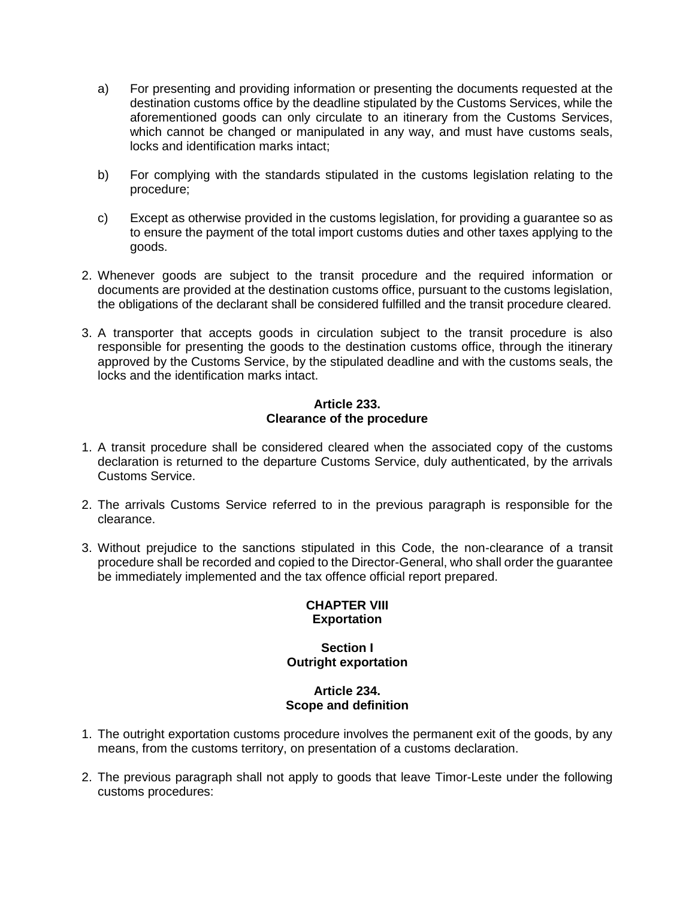- a) For presenting and providing information or presenting the documents requested at the destination customs office by the deadline stipulated by the Customs Services, while the aforementioned goods can only circulate to an itinerary from the Customs Services, which cannot be changed or manipulated in any way, and must have customs seals, locks and identification marks intact;
- b) For complying with the standards stipulated in the customs legislation relating to the procedure;
- c) Except as otherwise provided in the customs legislation, for providing a guarantee so as to ensure the payment of the total import customs duties and other taxes applying to the goods.
- 2. Whenever goods are subject to the transit procedure and the required information or documents are provided at the destination customs office, pursuant to the customs legislation, the obligations of the declarant shall be considered fulfilled and the transit procedure cleared.
- 3. A transporter that accepts goods in circulation subject to the transit procedure is also responsible for presenting the goods to the destination customs office, through the itinerary approved by the Customs Service, by the stipulated deadline and with the customs seals, the locks and the identification marks intact.

#### **Article 233. Clearance of the procedure**

- 1. A transit procedure shall be considered cleared when the associated copy of the customs declaration is returned to the departure Customs Service, duly authenticated, by the arrivals Customs Service.
- 2. The arrivals Customs Service referred to in the previous paragraph is responsible for the clearance.
- 3. Without prejudice to the sanctions stipulated in this Code, the non-clearance of a transit procedure shall be recorded and copied to the Director-General, who shall order the guarantee be immediately implemented and the tax offence official report prepared.

# **CHAPTER VIII Exportation**

# **Section I Outright exportation**

# **Article 234. Scope and definition**

- 1. The outright exportation customs procedure involves the permanent exit of the goods, by any means, from the customs territory, on presentation of a customs declaration.
- 2. The previous paragraph shall not apply to goods that leave Timor-Leste under the following customs procedures: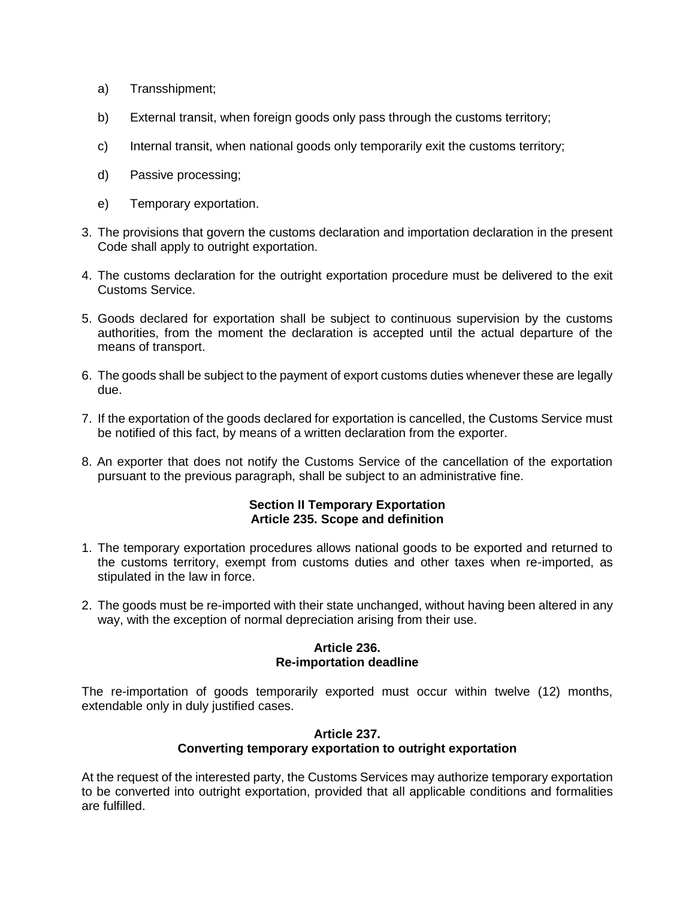- a) Transshipment;
- b) External transit, when foreign goods only pass through the customs territory;
- c) Internal transit, when national goods only temporarily exit the customs territory;
- d) Passive processing;
- e) Temporary exportation.
- 3. The provisions that govern the customs declaration and importation declaration in the present Code shall apply to outright exportation.
- 4. The customs declaration for the outright exportation procedure must be delivered to the exit Customs Service.
- 5. Goods declared for exportation shall be subject to continuous supervision by the customs authorities, from the moment the declaration is accepted until the actual departure of the means of transport.
- 6. The goods shall be subject to the payment of export customs duties whenever these are legally due.
- 7. If the exportation of the goods declared for exportation is cancelled, the Customs Service must be notified of this fact, by means of a written declaration from the exporter.
- 8. An exporter that does not notify the Customs Service of the cancellation of the exportation pursuant to the previous paragraph, shall be subject to an administrative fine.

### **Section II Temporary Exportation Article 235. Scope and definition**

- 1. The temporary exportation procedures allows national goods to be exported and returned to the customs territory, exempt from customs duties and other taxes when re-imported, as stipulated in the law in force.
- 2. The goods must be re-imported with their state unchanged, without having been altered in any way, with the exception of normal depreciation arising from their use.

#### **Article 236. Re-importation deadline**

The re-importation of goods temporarily exported must occur within twelve (12) months, extendable only in duly justified cases.

# **Article 237. Converting temporary exportation to outright exportation**

At the request of the interested party, the Customs Services may authorize temporary exportation to be converted into outright exportation, provided that all applicable conditions and formalities are fulfilled.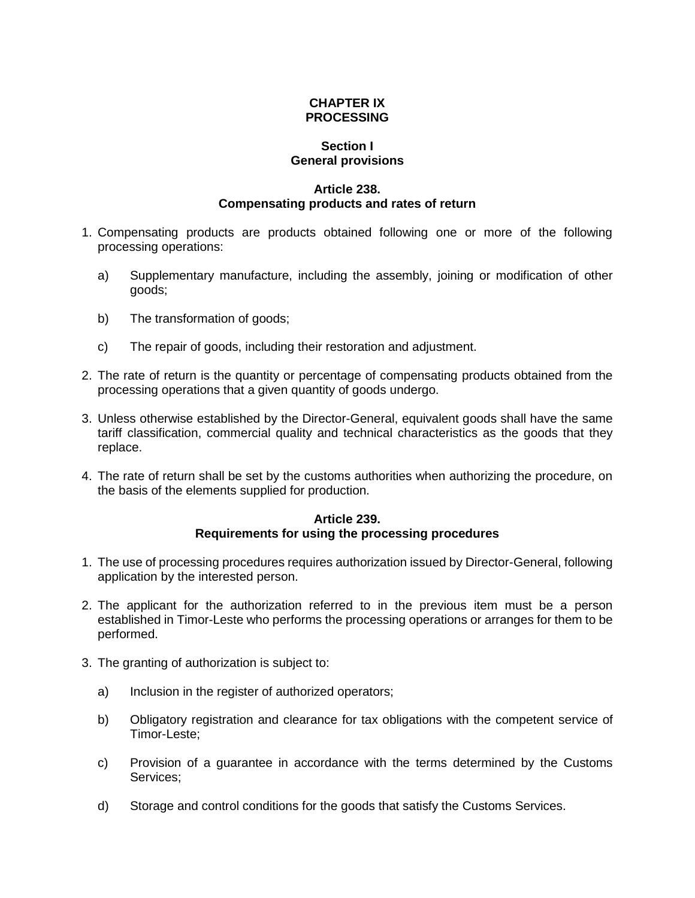# **CHAPTER IX PROCESSING**

### **Section I General provisions**

### **Article 238. Compensating products and rates of return**

- 1. Compensating products are products obtained following one or more of the following processing operations:
	- a) Supplementary manufacture, including the assembly, joining or modification of other goods;
	- b) The transformation of goods;
	- c) The repair of goods, including their restoration and adjustment.
- 2. The rate of return is the quantity or percentage of compensating products obtained from the processing operations that a given quantity of goods undergo.
- 3. Unless otherwise established by the Director-General, equivalent goods shall have the same tariff classification, commercial quality and technical characteristics as the goods that they replace.
- 4. The rate of return shall be set by the customs authorities when authorizing the procedure, on the basis of the elements supplied for production.

### **Article 239. Requirements for using the processing procedures**

- 1. The use of processing procedures requires authorization issued by Director-General, following application by the interested person.
- 2. The applicant for the authorization referred to in the previous item must be a person established in Timor-Leste who performs the processing operations or arranges for them to be performed.
- 3. The granting of authorization is subject to:
	- a) Inclusion in the register of authorized operators;
	- b) Obligatory registration and clearance for tax obligations with the competent service of Timor-Leste;
	- c) Provision of a guarantee in accordance with the terms determined by the Customs Services;
	- d) Storage and control conditions for the goods that satisfy the Customs Services.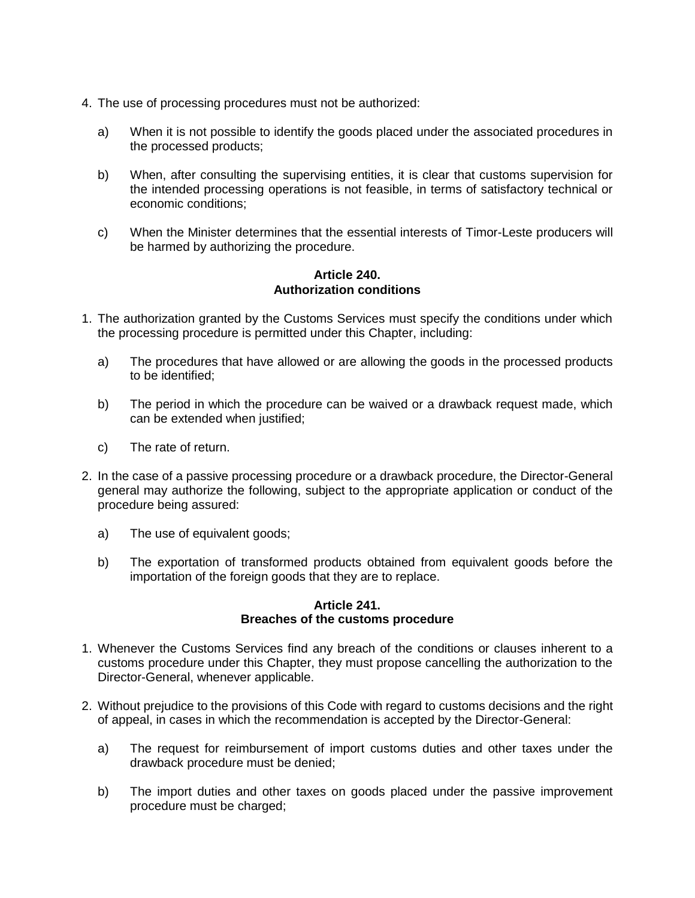- 4. The use of processing procedures must not be authorized:
	- a) When it is not possible to identify the goods placed under the associated procedures in the processed products;
	- b) When, after consulting the supervising entities, it is clear that customs supervision for the intended processing operations is not feasible, in terms of satisfactory technical or economic conditions;
	- c) When the Minister determines that the essential interests of Timor-Leste producers will be harmed by authorizing the procedure.

# **Article 240. Authorization conditions**

- 1. The authorization granted by the Customs Services must specify the conditions under which the processing procedure is permitted under this Chapter, including:
	- a) The procedures that have allowed or are allowing the goods in the processed products to be identified;
	- b) The period in which the procedure can be waived or a drawback request made, which can be extended when justified;
	- c) The rate of return.
- 2. In the case of a passive processing procedure or a drawback procedure, the Director-General general may authorize the following, subject to the appropriate application or conduct of the procedure being assured:
	- a) The use of equivalent goods;
	- b) The exportation of transformed products obtained from equivalent goods before the importation of the foreign goods that they are to replace.

#### **Article 241. Breaches of the customs procedure**

- 1. Whenever the Customs Services find any breach of the conditions or clauses inherent to a customs procedure under this Chapter, they must propose cancelling the authorization to the Director-General, whenever applicable.
- 2. Without prejudice to the provisions of this Code with regard to customs decisions and the right of appeal, in cases in which the recommendation is accepted by the Director-General:
	- a) The request for reimbursement of import customs duties and other taxes under the drawback procedure must be denied;
	- b) The import duties and other taxes on goods placed under the passive improvement procedure must be charged;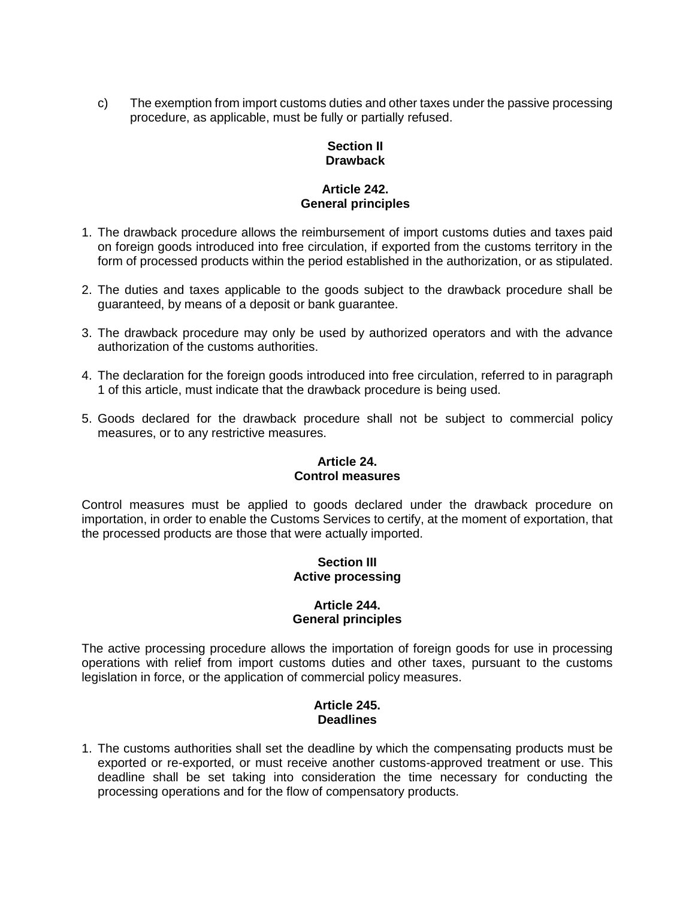c) The exemption from import customs duties and other taxes under the passive processing procedure, as applicable, must be fully or partially refused.

# **Section II Drawback**

# **Article 242. General principles**

- 1. The drawback procedure allows the reimbursement of import customs duties and taxes paid on foreign goods introduced into free circulation, if exported from the customs territory in the form of processed products within the period established in the authorization, or as stipulated.
- 2. The duties and taxes applicable to the goods subject to the drawback procedure shall be guaranteed, by means of a deposit or bank guarantee.
- 3. The drawback procedure may only be used by authorized operators and with the advance authorization of the customs authorities.
- 4. The declaration for the foreign goods introduced into free circulation, referred to in paragraph 1 of this article, must indicate that the drawback procedure is being used.
- 5. Goods declared for the drawback procedure shall not be subject to commercial policy measures, or to any restrictive measures.

# **Article 24. Control measures**

Control measures must be applied to goods declared under the drawback procedure on importation, in order to enable the Customs Services to certify, at the moment of exportation, that the processed products are those that were actually imported.

# **Section III Active processing**

# **Article 244. General principles**

The active processing procedure allows the importation of foreign goods for use in processing operations with relief from import customs duties and other taxes, pursuant to the customs legislation in force, or the application of commercial policy measures.

# **Article 245. Deadlines**

1. The customs authorities shall set the deadline by which the compensating products must be exported or re-exported, or must receive another customs-approved treatment or use. This deadline shall be set taking into consideration the time necessary for conducting the processing operations and for the flow of compensatory products.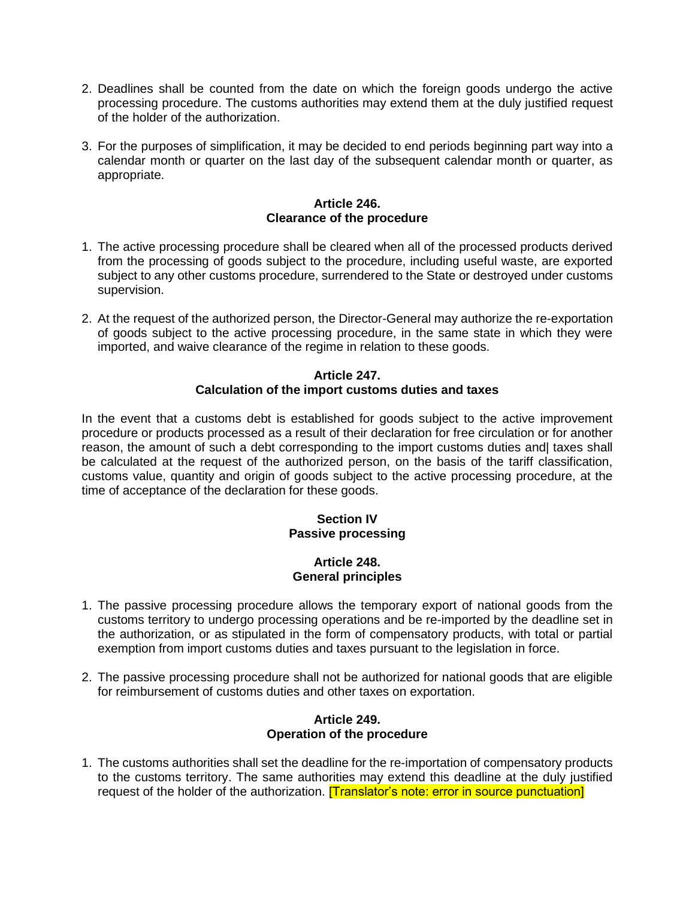- 2. Deadlines shall be counted from the date on which the foreign goods undergo the active processing procedure. The customs authorities may extend them at the duly justified request of the holder of the authorization.
- 3. For the purposes of simplification, it may be decided to end periods beginning part way into a calendar month or quarter on the last day of the subsequent calendar month or quarter, as appropriate.

# **Article 246. Clearance of the procedure**

- 1. The active processing procedure shall be cleared when all of the processed products derived from the processing of goods subject to the procedure, including useful waste, are exported subject to any other customs procedure, surrendered to the State or destroyed under customs supervision.
- 2. At the request of the authorized person, the Director-General may authorize the re-exportation of goods subject to the active processing procedure, in the same state in which they were imported, and waive clearance of the regime in relation to these goods.

# **Article 247. Calculation of the import customs duties and taxes**

In the event that a customs debt is established for goods subject to the active improvement procedure or products processed as a result of their declaration for free circulation or for another reason, the amount of such a debt corresponding to the import customs duties and taxes shall be calculated at the request of the authorized person, on the basis of the tariff classification, customs value, quantity and origin of goods subject to the active processing procedure, at the time of acceptance of the declaration for these goods.

# **Section IV Passive processing**

# **Article 248. General principles**

- 1. The passive processing procedure allows the temporary export of national goods from the customs territory to undergo processing operations and be re-imported by the deadline set in the authorization, or as stipulated in the form of compensatory products, with total or partial exemption from import customs duties and taxes pursuant to the legislation in force.
- 2. The passive processing procedure shall not be authorized for national goods that are eligible for reimbursement of customs duties and other taxes on exportation.

# **Article 249. Operation of the procedure**

1. The customs authorities shall set the deadline for the re-importation of compensatory products to the customs territory. The same authorities may extend this deadline at the duly justified request of the holder of the authorization. **[Translator's note: error in source punctuation**]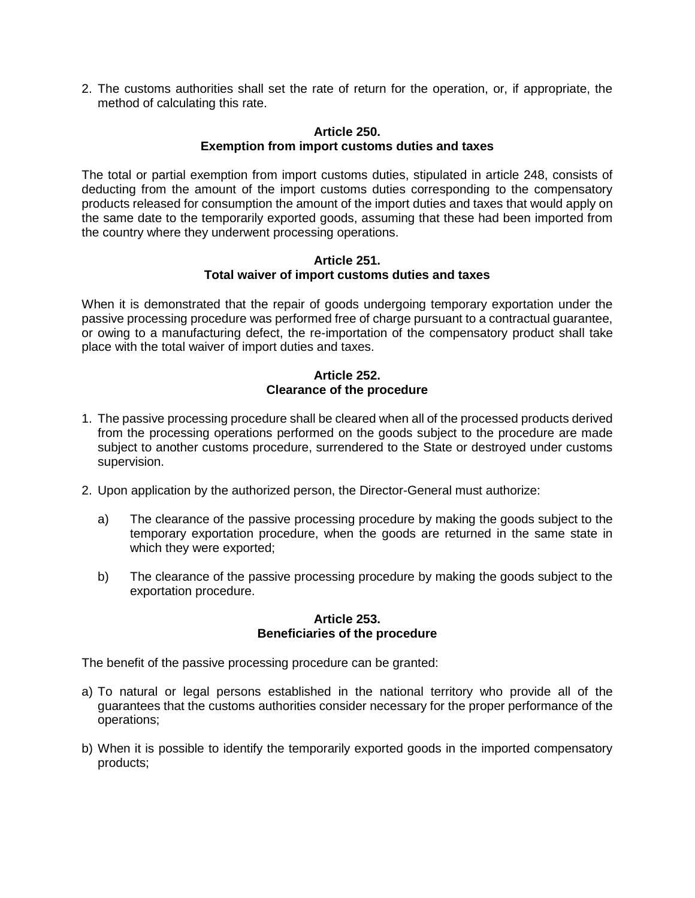2. The customs authorities shall set the rate of return for the operation, or, if appropriate, the method of calculating this rate.

#### **Article 250. Exemption from import customs duties and taxes**

The total or partial exemption from import customs duties, stipulated in article 248, consists of deducting from the amount of the import customs duties corresponding to the compensatory products released for consumption the amount of the import duties and taxes that would apply on the same date to the temporarily exported goods, assuming that these had been imported from the country where they underwent processing operations.

#### **Article 251. Total waiver of import customs duties and taxes**

When it is demonstrated that the repair of goods undergoing temporary exportation under the passive processing procedure was performed free of charge pursuant to a contractual guarantee, or owing to a manufacturing defect, the re-importation of the compensatory product shall take place with the total waiver of import duties and taxes.

# **Article 252. Clearance of the procedure**

- 1. The passive processing procedure shall be cleared when all of the processed products derived from the processing operations performed on the goods subject to the procedure are made subject to another customs procedure, surrendered to the State or destroyed under customs supervision.
- 2. Upon application by the authorized person, the Director-General must authorize:
	- a) The clearance of the passive processing procedure by making the goods subject to the temporary exportation procedure, when the goods are returned in the same state in which they were exported;
	- b) The clearance of the passive processing procedure by making the goods subject to the exportation procedure.

### **Article 253. Beneficiaries of the procedure**

The benefit of the passive processing procedure can be granted:

- a) To natural or legal persons established in the national territory who provide all of the guarantees that the customs authorities consider necessary for the proper performance of the operations;
- b) When it is possible to identify the temporarily exported goods in the imported compensatory products;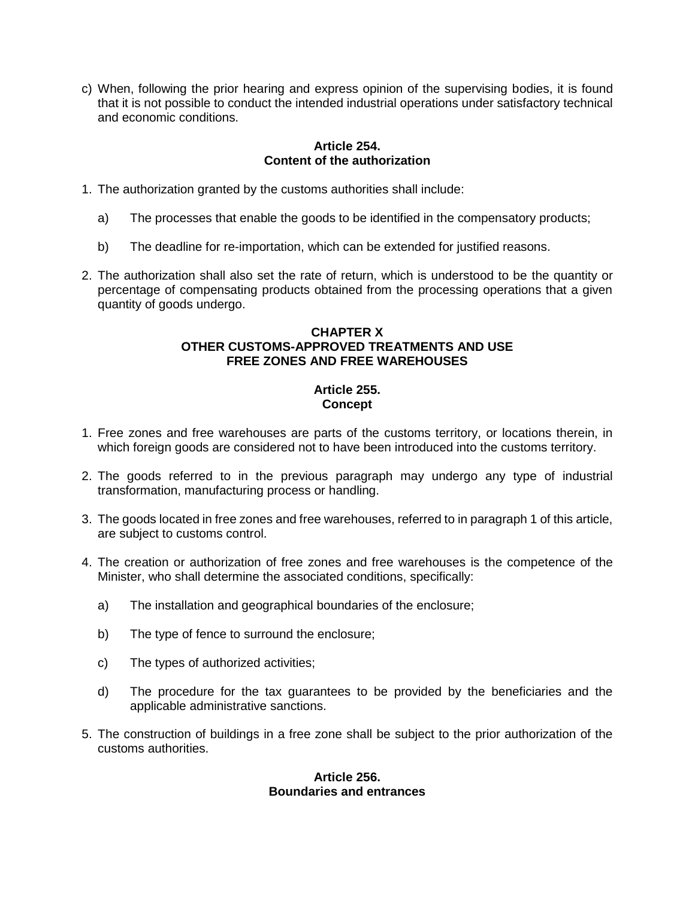c) When, following the prior hearing and express opinion of the supervising bodies, it is found that it is not possible to conduct the intended industrial operations under satisfactory technical and economic conditions.

# **Article 254. Content of the authorization**

- 1. The authorization granted by the customs authorities shall include:
	- a) The processes that enable the goods to be identified in the compensatory products;
	- b) The deadline for re-importation, which can be extended for justified reasons.
- 2. The authorization shall also set the rate of return, which is understood to be the quantity or percentage of compensating products obtained from the processing operations that a given quantity of goods undergo.

# **CHAPTER X OTHER CUSTOMS-APPROVED TREATMENTS AND USE FREE ZONES AND FREE WAREHOUSES**

# **Article 255. Concept**

- 1. Free zones and free warehouses are parts of the customs territory, or locations therein, in which foreign goods are considered not to have been introduced into the customs territory.
- 2. The goods referred to in the previous paragraph may undergo any type of industrial transformation, manufacturing process or handling.
- 3. The goods located in free zones and free warehouses, referred to in paragraph 1 of this article, are subject to customs control.
- 4. The creation or authorization of free zones and free warehouses is the competence of the Minister, who shall determine the associated conditions, specifically:
	- a) The installation and geographical boundaries of the enclosure;
	- b) The type of fence to surround the enclosure;
	- c) The types of authorized activities;
	- d) The procedure for the tax guarantees to be provided by the beneficiaries and the applicable administrative sanctions.
- 5. The construction of buildings in a free zone shall be subject to the prior authorization of the customs authorities.

### **Article 256. Boundaries and entrances**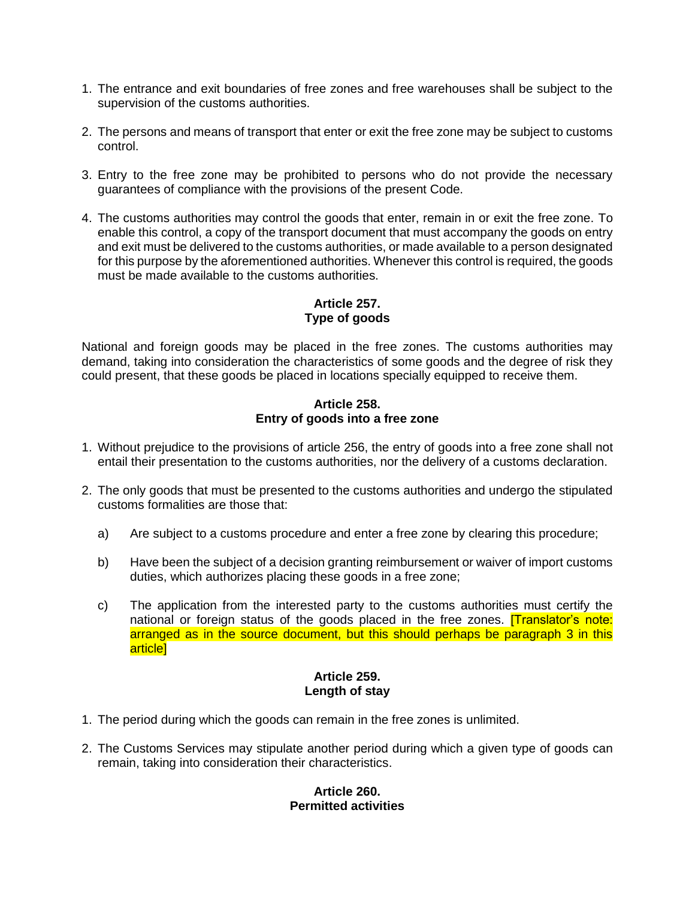- 1. The entrance and exit boundaries of free zones and free warehouses shall be subject to the supervision of the customs authorities.
- 2. The persons and means of transport that enter or exit the free zone may be subject to customs control.
- 3. Entry to the free zone may be prohibited to persons who do not provide the necessary guarantees of compliance with the provisions of the present Code.
- 4. The customs authorities may control the goods that enter, remain in or exit the free zone. To enable this control, a copy of the transport document that must accompany the goods on entry and exit must be delivered to the customs authorities, or made available to a person designated for this purpose by the aforementioned authorities. Whenever this control is required, the goods must be made available to the customs authorities.

# **Article 257. Type of goods**

National and foreign goods may be placed in the free zones. The customs authorities may demand, taking into consideration the characteristics of some goods and the degree of risk they could present, that these goods be placed in locations specially equipped to receive them.

### **Article 258. Entry of goods into a free zone**

- 1. Without prejudice to the provisions of article 256, the entry of goods into a free zone shall not entail their presentation to the customs authorities, nor the delivery of a customs declaration.
- 2. The only goods that must be presented to the customs authorities and undergo the stipulated customs formalities are those that:
	- a) Are subject to a customs procedure and enter a free zone by clearing this procedure;
	- b) Have been the subject of a decision granting reimbursement or waiver of import customs duties, which authorizes placing these goods in a free zone;
	- c) The application from the interested party to the customs authorities must certify the national or foreign status of the goods placed in the free zones. **[Translator's note:** arranged as in the source document, but this should perhaps be paragraph 3 in this article]

# **Article 259. Length of stay**

- 1. The period during which the goods can remain in the free zones is unlimited.
- 2. The Customs Services may stipulate another period during which a given type of goods can remain, taking into consideration their characteristics.

# **Article 260. Permitted activities**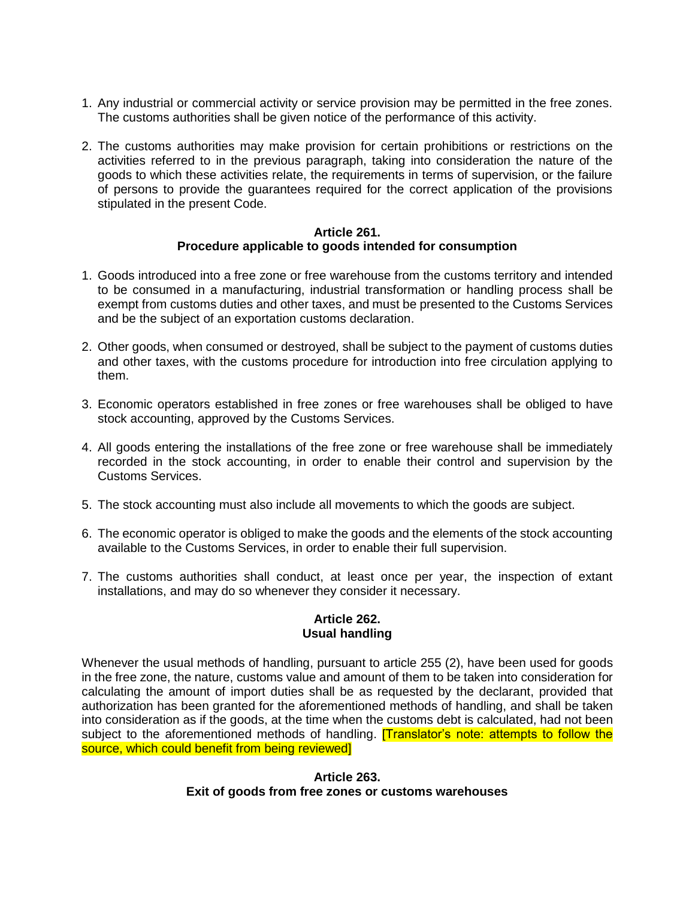- 1. Any industrial or commercial activity or service provision may be permitted in the free zones. The customs authorities shall be given notice of the performance of this activity.
- 2. The customs authorities may make provision for certain prohibitions or restrictions on the activities referred to in the previous paragraph, taking into consideration the nature of the goods to which these activities relate, the requirements in terms of supervision, or the failure of persons to provide the guarantees required for the correct application of the provisions stipulated in the present Code.

### **Article 261. Procedure applicable to goods intended for consumption**

- 1. Goods introduced into a free zone or free warehouse from the customs territory and intended to be consumed in a manufacturing, industrial transformation or handling process shall be exempt from customs duties and other taxes, and must be presented to the Customs Services and be the subject of an exportation customs declaration.
- 2. Other goods, when consumed or destroyed, shall be subject to the payment of customs duties and other taxes, with the customs procedure for introduction into free circulation applying to them.
- 3. Economic operators established in free zones or free warehouses shall be obliged to have stock accounting, approved by the Customs Services.
- 4. All goods entering the installations of the free zone or free warehouse shall be immediately recorded in the stock accounting, in order to enable their control and supervision by the Customs Services.
- 5. The stock accounting must also include all movements to which the goods are subject.
- 6. The economic operator is obliged to make the goods and the elements of the stock accounting available to the Customs Services, in order to enable their full supervision.
- 7. The customs authorities shall conduct, at least once per year, the inspection of extant installations, and may do so whenever they consider it necessary.

# **Article 262. Usual handling**

Whenever the usual methods of handling, pursuant to article 255 (2), have been used for goods in the free zone, the nature, customs value and amount of them to be taken into consideration for calculating the amount of import duties shall be as requested by the declarant, provided that authorization has been granted for the aforementioned methods of handling, and shall be taken into consideration as if the goods, at the time when the customs debt is calculated, had not been subject to the aforementioned methods of handling. **Thanslator's note: attempts to follow the** source, which could benefit from being reviewed]

> **Article 263. Exit of goods from free zones or customs warehouses**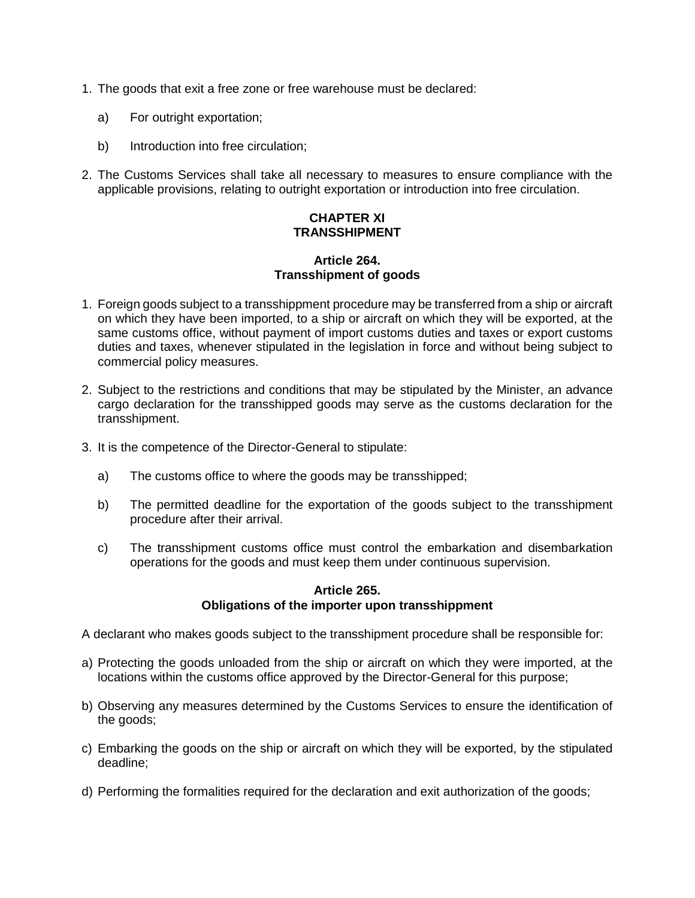- 1. The goods that exit a free zone or free warehouse must be declared:
	- a) For outright exportation;
	- b) Introduction into free circulation;
- 2. The Customs Services shall take all necessary to measures to ensure compliance with the applicable provisions, relating to outright exportation or introduction into free circulation.

# **CHAPTER XI TRANSSHIPMENT**

# **Article 264. Transshipment of goods**

- 1. Foreign goods subject to a transshippment procedure may be transferred from a ship or aircraft on which they have been imported, to a ship or aircraft on which they will be exported, at the same customs office, without payment of import customs duties and taxes or export customs duties and taxes, whenever stipulated in the legislation in force and without being subject to commercial policy measures.
- 2. Subject to the restrictions and conditions that may be stipulated by the Minister, an advance cargo declaration for the transshipped goods may serve as the customs declaration for the transshipment.
- 3. It is the competence of the Director-General to stipulate:
	- a) The customs office to where the goods may be transshipped;
	- b) The permitted deadline for the exportation of the goods subject to the transshipment procedure after their arrival.
	- c) The transshipment customs office must control the embarkation and disembarkation operations for the goods and must keep them under continuous supervision.

### **Article 265. Obligations of the importer upon transshippment**

A declarant who makes goods subject to the transshipment procedure shall be responsible for:

- a) Protecting the goods unloaded from the ship or aircraft on which they were imported, at the locations within the customs office approved by the Director-General for this purpose;
- b) Observing any measures determined by the Customs Services to ensure the identification of the goods;
- c) Embarking the goods on the ship or aircraft on which they will be exported, by the stipulated deadline;
- d) Performing the formalities required for the declaration and exit authorization of the goods;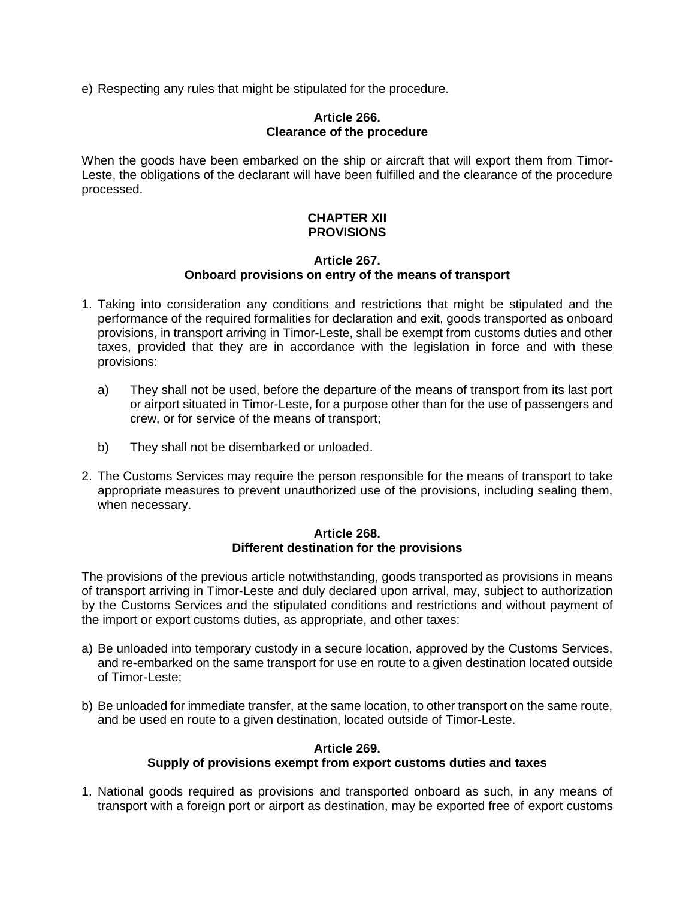e) Respecting any rules that might be stipulated for the procedure.

#### **Article 266. Clearance of the procedure**

When the goods have been embarked on the ship or aircraft that will export them from Timor-Leste, the obligations of the declarant will have been fulfilled and the clearance of the procedure processed.

# **CHAPTER XII PROVISIONS**

### **Article 267. Onboard provisions on entry of the means of transport**

- 1. Taking into consideration any conditions and restrictions that might be stipulated and the performance of the required formalities for declaration and exit, goods transported as onboard provisions, in transport arriving in Timor-Leste, shall be exempt from customs duties and other taxes, provided that they are in accordance with the legislation in force and with these provisions:
	- a) They shall not be used, before the departure of the means of transport from its last port or airport situated in Timor-Leste, for a purpose other than for the use of passengers and crew, or for service of the means of transport;
	- b) They shall not be disembarked or unloaded.
- 2. The Customs Services may require the person responsible for the means of transport to take appropriate measures to prevent unauthorized use of the provisions, including sealing them, when necessary.

# **Article 268. Different destination for the provisions**

The provisions of the previous article notwithstanding, goods transported as provisions in means of transport arriving in Timor-Leste and duly declared upon arrival, may, subject to authorization by the Customs Services and the stipulated conditions and restrictions and without payment of the import or export customs duties, as appropriate, and other taxes:

- a) Be unloaded into temporary custody in a secure location, approved by the Customs Services, and re-embarked on the same transport for use en route to a given destination located outside of Timor-Leste;
- b) Be unloaded for immediate transfer, at the same location, to other transport on the same route, and be used en route to a given destination, located outside of Timor-Leste.

# **Article 269. Supply of provisions exempt from export customs duties and taxes**

1. National goods required as provisions and transported onboard as such, in any means of transport with a foreign port or airport as destination, may be exported free of export customs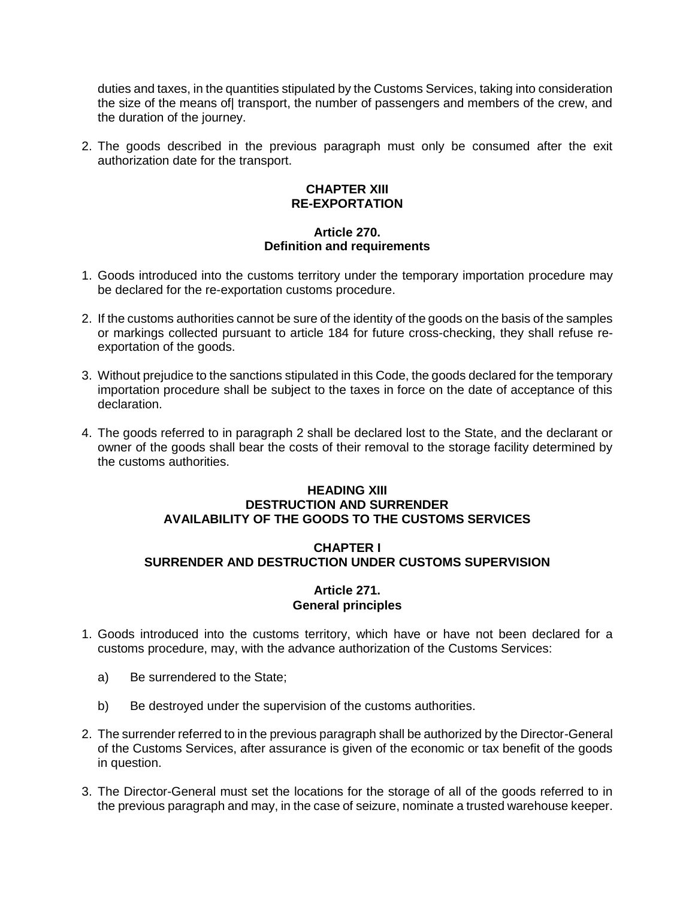duties and taxes, in the quantities stipulated by the Customs Services, taking into consideration the size of the means of transport, the number of passengers and members of the crew, and the duration of the journey.

2. The goods described in the previous paragraph must only be consumed after the exit authorization date for the transport.

# **CHAPTER XIII RE-EXPORTATION**

# **Article 270. Definition and requirements**

- 1. Goods introduced into the customs territory under the temporary importation procedure may be declared for the re-exportation customs procedure.
- 2. If the customs authorities cannot be sure of the identity of the goods on the basis of the samples or markings collected pursuant to article 184 for future cross-checking, they shall refuse reexportation of the goods.
- 3. Without prejudice to the sanctions stipulated in this Code, the goods declared for the temporary importation procedure shall be subject to the taxes in force on the date of acceptance of this declaration.
- 4. The goods referred to in paragraph 2 shall be declared lost to the State, and the declarant or owner of the goods shall bear the costs of their removal to the storage facility determined by the customs authorities.

### **HEADING XIII DESTRUCTION AND SURRENDER AVAILABILITY OF THE GOODS TO THE CUSTOMS SERVICES**

# **CHAPTER I SURRENDER AND DESTRUCTION UNDER CUSTOMS SUPERVISION**

# **Article 271. General principles**

- 1. Goods introduced into the customs territory, which have or have not been declared for a customs procedure, may, with the advance authorization of the Customs Services:
	- a) Be surrendered to the State;
	- b) Be destroyed under the supervision of the customs authorities.
- 2. The surrender referred to in the previous paragraph shall be authorized by the Director-General of the Customs Services, after assurance is given of the economic or tax benefit of the goods in question.
- 3. The Director-General must set the locations for the storage of all of the goods referred to in the previous paragraph and may, in the case of seizure, nominate a trusted warehouse keeper.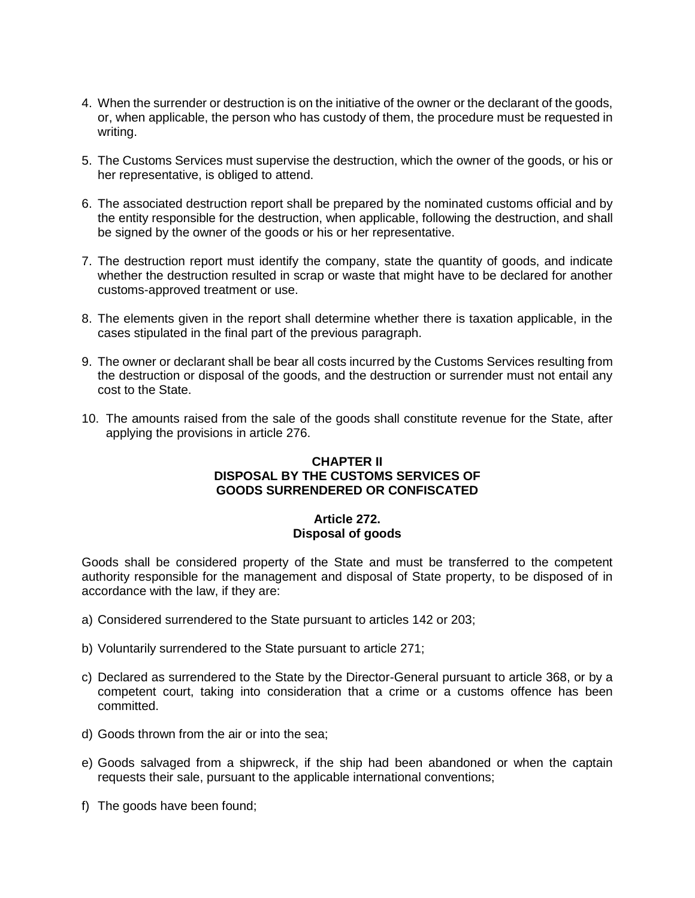- 4. When the surrender or destruction is on the initiative of the owner or the declarant of the goods, or, when applicable, the person who has custody of them, the procedure must be requested in writing.
- 5. The Customs Services must supervise the destruction, which the owner of the goods, or his or her representative, is obliged to attend.
- 6. The associated destruction report shall be prepared by the nominated customs official and by the entity responsible for the destruction, when applicable, following the destruction, and shall be signed by the owner of the goods or his or her representative.
- 7. The destruction report must identify the company, state the quantity of goods, and indicate whether the destruction resulted in scrap or waste that might have to be declared for another customs-approved treatment or use.
- 8. The elements given in the report shall determine whether there is taxation applicable, in the cases stipulated in the final part of the previous paragraph.
- 9. The owner or declarant shall be bear all costs incurred by the Customs Services resulting from the destruction or disposal of the goods, and the destruction or surrender must not entail any cost to the State.
- 10. The amounts raised from the sale of the goods shall constitute revenue for the State, after applying the provisions in article 276.

# **CHAPTER II DISPOSAL BY THE CUSTOMS SERVICES OF GOODS SURRENDERED OR CONFISCATED**

# **Article 272. Disposal of goods**

Goods shall be considered property of the State and must be transferred to the competent authority responsible for the management and disposal of State property, to be disposed of in accordance with the law, if they are:

- a) Considered surrendered to the State pursuant to articles 142 or 203;
- b) Voluntarily surrendered to the State pursuant to article 271;
- c) Declared as surrendered to the State by the Director-General pursuant to article 368, or by a competent court, taking into consideration that a crime or a customs offence has been committed.
- d) Goods thrown from the air or into the sea;
- e) Goods salvaged from a shipwreck, if the ship had been abandoned or when the captain requests their sale, pursuant to the applicable international conventions;
- f) The goods have been found;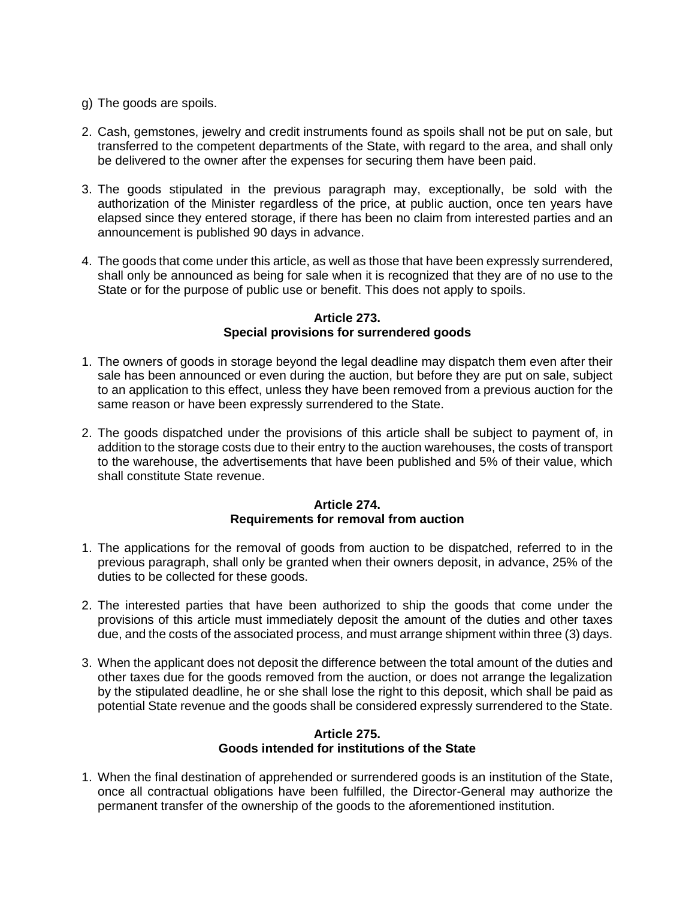- g) The goods are spoils.
- 2. Cash, gemstones, jewelry and credit instruments found as spoils shall not be put on sale, but transferred to the competent departments of the State, with regard to the area, and shall only be delivered to the owner after the expenses for securing them have been paid.
- 3. The goods stipulated in the previous paragraph may, exceptionally, be sold with the authorization of the Minister regardless of the price, at public auction, once ten years have elapsed since they entered storage, if there has been no claim from interested parties and an announcement is published 90 days in advance.
- 4. The goods that come under this article, as well as those that have been expressly surrendered, shall only be announced as being for sale when it is recognized that they are of no use to the State or for the purpose of public use or benefit. This does not apply to spoils.

### **Article 273. Special provisions for surrendered goods**

- 1. The owners of goods in storage beyond the legal deadline may dispatch them even after their sale has been announced or even during the auction, but before they are put on sale, subject to an application to this effect, unless they have been removed from a previous auction for the same reason or have been expressly surrendered to the State.
- 2. The goods dispatched under the provisions of this article shall be subject to payment of, in addition to the storage costs due to their entry to the auction warehouses, the costs of transport to the warehouse, the advertisements that have been published and 5% of their value, which shall constitute State revenue.

# **Article 274. Requirements for removal from auction**

- 1. The applications for the removal of goods from auction to be dispatched, referred to in the previous paragraph, shall only be granted when their owners deposit, in advance, 25% of the duties to be collected for these goods.
- 2. The interested parties that have been authorized to ship the goods that come under the provisions of this article must immediately deposit the amount of the duties and other taxes due, and the costs of the associated process, and must arrange shipment within three (3) days.
- 3. When the applicant does not deposit the difference between the total amount of the duties and other taxes due for the goods removed from the auction, or does not arrange the legalization by the stipulated deadline, he or she shall lose the right to this deposit, which shall be paid as potential State revenue and the goods shall be considered expressly surrendered to the State.

# **Article 275. Goods intended for institutions of the State**

1. When the final destination of apprehended or surrendered goods is an institution of the State, once all contractual obligations have been fulfilled, the Director-General may authorize the permanent transfer of the ownership of the goods to the aforementioned institution.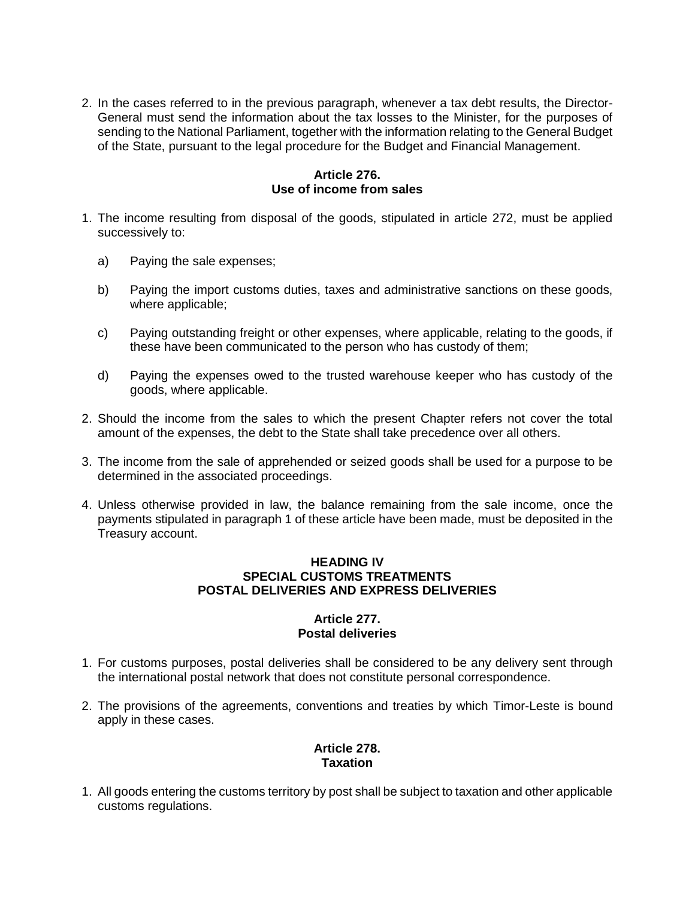2. In the cases referred to in the previous paragraph, whenever a tax debt results, the Director-General must send the information about the tax losses to the Minister, for the purposes of sending to the National Parliament, together with the information relating to the General Budget of the State, pursuant to the legal procedure for the Budget and Financial Management.

# **Article 276. Use of income from sales**

- 1. The income resulting from disposal of the goods, stipulated in article 272, must be applied successively to:
	- a) Paying the sale expenses;
	- b) Paying the import customs duties, taxes and administrative sanctions on these goods, where applicable;
	- c) Paying outstanding freight or other expenses, where applicable, relating to the goods, if these have been communicated to the person who has custody of them;
	- d) Paying the expenses owed to the trusted warehouse keeper who has custody of the goods, where applicable.
- 2. Should the income from the sales to which the present Chapter refers not cover the total amount of the expenses, the debt to the State shall take precedence over all others.
- 3. The income from the sale of apprehended or seized goods shall be used for a purpose to be determined in the associated proceedings.
- 4. Unless otherwise provided in law, the balance remaining from the sale income, once the payments stipulated in paragraph 1 of these article have been made, must be deposited in the Treasury account.

### **HEADING IV SPECIAL CUSTOMS TREATMENTS POSTAL DELIVERIES AND EXPRESS DELIVERIES**

# **Article 277. Postal deliveries**

- 1. For customs purposes, postal deliveries shall be considered to be any delivery sent through the international postal network that does not constitute personal correspondence.
- 2. The provisions of the agreements, conventions and treaties by which Timor-Leste is bound apply in these cases.

# **Article 278. Taxation**

1. All goods entering the customs territory by post shall be subject to taxation and other applicable customs regulations.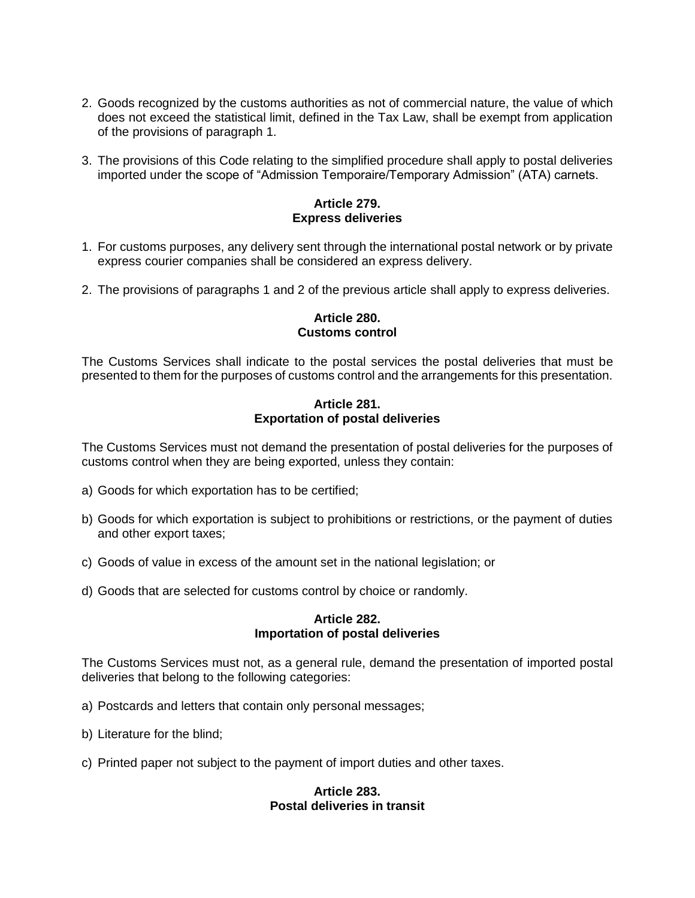- 2. Goods recognized by the customs authorities as not of commercial nature, the value of which does not exceed the statistical limit, defined in the Tax Law, shall be exempt from application of the provisions of paragraph 1.
- 3. The provisions of this Code relating to the simplified procedure shall apply to postal deliveries imported under the scope of "Admission Temporaire/Temporary Admission" (ATA) carnets.

# **Article 279. Express deliveries**

- 1. For customs purposes, any delivery sent through the international postal network or by private express courier companies shall be considered an express delivery.
- 2. The provisions of paragraphs 1 and 2 of the previous article shall apply to express deliveries.

# **Article 280. Customs control**

The Customs Services shall indicate to the postal services the postal deliveries that must be presented to them for the purposes of customs control and the arrangements for this presentation.

#### **Article 281. Exportation of postal deliveries**

The Customs Services must not demand the presentation of postal deliveries for the purposes of customs control when they are being exported, unless they contain:

- a) Goods for which exportation has to be certified;
- b) Goods for which exportation is subject to prohibitions or restrictions, or the payment of duties and other export taxes;
- c) Goods of value in excess of the amount set in the national legislation; or
- d) Goods that are selected for customs control by choice or randomly.

### **Article 282. Importation of postal deliveries**

The Customs Services must not, as a general rule, demand the presentation of imported postal deliveries that belong to the following categories:

- a) Postcards and letters that contain only personal messages;
- b) Literature for the blind;
- c) Printed paper not subject to the payment of import duties and other taxes.

### **Article 283. Postal deliveries in transit**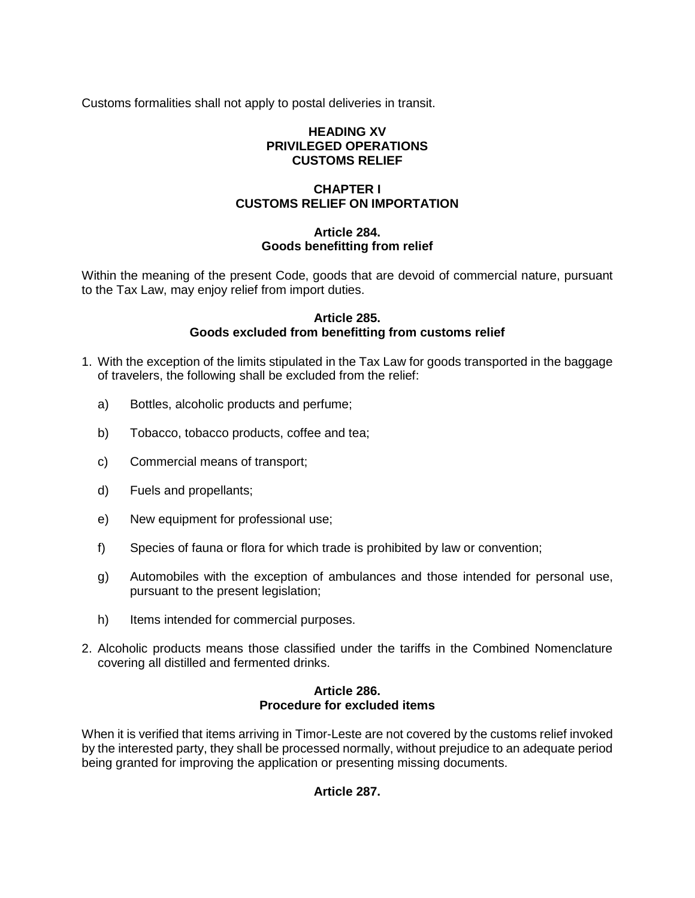Customs formalities shall not apply to postal deliveries in transit.

# **HEADING XV PRIVILEGED OPERATIONS CUSTOMS RELIEF**

# **CHAPTER I CUSTOMS RELIEF ON IMPORTATION**

# **Article 284. Goods benefitting from relief**

Within the meaning of the present Code, goods that are devoid of commercial nature, pursuant to the Tax Law, may enjoy relief from import duties.

# **Article 285. Goods excluded from benefitting from customs relief**

- 1. With the exception of the limits stipulated in the Tax Law for goods transported in the baggage of travelers, the following shall be excluded from the relief:
	- a) Bottles, alcoholic products and perfume;
	- b) Tobacco, tobacco products, coffee and tea;
	- c) Commercial means of transport;
	- d) Fuels and propellants;
	- e) New equipment for professional use;
	- f) Species of fauna or flora for which trade is prohibited by law or convention;
	- g) Automobiles with the exception of ambulances and those intended for personal use, pursuant to the present legislation;
	- h) Items intended for commercial purposes.
- 2. Alcoholic products means those classified under the tariffs in the Combined Nomenclature covering all distilled and fermented drinks.

# **Article 286. Procedure for excluded items**

When it is verified that items arriving in Timor-Leste are not covered by the customs relief invoked by the interested party, they shall be processed normally, without prejudice to an adequate period being granted for improving the application or presenting missing documents.

# **Article 287.**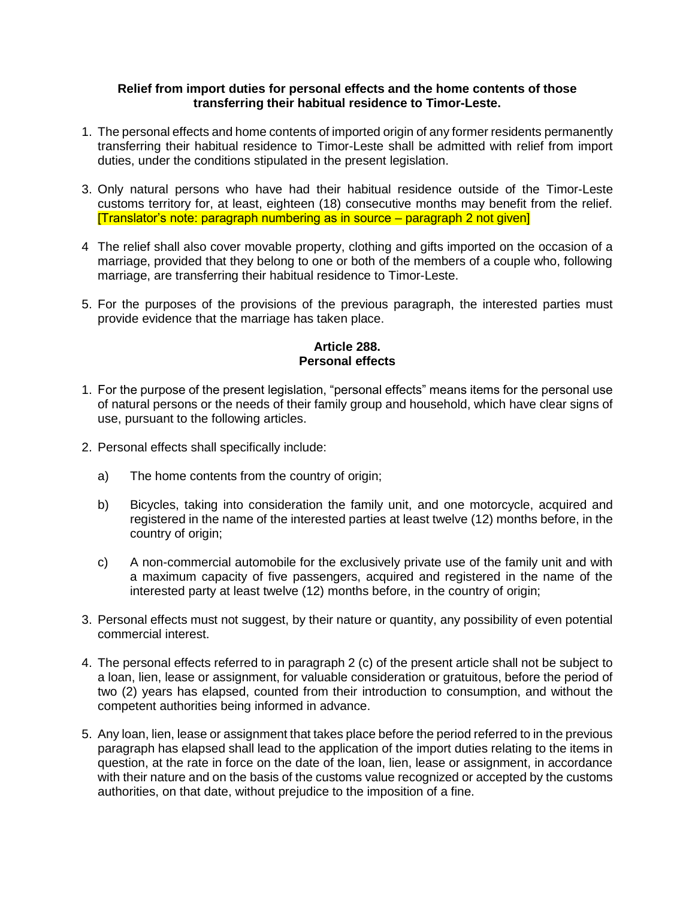### **Relief from import duties for personal effects and the home contents of those transferring their habitual residence to Timor-Leste.**

- 1. The personal effects and home contents of imported origin of any former residents permanently transferring their habitual residence to Timor-Leste shall be admitted with relief from import duties, under the conditions stipulated in the present legislation.
- 3. Only natural persons who have had their habitual residence outside of the Timor-Leste customs territory for, at least, eighteen (18) consecutive months may benefit from the relief. [Translator's note: paragraph numbering as in source – paragraph 2 not given]
- 4 The relief shall also cover movable property, clothing and gifts imported on the occasion of a marriage, provided that they belong to one or both of the members of a couple who, following marriage, are transferring their habitual residence to Timor-Leste.
- 5. For the purposes of the provisions of the previous paragraph, the interested parties must provide evidence that the marriage has taken place.

# **Article 288. Personal effects**

- 1. For the purpose of the present legislation, "personal effects" means items for the personal use of natural persons or the needs of their family group and household, which have clear signs of use, pursuant to the following articles.
- 2. Personal effects shall specifically include:
	- a) The home contents from the country of origin;
	- b) Bicycles, taking into consideration the family unit, and one motorcycle, acquired and registered in the name of the interested parties at least twelve (12) months before, in the country of origin;
	- c) A non-commercial automobile for the exclusively private use of the family unit and with a maximum capacity of five passengers, acquired and registered in the name of the interested party at least twelve (12) months before, in the country of origin;
- 3. Personal effects must not suggest, by their nature or quantity, any possibility of even potential commercial interest.
- 4. The personal effects referred to in paragraph 2 (c) of the present article shall not be subject to a loan, lien, lease or assignment, for valuable consideration or gratuitous, before the period of two (2) years has elapsed, counted from their introduction to consumption, and without the competent authorities being informed in advance.
- 5. Any loan, lien, lease or assignment that takes place before the period referred to in the previous paragraph has elapsed shall lead to the application of the import duties relating to the items in question, at the rate in force on the date of the loan, lien, lease or assignment, in accordance with their nature and on the basis of the customs value recognized or accepted by the customs authorities, on that date, without prejudice to the imposition of a fine.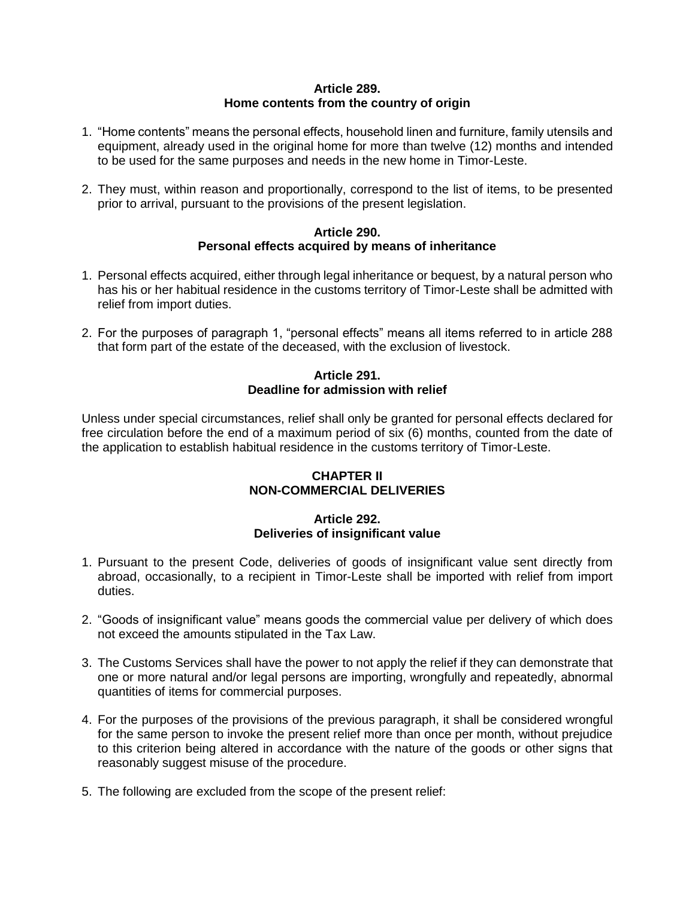## **Article 289. Home contents from the country of origin**

- 1. "Home contents" means the personal effects, household linen and furniture, family utensils and equipment, already used in the original home for more than twelve (12) months and intended to be used for the same purposes and needs in the new home in Timor-Leste.
- 2. They must, within reason and proportionally, correspond to the list of items, to be presented prior to arrival, pursuant to the provisions of the present legislation.

### **Article 290. Personal effects acquired by means of inheritance**

- 1. Personal effects acquired, either through legal inheritance or bequest, by a natural person who has his or her habitual residence in the customs territory of Timor-Leste shall be admitted with relief from import duties.
- 2. For the purposes of paragraph 1, "personal effects" means all items referred to in article 288 that form part of the estate of the deceased, with the exclusion of livestock.

# **Article 291. Deadline for admission with relief**

Unless under special circumstances, relief shall only be granted for personal effects declared for free circulation before the end of a maximum period of six (6) months, counted from the date of the application to establish habitual residence in the customs territory of Timor-Leste.

# **CHAPTER II NON-COMMERCIAL DELIVERIES**

# **Article 292. Deliveries of insignificant value**

- 1. Pursuant to the present Code, deliveries of goods of insignificant value sent directly from abroad, occasionally, to a recipient in Timor-Leste shall be imported with relief from import duties.
- 2. "Goods of insignificant value" means goods the commercial value per delivery of which does not exceed the amounts stipulated in the Tax Law.
- 3. The Customs Services shall have the power to not apply the relief if they can demonstrate that one or more natural and/or legal persons are importing, wrongfully and repeatedly, abnormal quantities of items for commercial purposes.
- 4. For the purposes of the provisions of the previous paragraph, it shall be considered wrongful for the same person to invoke the present relief more than once per month, without prejudice to this criterion being altered in accordance with the nature of the goods or other signs that reasonably suggest misuse of the procedure.
- 5. The following are excluded from the scope of the present relief: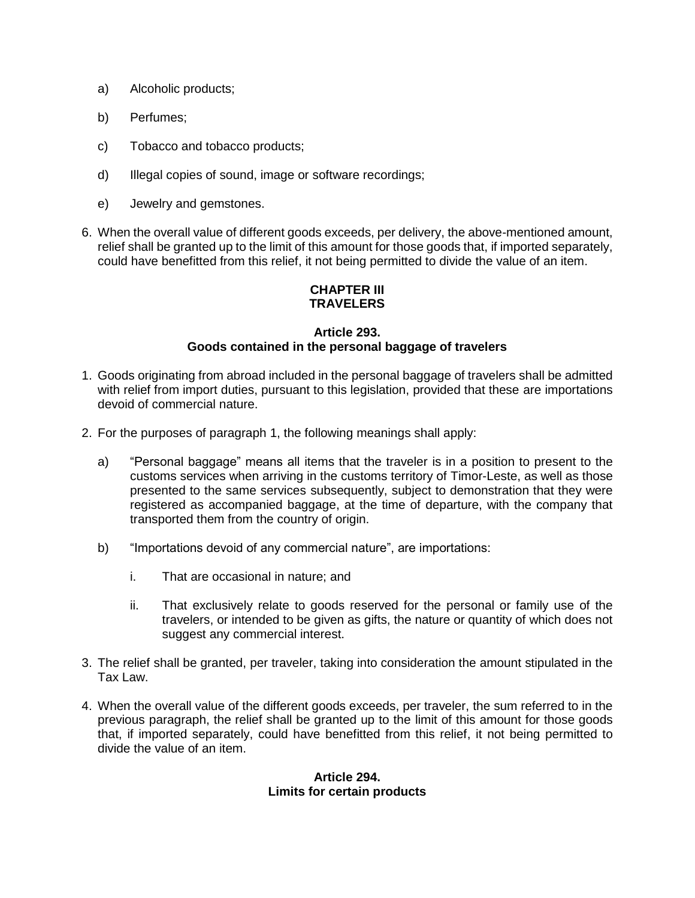- a) Alcoholic products;
- b) Perfumes;
- c) Tobacco and tobacco products;
- d) Illegal copies of sound, image or software recordings;
- e) Jewelry and gemstones.
- 6. When the overall value of different goods exceeds, per delivery, the above-mentioned amount, relief shall be granted up to the limit of this amount for those goods that, if imported separately, could have benefitted from this relief, it not being permitted to divide the value of an item.

# **CHAPTER III TRAVELERS**

### **Article 293. Goods contained in the personal baggage of travelers**

- 1. Goods originating from abroad included in the personal baggage of travelers shall be admitted with relief from import duties, pursuant to this legislation, provided that these are importations devoid of commercial nature.
- 2. For the purposes of paragraph 1, the following meanings shall apply:
	- a) "Personal baggage" means all items that the traveler is in a position to present to the customs services when arriving in the customs territory of Timor-Leste, as well as those presented to the same services subsequently, subject to demonstration that they were registered as accompanied baggage, at the time of departure, with the company that transported them from the country of origin.
	- b) "Importations devoid of any commercial nature", are importations:
		- i. That are occasional in nature; and
		- ii. That exclusively relate to goods reserved for the personal or family use of the travelers, or intended to be given as gifts, the nature or quantity of which does not suggest any commercial interest.
- 3. The relief shall be granted, per traveler, taking into consideration the amount stipulated in the Tax Law.
- 4. When the overall value of the different goods exceeds, per traveler, the sum referred to in the previous paragraph, the relief shall be granted up to the limit of this amount for those goods that, if imported separately, could have benefitted from this relief, it not being permitted to divide the value of an item.

### **Article 294. Limits for certain products**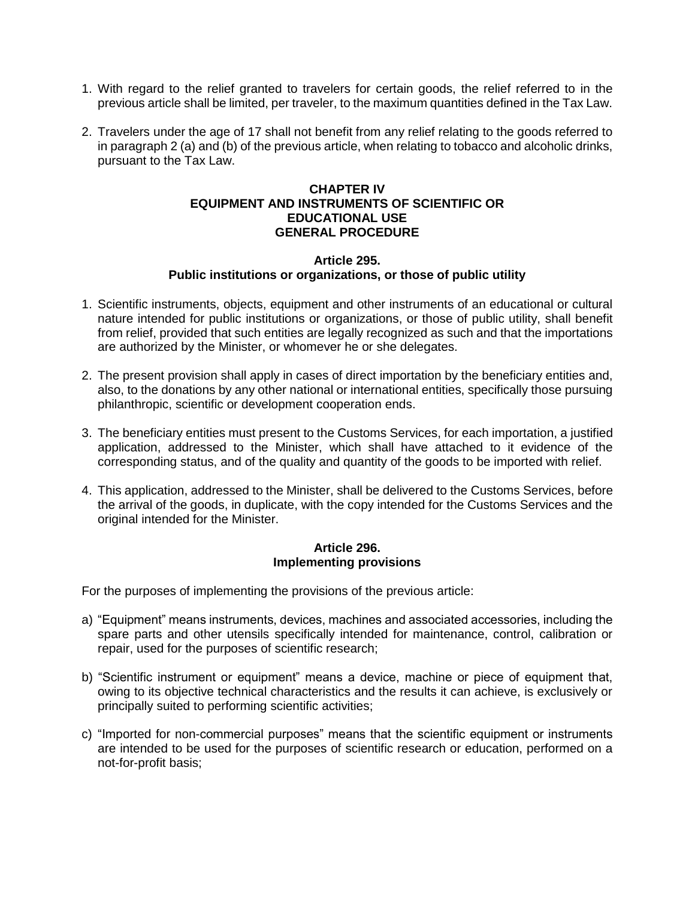- 1. With regard to the relief granted to travelers for certain goods, the relief referred to in the previous article shall be limited, per traveler, to the maximum quantities defined in the Tax Law.
- 2. Travelers under the age of 17 shall not benefit from any relief relating to the goods referred to in paragraph 2 (a) and (b) of the previous article, when relating to tobacco and alcoholic drinks, pursuant to the Tax Law.

## **CHAPTER IV EQUIPMENT AND INSTRUMENTS OF SCIENTIFIC OR EDUCATIONAL USE GENERAL PROCEDURE**

#### **Article 295. Public institutions or organizations, or those of public utility**

- 1. Scientific instruments, objects, equipment and other instruments of an educational or cultural nature intended for public institutions or organizations, or those of public utility, shall benefit from relief, provided that such entities are legally recognized as such and that the importations are authorized by the Minister, or whomever he or she delegates.
- 2. The present provision shall apply in cases of direct importation by the beneficiary entities and, also, to the donations by any other national or international entities, specifically those pursuing philanthropic, scientific or development cooperation ends.
- 3. The beneficiary entities must present to the Customs Services, for each importation, a justified application, addressed to the Minister, which shall have attached to it evidence of the corresponding status, and of the quality and quantity of the goods to be imported with relief.
- 4. This application, addressed to the Minister, shall be delivered to the Customs Services, before the arrival of the goods, in duplicate, with the copy intended for the Customs Services and the original intended for the Minister.

#### **Article 296. Implementing provisions**

For the purposes of implementing the provisions of the previous article:

- a) "Equipment" means instruments, devices, machines and associated accessories, including the spare parts and other utensils specifically intended for maintenance, control, calibration or repair, used for the purposes of scientific research;
- b) "Scientific instrument or equipment" means a device, machine or piece of equipment that, owing to its objective technical characteristics and the results it can achieve, is exclusively or principally suited to performing scientific activities;
- c) "Imported for non-commercial purposes" means that the scientific equipment or instruments are intended to be used for the purposes of scientific research or education, performed on a not-for-profit basis;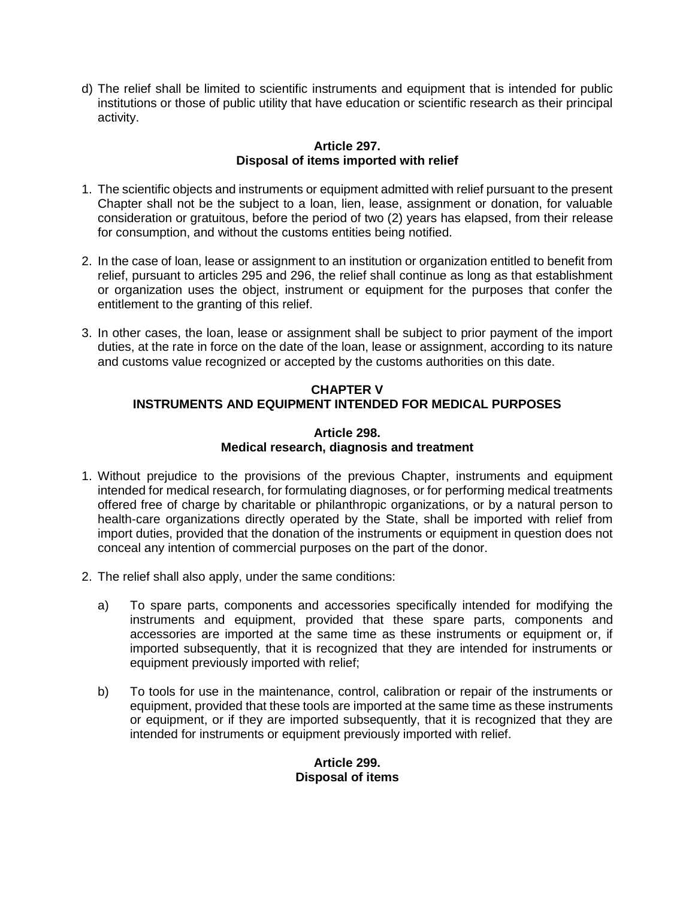d) The relief shall be limited to scientific instruments and equipment that is intended for public institutions or those of public utility that have education or scientific research as their principal activity.

# **Article 297. Disposal of items imported with relief**

- 1. The scientific objects and instruments or equipment admitted with relief pursuant to the present Chapter shall not be the subject to a loan, lien, lease, assignment or donation, for valuable consideration or gratuitous, before the period of two (2) years has elapsed, from their release for consumption, and without the customs entities being notified.
- 2. In the case of loan, lease or assignment to an institution or organization entitled to benefit from relief, pursuant to articles 295 and 296, the relief shall continue as long as that establishment or organization uses the object, instrument or equipment for the purposes that confer the entitlement to the granting of this relief.
- 3. In other cases, the loan, lease or assignment shall be subject to prior payment of the import duties, at the rate in force on the date of the loan, lease or assignment, according to its nature and customs value recognized or accepted by the customs authorities on this date.

# **CHAPTER V INSTRUMENTS AND EQUIPMENT INTENDED FOR MEDICAL PURPOSES**

# **Article 298. Medical research, diagnosis and treatment**

- 1. Without prejudice to the provisions of the previous Chapter, instruments and equipment intended for medical research, for formulating diagnoses, or for performing medical treatments offered free of charge by charitable or philanthropic organizations, or by a natural person to health-care organizations directly operated by the State, shall be imported with relief from import duties, provided that the donation of the instruments or equipment in question does not conceal any intention of commercial purposes on the part of the donor.
- 2. The relief shall also apply, under the same conditions:
	- a) To spare parts, components and accessories specifically intended for modifying the instruments and equipment, provided that these spare parts, components and accessories are imported at the same time as these instruments or equipment or, if imported subsequently, that it is recognized that they are intended for instruments or equipment previously imported with relief;
	- b) To tools for use in the maintenance, control, calibration or repair of the instruments or equipment, provided that these tools are imported at the same time as these instruments or equipment, or if they are imported subsequently, that it is recognized that they are intended for instruments or equipment previously imported with relief.

# **Article 299. Disposal of items**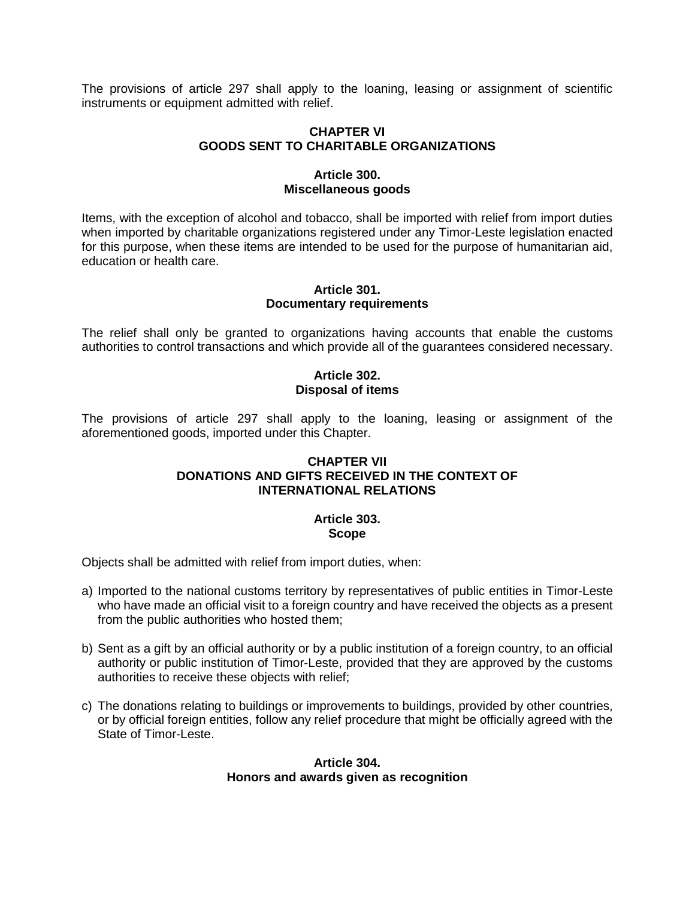The provisions of article 297 shall apply to the loaning, leasing or assignment of scientific instruments or equipment admitted with relief.

# **CHAPTER VI GOODS SENT TO CHARITABLE ORGANIZATIONS**

### **Article 300. Miscellaneous goods**

Items, with the exception of alcohol and tobacco, shall be imported with relief from import duties when imported by charitable organizations registered under any Timor-Leste legislation enacted for this purpose, when these items are intended to be used for the purpose of humanitarian aid, education or health care.

#### **Article 301. Documentary requirements**

The relief shall only be granted to organizations having accounts that enable the customs authorities to control transactions and which provide all of the guarantees considered necessary.

# **Article 302. Disposal of items**

The provisions of article 297 shall apply to the loaning, leasing or assignment of the aforementioned goods, imported under this Chapter.

# **CHAPTER VII DONATIONS AND GIFTS RECEIVED IN THE CONTEXT OF INTERNATIONAL RELATIONS**

#### **Article 303. Scope**

Objects shall be admitted with relief from import duties, when:

- a) Imported to the national customs territory by representatives of public entities in Timor-Leste who have made an official visit to a foreign country and have received the objects as a present from the public authorities who hosted them;
- b) Sent as a gift by an official authority or by a public institution of a foreign country, to an official authority or public institution of Timor-Leste, provided that they are approved by the customs authorities to receive these objects with relief;
- c) The donations relating to buildings or improvements to buildings, provided by other countries, or by official foreign entities, follow any relief procedure that might be officially agreed with the State of Timor-Leste.

# **Article 304. Honors and awards given as recognition**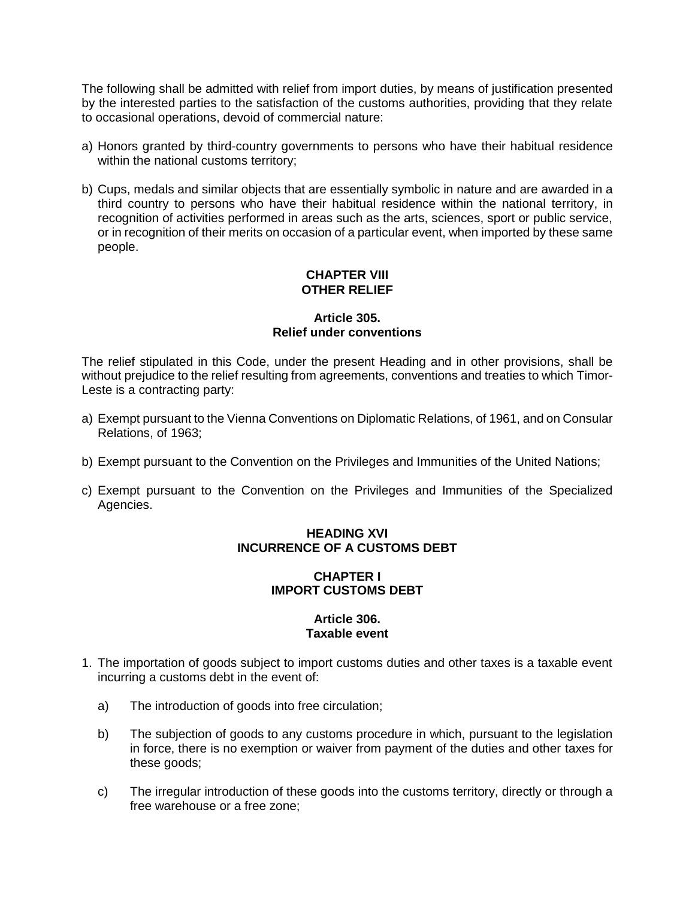The following shall be admitted with relief from import duties, by means of justification presented by the interested parties to the satisfaction of the customs authorities, providing that they relate to occasional operations, devoid of commercial nature:

- a) Honors granted by third-country governments to persons who have their habitual residence within the national customs territory;
- b) Cups, medals and similar objects that are essentially symbolic in nature and are awarded in a third country to persons who have their habitual residence within the national territory, in recognition of activities performed in areas such as the arts, sciences, sport or public service, or in recognition of their merits on occasion of a particular event, when imported by these same people.

# **CHAPTER VIII OTHER RELIEF**

# **Article 305. Relief under conventions**

The relief stipulated in this Code, under the present Heading and in other provisions, shall be without prejudice to the relief resulting from agreements, conventions and treaties to which Timor-Leste is a contracting party:

- a) Exempt pursuant to the Vienna Conventions on Diplomatic Relations, of 1961, and on Consular Relations, of 1963;
- b) Exempt pursuant to the Convention on the Privileges and Immunities of the United Nations;
- c) Exempt pursuant to the Convention on the Privileges and Immunities of the Specialized Agencies.

# **HEADING XVI INCURRENCE OF A CUSTOMS DEBT**

# **CHAPTER I IMPORT CUSTOMS DEBT**

# **Article 306. Taxable event**

- 1. The importation of goods subject to import customs duties and other taxes is a taxable event incurring a customs debt in the event of:
	- a) The introduction of goods into free circulation;
	- b) The subjection of goods to any customs procedure in which, pursuant to the legislation in force, there is no exemption or waiver from payment of the duties and other taxes for these goods;
	- c) The irregular introduction of these goods into the customs territory, directly or through a free warehouse or a free zone;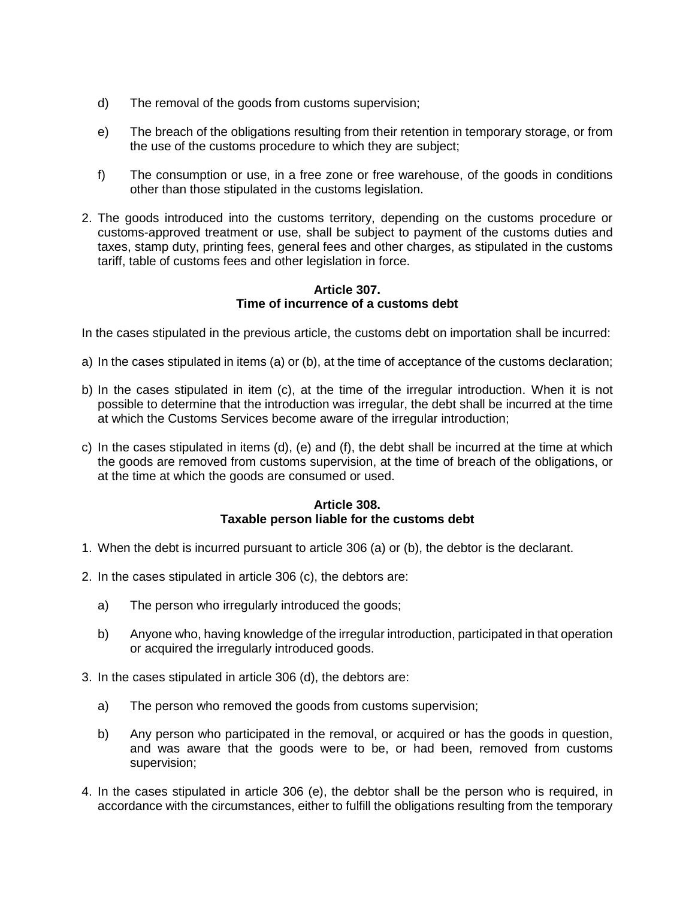- d) The removal of the goods from customs supervision;
- e) The breach of the obligations resulting from their retention in temporary storage, or from the use of the customs procedure to which they are subject;
- f) The consumption or use, in a free zone or free warehouse, of the goods in conditions other than those stipulated in the customs legislation.
- 2. The goods introduced into the customs territory, depending on the customs procedure or customs-approved treatment or use, shall be subject to payment of the customs duties and taxes, stamp duty, printing fees, general fees and other charges, as stipulated in the customs tariff, table of customs fees and other legislation in force.

# **Article 307. Time of incurrence of a customs debt**

In the cases stipulated in the previous article, the customs debt on importation shall be incurred:

- a) In the cases stipulated in items (a) or (b), at the time of acceptance of the customs declaration;
- b) In the cases stipulated in item (c), at the time of the irregular introduction. When it is not possible to determine that the introduction was irregular, the debt shall be incurred at the time at which the Customs Services become aware of the irregular introduction;
- c) In the cases stipulated in items (d), (e) and (f), the debt shall be incurred at the time at which the goods are removed from customs supervision, at the time of breach of the obligations, or at the time at which the goods are consumed or used.

# **Article 308. Taxable person liable for the customs debt**

- 1. When the debt is incurred pursuant to article 306 (a) or (b), the debtor is the declarant.
- 2. In the cases stipulated in article 306 (c), the debtors are:
	- a) The person who irregularly introduced the goods;
	- b) Anyone who, having knowledge of the irregular introduction, participated in that operation or acquired the irregularly introduced goods.
- 3. In the cases stipulated in article 306 (d), the debtors are:
	- a) The person who removed the goods from customs supervision;
	- b) Any person who participated in the removal, or acquired or has the goods in question, and was aware that the goods were to be, or had been, removed from customs supervision;
- 4. In the cases stipulated in article 306 (e), the debtor shall be the person who is required, in accordance with the circumstances, either to fulfill the obligations resulting from the temporary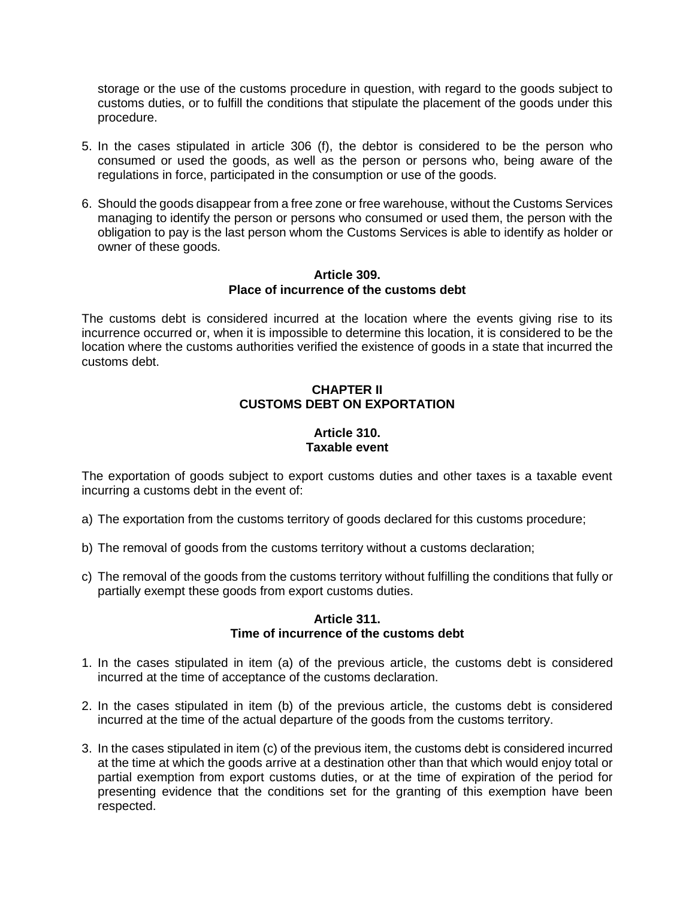storage or the use of the customs procedure in question, with regard to the goods subject to customs duties, or to fulfill the conditions that stipulate the placement of the goods under this procedure.

- 5. In the cases stipulated in article 306 (f), the debtor is considered to be the person who consumed or used the goods, as well as the person or persons who, being aware of the regulations in force, participated in the consumption or use of the goods.
- 6. Should the goods disappear from a free zone or free warehouse, without the Customs Services managing to identify the person or persons who consumed or used them, the person with the obligation to pay is the last person whom the Customs Services is able to identify as holder or owner of these goods.

### **Article 309. Place of incurrence of the customs debt**

The customs debt is considered incurred at the location where the events giving rise to its incurrence occurred or, when it is impossible to determine this location, it is considered to be the location where the customs authorities verified the existence of goods in a state that incurred the customs debt.

# **CHAPTER II CUSTOMS DEBT ON EXPORTATION**

# **Article 310. Taxable event**

The exportation of goods subject to export customs duties and other taxes is a taxable event incurring a customs debt in the event of:

- a) The exportation from the customs territory of goods declared for this customs procedure;
- b) The removal of goods from the customs territory without a customs declaration;
- c) The removal of the goods from the customs territory without fulfilling the conditions that fully or partially exempt these goods from export customs duties.

### **Article 311. Time of incurrence of the customs debt**

- 1. In the cases stipulated in item (a) of the previous article, the customs debt is considered incurred at the time of acceptance of the customs declaration.
- 2. In the cases stipulated in item (b) of the previous article, the customs debt is considered incurred at the time of the actual departure of the goods from the customs territory.
- 3. In the cases stipulated in item (c) of the previous item, the customs debt is considered incurred at the time at which the goods arrive at a destination other than that which would enjoy total or partial exemption from export customs duties, or at the time of expiration of the period for presenting evidence that the conditions set for the granting of this exemption have been respected.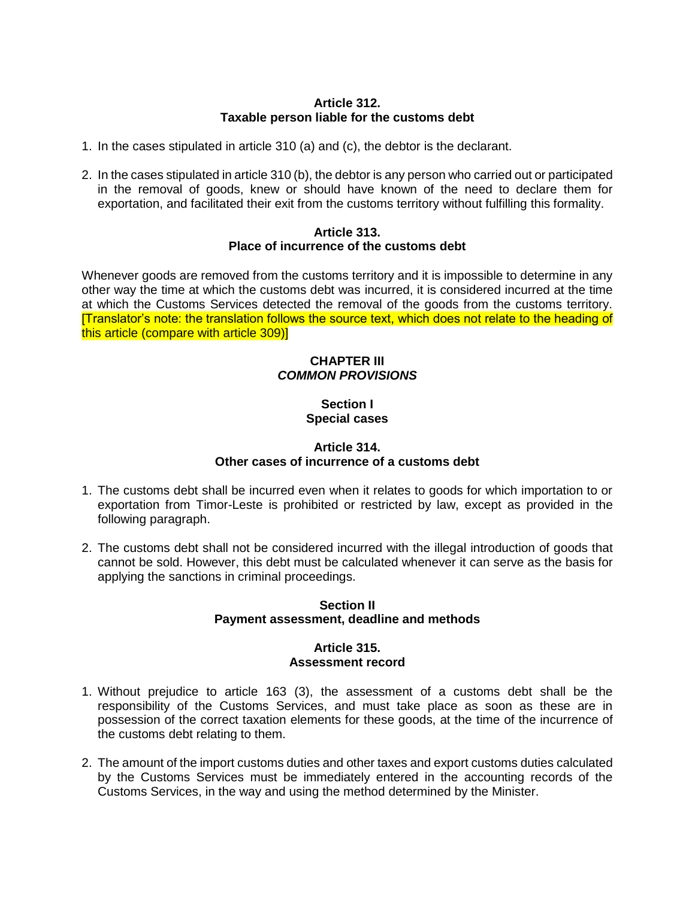## **Article 312. Taxable person liable for the customs debt**

- 1. In the cases stipulated in article 310 (a) and (c), the debtor is the declarant.
- 2. In the cases stipulated in article 310 (b), the debtor is any person who carried out or participated in the removal of goods, knew or should have known of the need to declare them for exportation, and facilitated their exit from the customs territory without fulfilling this formality.

#### **Article 313. Place of incurrence of the customs debt**

Whenever goods are removed from the customs territory and it is impossible to determine in any other way the time at which the customs debt was incurred, it is considered incurred at the time at which the Customs Services detected the removal of the goods from the customs territory. [Translator's note: the translation follows the source text, which does not relate to the heading of this article (compare with article 309)]

# **CHAPTER III** *COMMON PROVISIONS*

# **Section I Special cases**

# **Article 314. Other cases of incurrence of a customs debt**

- 1. The customs debt shall be incurred even when it relates to goods for which importation to or exportation from Timor-Leste is prohibited or restricted by law, except as provided in the following paragraph.
- 2. The customs debt shall not be considered incurred with the illegal introduction of goods that cannot be sold. However, this debt must be calculated whenever it can serve as the basis for applying the sanctions in criminal proceedings.

# **Section II Payment assessment, deadline and methods**

### **Article 315. Assessment record**

- 1. Without prejudice to article 163 (3), the assessment of a customs debt shall be the responsibility of the Customs Services, and must take place as soon as these are in possession of the correct taxation elements for these goods, at the time of the incurrence of the customs debt relating to them.
- 2. The amount of the import customs duties and other taxes and export customs duties calculated by the Customs Services must be immediately entered in the accounting records of the Customs Services, in the way and using the method determined by the Minister.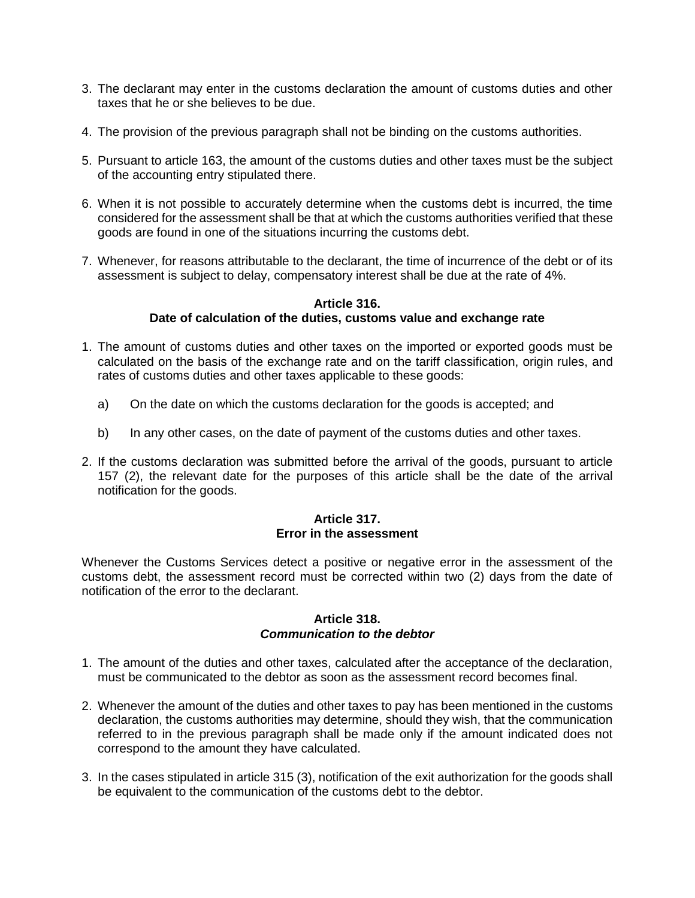- 3. The declarant may enter in the customs declaration the amount of customs duties and other taxes that he or she believes to be due.
- 4. The provision of the previous paragraph shall not be binding on the customs authorities.
- 5. Pursuant to article 163, the amount of the customs duties and other taxes must be the subject of the accounting entry stipulated there.
- 6. When it is not possible to accurately determine when the customs debt is incurred, the time considered for the assessment shall be that at which the customs authorities verified that these goods are found in one of the situations incurring the customs debt.
- 7. Whenever, for reasons attributable to the declarant, the time of incurrence of the debt or of its assessment is subject to delay, compensatory interest shall be due at the rate of 4%.

#### **Article 316. Date of calculation of the duties, customs value and exchange rate**

- 1. The amount of customs duties and other taxes on the imported or exported goods must be calculated on the basis of the exchange rate and on the tariff classification, origin rules, and rates of customs duties and other taxes applicable to these goods:
	- a) On the date on which the customs declaration for the goods is accepted; and
	- b) In any other cases, on the date of payment of the customs duties and other taxes.
- 2. If the customs declaration was submitted before the arrival of the goods, pursuant to article 157 (2), the relevant date for the purposes of this article shall be the date of the arrival notification for the goods.

### **Article 317. Error in the assessment**

Whenever the Customs Services detect a positive or negative error in the assessment of the customs debt, the assessment record must be corrected within two (2) days from the date of notification of the error to the declarant.

#### **Article 318.** *Communication to the debtor*

- 1. The amount of the duties and other taxes, calculated after the acceptance of the declaration, must be communicated to the debtor as soon as the assessment record becomes final.
- 2. Whenever the amount of the duties and other taxes to pay has been mentioned in the customs declaration, the customs authorities may determine, should they wish, that the communication referred to in the previous paragraph shall be made only if the amount indicated does not correspond to the amount they have calculated.
- 3. In the cases stipulated in article 315 (3), notification of the exit authorization for the goods shall be equivalent to the communication of the customs debt to the debtor.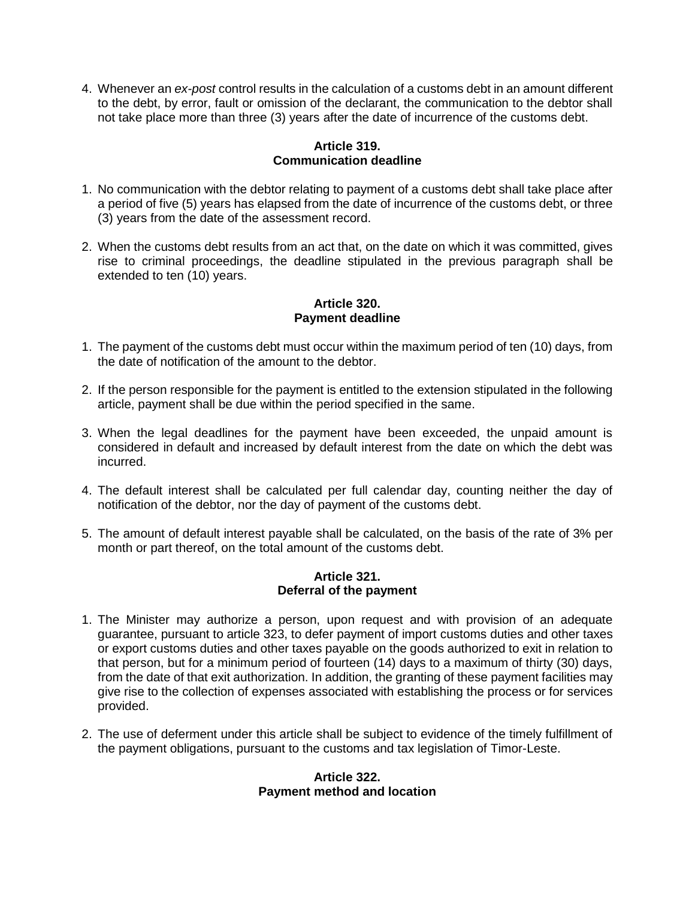4. Whenever an *ex-post* control results in the calculation of a customs debt in an amount different to the debt, by error, fault or omission of the declarant, the communication to the debtor shall not take place more than three (3) years after the date of incurrence of the customs debt.

# **Article 319. Communication deadline**

- 1. No communication with the debtor relating to payment of a customs debt shall take place after a period of five (5) years has elapsed from the date of incurrence of the customs debt, or three (3) years from the date of the assessment record.
- 2. When the customs debt results from an act that, on the date on which it was committed, gives rise to criminal proceedings, the deadline stipulated in the previous paragraph shall be extended to ten (10) years.

# **Article 320. Payment deadline**

- 1. The payment of the customs debt must occur within the maximum period of ten (10) days, from the date of notification of the amount to the debtor.
- 2. If the person responsible for the payment is entitled to the extension stipulated in the following article, payment shall be due within the period specified in the same.
- 3. When the legal deadlines for the payment have been exceeded, the unpaid amount is considered in default and increased by default interest from the date on which the debt was incurred.
- 4. The default interest shall be calculated per full calendar day, counting neither the day of notification of the debtor, nor the day of payment of the customs debt.
- 5. The amount of default interest payable shall be calculated, on the basis of the rate of 3% per month or part thereof, on the total amount of the customs debt.

# **Article 321. Deferral of the payment**

- 1. The Minister may authorize a person, upon request and with provision of an adequate guarantee, pursuant to article 323, to defer payment of import customs duties and other taxes or export customs duties and other taxes payable on the goods authorized to exit in relation to that person, but for a minimum period of fourteen (14) days to a maximum of thirty (30) days, from the date of that exit authorization. In addition, the granting of these payment facilities may give rise to the collection of expenses associated with establishing the process or for services provided.
- 2. The use of deferment under this article shall be subject to evidence of the timely fulfillment of the payment obligations, pursuant to the customs and tax legislation of Timor-Leste.

# **Article 322. Payment method and location**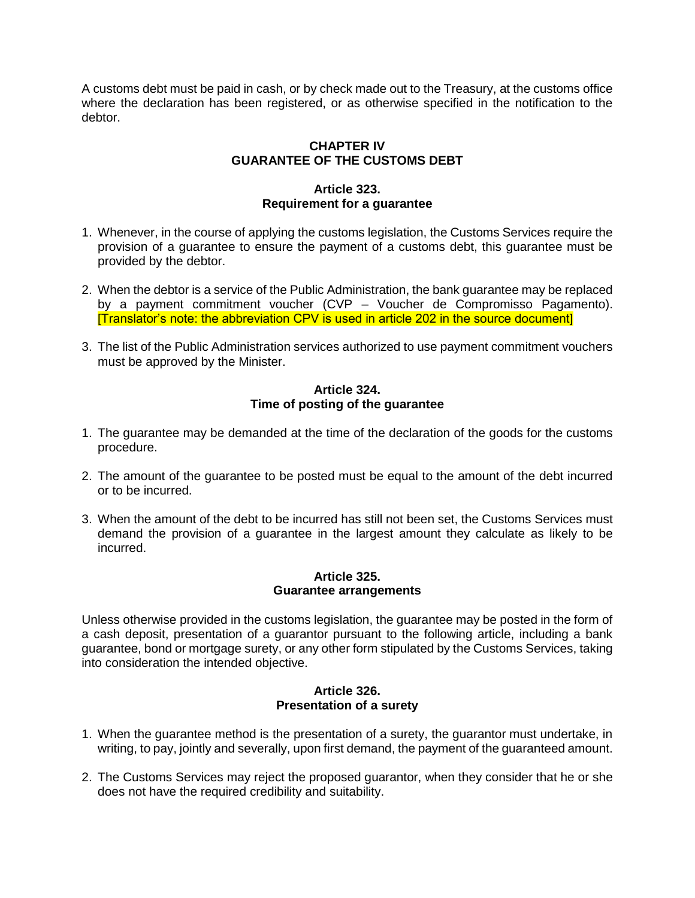A customs debt must be paid in cash, or by check made out to the Treasury, at the customs office where the declaration has been registered, or as otherwise specified in the notification to the debtor.

# **CHAPTER IV GUARANTEE OF THE CUSTOMS DEBT**

## **Article 323. Requirement for a guarantee**

- 1. Whenever, in the course of applying the customs legislation, the Customs Services require the provision of a guarantee to ensure the payment of a customs debt, this guarantee must be provided by the debtor.
- 2. When the debtor is a service of the Public Administration, the bank guarantee may be replaced by a payment commitment voucher (CVP – Voucher de Compromisso Pagamento). [Translator's note: the abbreviation CPV is used in article 202 in the source document]
- 3. The list of the Public Administration services authorized to use payment commitment vouchers must be approved by the Minister.

# **Article 324. Time of posting of the guarantee**

- 1. The guarantee may be demanded at the time of the declaration of the goods for the customs procedure.
- 2. The amount of the guarantee to be posted must be equal to the amount of the debt incurred or to be incurred.
- 3. When the amount of the debt to be incurred has still not been set, the Customs Services must demand the provision of a guarantee in the largest amount they calculate as likely to be incurred.

### **Article 325. Guarantee arrangements**

Unless otherwise provided in the customs legislation, the guarantee may be posted in the form of a cash deposit, presentation of a guarantor pursuant to the following article, including a bank guarantee, bond or mortgage surety, or any other form stipulated by the Customs Services, taking into consideration the intended objective.

# **Article 326. Presentation of a surety**

- 1. When the guarantee method is the presentation of a surety, the guarantor must undertake, in writing, to pay, jointly and severally, upon first demand, the payment of the guaranteed amount.
- 2. The Customs Services may reject the proposed guarantor, when they consider that he or she does not have the required credibility and suitability.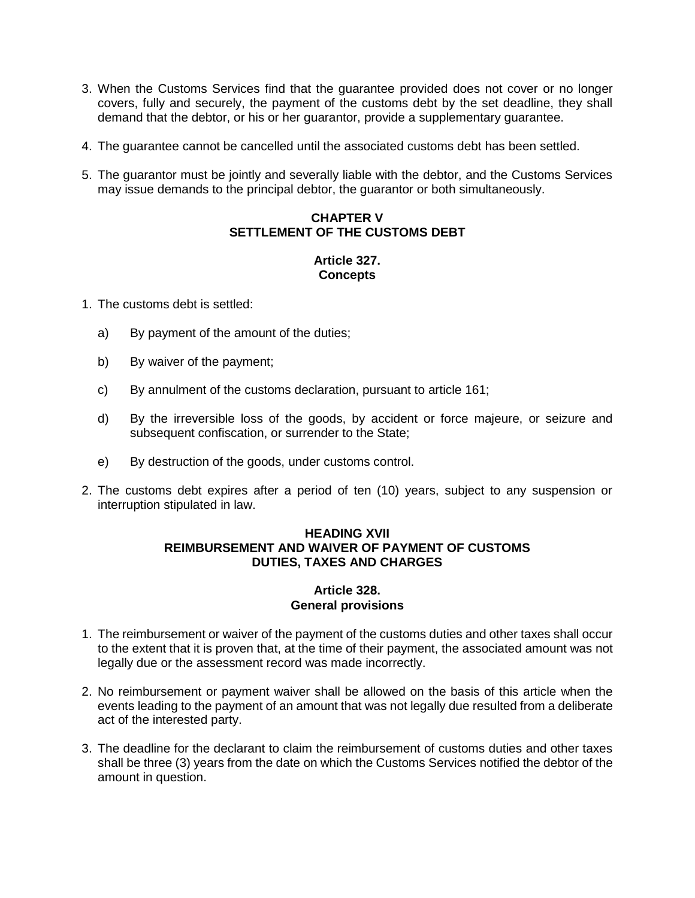- 3. When the Customs Services find that the guarantee provided does not cover or no longer covers, fully and securely, the payment of the customs debt by the set deadline, they shall demand that the debtor, or his or her guarantor, provide a supplementary guarantee.
- 4. The guarantee cannot be cancelled until the associated customs debt has been settled.
- 5. The guarantor must be jointly and severally liable with the debtor, and the Customs Services may issue demands to the principal debtor, the guarantor or both simultaneously.

# **CHAPTER V SETTLEMENT OF THE CUSTOMS DEBT**

# **Article 327. Concepts**

1. The customs debt is settled:

- a) By payment of the amount of the duties;
- b) By waiver of the payment;
- c) By annulment of the customs declaration, pursuant to article 161;
- d) By the irreversible loss of the goods, by accident or force majeure, or seizure and subsequent confiscation, or surrender to the State;
- e) By destruction of the goods, under customs control.
- 2. The customs debt expires after a period of ten (10) years, subject to any suspension or interruption stipulated in law.

### **HEADING XVII REIMBURSEMENT AND WAIVER OF PAYMENT OF CUSTOMS DUTIES, TAXES AND CHARGES**

### **Article 328. General provisions**

- 1. The reimbursement or waiver of the payment of the customs duties and other taxes shall occur to the extent that it is proven that, at the time of their payment, the associated amount was not legally due or the assessment record was made incorrectly.
- 2. No reimbursement or payment waiver shall be allowed on the basis of this article when the events leading to the payment of an amount that was not legally due resulted from a deliberate act of the interested party.
- 3. The deadline for the declarant to claim the reimbursement of customs duties and other taxes shall be three (3) years from the date on which the Customs Services notified the debtor of the amount in question.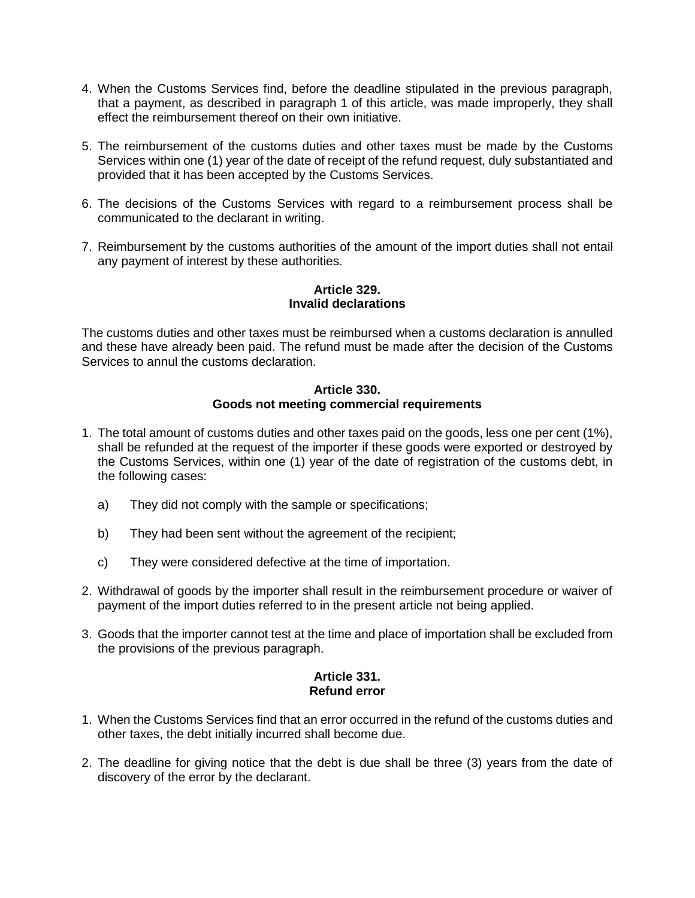- 4. When the Customs Services find, before the deadline stipulated in the previous paragraph, that a payment, as described in paragraph 1 of this article, was made improperly, they shall effect the reimbursement thereof on their own initiative.
- 5. The reimbursement of the customs duties and other taxes must be made by the Customs Services within one (1) year of the date of receipt of the refund request, duly substantiated and provided that it has been accepted by the Customs Services.
- 6. The decisions of the Customs Services with regard to a reimbursement process shall be communicated to the declarant in writing.
- 7. Reimbursement by the customs authorities of the amount of the import duties shall not entail any payment of interest by these authorities.

### **Article 329. Invalid declarations**

The customs duties and other taxes must be reimbursed when a customs declaration is annulled and these have already been paid. The refund must be made after the decision of the Customs Services to annul the customs declaration.

# **Article 330. Goods not meeting commercial requirements**

- 1. The total amount of customs duties and other taxes paid on the goods, less one per cent (1%), shall be refunded at the request of the importer if these goods were exported or destroyed by the Customs Services, within one (1) year of the date of registration of the customs debt, in the following cases:
	- a) They did not comply with the sample or specifications;
	- b) They had been sent without the agreement of the recipient;
	- c) They were considered defective at the time of importation.
- 2. Withdrawal of goods by the importer shall result in the reimbursement procedure or waiver of payment of the import duties referred to in the present article not being applied.
- 3. Goods that the importer cannot test at the time and place of importation shall be excluded from the provisions of the previous paragraph.

# **Article 331. Refund error**

- 1. When the Customs Services find that an error occurred in the refund of the customs duties and other taxes, the debt initially incurred shall become due.
- 2. The deadline for giving notice that the debt is due shall be three (3) years from the date of discovery of the error by the declarant.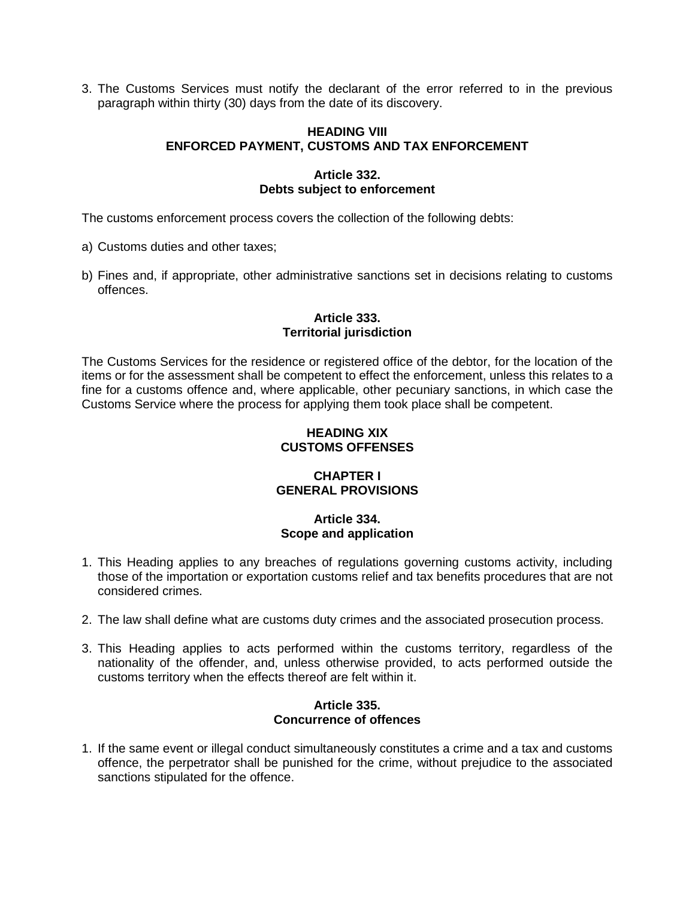3. The Customs Services must notify the declarant of the error referred to in the previous paragraph within thirty (30) days from the date of its discovery.

### **HEADING VIII ENFORCED PAYMENT, CUSTOMS AND TAX ENFORCEMENT**

## **Article 332. Debts subject to enforcement**

The customs enforcement process covers the collection of the following debts:

- a) Customs duties and other taxes;
- b) Fines and, if appropriate, other administrative sanctions set in decisions relating to customs offences.

# **Article 333. Territorial jurisdiction**

The Customs Services for the residence or registered office of the debtor, for the location of the items or for the assessment shall be competent to effect the enforcement, unless this relates to a fine for a customs offence and, where applicable, other pecuniary sanctions, in which case the Customs Service where the process for applying them took place shall be competent.

# **HEADING XIX CUSTOMS OFFENSES**

# **CHAPTER I GENERAL PROVISIONS**

# **Article 334. Scope and application**

- 1. This Heading applies to any breaches of regulations governing customs activity, including those of the importation or exportation customs relief and tax benefits procedures that are not considered crimes.
- 2. The law shall define what are customs duty crimes and the associated prosecution process.
- 3. This Heading applies to acts performed within the customs territory, regardless of the nationality of the offender, and, unless otherwise provided, to acts performed outside the customs territory when the effects thereof are felt within it.

#### **Article 335. Concurrence of offences**

1. If the same event or illegal conduct simultaneously constitutes a crime and a tax and customs offence, the perpetrator shall be punished for the crime, without prejudice to the associated sanctions stipulated for the offence.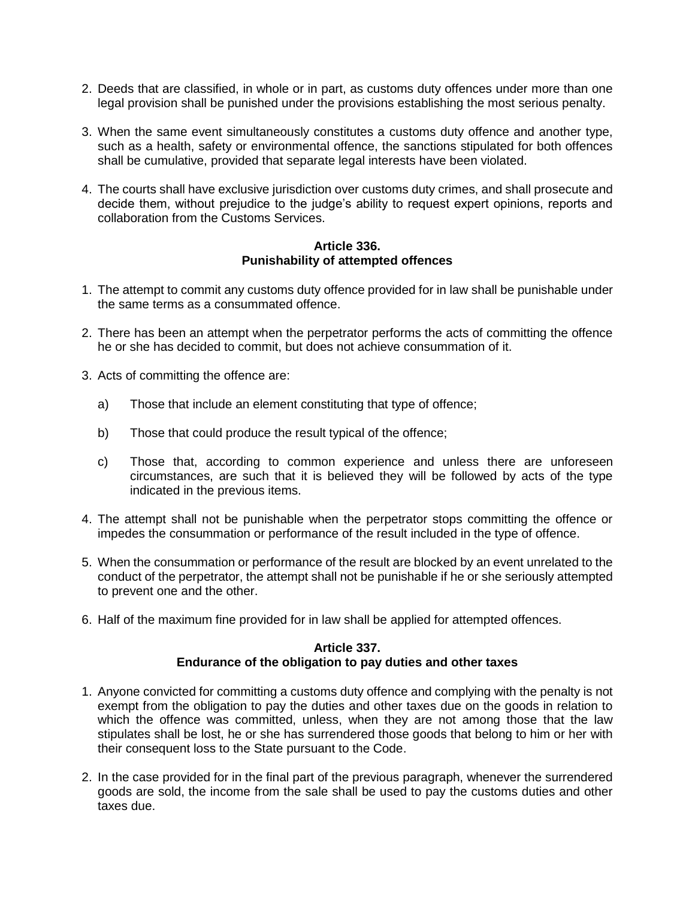- 2. Deeds that are classified, in whole or in part, as customs duty offences under more than one legal provision shall be punished under the provisions establishing the most serious penalty.
- 3. When the same event simultaneously constitutes a customs duty offence and another type, such as a health, safety or environmental offence, the sanctions stipulated for both offences shall be cumulative, provided that separate legal interests have been violated.
- 4. The courts shall have exclusive jurisdiction over customs duty crimes, and shall prosecute and decide them, without prejudice to the judge's ability to request expert opinions, reports and collaboration from the Customs Services.

### **Article 336. Punishability of attempted offences**

- 1. The attempt to commit any customs duty offence provided for in law shall be punishable under the same terms as a consummated offence.
- 2. There has been an attempt when the perpetrator performs the acts of committing the offence he or she has decided to commit, but does not achieve consummation of it.
- 3. Acts of committing the offence are:
	- a) Those that include an element constituting that type of offence;
	- b) Those that could produce the result typical of the offence;
	- c) Those that, according to common experience and unless there are unforeseen circumstances, are such that it is believed they will be followed by acts of the type indicated in the previous items.
- 4. The attempt shall not be punishable when the perpetrator stops committing the offence or impedes the consummation or performance of the result included in the type of offence.
- 5. When the consummation or performance of the result are blocked by an event unrelated to the conduct of the perpetrator, the attempt shall not be punishable if he or she seriously attempted to prevent one and the other.
- 6. Half of the maximum fine provided for in law shall be applied for attempted offences.

#### **Article 337. Endurance of the obligation to pay duties and other taxes**

- 1. Anyone convicted for committing a customs duty offence and complying with the penalty is not exempt from the obligation to pay the duties and other taxes due on the goods in relation to which the offence was committed, unless, when they are not among those that the law stipulates shall be lost, he or she has surrendered those goods that belong to him or her with their consequent loss to the State pursuant to the Code.
- 2. In the case provided for in the final part of the previous paragraph, whenever the surrendered goods are sold, the income from the sale shall be used to pay the customs duties and other taxes due.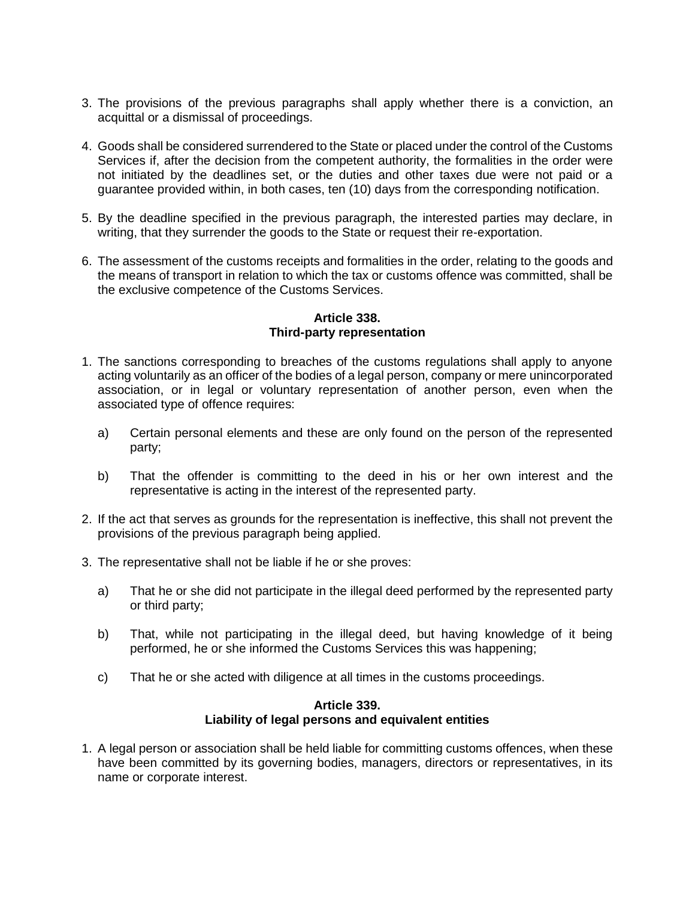- 3. The provisions of the previous paragraphs shall apply whether there is a conviction, an acquittal or a dismissal of proceedings.
- 4. Goods shall be considered surrendered to the State or placed under the control of the Customs Services if, after the decision from the competent authority, the formalities in the order were not initiated by the deadlines set, or the duties and other taxes due were not paid or a guarantee provided within, in both cases, ten (10) days from the corresponding notification.
- 5. By the deadline specified in the previous paragraph, the interested parties may declare, in writing, that they surrender the goods to the State or request their re-exportation.
- 6. The assessment of the customs receipts and formalities in the order, relating to the goods and the means of transport in relation to which the tax or customs offence was committed, shall be the exclusive competence of the Customs Services.

# **Article 338. Third-party representation**

- 1. The sanctions corresponding to breaches of the customs regulations shall apply to anyone acting voluntarily as an officer of the bodies of a legal person, company or mere unincorporated association, or in legal or voluntary representation of another person, even when the associated type of offence requires:
	- a) Certain personal elements and these are only found on the person of the represented party;
	- b) That the offender is committing to the deed in his or her own interest and the representative is acting in the interest of the represented party.
- 2. If the act that serves as grounds for the representation is ineffective, this shall not prevent the provisions of the previous paragraph being applied.
- 3. The representative shall not be liable if he or she proves:
	- a) That he or she did not participate in the illegal deed performed by the represented party or third party;
	- b) That, while not participating in the illegal deed, but having knowledge of it being performed, he or she informed the Customs Services this was happening;
	- c) That he or she acted with diligence at all times in the customs proceedings.

#### **Article 339. Liability of legal persons and equivalent entities**

1. A legal person or association shall be held liable for committing customs offences, when these have been committed by its governing bodies, managers, directors or representatives, in its name or corporate interest.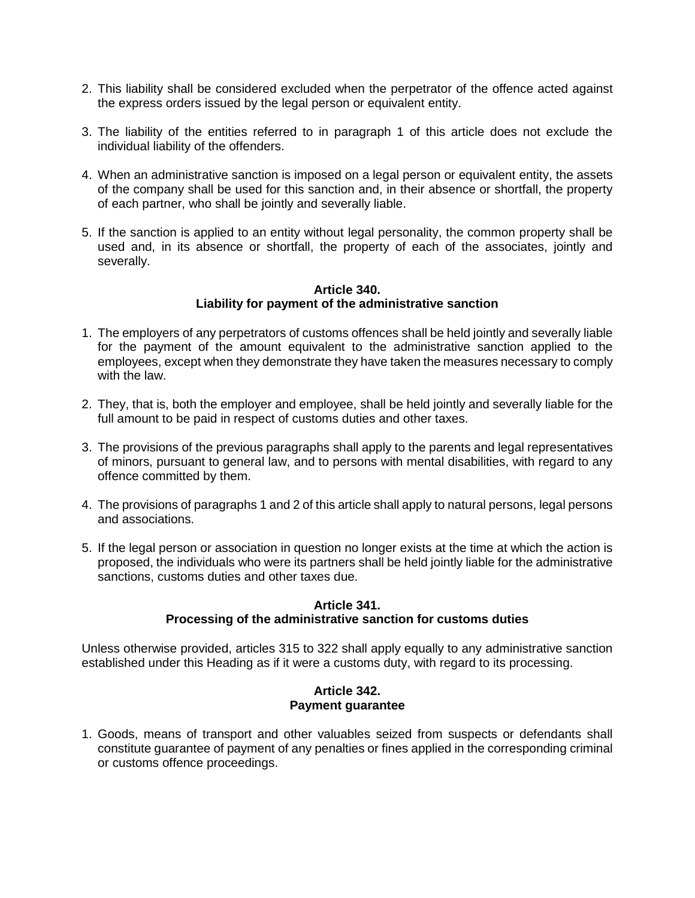- 2. This liability shall be considered excluded when the perpetrator of the offence acted against the express orders issued by the legal person or equivalent entity.
- 3. The liability of the entities referred to in paragraph 1 of this article does not exclude the individual liability of the offenders.
- 4. When an administrative sanction is imposed on a legal person or equivalent entity, the assets of the company shall be used for this sanction and, in their absence or shortfall, the property of each partner, who shall be jointly and severally liable.
- 5. If the sanction is applied to an entity without legal personality, the common property shall be used and, in its absence or shortfall, the property of each of the associates, jointly and severally.

#### **Article 340. Liability for payment of the administrative sanction**

- 1. The employers of any perpetrators of customs offences shall be held jointly and severally liable for the payment of the amount equivalent to the administrative sanction applied to the employees, except when they demonstrate they have taken the measures necessary to comply with the law.
- 2. They, that is, both the employer and employee, shall be held jointly and severally liable for the full amount to be paid in respect of customs duties and other taxes.
- 3. The provisions of the previous paragraphs shall apply to the parents and legal representatives of minors, pursuant to general law, and to persons with mental disabilities, with regard to any offence committed by them.
- 4. The provisions of paragraphs 1 and 2 of this article shall apply to natural persons, legal persons and associations.
- 5. If the legal person or association in question no longer exists at the time at which the action is proposed, the individuals who were its partners shall be held jointly liable for the administrative sanctions, customs duties and other taxes due.

# **Article 341.**

# **Processing of the administrative sanction for customs duties**

Unless otherwise provided, articles 315 to 322 shall apply equally to any administrative sanction established under this Heading as if it were a customs duty, with regard to its processing.

# **Article 342. Payment guarantee**

1. Goods, means of transport and other valuables seized from suspects or defendants shall constitute guarantee of payment of any penalties or fines applied in the corresponding criminal or customs offence proceedings.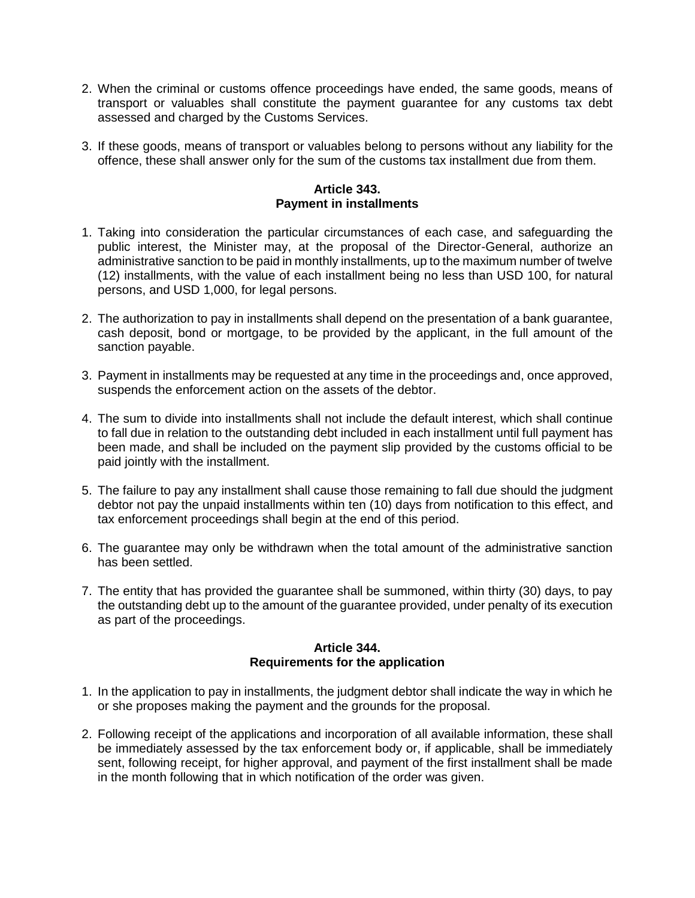- 2. When the criminal or customs offence proceedings have ended, the same goods, means of transport or valuables shall constitute the payment guarantee for any customs tax debt assessed and charged by the Customs Services.
- 3. If these goods, means of transport or valuables belong to persons without any liability for the offence, these shall answer only for the sum of the customs tax installment due from them.

### **Article 343. Payment in installments**

- 1. Taking into consideration the particular circumstances of each case, and safeguarding the public interest, the Minister may, at the proposal of the Director-General, authorize an administrative sanction to be paid in monthly installments, up to the maximum number of twelve (12) installments, with the value of each installment being no less than USD 100, for natural persons, and USD 1,000, for legal persons.
- 2. The authorization to pay in installments shall depend on the presentation of a bank guarantee, cash deposit, bond or mortgage, to be provided by the applicant, in the full amount of the sanction payable.
- 3. Payment in installments may be requested at any time in the proceedings and, once approved, suspends the enforcement action on the assets of the debtor.
- 4. The sum to divide into installments shall not include the default interest, which shall continue to fall due in relation to the outstanding debt included in each installment until full payment has been made, and shall be included on the payment slip provided by the customs official to be paid jointly with the installment.
- 5. The failure to pay any installment shall cause those remaining to fall due should the judgment debtor not pay the unpaid installments within ten (10) days from notification to this effect, and tax enforcement proceedings shall begin at the end of this period.
- 6. The guarantee may only be withdrawn when the total amount of the administrative sanction has been settled.
- 7. The entity that has provided the guarantee shall be summoned, within thirty (30) days, to pay the outstanding debt up to the amount of the guarantee provided, under penalty of its execution as part of the proceedings.

# **Article 344. Requirements for the application**

- 1. In the application to pay in installments, the judgment debtor shall indicate the way in which he or she proposes making the payment and the grounds for the proposal.
- 2. Following receipt of the applications and incorporation of all available information, these shall be immediately assessed by the tax enforcement body or, if applicable, shall be immediately sent, following receipt, for higher approval, and payment of the first installment shall be made in the month following that in which notification of the order was given.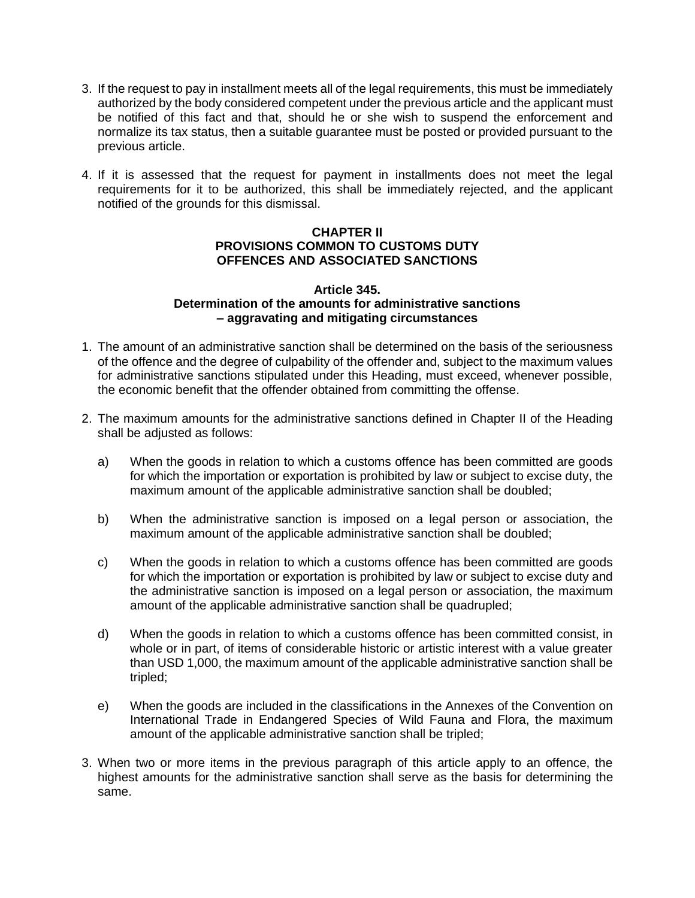- 3. If the request to pay in installment meets all of the legal requirements, this must be immediately authorized by the body considered competent under the previous article and the applicant must be notified of this fact and that, should he or she wish to suspend the enforcement and normalize its tax status, then a suitable guarantee must be posted or provided pursuant to the previous article.
- 4. If it is assessed that the request for payment in installments does not meet the legal requirements for it to be authorized, this shall be immediately rejected, and the applicant notified of the grounds for this dismissal.

# **CHAPTER II PROVISIONS COMMON TO CUSTOMS DUTY OFFENCES AND ASSOCIATED SANCTIONS**

#### **Article 345. Determination of the amounts for administrative sanctions – aggravating and mitigating circumstances**

- 1. The amount of an administrative sanction shall be determined on the basis of the seriousness of the offence and the degree of culpability of the offender and, subject to the maximum values for administrative sanctions stipulated under this Heading, must exceed, whenever possible, the economic benefit that the offender obtained from committing the offense.
- 2. The maximum amounts for the administrative sanctions defined in Chapter II of the Heading shall be adjusted as follows:
	- a) When the goods in relation to which a customs offence has been committed are goods for which the importation or exportation is prohibited by law or subject to excise duty, the maximum amount of the applicable administrative sanction shall be doubled;
	- b) When the administrative sanction is imposed on a legal person or association, the maximum amount of the applicable administrative sanction shall be doubled;
	- c) When the goods in relation to which a customs offence has been committed are goods for which the importation or exportation is prohibited by law or subject to excise duty and the administrative sanction is imposed on a legal person or association, the maximum amount of the applicable administrative sanction shall be quadrupled;
	- d) When the goods in relation to which a customs offence has been committed consist, in whole or in part, of items of considerable historic or artistic interest with a value greater than USD 1,000, the maximum amount of the applicable administrative sanction shall be tripled;
	- e) When the goods are included in the classifications in the Annexes of the Convention on International Trade in Endangered Species of Wild Fauna and Flora, the maximum amount of the applicable administrative sanction shall be tripled;
- 3. When two or more items in the previous paragraph of this article apply to an offence, the highest amounts for the administrative sanction shall serve as the basis for determining the same.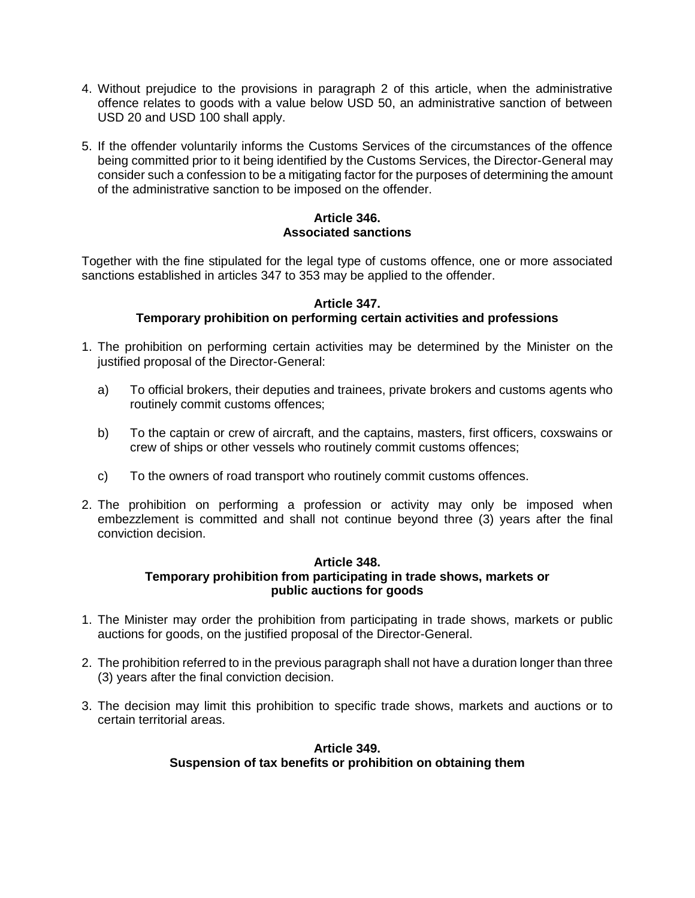- 4. Without prejudice to the provisions in paragraph 2 of this article, when the administrative offence relates to goods with a value below USD 50, an administrative sanction of between USD 20 and USD 100 shall apply.
- 5. If the offender voluntarily informs the Customs Services of the circumstances of the offence being committed prior to it being identified by the Customs Services, the Director-General may consider such a confession to be a mitigating factor for the purposes of determining the amount of the administrative sanction to be imposed on the offender.

# **Article 346. Associated sanctions**

Together with the fine stipulated for the legal type of customs offence, one or more associated sanctions established in articles 347 to 353 may be applied to the offender.

# **Article 347.**

# **Temporary prohibition on performing certain activities and professions**

- 1. The prohibition on performing certain activities may be determined by the Minister on the justified proposal of the Director-General:
	- a) To official brokers, their deputies and trainees, private brokers and customs agents who routinely commit customs offences;
	- b) To the captain or crew of aircraft, and the captains, masters, first officers, coxswains or crew of ships or other vessels who routinely commit customs offences;
	- c) To the owners of road transport who routinely commit customs offences.
- 2. The prohibition on performing a profession or activity may only be imposed when embezzlement is committed and shall not continue beyond three (3) years after the final conviction decision.

# **Article 348. Temporary prohibition from participating in trade shows, markets or public auctions for goods**

- 1. The Minister may order the prohibition from participating in trade shows, markets or public auctions for goods, on the justified proposal of the Director-General.
- 2. The prohibition referred to in the previous paragraph shall not have a duration longer than three (3) years after the final conviction decision.
- 3. The decision may limit this prohibition to specific trade shows, markets and auctions or to certain territorial areas.

# **Article 349. Suspension of tax benefits or prohibition on obtaining them**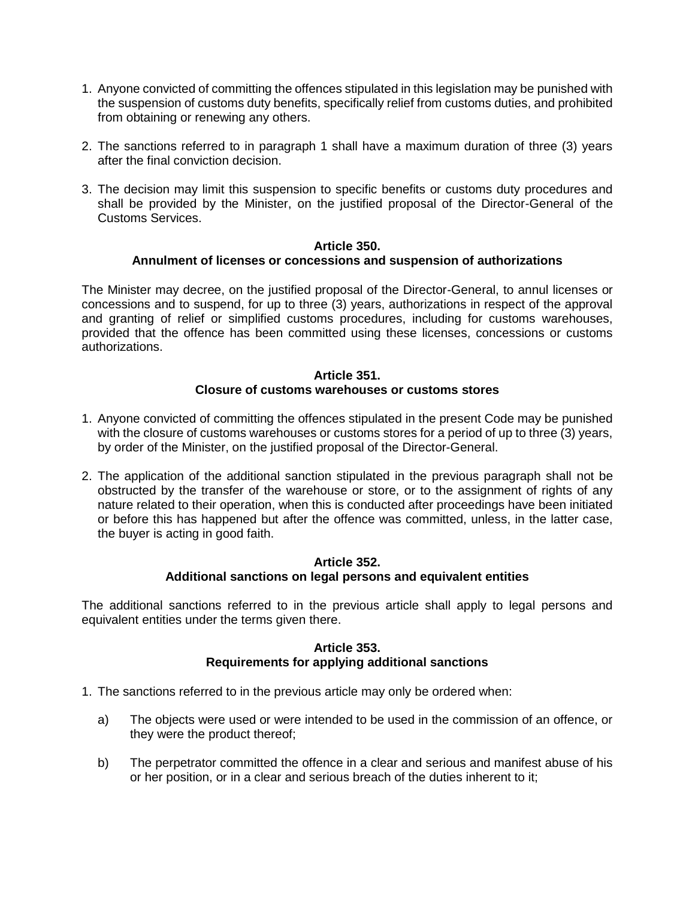- 1. Anyone convicted of committing the offences stipulated in this legislation may be punished with the suspension of customs duty benefits, specifically relief from customs duties, and prohibited from obtaining or renewing any others.
- 2. The sanctions referred to in paragraph 1 shall have a maximum duration of three (3) years after the final conviction decision.
- 3. The decision may limit this suspension to specific benefits or customs duty procedures and shall be provided by the Minister, on the justified proposal of the Director-General of the Customs Services.

### **Article 350. Annulment of licenses or concessions and suspension of authorizations**

The Minister may decree, on the justified proposal of the Director-General, to annul licenses or concessions and to suspend, for up to three (3) years, authorizations in respect of the approval and granting of relief or simplified customs procedures, including for customs warehouses, provided that the offence has been committed using these licenses, concessions or customs authorizations.

# **Article 351. Closure of customs warehouses or customs stores**

- 1. Anyone convicted of committing the offences stipulated in the present Code may be punished with the closure of customs warehouses or customs stores for a period of up to three (3) years, by order of the Minister, on the justified proposal of the Director-General.
- 2. The application of the additional sanction stipulated in the previous paragraph shall not be obstructed by the transfer of the warehouse or store, or to the assignment of rights of any nature related to their operation, when this is conducted after proceedings have been initiated or before this has happened but after the offence was committed, unless, in the latter case, the buyer is acting in good faith.

### **Article 352. Additional sanctions on legal persons and equivalent entities**

The additional sanctions referred to in the previous article shall apply to legal persons and equivalent entities under the terms given there.

# **Article 353. Requirements for applying additional sanctions**

- 1. The sanctions referred to in the previous article may only be ordered when:
	- a) The objects were used or were intended to be used in the commission of an offence, or they were the product thereof;
	- b) The perpetrator committed the offence in a clear and serious and manifest abuse of his or her position, or in a clear and serious breach of the duties inherent to it;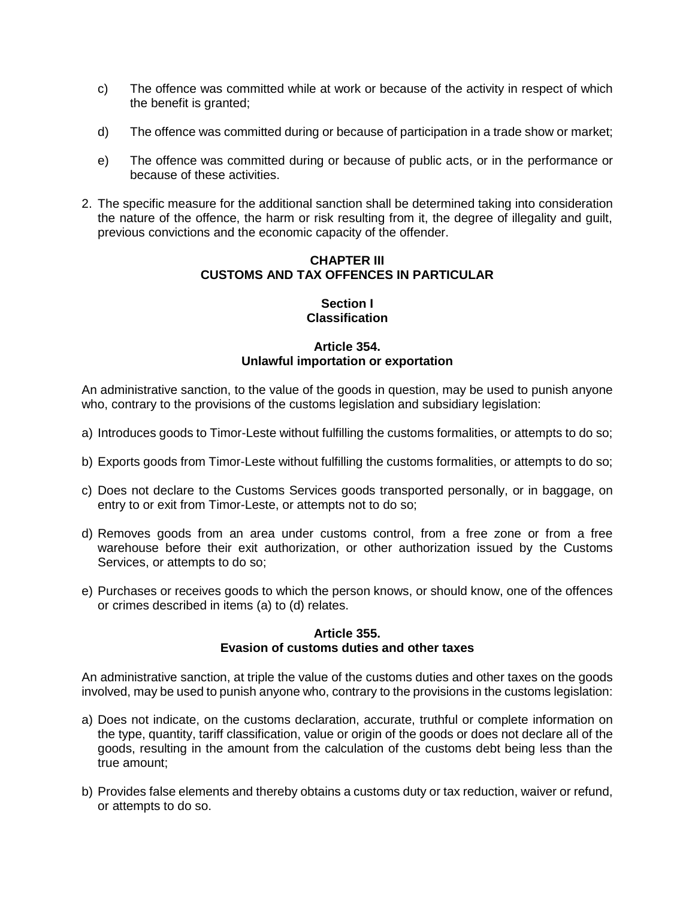- c) The offence was committed while at work or because of the activity in respect of which the benefit is granted;
- d) The offence was committed during or because of participation in a trade show or market;
- e) The offence was committed during or because of public acts, or in the performance or because of these activities.
- 2. The specific measure for the additional sanction shall be determined taking into consideration the nature of the offence, the harm or risk resulting from it, the degree of illegality and guilt, previous convictions and the economic capacity of the offender.

# **CHAPTER III CUSTOMS AND TAX OFFENCES IN PARTICULAR**

# **Section I Classification**

# **Article 354. Unlawful importation or exportation**

An administrative sanction, to the value of the goods in question, may be used to punish anyone who, contrary to the provisions of the customs legislation and subsidiary legislation:

- a) Introduces goods to Timor-Leste without fulfilling the customs formalities, or attempts to do so;
- b) Exports goods from Timor-Leste without fulfilling the customs formalities, or attempts to do so;
- c) Does not declare to the Customs Services goods transported personally, or in baggage, on entry to or exit from Timor-Leste, or attempts not to do so;
- d) Removes goods from an area under customs control, from a free zone or from a free warehouse before their exit authorization, or other authorization issued by the Customs Services, or attempts to do so;
- e) Purchases or receives goods to which the person knows, or should know, one of the offences or crimes described in items (a) to (d) relates.

# **Article 355. Evasion of customs duties and other taxes**

An administrative sanction, at triple the value of the customs duties and other taxes on the goods involved, may be used to punish anyone who, contrary to the provisions in the customs legislation:

- a) Does not indicate, on the customs declaration, accurate, truthful or complete information on the type, quantity, tariff classification, value or origin of the goods or does not declare all of the goods, resulting in the amount from the calculation of the customs debt being less than the true amount;
- b) Provides false elements and thereby obtains a customs duty or tax reduction, waiver or refund, or attempts to do so.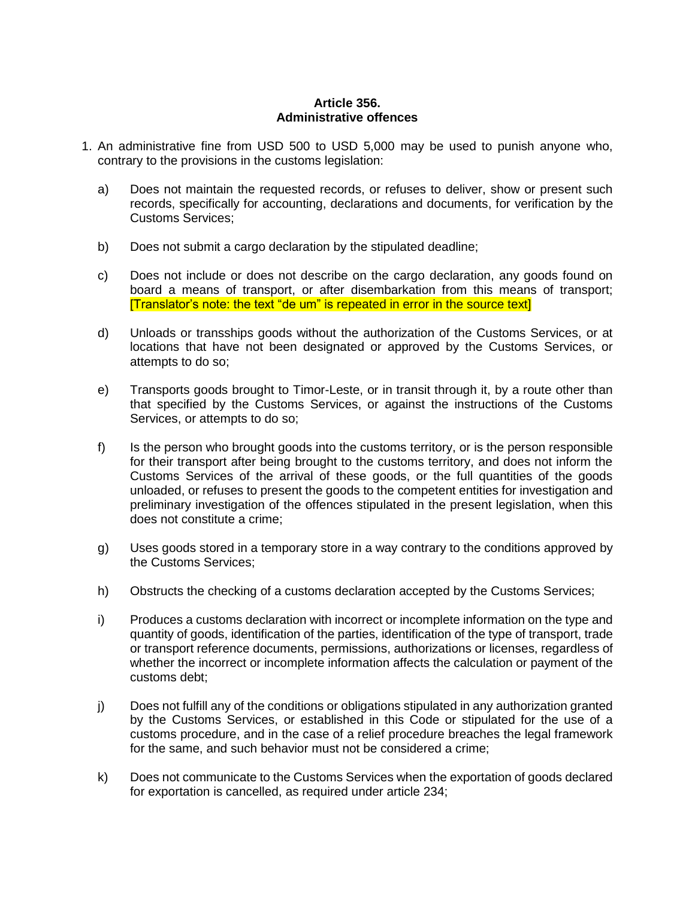### **Article 356. Administrative offences**

- 1. An administrative fine from USD 500 to USD 5,000 may be used to punish anyone who, contrary to the provisions in the customs legislation:
	- a) Does not maintain the requested records, or refuses to deliver, show or present such records, specifically for accounting, declarations and documents, for verification by the Customs Services;
	- b) Does not submit a cargo declaration by the stipulated deadline;
	- c) Does not include or does not describe on the cargo declaration, any goods found on board a means of transport, or after disembarkation from this means of transport; [Translator's note: the text "de um" is repeated in error in the source text]
	- d) Unloads or transships goods without the authorization of the Customs Services, or at locations that have not been designated or approved by the Customs Services, or attempts to do so;
	- e) Transports goods brought to Timor-Leste, or in transit through it, by a route other than that specified by the Customs Services, or against the instructions of the Customs Services, or attempts to do so;
	- f) Is the person who brought goods into the customs territory, or is the person responsible for their transport after being brought to the customs territory, and does not inform the Customs Services of the arrival of these goods, or the full quantities of the goods unloaded, or refuses to present the goods to the competent entities for investigation and preliminary investigation of the offences stipulated in the present legislation, when this does not constitute a crime;
	- g) Uses goods stored in a temporary store in a way contrary to the conditions approved by the Customs Services;
	- h) Obstructs the checking of a customs declaration accepted by the Customs Services;
	- i) Produces a customs declaration with incorrect or incomplete information on the type and quantity of goods, identification of the parties, identification of the type of transport, trade or transport reference documents, permissions, authorizations or licenses, regardless of whether the incorrect or incomplete information affects the calculation or payment of the customs debt;
	- j) Does not fulfill any of the conditions or obligations stipulated in any authorization granted by the Customs Services, or established in this Code or stipulated for the use of a customs procedure, and in the case of a relief procedure breaches the legal framework for the same, and such behavior must not be considered a crime;
	- k) Does not communicate to the Customs Services when the exportation of goods declared for exportation is cancelled, as required under article 234;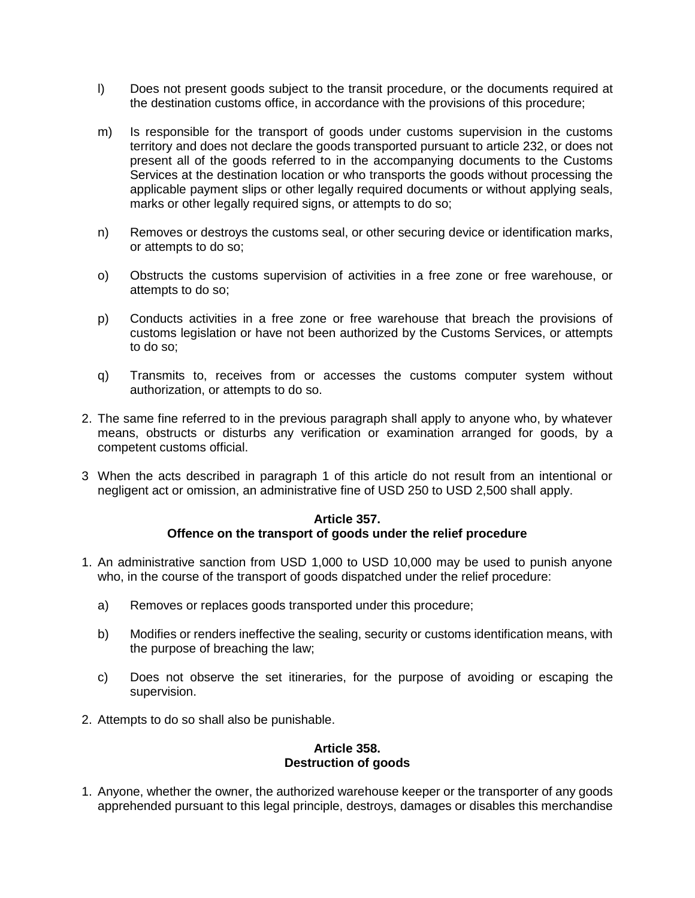- l) Does not present goods subject to the transit procedure, or the documents required at the destination customs office, in accordance with the provisions of this procedure;
- m) Is responsible for the transport of goods under customs supervision in the customs territory and does not declare the goods transported pursuant to article 232, or does not present all of the goods referred to in the accompanying documents to the Customs Services at the destination location or who transports the goods without processing the applicable payment slips or other legally required documents or without applying seals, marks or other legally required signs, or attempts to do so;
- n) Removes or destroys the customs seal, or other securing device or identification marks, or attempts to do so;
- o) Obstructs the customs supervision of activities in a free zone or free warehouse, or attempts to do so;
- p) Conducts activities in a free zone or free warehouse that breach the provisions of customs legislation or have not been authorized by the Customs Services, or attempts to do so;
- q) Transmits to, receives from or accesses the customs computer system without authorization, or attempts to do so.
- 2. The same fine referred to in the previous paragraph shall apply to anyone who, by whatever means, obstructs or disturbs any verification or examination arranged for goods, by a competent customs official.
- 3 When the acts described in paragraph 1 of this article do not result from an intentional or negligent act or omission, an administrative fine of USD 250 to USD 2,500 shall apply.

#### **Article 357. Offence on the transport of goods under the relief procedure**

- 1. An administrative sanction from USD 1,000 to USD 10,000 may be used to punish anyone who, in the course of the transport of goods dispatched under the relief procedure:
	- a) Removes or replaces goods transported under this procedure;
	- b) Modifies or renders ineffective the sealing, security or customs identification means, with the purpose of breaching the law;
	- c) Does not observe the set itineraries, for the purpose of avoiding or escaping the supervision.
- 2. Attempts to do so shall also be punishable.

# **Article 358. Destruction of goods**

1. Anyone, whether the owner, the authorized warehouse keeper or the transporter of any goods apprehended pursuant to this legal principle, destroys, damages or disables this merchandise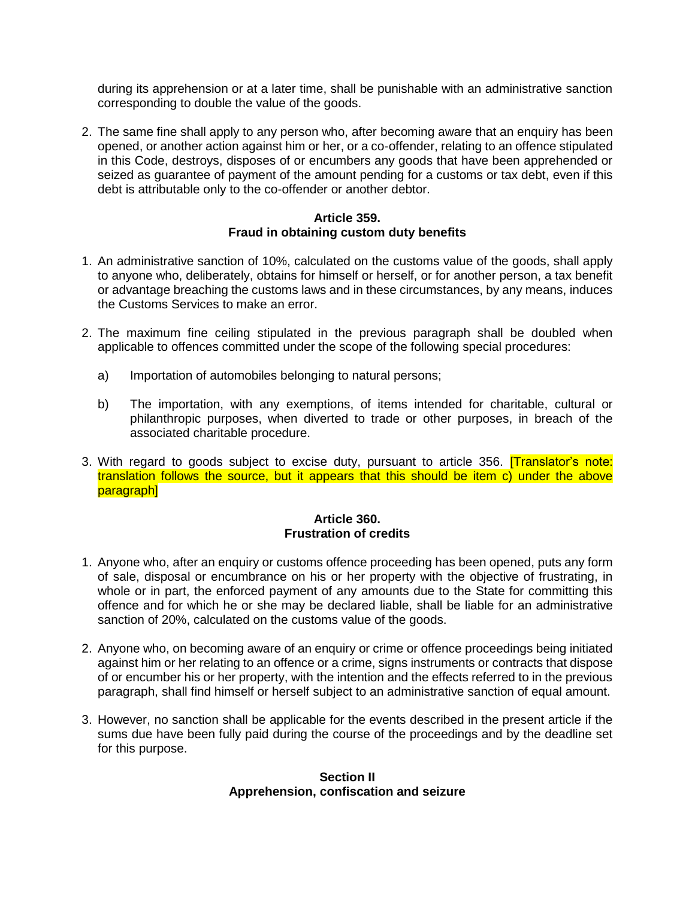during its apprehension or at a later time, shall be punishable with an administrative sanction corresponding to double the value of the goods.

2. The same fine shall apply to any person who, after becoming aware that an enquiry has been opened, or another action against him or her, or a co-offender, relating to an offence stipulated in this Code, destroys, disposes of or encumbers any goods that have been apprehended or seized as guarantee of payment of the amount pending for a customs or tax debt, even if this debt is attributable only to the co-offender or another debtor.

#### **Article 359. Fraud in obtaining custom duty benefits**

- 1. An administrative sanction of 10%, calculated on the customs value of the goods, shall apply to anyone who, deliberately, obtains for himself or herself, or for another person, a tax benefit or advantage breaching the customs laws and in these circumstances, by any means, induces the Customs Services to make an error.
- 2. The maximum fine ceiling stipulated in the previous paragraph shall be doubled when applicable to offences committed under the scope of the following special procedures:
	- a) Importation of automobiles belonging to natural persons;
	- b) The importation, with any exemptions, of items intended for charitable, cultural or philanthropic purposes, when diverted to trade or other purposes, in breach of the associated charitable procedure.
- 3. With regard to goods subject to excise duty, pursuant to article 356. **[Translator's note:** translation follows the source, but it appears that this should be item c) under the above paragraph]

### **Article 360. Frustration of credits**

- 1. Anyone who, after an enquiry or customs offence proceeding has been opened, puts any form of sale, disposal or encumbrance on his or her property with the objective of frustrating, in whole or in part, the enforced payment of any amounts due to the State for committing this offence and for which he or she may be declared liable, shall be liable for an administrative sanction of 20%, calculated on the customs value of the goods.
- 2. Anyone who, on becoming aware of an enquiry or crime or offence proceedings being initiated against him or her relating to an offence or a crime, signs instruments or contracts that dispose of or encumber his or her property, with the intention and the effects referred to in the previous paragraph, shall find himself or herself subject to an administrative sanction of equal amount.
- 3. However, no sanction shall be applicable for the events described in the present article if the sums due have been fully paid during the course of the proceedings and by the deadline set for this purpose.

### **Section II Apprehension, confiscation and seizure**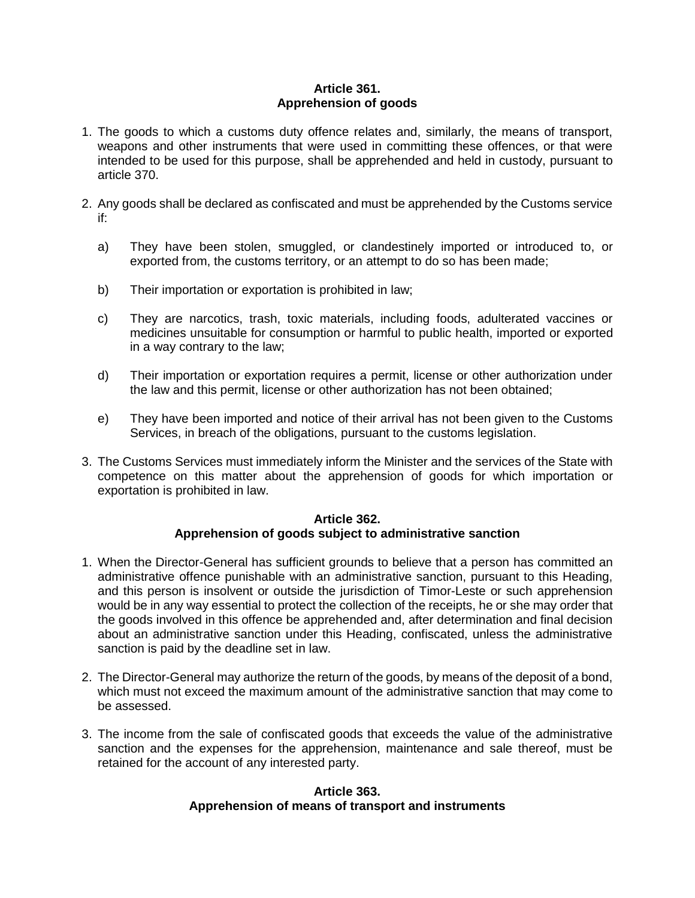# **Article 361. Apprehension of goods**

- 1. The goods to which a customs duty offence relates and, similarly, the means of transport, weapons and other instruments that were used in committing these offences, or that were intended to be used for this purpose, shall be apprehended and held in custody, pursuant to article 370.
- 2. Any goods shall be declared as confiscated and must be apprehended by the Customs service if:
	- a) They have been stolen, smuggled, or clandestinely imported or introduced to, or exported from, the customs territory, or an attempt to do so has been made;
	- b) Their importation or exportation is prohibited in law;
	- c) They are narcotics, trash, toxic materials, including foods, adulterated vaccines or medicines unsuitable for consumption or harmful to public health, imported or exported in a way contrary to the law;
	- d) Their importation or exportation requires a permit, license or other authorization under the law and this permit, license or other authorization has not been obtained;
	- e) They have been imported and notice of their arrival has not been given to the Customs Services, in breach of the obligations, pursuant to the customs legislation.
- 3. The Customs Services must immediately inform the Minister and the services of the State with competence on this matter about the apprehension of goods for which importation or exportation is prohibited in law.

#### **Article 362. Apprehension of goods subject to administrative sanction**

- 1. When the Director-General has sufficient grounds to believe that a person has committed an administrative offence punishable with an administrative sanction, pursuant to this Heading, and this person is insolvent or outside the jurisdiction of Timor-Leste or such apprehension would be in any way essential to protect the collection of the receipts, he or she may order that the goods involved in this offence be apprehended and, after determination and final decision about an administrative sanction under this Heading, confiscated, unless the administrative sanction is paid by the deadline set in law.
- 2. The Director-General may authorize the return of the goods, by means of the deposit of a bond, which must not exceed the maximum amount of the administrative sanction that may come to be assessed.
- 3. The income from the sale of confiscated goods that exceeds the value of the administrative sanction and the expenses for the apprehension, maintenance and sale thereof, must be retained for the account of any interested party.

# **Article 363. Apprehension of means of transport and instruments**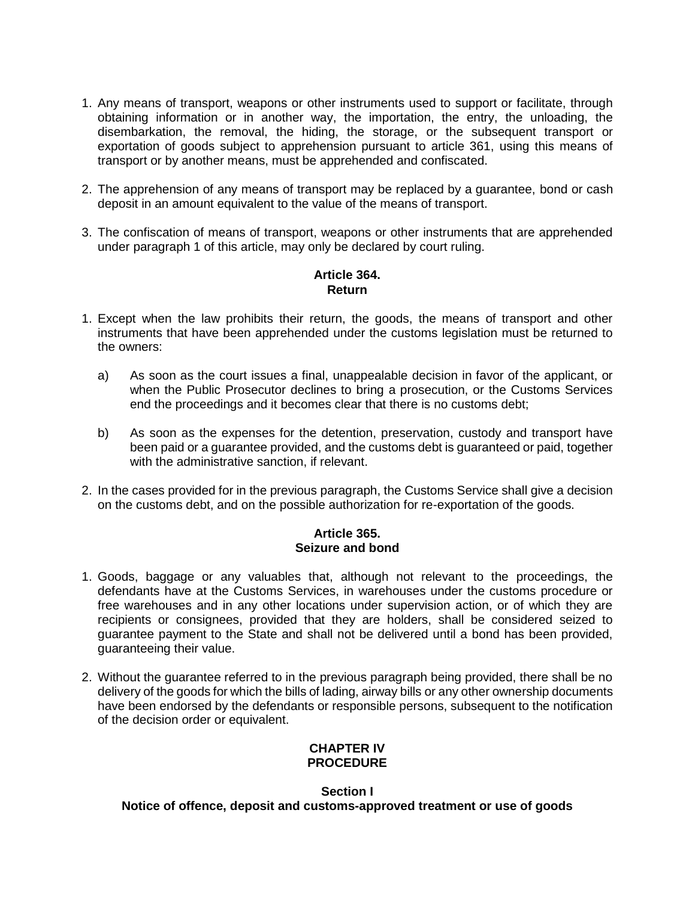- 1. Any means of transport, weapons or other instruments used to support or facilitate, through obtaining information or in another way, the importation, the entry, the unloading, the disembarkation, the removal, the hiding, the storage, or the subsequent transport or exportation of goods subject to apprehension pursuant to article 361, using this means of transport or by another means, must be apprehended and confiscated.
- 2. The apprehension of any means of transport may be replaced by a guarantee, bond or cash deposit in an amount equivalent to the value of the means of transport.
- 3. The confiscation of means of transport, weapons or other instruments that are apprehended under paragraph 1 of this article, may only be declared by court ruling.

# **Article 364. Return**

- 1. Except when the law prohibits their return, the goods, the means of transport and other instruments that have been apprehended under the customs legislation must be returned to the owners:
	- a) As soon as the court issues a final, unappealable decision in favor of the applicant, or when the Public Prosecutor declines to bring a prosecution, or the Customs Services end the proceedings and it becomes clear that there is no customs debt;
	- b) As soon as the expenses for the detention, preservation, custody and transport have been paid or a guarantee provided, and the customs debt is guaranteed or paid, together with the administrative sanction, if relevant.
- 2. In the cases provided for in the previous paragraph, the Customs Service shall give a decision on the customs debt, and on the possible authorization for re-exportation of the goods.

# **Article 365. Seizure and bond**

- 1. Goods, baggage or any valuables that, although not relevant to the proceedings, the defendants have at the Customs Services, in warehouses under the customs procedure or free warehouses and in any other locations under supervision action, or of which they are recipients or consignees, provided that they are holders, shall be considered seized to guarantee payment to the State and shall not be delivered until a bond has been provided, guaranteeing their value.
- 2. Without the guarantee referred to in the previous paragraph being provided, there shall be no delivery of the goods for which the bills of lading, airway bills or any other ownership documents have been endorsed by the defendants or responsible persons, subsequent to the notification of the decision order or equivalent.

# **CHAPTER IV PROCEDURE**

# **Section I Notice of offence, deposit and customs-approved treatment or use of goods**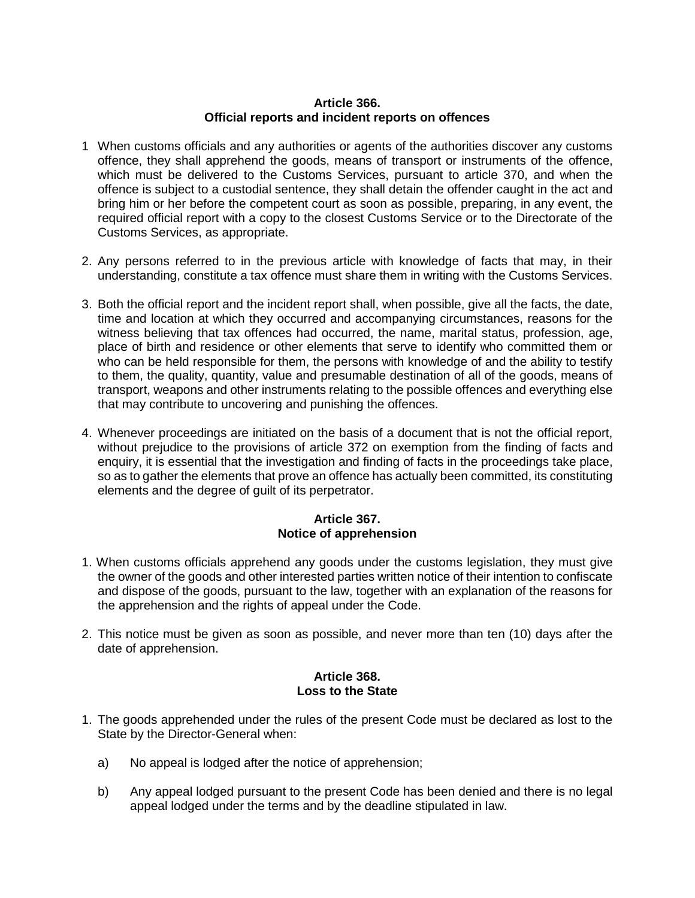### **Article 366. Official reports and incident reports on offences**

- 1 When customs officials and any authorities or agents of the authorities discover any customs offence, they shall apprehend the goods, means of transport or instruments of the offence, which must be delivered to the Customs Services, pursuant to article 370, and when the offence is subject to a custodial sentence, they shall detain the offender caught in the act and bring him or her before the competent court as soon as possible, preparing, in any event, the required official report with a copy to the closest Customs Service or to the Directorate of the Customs Services, as appropriate.
- 2. Any persons referred to in the previous article with knowledge of facts that may, in their understanding, constitute a tax offence must share them in writing with the Customs Services.
- 3. Both the official report and the incident report shall, when possible, give all the facts, the date, time and location at which they occurred and accompanying circumstances, reasons for the witness believing that tax offences had occurred, the name, marital status, profession, age, place of birth and residence or other elements that serve to identify who committed them or who can be held responsible for them, the persons with knowledge of and the ability to testify to them, the quality, quantity, value and presumable destination of all of the goods, means of transport, weapons and other instruments relating to the possible offences and everything else that may contribute to uncovering and punishing the offences.
- 4. Whenever proceedings are initiated on the basis of a document that is not the official report, without prejudice to the provisions of article 372 on exemption from the finding of facts and enquiry, it is essential that the investigation and finding of facts in the proceedings take place, so as to gather the elements that prove an offence has actually been committed, its constituting elements and the degree of guilt of its perpetrator.

# **Article 367. Notice of apprehension**

- 1. When customs officials apprehend any goods under the customs legislation, they must give the owner of the goods and other interested parties written notice of their intention to confiscate and dispose of the goods, pursuant to the law, together with an explanation of the reasons for the apprehension and the rights of appeal under the Code.
- 2. This notice must be given as soon as possible, and never more than ten (10) days after the date of apprehension.

# **Article 368. Loss to the State**

- 1. The goods apprehended under the rules of the present Code must be declared as lost to the State by the Director-General when:
	- a) No appeal is lodged after the notice of apprehension;
	- b) Any appeal lodged pursuant to the present Code has been denied and there is no legal appeal lodged under the terms and by the deadline stipulated in law.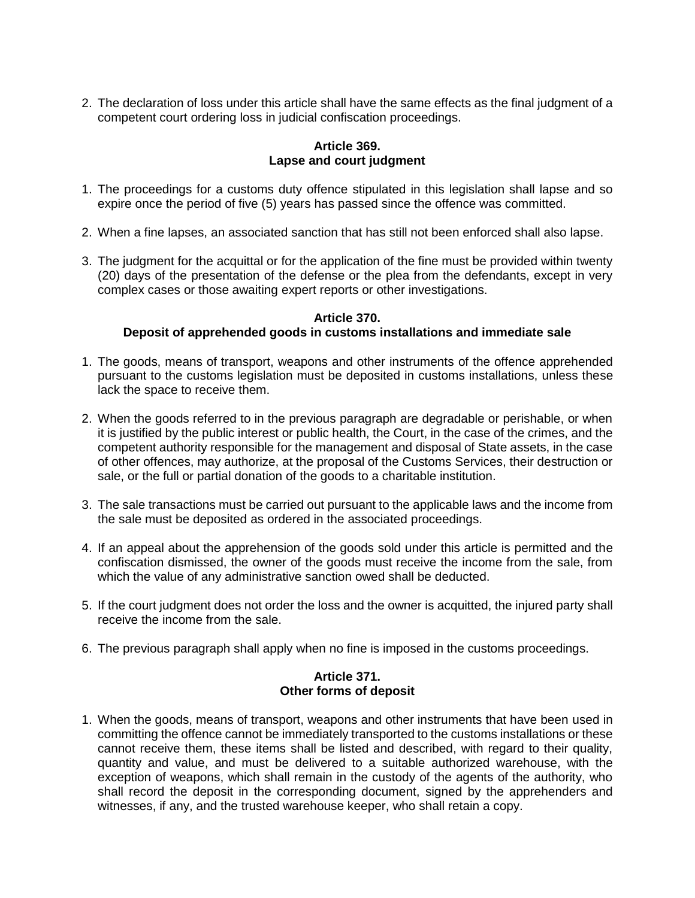2. The declaration of loss under this article shall have the same effects as the final judgment of a competent court ordering loss in judicial confiscation proceedings.

# **Article 369. Lapse and court judgment**

- 1. The proceedings for a customs duty offence stipulated in this legislation shall lapse and so expire once the period of five (5) years has passed since the offence was committed.
- 2. When a fine lapses, an associated sanction that has still not been enforced shall also lapse.
- 3. The judgment for the acquittal or for the application of the fine must be provided within twenty (20) days of the presentation of the defense or the plea from the defendants, except in very complex cases or those awaiting expert reports or other investigations.

#### **Article 370. Deposit of apprehended goods in customs installations and immediate sale**

- 1. The goods, means of transport, weapons and other instruments of the offence apprehended pursuant to the customs legislation must be deposited in customs installations, unless these lack the space to receive them.
- 2. When the goods referred to in the previous paragraph are degradable or perishable, or when it is justified by the public interest or public health, the Court, in the case of the crimes, and the competent authority responsible for the management and disposal of State assets, in the case of other offences, may authorize, at the proposal of the Customs Services, their destruction or sale, or the full or partial donation of the goods to a charitable institution.
- 3. The sale transactions must be carried out pursuant to the applicable laws and the income from the sale must be deposited as ordered in the associated proceedings.
- 4. If an appeal about the apprehension of the goods sold under this article is permitted and the confiscation dismissed, the owner of the goods must receive the income from the sale, from which the value of any administrative sanction owed shall be deducted.
- 5. If the court judgment does not order the loss and the owner is acquitted, the injured party shall receive the income from the sale.
- 6. The previous paragraph shall apply when no fine is imposed in the customs proceedings.

# **Article 371. Other forms of deposit**

1. When the goods, means of transport, weapons and other instruments that have been used in committing the offence cannot be immediately transported to the customs installations or these cannot receive them, these items shall be listed and described, with regard to their quality, quantity and value, and must be delivered to a suitable authorized warehouse, with the exception of weapons, which shall remain in the custody of the agents of the authority, who shall record the deposit in the corresponding document, signed by the apprehenders and witnesses, if any, and the trusted warehouse keeper, who shall retain a copy.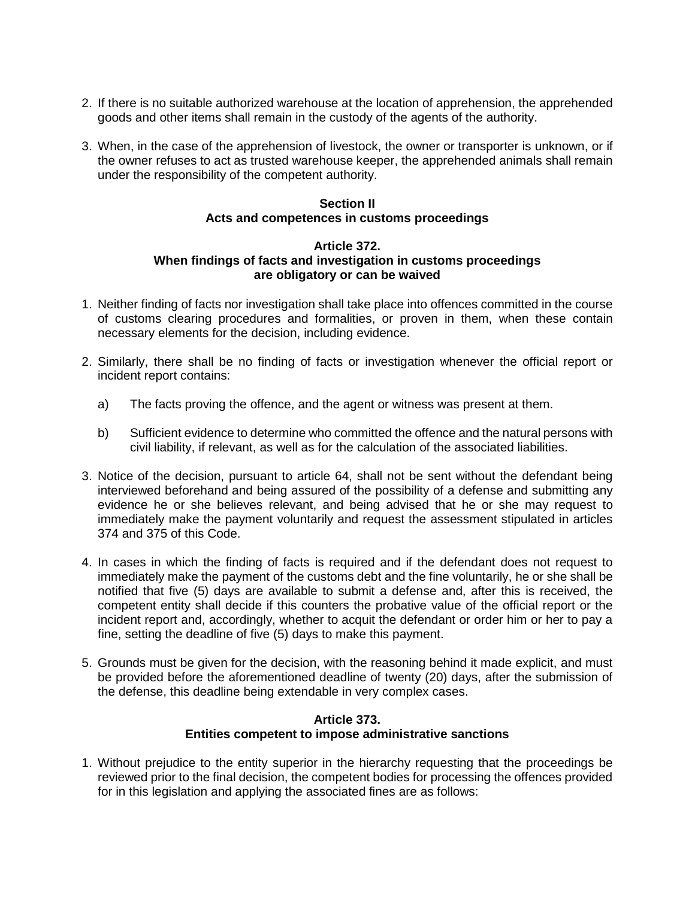- 2. If there is no suitable authorized warehouse at the location of apprehension, the apprehended goods and other items shall remain in the custody of the agents of the authority.
- 3. When, in the case of the apprehension of livestock, the owner or transporter is unknown, or if the owner refuses to act as trusted warehouse keeper, the apprehended animals shall remain under the responsibility of the competent authority.

# **Section II Acts and competences in customs proceedings**

### **Article 372. When findings of facts and investigation in customs proceedings are obligatory or can be waived**

- 1. Neither finding of facts nor investigation shall take place into offences committed in the course of customs clearing procedures and formalities, or proven in them, when these contain necessary elements for the decision, including evidence.
- 2. Similarly, there shall be no finding of facts or investigation whenever the official report or incident report contains:
	- a) The facts proving the offence, and the agent or witness was present at them.
	- b) Sufficient evidence to determine who committed the offence and the natural persons with civil liability, if relevant, as well as for the calculation of the associated liabilities.
- 3. Notice of the decision, pursuant to article 64, shall not be sent without the defendant being interviewed beforehand and being assured of the possibility of a defense and submitting any evidence he or she believes relevant, and being advised that he or she may request to immediately make the payment voluntarily and request the assessment stipulated in articles 374 and 375 of this Code.
- 4. In cases in which the finding of facts is required and if the defendant does not request to immediately make the payment of the customs debt and the fine voluntarily, he or she shall be notified that five (5) days are available to submit a defense and, after this is received, the competent entity shall decide if this counters the probative value of the official report or the incident report and, accordingly, whether to acquit the defendant or order him or her to pay a fine, setting the deadline of five (5) days to make this payment.
- 5. Grounds must be given for the decision, with the reasoning behind it made explicit, and must be provided before the aforementioned deadline of twenty (20) days, after the submission of the defense, this deadline being extendable in very complex cases.

### **Article 373. Entities competent to impose administrative sanctions**

1. Without prejudice to the entity superior in the hierarchy requesting that the proceedings be reviewed prior to the final decision, the competent bodies for processing the offences provided for in this legislation and applying the associated fines are as follows: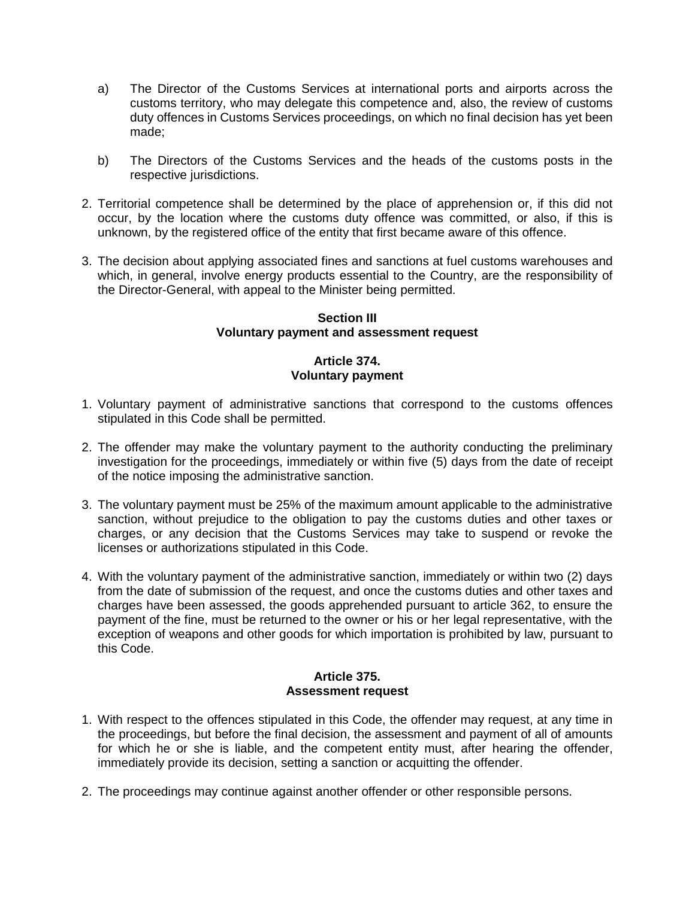- a) The Director of the Customs Services at international ports and airports across the customs territory, who may delegate this competence and, also, the review of customs duty offences in Customs Services proceedings, on which no final decision has yet been made;
- b) The Directors of the Customs Services and the heads of the customs posts in the respective jurisdictions.
- 2. Territorial competence shall be determined by the place of apprehension or, if this did not occur, by the location where the customs duty offence was committed, or also, if this is unknown, by the registered office of the entity that first became aware of this offence.
- 3. The decision about applying associated fines and sanctions at fuel customs warehouses and which, in general, involve energy products essential to the Country, are the responsibility of the Director-General, with appeal to the Minister being permitted.

#### **Section III Voluntary payment and assessment request**

# **Article 374. Voluntary payment**

- 1. Voluntary payment of administrative sanctions that correspond to the customs offences stipulated in this Code shall be permitted.
- 2. The offender may make the voluntary payment to the authority conducting the preliminary investigation for the proceedings, immediately or within five (5) days from the date of receipt of the notice imposing the administrative sanction.
- 3. The voluntary payment must be 25% of the maximum amount applicable to the administrative sanction, without prejudice to the obligation to pay the customs duties and other taxes or charges, or any decision that the Customs Services may take to suspend or revoke the licenses or authorizations stipulated in this Code.
- 4. With the voluntary payment of the administrative sanction, immediately or within two (2) days from the date of submission of the request, and once the customs duties and other taxes and charges have been assessed, the goods apprehended pursuant to article 362, to ensure the payment of the fine, must be returned to the owner or his or her legal representative, with the exception of weapons and other goods for which importation is prohibited by law, pursuant to this Code.

# **Article 375. Assessment request**

- 1. With respect to the offences stipulated in this Code, the offender may request, at any time in the proceedings, but before the final decision, the assessment and payment of all of amounts for which he or she is liable, and the competent entity must, after hearing the offender, immediately provide its decision, setting a sanction or acquitting the offender.
- 2. The proceedings may continue against another offender or other responsible persons.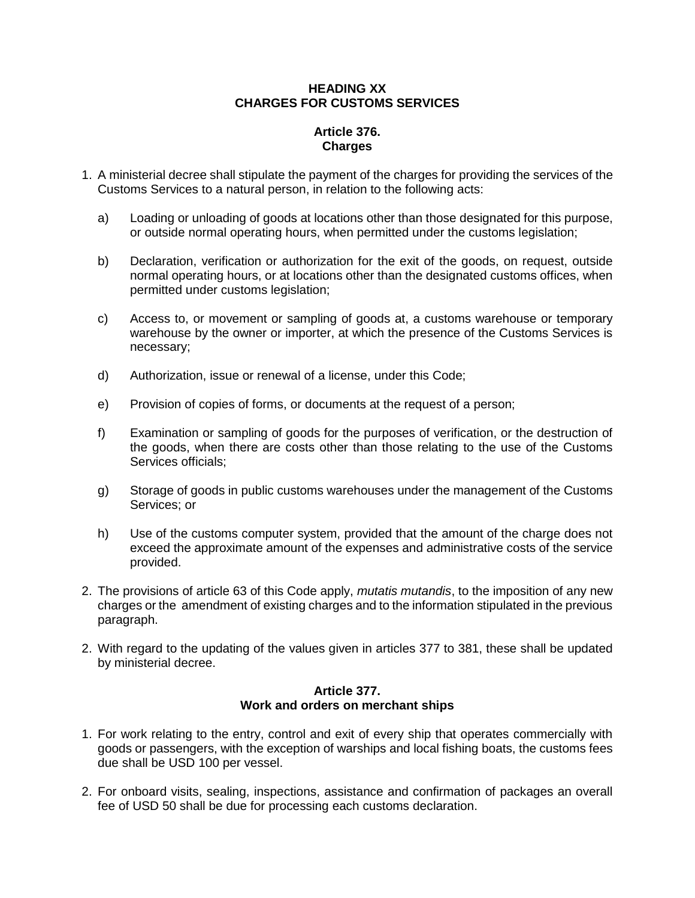# **HEADING XX CHARGES FOR CUSTOMS SERVICES**

# **Article 376. Charges**

- 1. A ministerial decree shall stipulate the payment of the charges for providing the services of the Customs Services to a natural person, in relation to the following acts:
	- a) Loading or unloading of goods at locations other than those designated for this purpose, or outside normal operating hours, when permitted under the customs legislation;
	- b) Declaration, verification or authorization for the exit of the goods, on request, outside normal operating hours, or at locations other than the designated customs offices, when permitted under customs legislation;
	- c) Access to, or movement or sampling of goods at, a customs warehouse or temporary warehouse by the owner or importer, at which the presence of the Customs Services is necessary;
	- d) Authorization, issue or renewal of a license, under this Code;
	- e) Provision of copies of forms, or documents at the request of a person;
	- f) Examination or sampling of goods for the purposes of verification, or the destruction of the goods, when there are costs other than those relating to the use of the Customs Services officials;
	- g) Storage of goods in public customs warehouses under the management of the Customs Services; or
	- h) Use of the customs computer system, provided that the amount of the charge does not exceed the approximate amount of the expenses and administrative costs of the service provided.
- 2. The provisions of article 63 of this Code apply, *mutatis mutandis*, to the imposition of any new charges or the amendment of existing charges and to the information stipulated in the previous paragraph.
- 2. With regard to the updating of the values given in articles 377 to 381, these shall be updated by ministerial decree.

# **Article 377. Work and orders on merchant ships**

- 1. For work relating to the entry, control and exit of every ship that operates commercially with goods or passengers, with the exception of warships and local fishing boats, the customs fees due shall be USD 100 per vessel.
- 2. For onboard visits, sealing, inspections, assistance and confirmation of packages an overall fee of USD 50 shall be due for processing each customs declaration.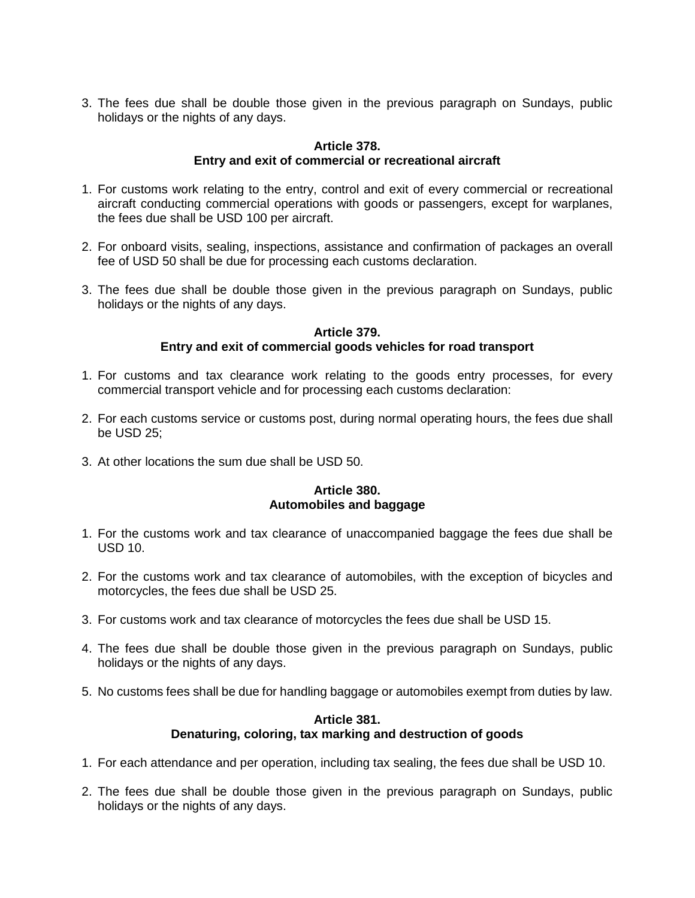3. The fees due shall be double those given in the previous paragraph on Sundays, public holidays or the nights of any days.

### **Article 378. Entry and exit of commercial or recreational aircraft**

- 1. For customs work relating to the entry, control and exit of every commercial or recreational aircraft conducting commercial operations with goods or passengers, except for warplanes, the fees due shall be USD 100 per aircraft.
- 2. For onboard visits, sealing, inspections, assistance and confirmation of packages an overall fee of USD 50 shall be due for processing each customs declaration.
- 3. The fees due shall be double those given in the previous paragraph on Sundays, public holidays or the nights of any days.

### **Article 379.**

# **Entry and exit of commercial goods vehicles for road transport**

- 1. For customs and tax clearance work relating to the goods entry processes, for every commercial transport vehicle and for processing each customs declaration:
- 2. For each customs service or customs post, during normal operating hours, the fees due shall be USD 25;
- 3. At other locations the sum due shall be USD 50.

# **Article 380. Automobiles and baggage**

- 1. For the customs work and tax clearance of unaccompanied baggage the fees due shall be USD 10.
- 2. For the customs work and tax clearance of automobiles, with the exception of bicycles and motorcycles, the fees due shall be USD 25.
- 3. For customs work and tax clearance of motorcycles the fees due shall be USD 15.
- 4. The fees due shall be double those given in the previous paragraph on Sundays, public holidays or the nights of any days.
- 5. No customs fees shall be due for handling baggage or automobiles exempt from duties by law.

# **Article 381. Denaturing, coloring, tax marking and destruction of goods**

- 1. For each attendance and per operation, including tax sealing, the fees due shall be USD 10.
- 2. The fees due shall be double those given in the previous paragraph on Sundays, public holidays or the nights of any days.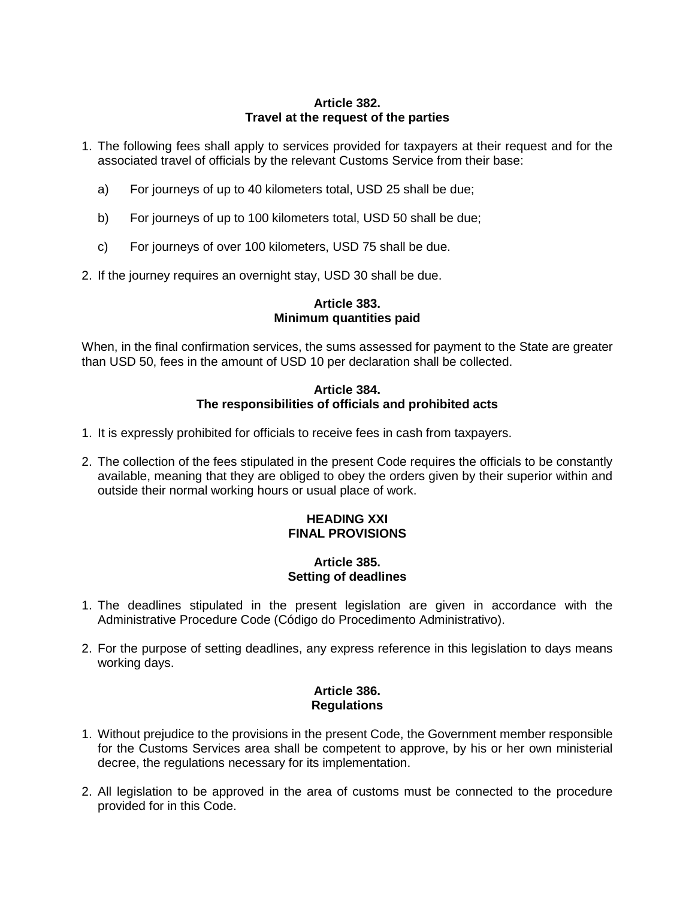### **Article 382. Travel at the request of the parties**

- 1. The following fees shall apply to services provided for taxpayers at their request and for the associated travel of officials by the relevant Customs Service from their base:
	- a) For journeys of up to 40 kilometers total, USD 25 shall be due;
	- b) For journeys of up to 100 kilometers total, USD 50 shall be due;
	- c) For journeys of over 100 kilometers, USD 75 shall be due.
- 2. If the journey requires an overnight stay, USD 30 shall be due.

#### **Article 383. Minimum quantities paid**

When, in the final confirmation services, the sums assessed for payment to the State are greater than USD 50, fees in the amount of USD 10 per declaration shall be collected.

## **Article 384. The responsibilities of officials and prohibited acts**

- 1. It is expressly prohibited for officials to receive fees in cash from taxpayers.
- 2. The collection of the fees stipulated in the present Code requires the officials to be constantly available, meaning that they are obliged to obey the orders given by their superior within and outside their normal working hours or usual place of work.

## **HEADING XXI FINAL PROVISIONS**

### **Article 385. Setting of deadlines**

- 1. The deadlines stipulated in the present legislation are given in accordance with the Administrative Procedure Code (Código do Procedimento Administrativo).
- 2. For the purpose of setting deadlines, any express reference in this legislation to days means working days.

#### **Article 386. Regulations**

- 1. Without prejudice to the provisions in the present Code, the Government member responsible for the Customs Services area shall be competent to approve, by his or her own ministerial decree, the regulations necessary for its implementation.
- 2. All legislation to be approved in the area of customs must be connected to the procedure provided for in this Code.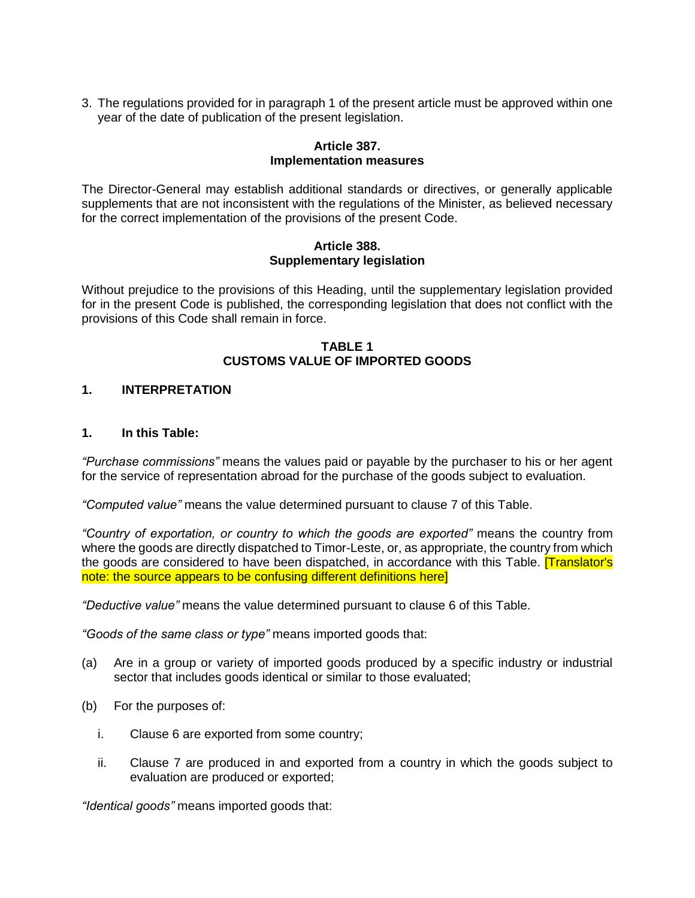3. The regulations provided for in paragraph 1 of the present article must be approved within one year of the date of publication of the present legislation.

### **Article 387. Implementation measures**

The Director-General may establish additional standards or directives, or generally applicable supplements that are not inconsistent with the regulations of the Minister, as believed necessary for the correct implementation of the provisions of the present Code.

#### **Article 388. Supplementary legislation**

Without prejudice to the provisions of this Heading, until the supplementary legislation provided for in the present Code is published, the corresponding legislation that does not conflict with the provisions of this Code shall remain in force.

### **TABLE 1 CUSTOMS VALUE OF IMPORTED GOODS**

## **1. INTERPRETATION**

### **1. In this Table:**

*"Purchase commissions"* means the values paid or payable by the purchaser to his or her agent for the service of representation abroad for the purchase of the goods subject to evaluation.

*"Computed value"* means the value determined pursuant to clause 7 of this Table.

*"Country of exportation, or country to which the goods are exported"* means the country from where the goods are directly dispatched to Timor-Leste, or, as appropriate, the country from which the goods are considered to have been dispatched, in accordance with this Table. [Translator's note: the source appears to be confusing different definitions here]

*"Deductive value"* means the value determined pursuant to clause 6 of this Table.

*"Goods of the same class or type"* means imported goods that:

- (a) Are in a group or variety of imported goods produced by a specific industry or industrial sector that includes goods identical or similar to those evaluated:
- (b) For the purposes of:
	- i. Clause 6 are exported from some country;
	- ii. Clause 7 are produced in and exported from a country in which the goods subject to evaluation are produced or exported;

*"Identical goods"* means imported goods that: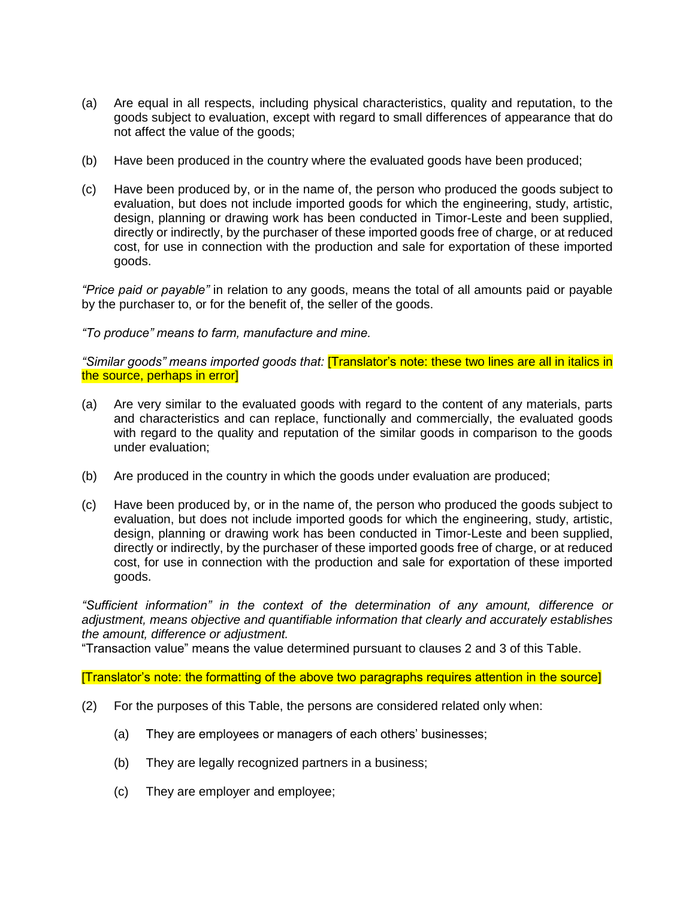- (a) Are equal in all respects, including physical characteristics, quality and reputation, to the goods subject to evaluation, except with regard to small differences of appearance that do not affect the value of the goods;
- (b) Have been produced in the country where the evaluated goods have been produced;
- (c) Have been produced by, or in the name of, the person who produced the goods subject to evaluation, but does not include imported goods for which the engineering, study, artistic, design, planning or drawing work has been conducted in Timor-Leste and been supplied, directly or indirectly, by the purchaser of these imported goods free of charge, or at reduced cost, for use in connection with the production and sale for exportation of these imported goods.

*"Price paid or payable"* in relation to any goods, means the total of all amounts paid or payable by the purchaser to, or for the benefit of, the seller of the goods.

*"To produce" means to farm, manufacture and mine.*

*"Similar goods" means imported goods that:* [Translator's note: these two lines are all in italics in the source, perhaps in error]

- (a) Are very similar to the evaluated goods with regard to the content of any materials, parts and characteristics and can replace, functionally and commercially, the evaluated goods with regard to the quality and reputation of the similar goods in comparison to the goods under evaluation;
- (b) Are produced in the country in which the goods under evaluation are produced;
- (c) Have been produced by, or in the name of, the person who produced the goods subject to evaluation, but does not include imported goods for which the engineering, study, artistic, design, planning or drawing work has been conducted in Timor-Leste and been supplied, directly or indirectly, by the purchaser of these imported goods free of charge, or at reduced cost, for use in connection with the production and sale for exportation of these imported goods.

*"Sufficient information" in the context of the determination of any amount, difference or adjustment, means objective and quantifiable information that clearly and accurately establishes the amount, difference or adjustment.*

"Transaction value" means the value determined pursuant to clauses 2 and 3 of this Table.

[Translator's note: the formatting of the above two paragraphs requires attention in the source]

- (2) For the purposes of this Table, the persons are considered related only when:
	- (a) They are employees or managers of each others' businesses;
	- (b) They are legally recognized partners in a business;
	- (c) They are employer and employee;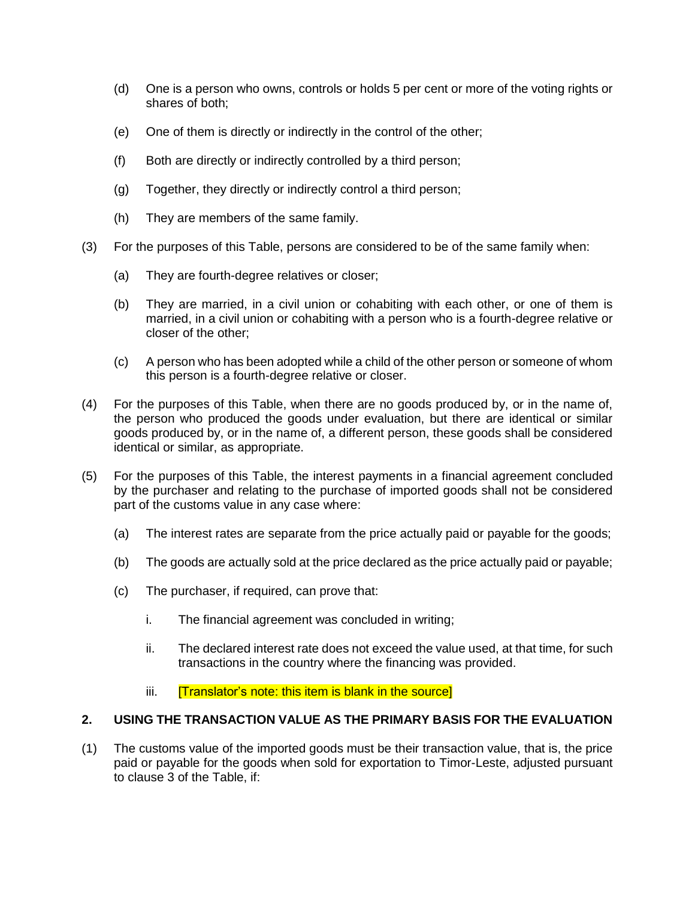- (d) One is a person who owns, controls or holds 5 per cent or more of the voting rights or shares of both;
- (e) One of them is directly or indirectly in the control of the other;
- (f) Both are directly or indirectly controlled by a third person;
- (g) Together, they directly or indirectly control a third person;
- (h) They are members of the same family.
- (3) For the purposes of this Table, persons are considered to be of the same family when:
	- (a) They are fourth-degree relatives or closer;
	- (b) They are married, in a civil union or cohabiting with each other, or one of them is married, in a civil union or cohabiting with a person who is a fourth-degree relative or closer of the other;
	- (c) A person who has been adopted while a child of the other person or someone of whom this person is a fourth-degree relative or closer.
- (4) For the purposes of this Table, when there are no goods produced by, or in the name of, the person who produced the goods under evaluation, but there are identical or similar goods produced by, or in the name of, a different person, these goods shall be considered identical or similar, as appropriate.
- (5) For the purposes of this Table, the interest payments in a financial agreement concluded by the purchaser and relating to the purchase of imported goods shall not be considered part of the customs value in any case where:
	- (a) The interest rates are separate from the price actually paid or payable for the goods;
	- (b) The goods are actually sold at the price declared as the price actually paid or payable;
	- (c) The purchaser, if required, can prove that:
		- i. The financial agreement was concluded in writing;
		- ii. The declared interest rate does not exceed the value used, at that time, for such transactions in the country where the financing was provided.
		- iii. **[Translator's note: this item is blank in the source]**

# **2. USING THE TRANSACTION VALUE AS THE PRIMARY BASIS FOR THE EVALUATION**

(1) The customs value of the imported goods must be their transaction value, that is, the price paid or payable for the goods when sold for exportation to Timor-Leste, adjusted pursuant to clause 3 of the Table, if: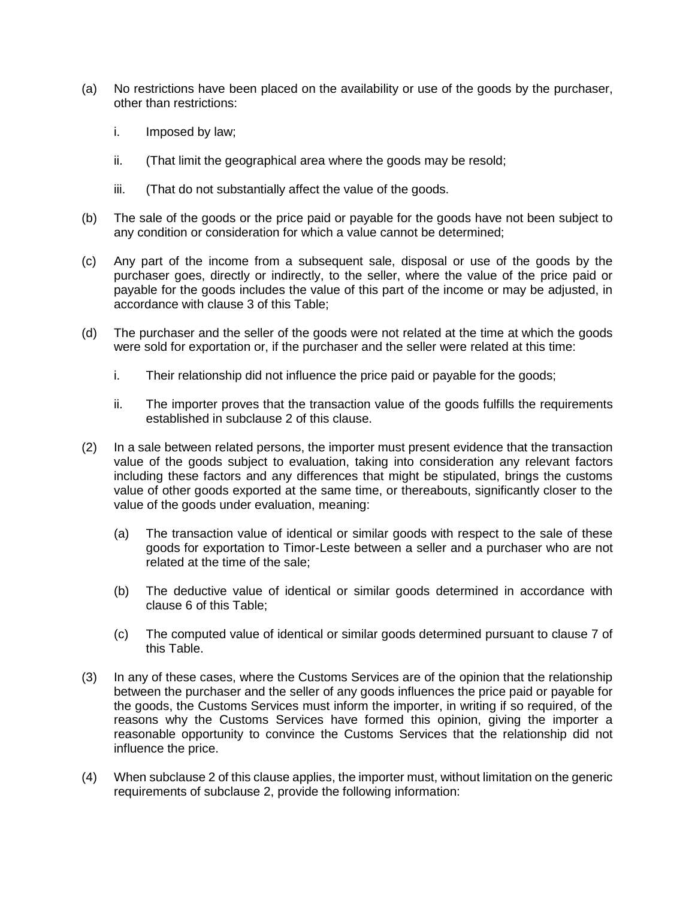- (a) No restrictions have been placed on the availability or use of the goods by the purchaser, other than restrictions:
	- i. Imposed by law;
	- ii. (That limit the geographical area where the goods may be resold;
	- iii. (That do not substantially affect the value of the goods.
- (b) The sale of the goods or the price paid or payable for the goods have not been subject to any condition or consideration for which a value cannot be determined;
- (c) Any part of the income from a subsequent sale, disposal or use of the goods by the purchaser goes, directly or indirectly, to the seller, where the value of the price paid or payable for the goods includes the value of this part of the income or may be adjusted, in accordance with clause 3 of this Table;
- (d) The purchaser and the seller of the goods were not related at the time at which the goods were sold for exportation or, if the purchaser and the seller were related at this time:
	- i. Their relationship did not influence the price paid or payable for the goods;
	- ii. The importer proves that the transaction value of the goods fulfills the requirements established in subclause 2 of this clause.
- (2) In a sale between related persons, the importer must present evidence that the transaction value of the goods subject to evaluation, taking into consideration any relevant factors including these factors and any differences that might be stipulated, brings the customs value of other goods exported at the same time, or thereabouts, significantly closer to the value of the goods under evaluation, meaning:
	- (a) The transaction value of identical or similar goods with respect to the sale of these goods for exportation to Timor-Leste between a seller and a purchaser who are not related at the time of the sale;
	- (b) The deductive value of identical or similar goods determined in accordance with clause 6 of this Table;
	- (c) The computed value of identical or similar goods determined pursuant to clause 7 of this Table.
- (3) In any of these cases, where the Customs Services are of the opinion that the relationship between the purchaser and the seller of any goods influences the price paid or payable for the goods, the Customs Services must inform the importer, in writing if so required, of the reasons why the Customs Services have formed this opinion, giving the importer a reasonable opportunity to convince the Customs Services that the relationship did not influence the price.
- (4) When subclause 2 of this clause applies, the importer must, without limitation on the generic requirements of subclause 2, provide the following information: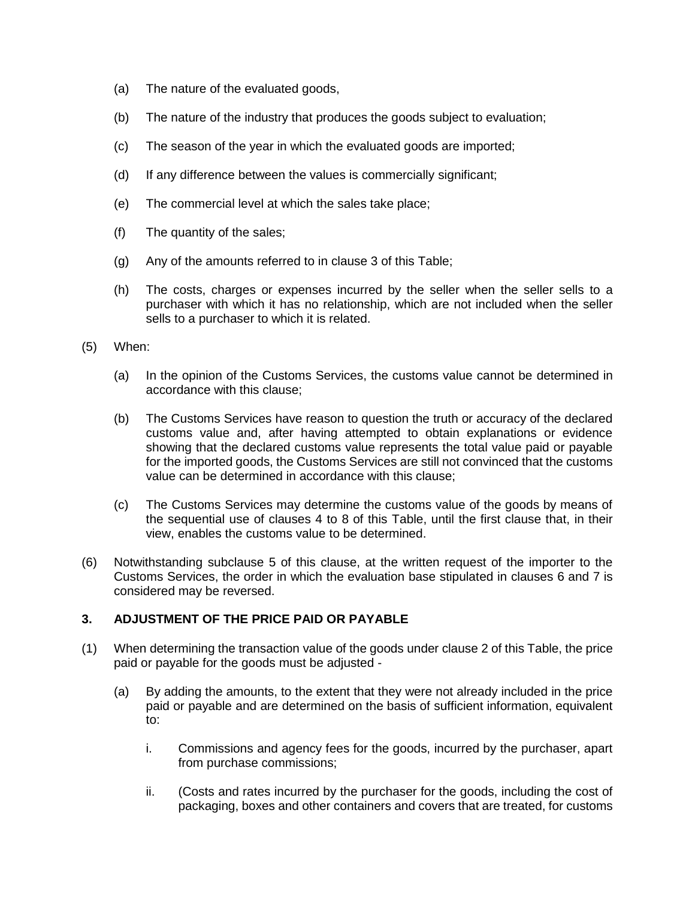- (a) The nature of the evaluated goods,
- (b) The nature of the industry that produces the goods subject to evaluation;
- (c) The season of the year in which the evaluated goods are imported;
- (d) If any difference between the values is commercially significant;
- (e) The commercial level at which the sales take place;
- (f) The quantity of the sales;
- (g) Any of the amounts referred to in clause 3 of this Table;
- (h) The costs, charges or expenses incurred by the seller when the seller sells to a purchaser with which it has no relationship, which are not included when the seller sells to a purchaser to which it is related.
- (5) When:
	- (a) In the opinion of the Customs Services, the customs value cannot be determined in accordance with this clause;
	- (b) The Customs Services have reason to question the truth or accuracy of the declared customs value and, after having attempted to obtain explanations or evidence showing that the declared customs value represents the total value paid or payable for the imported goods, the Customs Services are still not convinced that the customs value can be determined in accordance with this clause;
	- (c) The Customs Services may determine the customs value of the goods by means of the sequential use of clauses 4 to 8 of this Table, until the first clause that, in their view, enables the customs value to be determined.
- (6) Notwithstanding subclause 5 of this clause, at the written request of the importer to the Customs Services, the order in which the evaluation base stipulated in clauses 6 and 7 is considered may be reversed.

# **3. ADJUSTMENT OF THE PRICE PAID OR PAYABLE**

- (1) When determining the transaction value of the goods under clause 2 of this Table, the price paid or payable for the goods must be adjusted -
	- (a) By adding the amounts, to the extent that they were not already included in the price paid or payable and are determined on the basis of sufficient information, equivalent to:
		- i. Commissions and agency fees for the goods, incurred by the purchaser, apart from purchase commissions;
		- ii. (Costs and rates incurred by the purchaser for the goods, including the cost of packaging, boxes and other containers and covers that are treated, for customs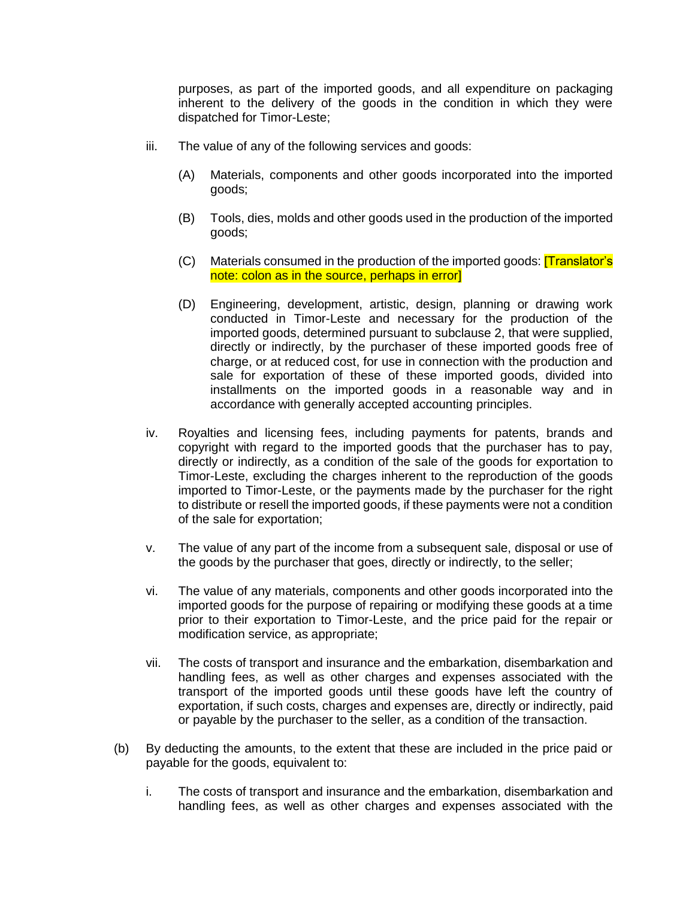purposes, as part of the imported goods, and all expenditure on packaging inherent to the delivery of the goods in the condition in which they were dispatched for Timor-Leste;

- iii. The value of any of the following services and goods:
	- (A) Materials, components and other goods incorporated into the imported goods;
	- (B) Tools, dies, molds and other goods used in the production of the imported goods;
	- (C) Materials consumed in the production of the imported goods: [Translator's note: colon as in the source, perhaps in error]
	- (D) Engineering, development, artistic, design, planning or drawing work conducted in Timor-Leste and necessary for the production of the imported goods, determined pursuant to subclause 2, that were supplied, directly or indirectly, by the purchaser of these imported goods free of charge, or at reduced cost, for use in connection with the production and sale for exportation of these of these imported goods, divided into installments on the imported goods in a reasonable way and in accordance with generally accepted accounting principles.
- iv. Royalties and licensing fees, including payments for patents, brands and copyright with regard to the imported goods that the purchaser has to pay, directly or indirectly, as a condition of the sale of the goods for exportation to Timor-Leste, excluding the charges inherent to the reproduction of the goods imported to Timor-Leste, or the payments made by the purchaser for the right to distribute or resell the imported goods, if these payments were not a condition of the sale for exportation;
- v. The value of any part of the income from a subsequent sale, disposal or use of the goods by the purchaser that goes, directly or indirectly, to the seller;
- vi. The value of any materials, components and other goods incorporated into the imported goods for the purpose of repairing or modifying these goods at a time prior to their exportation to Timor-Leste, and the price paid for the repair or modification service, as appropriate;
- vii. The costs of transport and insurance and the embarkation, disembarkation and handling fees, as well as other charges and expenses associated with the transport of the imported goods until these goods have left the country of exportation, if such costs, charges and expenses are, directly or indirectly, paid or payable by the purchaser to the seller, as a condition of the transaction.
- (b) By deducting the amounts, to the extent that these are included in the price paid or payable for the goods, equivalent to:
	- i. The costs of transport and insurance and the embarkation, disembarkation and handling fees, as well as other charges and expenses associated with the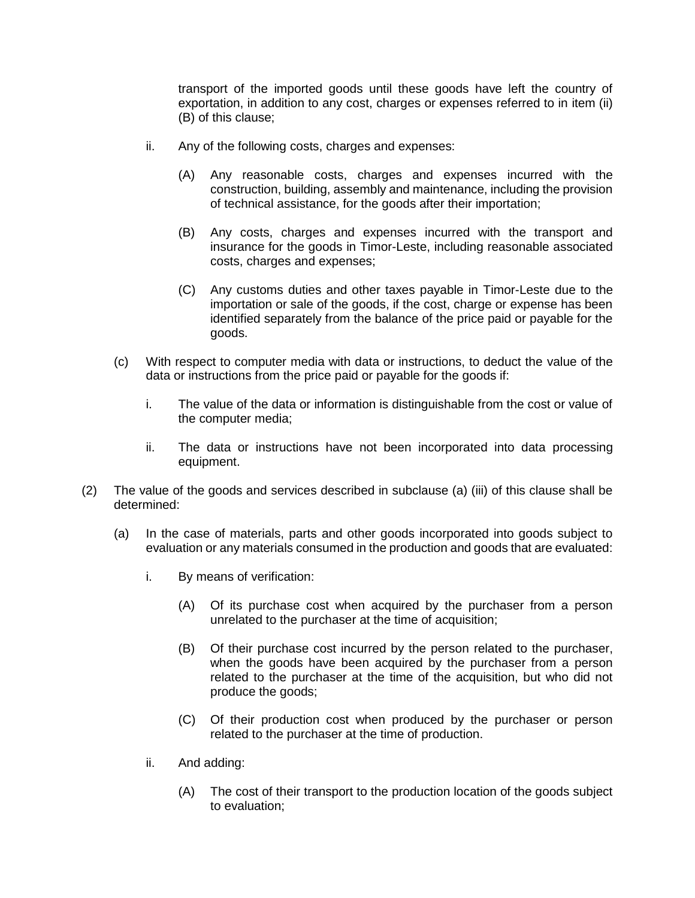transport of the imported goods until these goods have left the country of exportation, in addition to any cost, charges or expenses referred to in item (ii) (B) of this clause;

- ii. Any of the following costs, charges and expenses:
	- (A) Any reasonable costs, charges and expenses incurred with the construction, building, assembly and maintenance, including the provision of technical assistance, for the goods after their importation;
	- (B) Any costs, charges and expenses incurred with the transport and insurance for the goods in Timor-Leste, including reasonable associated costs, charges and expenses;
	- (C) Any customs duties and other taxes payable in Timor-Leste due to the importation or sale of the goods, if the cost, charge or expense has been identified separately from the balance of the price paid or payable for the goods.
- (c) With respect to computer media with data or instructions, to deduct the value of the data or instructions from the price paid or payable for the goods if:
	- i. The value of the data or information is distinguishable from the cost or value of the computer media;
	- ii. The data or instructions have not been incorporated into data processing equipment.
- (2) The value of the goods and services described in subclause (a) (iii) of this clause shall be determined:
	- (a) In the case of materials, parts and other goods incorporated into goods subject to evaluation or any materials consumed in the production and goods that are evaluated:
		- i. By means of verification:
			- (A) Of its purchase cost when acquired by the purchaser from a person unrelated to the purchaser at the time of acquisition;
			- (B) Of their purchase cost incurred by the person related to the purchaser, when the goods have been acquired by the purchaser from a person related to the purchaser at the time of the acquisition, but who did not produce the goods;
			- (C) Of their production cost when produced by the purchaser or person related to the purchaser at the time of production.
		- ii. And adding:
			- (A) The cost of their transport to the production location of the goods subject to evaluation;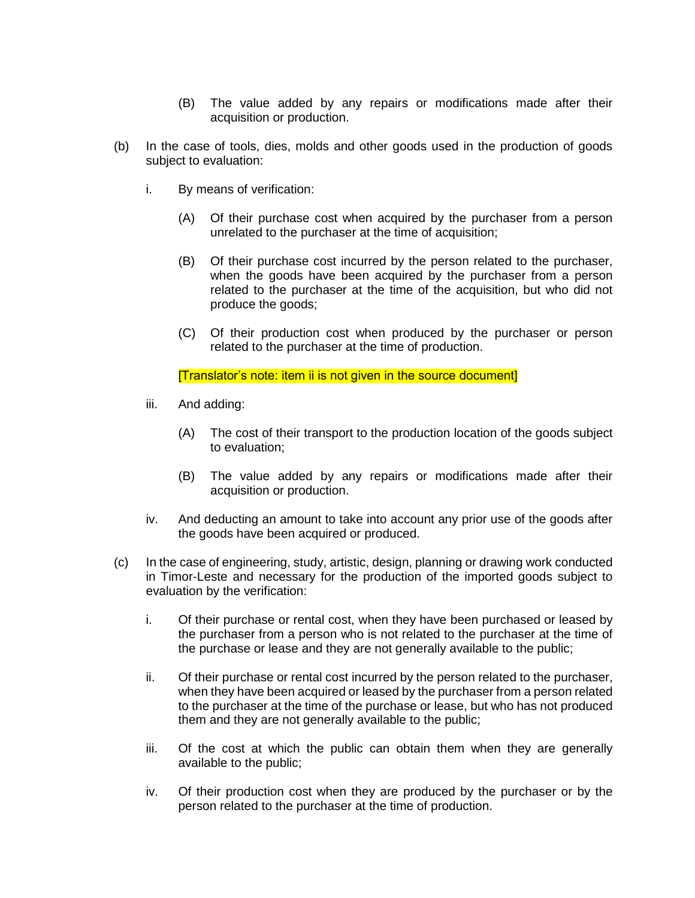- (B) The value added by any repairs or modifications made after their acquisition or production.
- (b) In the case of tools, dies, molds and other goods used in the production of goods subject to evaluation:
	- i. By means of verification:
		- (A) Of their purchase cost when acquired by the purchaser from a person unrelated to the purchaser at the time of acquisition;
		- (B) Of their purchase cost incurred by the person related to the purchaser, when the goods have been acquired by the purchaser from a person related to the purchaser at the time of the acquisition, but who did not produce the goods;
		- (C) Of their production cost when produced by the purchaser or person related to the purchaser at the time of production.

[Translator's note: item ii is not given in the source document]

- iii. And adding:
	- (A) The cost of their transport to the production location of the goods subject to evaluation;
	- (B) The value added by any repairs or modifications made after their acquisition or production.
- iv. And deducting an amount to take into account any prior use of the goods after the goods have been acquired or produced.
- (c) In the case of engineering, study, artistic, design, planning or drawing work conducted in Timor-Leste and necessary for the production of the imported goods subject to evaluation by the verification:
	- i. Of their purchase or rental cost, when they have been purchased or leased by the purchaser from a person who is not related to the purchaser at the time of the purchase or lease and they are not generally available to the public;
	- ii. Of their purchase or rental cost incurred by the person related to the purchaser, when they have been acquired or leased by the purchaser from a person related to the purchaser at the time of the purchase or lease, but who has not produced them and they are not generally available to the public;
	- iii. Of the cost at which the public can obtain them when they are generally available to the public;
	- iv. Of their production cost when they are produced by the purchaser or by the person related to the purchaser at the time of production.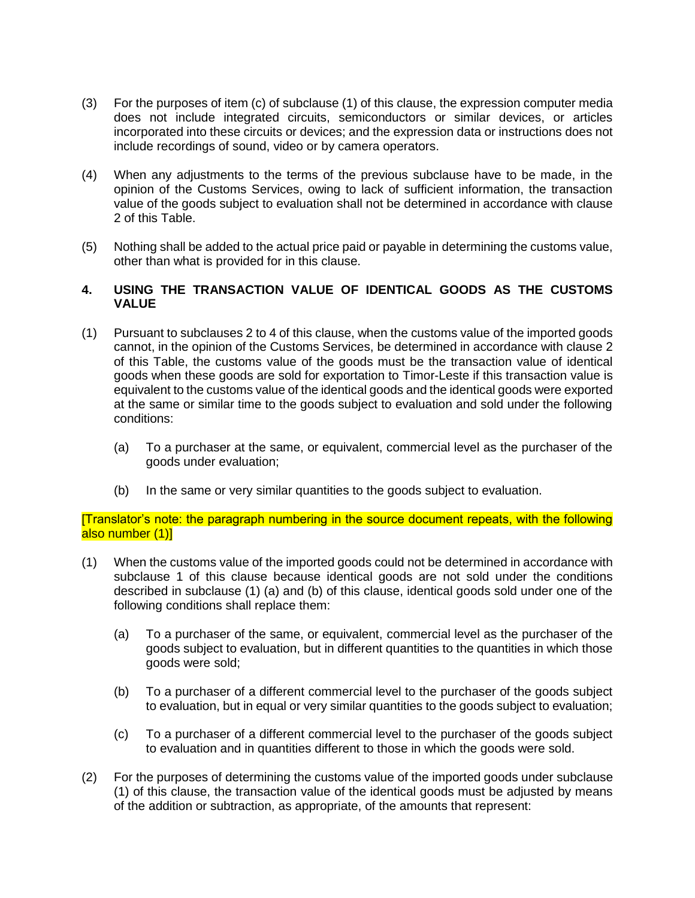- (3) For the purposes of item (c) of subclause (1) of this clause, the expression computer media does not include integrated circuits, semiconductors or similar devices, or articles incorporated into these circuits or devices; and the expression data or instructions does not include recordings of sound, video or by camera operators.
- (4) When any adjustments to the terms of the previous subclause have to be made, in the opinion of the Customs Services, owing to lack of sufficient information, the transaction value of the goods subject to evaluation shall not be determined in accordance with clause 2 of this Table.
- (5) Nothing shall be added to the actual price paid or payable in determining the customs value, other than what is provided for in this clause.

### **4. USING THE TRANSACTION VALUE OF IDENTICAL GOODS AS THE CUSTOMS VALUE**

- (1) Pursuant to subclauses 2 to 4 of this clause, when the customs value of the imported goods cannot, in the opinion of the Customs Services, be determined in accordance with clause 2 of this Table, the customs value of the goods must be the transaction value of identical goods when these goods are sold for exportation to Timor-Leste if this transaction value is equivalent to the customs value of the identical goods and the identical goods were exported at the same or similar time to the goods subject to evaluation and sold under the following conditions:
	- (a) To a purchaser at the same, or equivalent, commercial level as the purchaser of the goods under evaluation;
	- (b) In the same or very similar quantities to the goods subject to evaluation.

[Translator's note: the paragraph numbering in the source document repeats, with the following also number (1)]

- (1) When the customs value of the imported goods could not be determined in accordance with subclause 1 of this clause because identical goods are not sold under the conditions described in subclause (1) (a) and (b) of this clause, identical goods sold under one of the following conditions shall replace them:
	- (a) To a purchaser of the same, or equivalent, commercial level as the purchaser of the goods subject to evaluation, but in different quantities to the quantities in which those goods were sold;
	- (b) To a purchaser of a different commercial level to the purchaser of the goods subject to evaluation, but in equal or very similar quantities to the goods subject to evaluation;
	- (c) To a purchaser of a different commercial level to the purchaser of the goods subject to evaluation and in quantities different to those in which the goods were sold.
- (2) For the purposes of determining the customs value of the imported goods under subclause (1) of this clause, the transaction value of the identical goods must be adjusted by means of the addition or subtraction, as appropriate, of the amounts that represent: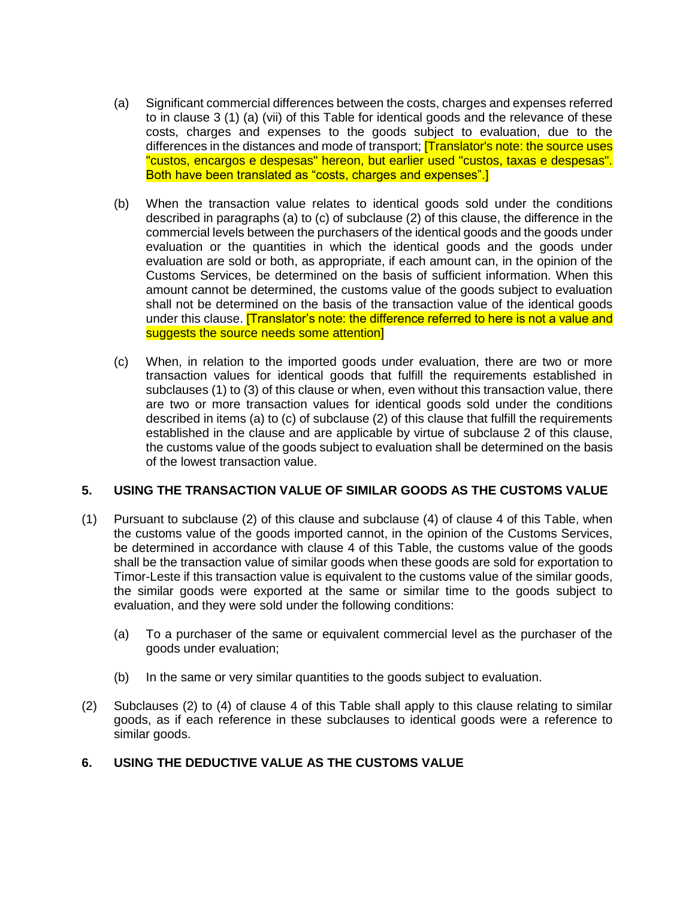- (a) Significant commercial differences between the costs, charges and expenses referred to in clause 3 (1) (a) (vii) of this Table for identical goods and the relevance of these costs, charges and expenses to the goods subject to evaluation, due to the differences in the distances and mode of transport; [Translator's note: the source uses "custos, encargos e despesas" hereon, but earlier used "custos, taxas e despesas". Both have been translated as "costs, charges and expenses".]
- (b) When the transaction value relates to identical goods sold under the conditions described in paragraphs (a) to (c) of subclause (2) of this clause, the difference in the commercial levels between the purchasers of the identical goods and the goods under evaluation or the quantities in which the identical goods and the goods under evaluation are sold or both, as appropriate, if each amount can, in the opinion of the Customs Services, be determined on the basis of sufficient information. When this amount cannot be determined, the customs value of the goods subject to evaluation shall not be determined on the basis of the transaction value of the identical goods under this clause. **[Translator's note: the difference referred to here is not a value and** suggests the source needs some attention]
- (c) When, in relation to the imported goods under evaluation, there are two or more transaction values for identical goods that fulfill the requirements established in subclauses (1) to (3) of this clause or when, even without this transaction value, there are two or more transaction values for identical goods sold under the conditions described in items (a) to (c) of subclause (2) of this clause that fulfill the requirements established in the clause and are applicable by virtue of subclause 2 of this clause, the customs value of the goods subject to evaluation shall be determined on the basis of the lowest transaction value.

### **5. USING THE TRANSACTION VALUE OF SIMILAR GOODS AS THE CUSTOMS VALUE**

- (1) Pursuant to subclause (2) of this clause and subclause (4) of clause 4 of this Table, when the customs value of the goods imported cannot, in the opinion of the Customs Services, be determined in accordance with clause 4 of this Table, the customs value of the goods shall be the transaction value of similar goods when these goods are sold for exportation to Timor-Leste if this transaction value is equivalent to the customs value of the similar goods, the similar goods were exported at the same or similar time to the goods subject to evaluation, and they were sold under the following conditions:
	- (a) To a purchaser of the same or equivalent commercial level as the purchaser of the goods under evaluation;
	- (b) In the same or very similar quantities to the goods subject to evaluation.
- (2) Subclauses (2) to (4) of clause 4 of this Table shall apply to this clause relating to similar goods, as if each reference in these subclauses to identical goods were a reference to similar goods.

# **6. USING THE DEDUCTIVE VALUE AS THE CUSTOMS VALUE**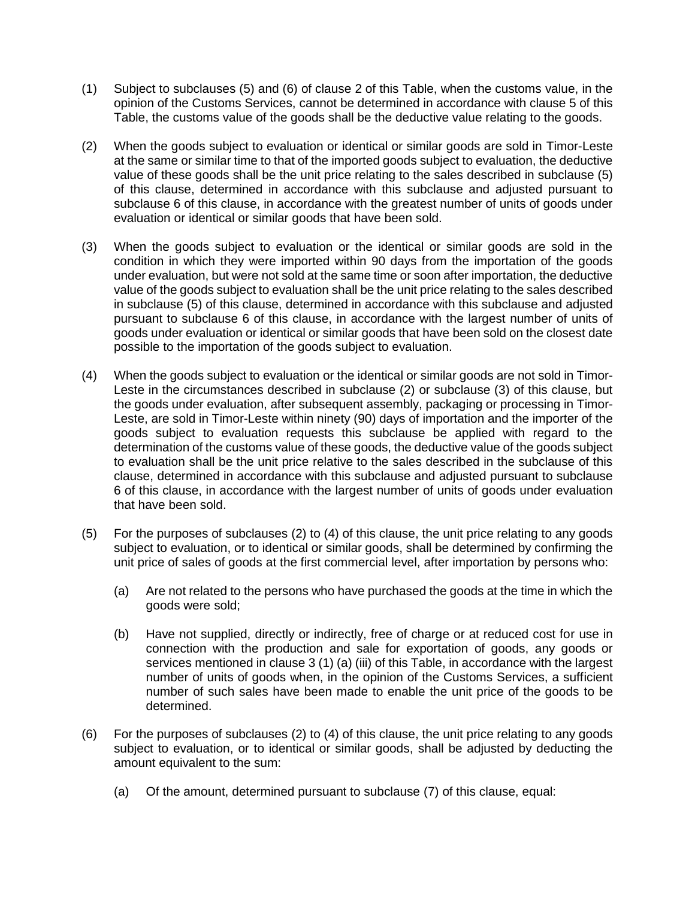- (1) Subject to subclauses (5) and (6) of clause 2 of this Table, when the customs value, in the opinion of the Customs Services, cannot be determined in accordance with clause 5 of this Table, the customs value of the goods shall be the deductive value relating to the goods.
- (2) When the goods subject to evaluation or identical or similar goods are sold in Timor-Leste at the same or similar time to that of the imported goods subject to evaluation, the deductive value of these goods shall be the unit price relating to the sales described in subclause (5) of this clause, determined in accordance with this subclause and adjusted pursuant to subclause 6 of this clause, in accordance with the greatest number of units of goods under evaluation or identical or similar goods that have been sold.
- (3) When the goods subject to evaluation or the identical or similar goods are sold in the condition in which they were imported within 90 days from the importation of the goods under evaluation, but were not sold at the same time or soon after importation, the deductive value of the goods subject to evaluation shall be the unit price relating to the sales described in subclause (5) of this clause, determined in accordance with this subclause and adjusted pursuant to subclause 6 of this clause, in accordance with the largest number of units of goods under evaluation or identical or similar goods that have been sold on the closest date possible to the importation of the goods subject to evaluation.
- (4) When the goods subject to evaluation or the identical or similar goods are not sold in Timor-Leste in the circumstances described in subclause (2) or subclause (3) of this clause, but the goods under evaluation, after subsequent assembly, packaging or processing in Timor-Leste, are sold in Timor-Leste within ninety (90) days of importation and the importer of the goods subject to evaluation requests this subclause be applied with regard to the determination of the customs value of these goods, the deductive value of the goods subject to evaluation shall be the unit price relative to the sales described in the subclause of this clause, determined in accordance with this subclause and adjusted pursuant to subclause 6 of this clause, in accordance with the largest number of units of goods under evaluation that have been sold.
- (5) For the purposes of subclauses (2) to (4) of this clause, the unit price relating to any goods subject to evaluation, or to identical or similar goods, shall be determined by confirming the unit price of sales of goods at the first commercial level, after importation by persons who:
	- (a) Are not related to the persons who have purchased the goods at the time in which the goods were sold;
	- (b) Have not supplied, directly or indirectly, free of charge or at reduced cost for use in connection with the production and sale for exportation of goods, any goods or services mentioned in clause 3 (1) (a) (iii) of this Table, in accordance with the largest number of units of goods when, in the opinion of the Customs Services, a sufficient number of such sales have been made to enable the unit price of the goods to be determined.
- (6) For the purposes of subclauses (2) to (4) of this clause, the unit price relating to any goods subject to evaluation, or to identical or similar goods, shall be adjusted by deducting the amount equivalent to the sum:
	- (a) Of the amount, determined pursuant to subclause (7) of this clause, equal: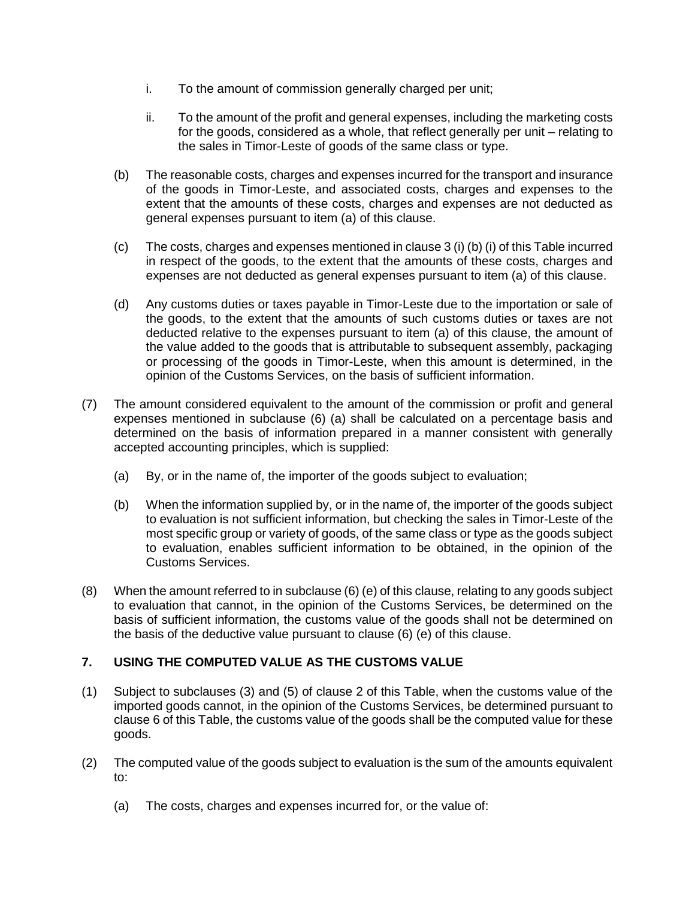- i. To the amount of commission generally charged per unit;
- ii. To the amount of the profit and general expenses, including the marketing costs for the goods, considered as a whole, that reflect generally per unit – relating to the sales in Timor-Leste of goods of the same class or type.
- (b) The reasonable costs, charges and expenses incurred for the transport and insurance of the goods in Timor-Leste, and associated costs, charges and expenses to the extent that the amounts of these costs, charges and expenses are not deducted as general expenses pursuant to item (a) of this clause.
- (c) The costs, charges and expenses mentioned in clause 3 (i) (b) (i) of this Table incurred in respect of the goods, to the extent that the amounts of these costs, charges and expenses are not deducted as general expenses pursuant to item (a) of this clause.
- (d) Any customs duties or taxes payable in Timor-Leste due to the importation or sale of the goods, to the extent that the amounts of such customs duties or taxes are not deducted relative to the expenses pursuant to item (a) of this clause, the amount of the value added to the goods that is attributable to subsequent assembly, packaging or processing of the goods in Timor-Leste, when this amount is determined, in the opinion of the Customs Services, on the basis of sufficient information.
- (7) The amount considered equivalent to the amount of the commission or profit and general expenses mentioned in subclause (6) (a) shall be calculated on a percentage basis and determined on the basis of information prepared in a manner consistent with generally accepted accounting principles, which is supplied:
	- (a) By, or in the name of, the importer of the goods subject to evaluation;
	- (b) When the information supplied by, or in the name of, the importer of the goods subject to evaluation is not sufficient information, but checking the sales in Timor-Leste of the most specific group or variety of goods, of the same class or type as the goods subject to evaluation, enables sufficient information to be obtained, in the opinion of the Customs Services.
- (8) When the amount referred to in subclause (6) (e) of this clause, relating to any goods subject to evaluation that cannot, in the opinion of the Customs Services, be determined on the basis of sufficient information, the customs value of the goods shall not be determined on the basis of the deductive value pursuant to clause (6) (e) of this clause.

# **7. USING THE COMPUTED VALUE AS THE CUSTOMS VALUE**

- (1) Subject to subclauses (3) and (5) of clause 2 of this Table, when the customs value of the imported goods cannot, in the opinion of the Customs Services, be determined pursuant to clause 6 of this Table, the customs value of the goods shall be the computed value for these goods.
- (2) The computed value of the goods subject to evaluation is the sum of the amounts equivalent to:
	- (a) The costs, charges and expenses incurred for, or the value of: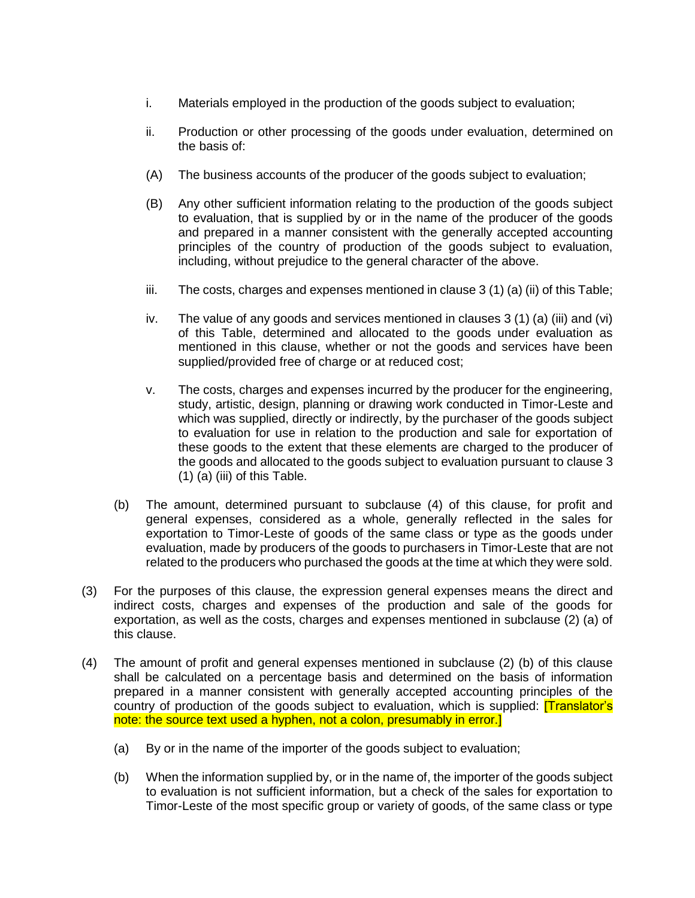- i. Materials employed in the production of the goods subject to evaluation;
- ii. Production or other processing of the goods under evaluation, determined on the basis of:
- (A) The business accounts of the producer of the goods subject to evaluation;
- (B) Any other sufficient information relating to the production of the goods subject to evaluation, that is supplied by or in the name of the producer of the goods and prepared in a manner consistent with the generally accepted accounting principles of the country of production of the goods subject to evaluation, including, without prejudice to the general character of the above.
- iii. The costs, charges and expenses mentioned in clause  $3(1)$  (a) (ii) of this Table;
- iv. The value of any goods and services mentioned in clauses 3 (1) (a) (iii) and (vi) of this Table, determined and allocated to the goods under evaluation as mentioned in this clause, whether or not the goods and services have been supplied/provided free of charge or at reduced cost;
- v. The costs, charges and expenses incurred by the producer for the engineering, study, artistic, design, planning or drawing work conducted in Timor-Leste and which was supplied, directly or indirectly, by the purchaser of the goods subject to evaluation for use in relation to the production and sale for exportation of these goods to the extent that these elements are charged to the producer of the goods and allocated to the goods subject to evaluation pursuant to clause 3  $(1)$  (a) (iii) of this Table.
- (b) The amount, determined pursuant to subclause (4) of this clause, for profit and general expenses, considered as a whole, generally reflected in the sales for exportation to Timor-Leste of goods of the same class or type as the goods under evaluation, made by producers of the goods to purchasers in Timor-Leste that are not related to the producers who purchased the goods at the time at which they were sold.
- (3) For the purposes of this clause, the expression general expenses means the direct and indirect costs, charges and expenses of the production and sale of the goods for exportation, as well as the costs, charges and expenses mentioned in subclause (2) (a) of this clause.
- (4) The amount of profit and general expenses mentioned in subclause (2) (b) of this clause shall be calculated on a percentage basis and determined on the basis of information prepared in a manner consistent with generally accepted accounting principles of the country of production of the goods subject to evaluation, which is supplied: **[Translator's** note: the source text used a hyphen, not a colon, presumably in error.
	- (a) By or in the name of the importer of the goods subject to evaluation;
	- (b) When the information supplied by, or in the name of, the importer of the goods subject to evaluation is not sufficient information, but a check of the sales for exportation to Timor-Leste of the most specific group or variety of goods, of the same class or type